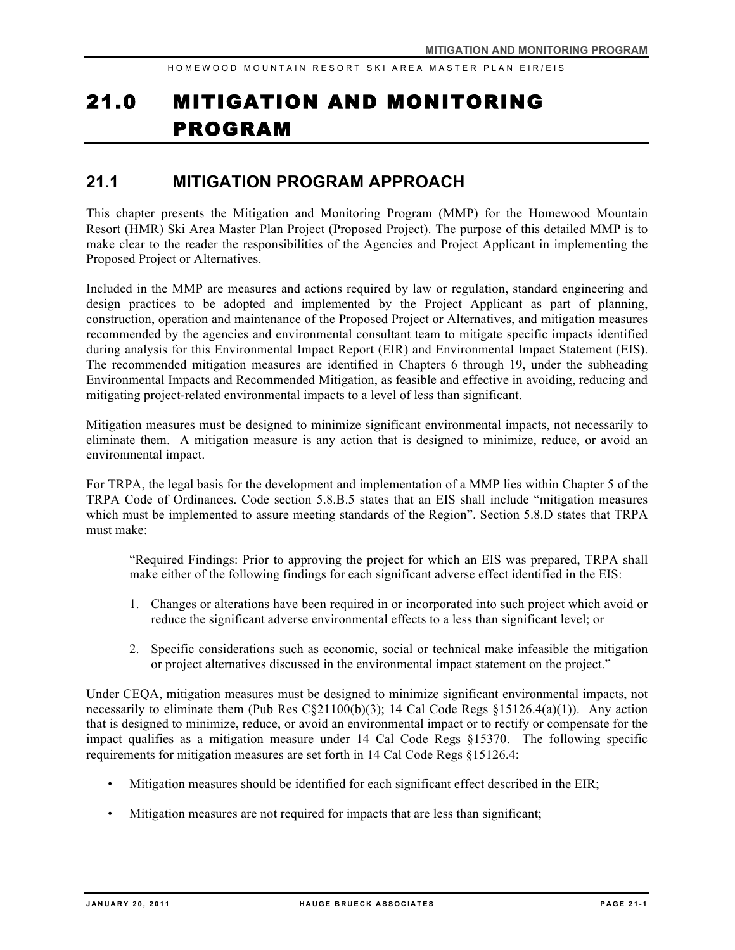# 21.0 MITIGATION AND MONITORING PROGRAM

## **21.1 MITIGATION PROGRAM APPROACH**

This chapter presents the Mitigation and Monitoring Program (MMP) for the Homewood Mountain Resort (HMR) Ski Area Master Plan Project (Proposed Project). The purpose of this detailed MMP is to make clear to the reader the responsibilities of the Agencies and Project Applicant in implementing the Proposed Project or Alternatives.

Included in the MMP are measures and actions required by law or regulation, standard engineering and design practices to be adopted and implemented by the Project Applicant as part of planning, construction, operation and maintenance of the Proposed Project or Alternatives, and mitigation measures recommended by the agencies and environmental consultant team to mitigate specific impacts identified during analysis for this Environmental Impact Report (EIR) and Environmental Impact Statement (EIS). The recommended mitigation measures are identified in Chapters 6 through 19, under the subheading Environmental Impacts and Recommended Mitigation, as feasible and effective in avoiding, reducing and mitigating project-related environmental impacts to a level of less than significant.

Mitigation measures must be designed to minimize significant environmental impacts, not necessarily to eliminate them. A mitigation measure is any action that is designed to minimize, reduce, or avoid an environmental impact.

For TRPA, the legal basis for the development and implementation of a MMP lies within Chapter 5 of the TRPA Code of Ordinances. Code section 5.8.B.5 states that an EIS shall include "mitigation measures which must be implemented to assure meeting standards of the Region". Section 5.8.D states that TRPA must make:

"Required Findings: Prior to approving the project for which an EIS was prepared, TRPA shall make either of the following findings for each significant adverse effect identified in the EIS:

- 1. Changes or alterations have been required in or incorporated into such project which avoid or reduce the significant adverse environmental effects to a less than significant level; or
- 2. Specific considerations such as economic, social or technical make infeasible the mitigation or project alternatives discussed in the environmental impact statement on the project."

Under CEQA, mitigation measures must be designed to minimize significant environmental impacts, not necessarily to eliminate them (Pub Res C§21100(b)(3); 14 Cal Code Regs §15126.4(a)(1)). Any action that is designed to minimize, reduce, or avoid an environmental impact or to rectify or compensate for the impact qualifies as a mitigation measure under 14 Cal Code Regs §15370. The following specific requirements for mitigation measures are set forth in 14 Cal Code Regs §15126.4:

- Mitigation measures should be identified for each significant effect described in the EIR;
- Mitigation measures are not required for impacts that are less than significant;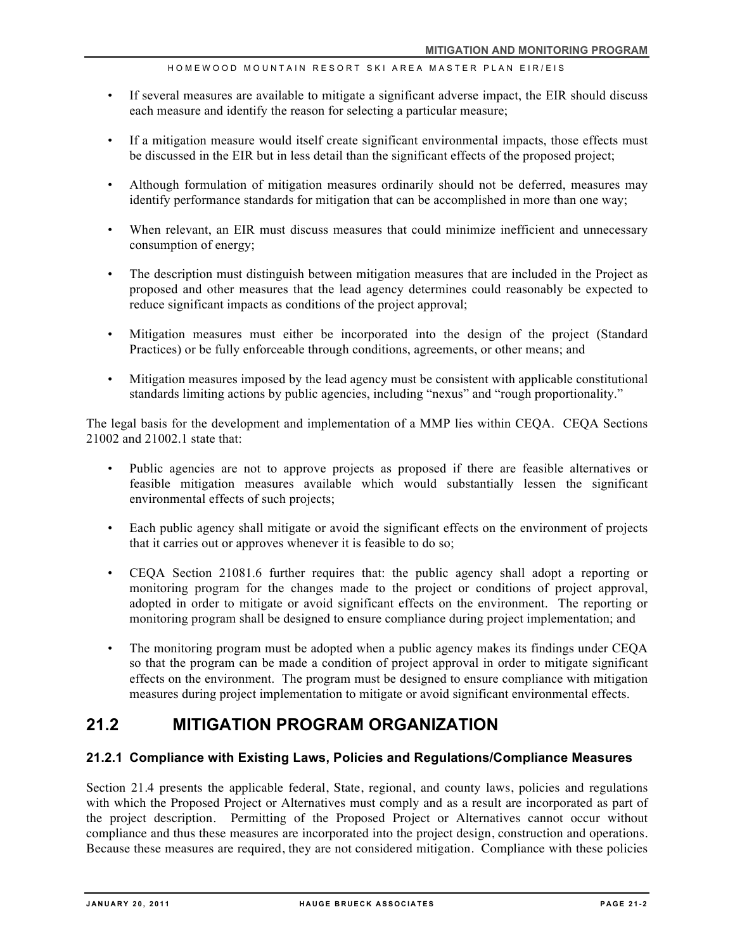- If several measures are available to mitigate a significant adverse impact, the EIR should discuss each measure and identify the reason for selecting a particular measure;
- If a mitigation measure would itself create significant environmental impacts, those effects must be discussed in the EIR but in less detail than the significant effects of the proposed project;
- Although formulation of mitigation measures ordinarily should not be deferred, measures may identify performance standards for mitigation that can be accomplished in more than one way;
- When relevant, an EIR must discuss measures that could minimize inefficient and unnecessary consumption of energy;
- The description must distinguish between mitigation measures that are included in the Project as proposed and other measures that the lead agency determines could reasonably be expected to reduce significant impacts as conditions of the project approval;
- Mitigation measures must either be incorporated into the design of the project (Standard Practices) or be fully enforceable through conditions, agreements, or other means; and
- Mitigation measures imposed by the lead agency must be consistent with applicable constitutional standards limiting actions by public agencies, including "nexus" and "rough proportionality."

The legal basis for the development and implementation of a MMP lies within CEQA. CEQA Sections 21002 and 21002.1 state that:

- Public agencies are not to approve projects as proposed if there are feasible alternatives or feasible mitigation measures available which would substantially lessen the significant environmental effects of such projects;
- Each public agency shall mitigate or avoid the significant effects on the environment of projects that it carries out or approves whenever it is feasible to do so;
- CEQA Section 21081.6 further requires that: the public agency shall adopt a reporting or monitoring program for the changes made to the project or conditions of project approval, adopted in order to mitigate or avoid significant effects on the environment. The reporting or monitoring program shall be designed to ensure compliance during project implementation; and
- The monitoring program must be adopted when a public agency makes its findings under CEQA so that the program can be made a condition of project approval in order to mitigate significant effects on the environment. The program must be designed to ensure compliance with mitigation measures during project implementation to mitigate or avoid significant environmental effects.

## **21.2 MITIGATION PROGRAM ORGANIZATION**

### **21.2.1 Compliance with Existing Laws, Policies and Regulations/Compliance Measures**

Section 21.4 presents the applicable federal, State, regional, and county laws, policies and regulations with which the Proposed Project or Alternatives must comply and as a result are incorporated as part of the project description. Permitting of the Proposed Project or Alternatives cannot occur without compliance and thus these measures are incorporated into the project design, construction and operations. Because these measures are required, they are not considered mitigation. Compliance with these policies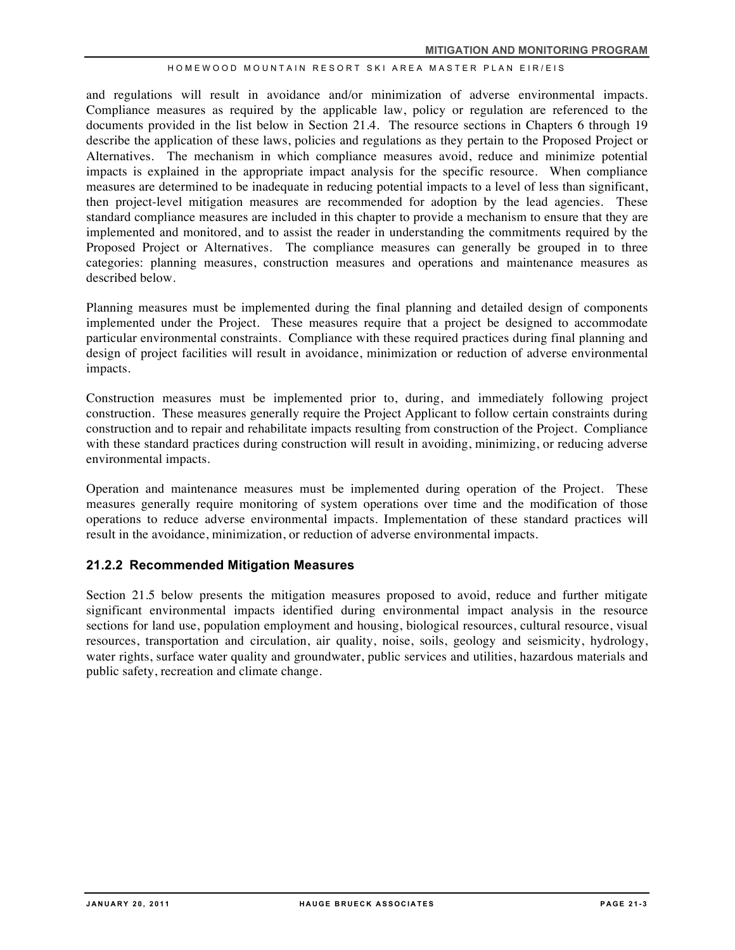and regulations will result in avoidance and/or minimization of adverse environmental impacts. Compliance measures as required by the applicable law, policy or regulation are referenced to the documents provided in the list below in Section 21.4. The resource sections in Chapters 6 through 19 describe the application of these laws, policies and regulations as they pertain to the Proposed Project or Alternatives. The mechanism in which compliance measures avoid, reduce and minimize potential impacts is explained in the appropriate impact analysis for the specific resource. When compliance measures are determined to be inadequate in reducing potential impacts to a level of less than significant, then project-level mitigation measures are recommended for adoption by the lead agencies. These standard compliance measures are included in this chapter to provide a mechanism to ensure that they are implemented and monitored, and to assist the reader in understanding the commitments required by the Proposed Project or Alternatives. The compliance measures can generally be grouped in to three categories: planning measures, construction measures and operations and maintenance measures as described below.

Planning measures must be implemented during the final planning and detailed design of components implemented under the Project. These measures require that a project be designed to accommodate particular environmental constraints. Compliance with these required practices during final planning and design of project facilities will result in avoidance, minimization or reduction of adverse environmental impacts.

Construction measures must be implemented prior to, during, and immediately following project construction. These measures generally require the Project Applicant to follow certain constraints during construction and to repair and rehabilitate impacts resulting from construction of the Project. Compliance with these standard practices during construction will result in avoiding, minimizing, or reducing adverse environmental impacts.

Operation and maintenance measures must be implemented during operation of the Project. These measures generally require monitoring of system operations over time and the modification of those operations to reduce adverse environmental impacts. Implementation of these standard practices will result in the avoidance, minimization, or reduction of adverse environmental impacts.

### **21.2.2 Recommended Mitigation Measures**

Section 21.5 below presents the mitigation measures proposed to avoid, reduce and further mitigate significant environmental impacts identified during environmental impact analysis in the resource sections for land use, population employment and housing, biological resources, cultural resource, visual resources, transportation and circulation, air quality, noise, soils, geology and seismicity, hydrology, water rights, surface water quality and groundwater, public services and utilities, hazardous materials and public safety, recreation and climate change.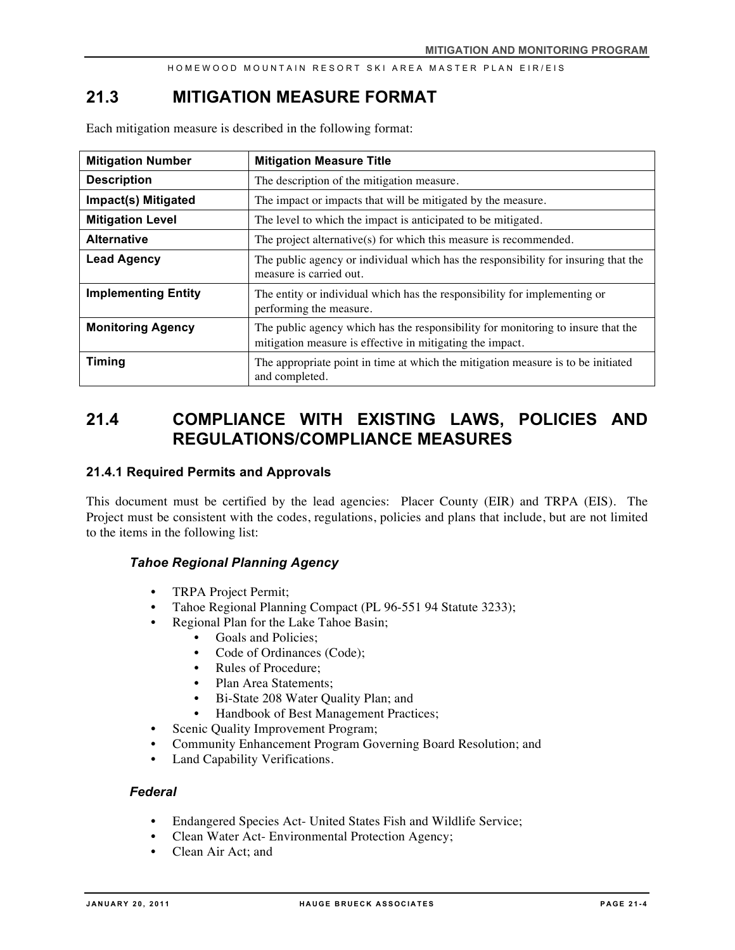## **21.3 MITIGATION MEASURE FORMAT**

Each mitigation measure is described in the following format:

| <b>Mitigation Number</b>   | <b>Mitigation Measure Title</b>                                                                                                               |
|----------------------------|-----------------------------------------------------------------------------------------------------------------------------------------------|
| <b>Description</b>         | The description of the mitigation measure.                                                                                                    |
| Impact(s) Mitigated        | The impact or impacts that will be mitigated by the measure.                                                                                  |
| <b>Mitigation Level</b>    | The level to which the impact is anticipated to be mitigated.                                                                                 |
| <b>Alternative</b>         | The project alternative(s) for which this measure is recommended.                                                                             |
| <b>Lead Agency</b>         | The public agency or individual which has the responsibility for insuring that the<br>measure is carried out.                                 |
| <b>Implementing Entity</b> | The entity or individual which has the responsibility for implementing or<br>performing the measure.                                          |
| <b>Monitoring Agency</b>   | The public agency which has the responsibility for monitoring to insure that the<br>mitigation measure is effective in mitigating the impact. |
| <b>Timing</b>              | The appropriate point in time at which the mitigation measure is to be initiated<br>and completed.                                            |

## **21.4 COMPLIANCE WITH EXISTING LAWS, POLICIES AND REGULATIONS/COMPLIANCE MEASURES**

#### **21.4.1 Required Permits and Approvals**

This document must be certified by the lead agencies: Placer County (EIR) and TRPA (EIS). The Project must be consistent with the codes, regulations, policies and plans that include, but are not limited to the items in the following list:

#### *Tahoe Regional Planning Agency*

- TRPA Project Permit;
- Tahoe Regional Planning Compact (PL 96-551 94 Statute 3233);
- Regional Plan for the Lake Tahoe Basin;
	- Goals and Policies:
	- Code of Ordinances (Code);
	- Rules of Procedure;
	- Plan Area Statements:
	- Bi-State 208 Water Quality Plan; and
	- Handbook of Best Management Practices;
- Scenic Quality Improvement Program;
- Community Enhancement Program Governing Board Resolution; and
- Land Capability Verifications.

### *Federal*

- Endangered Species Act- United States Fish and Wildlife Service;
- Clean Water Act- Environmental Protection Agency;
- Clean Air Act; and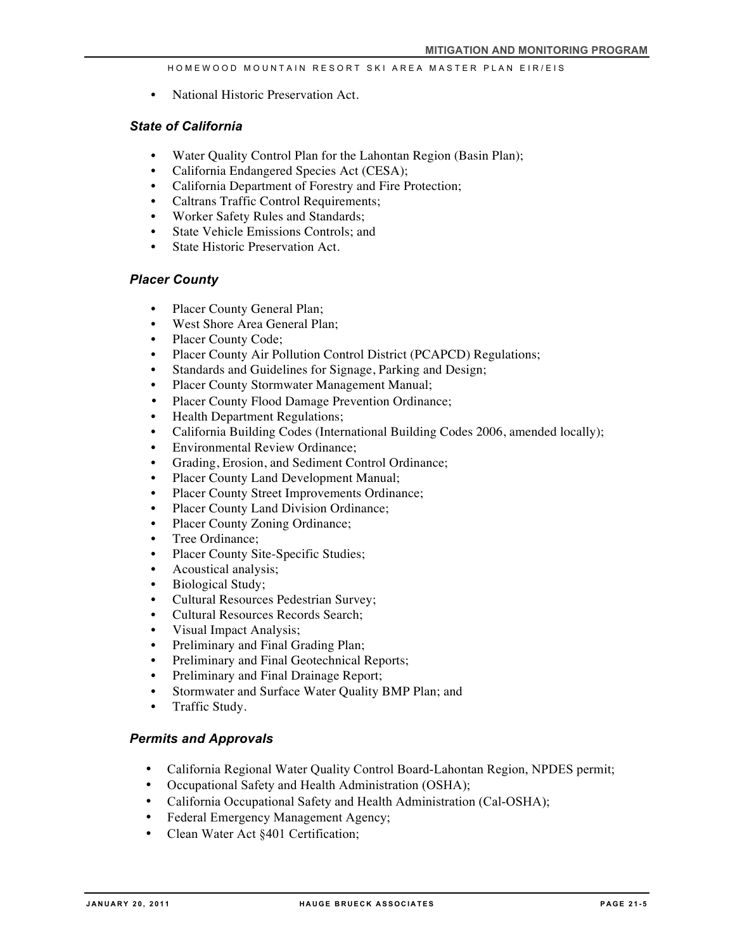• National Historic Preservation Act.

### *State of California*

- Water Quality Control Plan for the Lahontan Region (Basin Plan);
- California Endangered Species Act (CESA);
- California Department of Forestry and Fire Protection;
- Caltrans Traffic Control Requirements;
- Worker Safety Rules and Standards;
- State Vehicle Emissions Controls; and
- State Historic Preservation Act.

#### *Placer County*

- Placer County General Plan;
- West Shore Area General Plan;
- Placer County Code:
- Placer County Air Pollution Control District (PCAPCD) Regulations;
- Standards and Guidelines for Signage, Parking and Design;
- Placer County Stormwater Management Manual;
- Placer County Flood Damage Prevention Ordinance;
- Health Department Regulations;
- California Building Codes (International Building Codes 2006, amended locally);
- Environmental Review Ordinance:
- Grading, Erosion, and Sediment Control Ordinance;
- Placer County Land Development Manual:
- Placer County Street Improvements Ordinance;
- Placer County Land Division Ordinance;
- Placer County Zoning Ordinance;
- Tree Ordinance:
- Placer County Site-Specific Studies;
- Acoustical analysis;
- Biological Study;
- Cultural Resources Pedestrian Survey;
- Cultural Resources Records Search;
- Visual Impact Analysis;
- Preliminary and Final Grading Plan;
- Preliminary and Final Geotechnical Reports;
- Preliminary and Final Drainage Report;
- Stormwater and Surface Water Quality BMP Plan; and
- Traffic Study.

#### *Permits and Approvals*

- California Regional Water Quality Control Board-Lahontan Region, NPDES permit;
- Occupational Safety and Health Administration (OSHA);
- California Occupational Safety and Health Administration (Cal-OSHA);
- Federal Emergency Management Agency;
- Clean Water Act §401 Certification;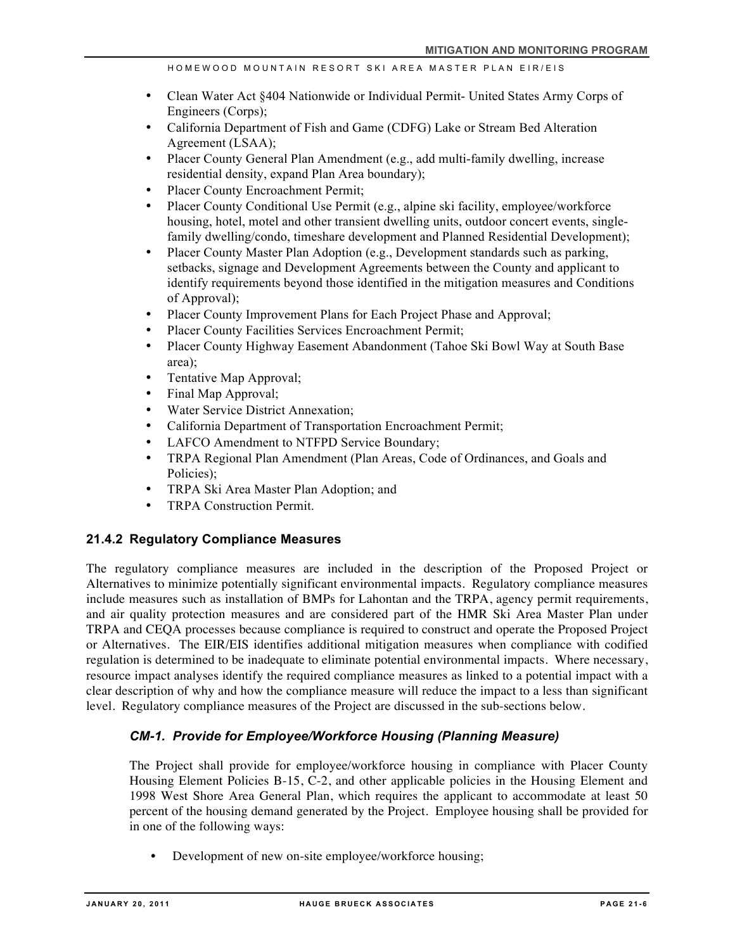- Clean Water Act §404 Nationwide or Individual Permit- United States Army Corps of Engineers (Corps);
- California Department of Fish and Game (CDFG) Lake or Stream Bed Alteration Agreement (LSAA);
- Placer County General Plan Amendment (e.g., add multi-family dwelling, increase residential density, expand Plan Area boundary);
- Placer County Encroachment Permit;
- Placer County Conditional Use Permit (e.g., alpine ski facility, employee/workforce housing, hotel, motel and other transient dwelling units, outdoor concert events, singlefamily dwelling/condo, timeshare development and Planned Residential Development);
- Placer County Master Plan Adoption (e.g., Development standards such as parking, setbacks, signage and Development Agreements between the County and applicant to identify requirements beyond those identified in the mitigation measures and Conditions of Approval);
- Placer County Improvement Plans for Each Project Phase and Approval;
- Placer County Facilities Services Encroachment Permit;
- Placer County Highway Easement Abandonment (Tahoe Ski Bowl Way at South Base area);
- Tentative Map Approval;
- Final Map Approval;
- Water Service District Annexation;
- California Department of Transportation Encroachment Permit;
- LAFCO Amendment to NTFPD Service Boundary;
- TRPA Regional Plan Amendment (Plan Areas, Code of Ordinances, and Goals and Policies);
- TRPA Ski Area Master Plan Adoption; and
- TRPA Construction Permit.

#### **21.4.2 Regulatory Compliance Measures**

The regulatory compliance measures are included in the description of the Proposed Project or Alternatives to minimize potentially significant environmental impacts. Regulatory compliance measures include measures such as installation of BMPs for Lahontan and the TRPA, agency permit requirements, and air quality protection measures and are considered part of the HMR Ski Area Master Plan under TRPA and CEQA processes because compliance is required to construct and operate the Proposed Project or Alternatives. The EIR/EIS identifies additional mitigation measures when compliance with codified regulation is determined to be inadequate to eliminate potential environmental impacts. Where necessary, resource impact analyses identify the required compliance measures as linked to a potential impact with a clear description of why and how the compliance measure will reduce the impact to a less than significant level. Regulatory compliance measures of the Project are discussed in the sub-sections below.

#### *CM-1. Provide for Employee/Workforce Housing (Planning Measure)*

The Project shall provide for employee/workforce housing in compliance with Placer County Housing Element Policies B-15, C-2, and other applicable policies in the Housing Element and 1998 West Shore Area General Plan, which requires the applicant to accommodate at least 50 percent of the housing demand generated by the Project. Employee housing shall be provided for in one of the following ways:

• Development of new on-site employee/workforce housing;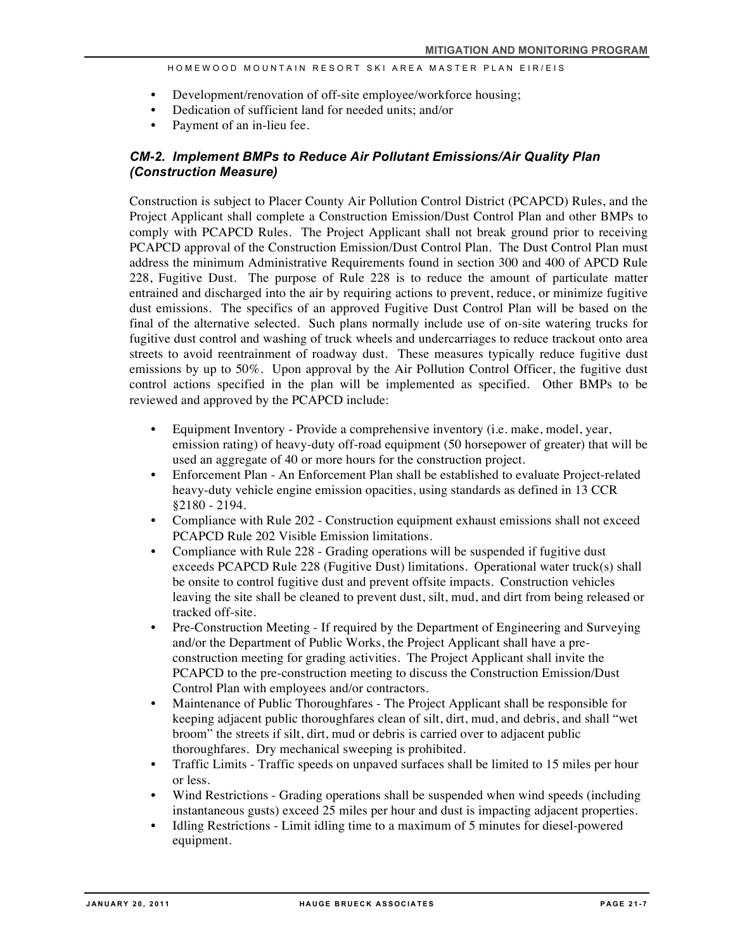- Development/renovation of off-site employee/workforce housing:
- Dedication of sufficient land for needed units; and/or
- Payment of an in-lieu fee.

### *CM-2. Implement BMPs to Reduce Air Pollutant Emissions/Air Quality Plan (Construction Measure)*

Construction is subject to Placer County Air Pollution Control District (PCAPCD) Rules, and the Project Applicant shall complete a Construction Emission/Dust Control Plan and other BMPs to comply with PCAPCD Rules. The Project Applicant shall not break ground prior to receiving PCAPCD approval of the Construction Emission/Dust Control Plan. The Dust Control Plan must address the minimum Administrative Requirements found in section 300 and 400 of APCD Rule 228, Fugitive Dust. The purpose of Rule 228 is to reduce the amount of particulate matter entrained and discharged into the air by requiring actions to prevent, reduce, or minimize fugitive dust emissions. The specifics of an approved Fugitive Dust Control Plan will be based on the final of the alternative selected. Such plans normally include use of on-site watering trucks for fugitive dust control and washing of truck wheels and undercarriages to reduce trackout onto area streets to avoid reentrainment of roadway dust. These measures typically reduce fugitive dust emissions by up to 50%. Upon approval by the Air Pollution Control Officer, the fugitive dust control actions specified in the plan will be implemented as specified. Other BMPs to be reviewed and approved by the PCAPCD include:

- Equipment Inventory Provide a comprehensive inventory (i.e. make, model, year, emission rating) of heavy-duty off-road equipment (50 horsepower of greater) that will be used an aggregate of 40 or more hours for the construction project.
- Enforcement Plan An Enforcement Plan shall be established to evaluate Project-related heavy-duty vehicle engine emission opacities, using standards as defined in 13 CCR §2180 - 2194.
- Compliance with Rule 202 Construction equipment exhaust emissions shall not exceed PCAPCD Rule 202 Visible Emission limitations.
- Compliance with Rule 228 Grading operations will be suspended if fugitive dust exceeds PCAPCD Rule 228 (Fugitive Dust) limitations. Operational water truck(s) shall be onsite to control fugitive dust and prevent offsite impacts. Construction vehicles leaving the site shall be cleaned to prevent dust, silt, mud, and dirt from being released or tracked off-site.
- Pre-Construction Meeting If required by the Department of Engineering and Surveying and/or the Department of Public Works, the Project Applicant shall have a preconstruction meeting for grading activities. The Project Applicant shall invite the PCAPCD to the pre-construction meeting to discuss the Construction Emission/Dust Control Plan with employees and/or contractors.
- Maintenance of Public Thoroughfares The Project Applicant shall be responsible for keeping adjacent public thoroughfares clean of silt, dirt, mud, and debris, and shall "wet broom" the streets if silt, dirt, mud or debris is carried over to adjacent public thoroughfares. Dry mechanical sweeping is prohibited.
- Traffic Limits Traffic speeds on unpaved surfaces shall be limited to 15 miles per hour or less.
- Wind Restrictions Grading operations shall be suspended when wind speeds (including instantaneous gusts) exceed 25 miles per hour and dust is impacting adjacent properties.
- Idling Restrictions Limit idling time to a maximum of 5 minutes for diesel-powered equipment.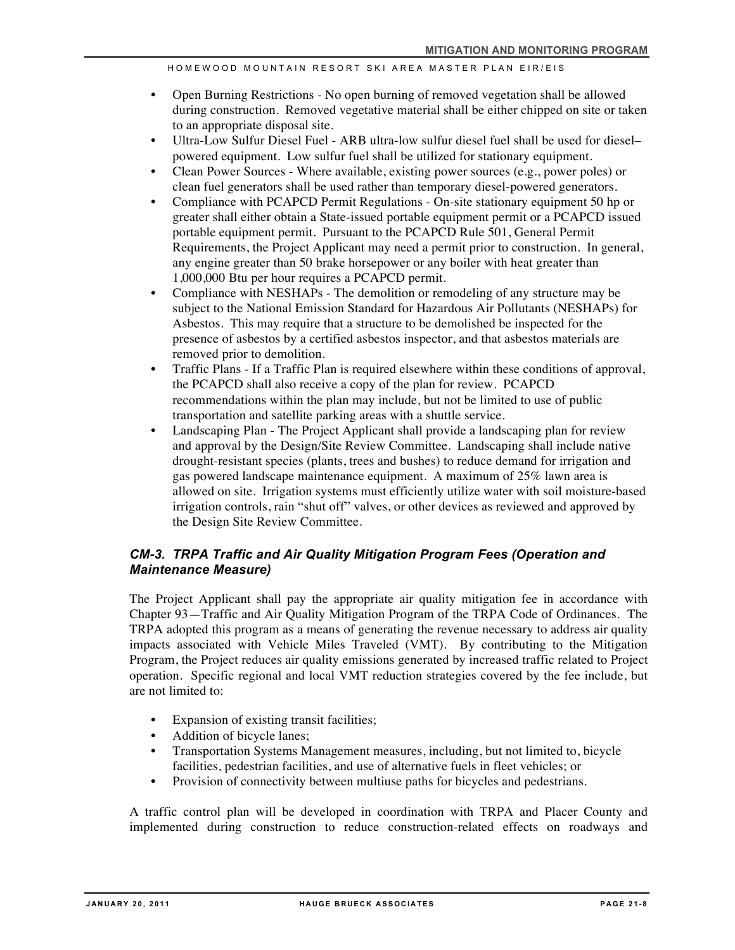- Open Burning Restrictions No open burning of removed vegetation shall be allowed during construction. Removed vegetative material shall be either chipped on site or taken to an appropriate disposal site.
- Ultra-Low Sulfur Diesel Fuel ARB ultra-low sulfur diesel fuel shall be used for dieselpowered equipment. Low sulfur fuel shall be utilized for stationary equipment.
- Clean Power Sources Where available, existing power sources (e.g., power poles) or clean fuel generators shall be used rather than temporary diesel-powered generators.
- Compliance with PCAPCD Permit Regulations On-site stationary equipment 50 hp or greater shall either obtain a State-issued portable equipment permit or a PCAPCD issued portable equipment permit. Pursuant to the PCAPCD Rule 501, General Permit Requirements, the Project Applicant may need a permit prior to construction. In general, any engine greater than 50 brake horsepower or any boiler with heat greater than 1,000,000 Btu per hour requires a PCAPCD permit.
- Compliance with NESHAPs The demolition or remodeling of any structure may be subject to the National Emission Standard for Hazardous Air Pollutants (NESHAPs) for Asbestos. This may require that a structure to be demolished be inspected for the presence of asbestos by a certified asbestos inspector, and that asbestos materials are removed prior to demolition.
- Traffic Plans If a Traffic Plan is required elsewhere within these conditions of approval, the PCAPCD shall also receive a copy of the plan for review. PCAPCD recommendations within the plan may include, but not be limited to use of public transportation and satellite parking areas with a shuttle service.
- Landscaping Plan The Project Applicant shall provide a landscaping plan for review and approval by the Design/Site Review Committee. Landscaping shall include native drought-resistant species (plants, trees and bushes) to reduce demand for irrigation and gas powered landscape maintenance equipment. A maximum of 25% lawn area is allowed on site. Irrigation systems must efficiently utilize water with soil moisture-based irrigation controls, rain "shut off" valves, or other devices as reviewed and approved by the Design Site Review Committee.

### *CM-3. TRPA Traffic and Air Quality Mitigation Program Fees (Operation and Maintenance Measure)*

The Project Applicant shall pay the appropriate air quality mitigation fee in accordance with Chapter 93—Traffic and Air Quality Mitigation Program of the TRPA Code of Ordinances. The TRPA adopted this program as a means of generating the revenue necessary to address air quality impacts associated with Vehicle Miles Traveled (VMT). By contributing to the Mitigation Program, the Project reduces air quality emissions generated by increased traffic related to Project operation. Specific regional and local VMT reduction strategies covered by the fee include, but are not limited to:

- Expansion of existing transit facilities;
- Addition of bicycle lanes;
- Transportation Systems Management measures, including, but not limited to, bicycle facilities, pedestrian facilities, and use of alternative fuels in fleet vehicles; or
- Provision of connectivity between multiuse paths for bicycles and pedestrians.

A traffic control plan will be developed in coordination with TRPA and Placer County and implemented during construction to reduce construction-related effects on roadways and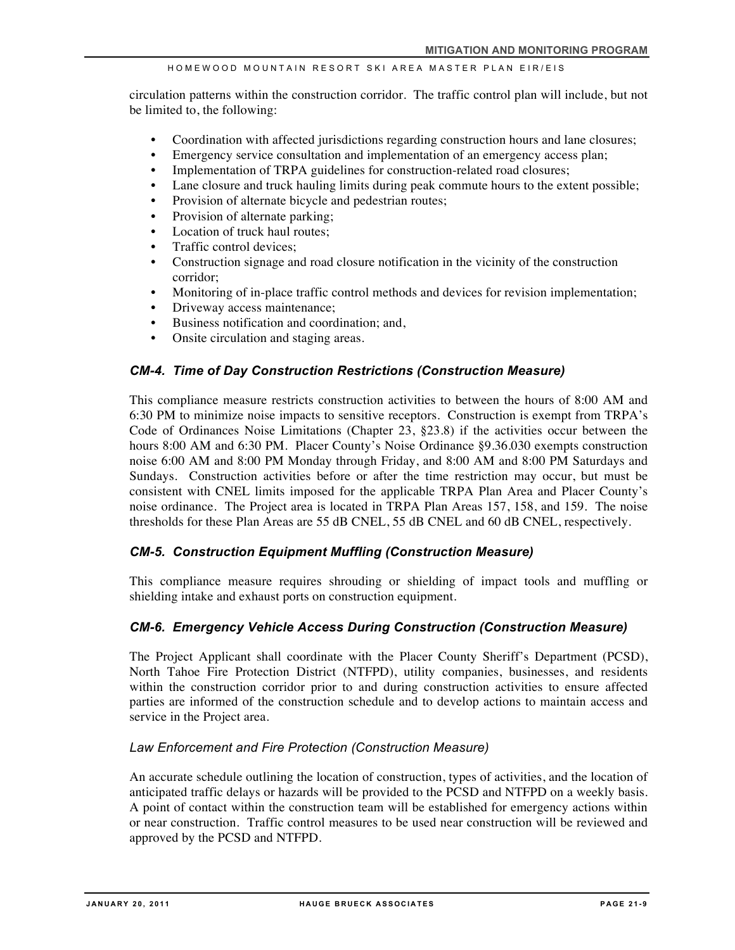circulation patterns within the construction corridor. The traffic control plan will include, but not be limited to, the following:

- Coordination with affected jurisdictions regarding construction hours and lane closures;
- Emergency service consultation and implementation of an emergency access plan;
- Implementation of TRPA guidelines for construction-related road closures;
- Lane closure and truck hauling limits during peak commute hours to the extent possible;
- Provision of alternate bicycle and pedestrian routes;
- Provision of alternate parking;
- Location of truck haul routes:
- Traffic control devices:
- Construction signage and road closure notification in the vicinity of the construction corridor;
- Monitoring of in-place traffic control methods and devices for revision implementation;
- Driveway access maintenance;
- Business notification and coordination; and,
- Onsite circulation and staging areas.

### *CM-4. Time of Day Construction Restrictions (Construction Measure)*

This compliance measure restricts construction activities to between the hours of 8:00 AM and 6:30 PM to minimize noise impacts to sensitive receptors. Construction is exempt from TRPA's Code of Ordinances Noise Limitations (Chapter 23, §23.8) if the activities occur between the hours 8:00 AM and 6:30 PM. Placer County's Noise Ordinance §9.36.030 exempts construction noise 6:00 AM and 8:00 PM Monday through Friday, and 8:00 AM and 8:00 PM Saturdays and Sundays. Construction activities before or after the time restriction may occur, but must be consistent with CNEL limits imposed for the applicable TRPA Plan Area and Placer County's noise ordinance. The Project area is located in TRPA Plan Areas 157, 158, and 159. The noise thresholds for these Plan Areas are 55 dB CNEL, 55 dB CNEL and 60 dB CNEL, respectively.

### *CM-5. Construction Equipment Muffling (Construction Measure)*

This compliance measure requires shrouding or shielding of impact tools and muffling or shielding intake and exhaust ports on construction equipment.

### *CM-6. Emergency Vehicle Access During Construction (Construction Measure)*

The Project Applicant shall coordinate with the Placer County Sheriff's Department (PCSD), North Tahoe Fire Protection District (NTFPD), utility companies, businesses, and residents within the construction corridor prior to and during construction activities to ensure affected parties are informed of the construction schedule and to develop actions to maintain access and service in the Project area.

### *Law Enforcement and Fire Protection (Construction Measure)*

An accurate schedule outlining the location of construction, types of activities, and the location of anticipated traffic delays or hazards will be provided to the PCSD and NTFPD on a weekly basis. A point of contact within the construction team will be established for emergency actions within or near construction. Traffic control measures to be used near construction will be reviewed and approved by the PCSD and NTFPD.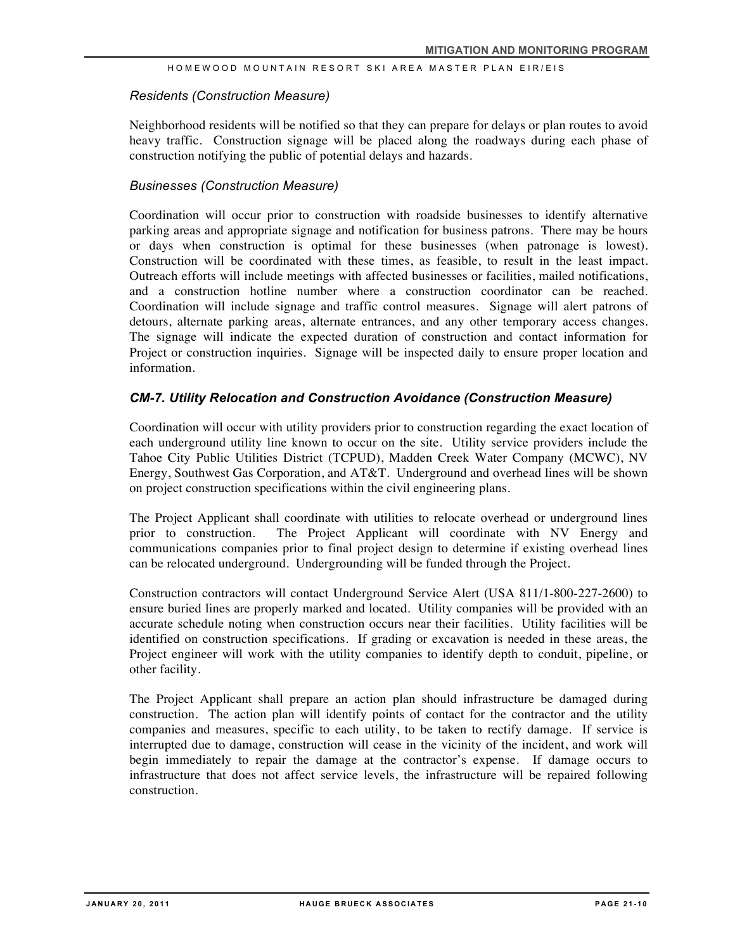#### *Residents (Construction Measure)*

Neighborhood residents will be notified so that they can prepare for delays or plan routes to avoid heavy traffic. Construction signage will be placed along the roadways during each phase of construction notifying the public of potential delays and hazards.

#### *Businesses (Construction Measure)*

Coordination will occur prior to construction with roadside businesses to identify alternative parking areas and appropriate signage and notification for business patrons. There may be hours or days when construction is optimal for these businesses (when patronage is lowest). Construction will be coordinated with these times, as feasible, to result in the least impact. Outreach efforts will include meetings with affected businesses or facilities, mailed notifications, and a construction hotline number where a construction coordinator can be reached. Coordination will include signage and traffic control measures. Signage will alert patrons of detours, alternate parking areas, alternate entrances, and any other temporary access changes. The signage will indicate the expected duration of construction and contact information for Project or construction inquiries. Signage will be inspected daily to ensure proper location and information.

#### *CM-7. Utility Relocation and Construction Avoidance (Construction Measure)*

Coordination will occur with utility providers prior to construction regarding the exact location of each underground utility line known to occur on the site. Utility service providers include the Tahoe City Public Utilities District (TCPUD), Madden Creek Water Company (MCWC), NV Energy, Southwest Gas Corporation, and AT&T. Underground and overhead lines will be shown on project construction specifications within the civil engineering plans.

The Project Applicant shall coordinate with utilities to relocate overhead or underground lines prior to construction. The Project Applicant will coordinate with NV Energy and communications companies prior to final project design to determine if existing overhead lines can be relocated underground. Undergrounding will be funded through the Project.

Construction contractors will contact Underground Service Alert (USA 811/1-800-227-2600) to ensure buried lines are properly marked and located. Utility companies will be provided with an accurate schedule noting when construction occurs near their facilities. Utility facilities will be identified on construction specifications. If grading or excavation is needed in these areas, the Project engineer will work with the utility companies to identify depth to conduit, pipeline, or other facility.

The Project Applicant shall prepare an action plan should infrastructure be damaged during construction. The action plan will identify points of contact for the contractor and the utility companies and measures, specific to each utility, to be taken to rectify damage. If service is interrupted due to damage, construction will cease in the vicinity of the incident, and work will begin immediately to repair the damage at the contractor's expense. If damage occurs to infrastructure that does not affect service levels, the infrastructure will be repaired following construction.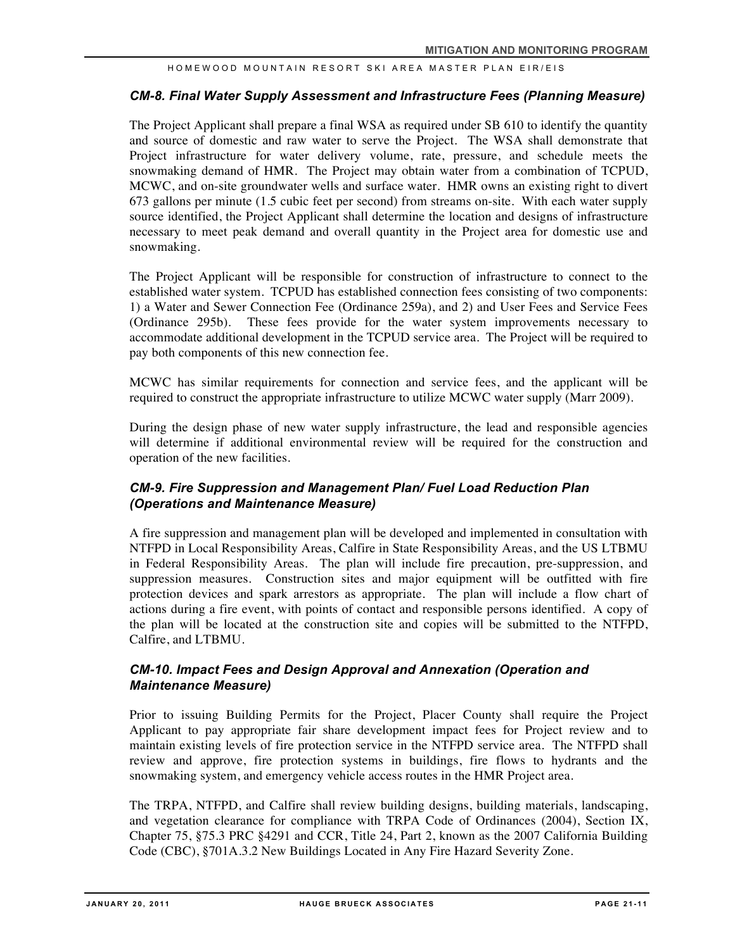#### *CM-8. Final Water Supply Assessment and Infrastructure Fees (Planning Measure)*

The Project Applicant shall prepare a final WSA as required under SB 610 to identify the quantity and source of domestic and raw water to serve the Project. The WSA shall demonstrate that Project infrastructure for water delivery volume, rate, pressure, and schedule meets the snowmaking demand of HMR. The Project may obtain water from a combination of TCPUD, MCWC, and on-site groundwater wells and surface water. HMR owns an existing right to divert 673 gallons per minute (1.5 cubic feet per second) from streams on-site. With each water supply source identified, the Project Applicant shall determine the location and designs of infrastructure necessary to meet peak demand and overall quantity in the Project area for domestic use and snowmaking.

The Project Applicant will be responsible for construction of infrastructure to connect to the established water system. TCPUD has established connection fees consisting of two components: 1) a Water and Sewer Connection Fee (Ordinance 259a), and 2) and User Fees and Service Fees (Ordinance 295b). These fees provide for the water system improvements necessary to accommodate additional development in the TCPUD service area. The Project will be required to pay both components of this new connection fee.

MCWC has similar requirements for connection and service fees, and the applicant will be required to construct the appropriate infrastructure to utilize MCWC water supply (Marr 2009).

During the design phase of new water supply infrastructure, the lead and responsible agencies will determine if additional environmental review will be required for the construction and operation of the new facilities.

### *CM-9. Fire Suppression and Management Plan/ Fuel Load Reduction Plan (Operations and Maintenance Measure)*

A fire suppression and management plan will be developed and implemented in consultation with NTFPD in Local Responsibility Areas, Calfire in State Responsibility Areas, and the US LTBMU in Federal Responsibility Areas. The plan will include fire precaution, pre-suppression, and suppression measures. Construction sites and major equipment will be outfitted with fire protection devices and spark arrestors as appropriate. The plan will include a flow chart of actions during a fire event, with points of contact and responsible persons identified. A copy of the plan will be located at the construction site and copies will be submitted to the NTFPD, Calfire, and LTBMU.

### *CM-10. Impact Fees and Design Approval and Annexation (Operation and Maintenance Measure)*

Prior to issuing Building Permits for the Project, Placer County shall require the Project Applicant to pay appropriate fair share development impact fees for Project review and to maintain existing levels of fire protection service in the NTFPD service area. The NTFPD shall review and approve, fire protection systems in buildings, fire flows to hydrants and the snowmaking system, and emergency vehicle access routes in the HMR Project area.

The TRPA, NTFPD, and Calfire shall review building designs, building materials, landscaping, and vegetation clearance for compliance with TRPA Code of Ordinances (2004), Section IX, Chapter 75, §75.3 PRC §4291 and CCR, Title 24, Part 2, known as the 2007 California Building Code (CBC), §701A.3.2 New Buildings Located in Any Fire Hazard Severity Zone.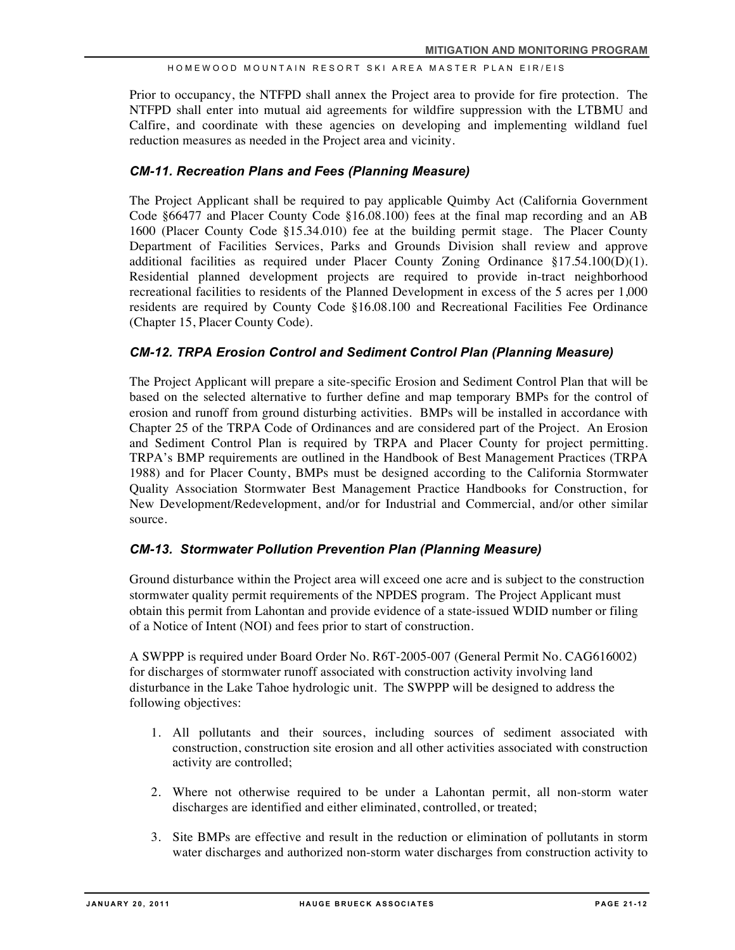Prior to occupancy, the NTFPD shall annex the Project area to provide for fire protection. The NTFPD shall enter into mutual aid agreements for wildfire suppression with the LTBMU and Calfire, and coordinate with these agencies on developing and implementing wildland fuel reduction measures as needed in the Project area and vicinity.

### *CM-11. Recreation Plans and Fees (Planning Measure)*

The Project Applicant shall be required to pay applicable Quimby Act (California Government Code §66477 and Placer County Code §16.08.100) fees at the final map recording and an AB 1600 (Placer County Code §15.34.010) fee at the building permit stage. The Placer County Department of Facilities Services, Parks and Grounds Division shall review and approve additional facilities as required under Placer County Zoning Ordinance §17.54.100(D)(1). Residential planned development projects are required to provide in-tract neighborhood recreational facilities to residents of the Planned Development in excess of the 5 acres per 1,000 residents are required by County Code §16.08.100 and Recreational Facilities Fee Ordinance (Chapter 15, Placer County Code).

#### *CM-12. TRPA Erosion Control and Sediment Control Plan (Planning Measure)*

The Project Applicant will prepare a site-specific Erosion and Sediment Control Plan that will be based on the selected alternative to further define and map temporary BMPs for the control of erosion and runoff from ground disturbing activities. BMPs will be installed in accordance with Chapter 25 of the TRPA Code of Ordinances and are considered part of the Project. An Erosion and Sediment Control Plan is required by TRPA and Placer County for project permitting. TRPA's BMP requirements are outlined in the Handbook of Best Management Practices (TRPA 1988) and for Placer County, BMPs must be designed according to the California Stormwater Quality Association Stormwater Best Management Practice Handbooks for Construction, for New Development/Redevelopment, and/or for Industrial and Commercial, and/or other similar source.

### *CM-13. Stormwater Pollution Prevention Plan (Planning Measure)*

Ground disturbance within the Project area will exceed one acre and is subject to the construction stormwater quality permit requirements of the NPDES program. The Project Applicant must obtain this permit from Lahontan and provide evidence of a state-issued WDID number or filing of a Notice of Intent (NOI) and fees prior to start of construction.

A SWPPP is required under Board Order No. R6T-2005-007 (General Permit No. CAG616002) for discharges of stormwater runoff associated with construction activity involving land disturbance in the Lake Tahoe hydrologic unit. The SWPPP will be designed to address the following objectives:

- 1. All pollutants and their sources, including sources of sediment associated with construction, construction site erosion and all other activities associated with construction activity are controlled;
- 2. Where not otherwise required to be under a Lahontan permit, all non-storm water discharges are identified and either eliminated, controlled, or treated;
- 3. Site BMPs are effective and result in the reduction or elimination of pollutants in storm water discharges and authorized non-storm water discharges from construction activity to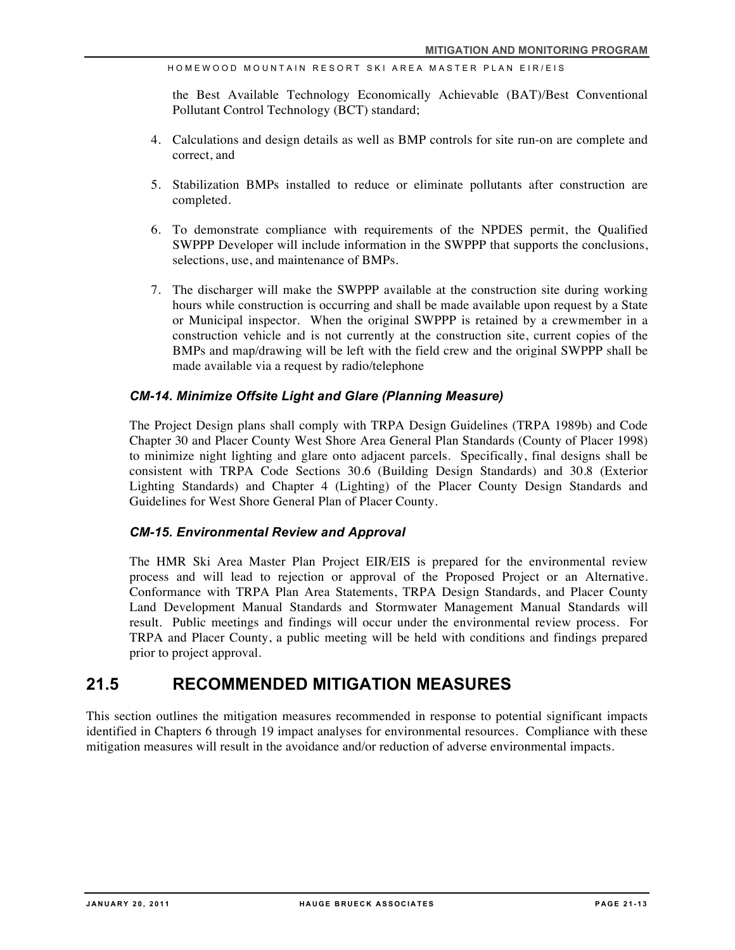the Best Available Technology Economically Achievable (BAT)/Best Conventional Pollutant Control Technology (BCT) standard;

- 4. Calculations and design details as well as BMP controls for site run-on are complete and correct, and
- 5. Stabilization BMPs installed to reduce or eliminate pollutants after construction are completed.
- 6. To demonstrate compliance with requirements of the NPDES permit, the Qualified SWPPP Developer will include information in the SWPPP that supports the conclusions, selections, use, and maintenance of BMPs.
- 7. The discharger will make the SWPPP available at the construction site during working hours while construction is occurring and shall be made available upon request by a State or Municipal inspector. When the original SWPPP is retained by a crewmember in a construction vehicle and is not currently at the construction site, current copies of the BMPs and map/drawing will be left with the field crew and the original SWPPP shall be made available via a request by radio/telephone

### *CM-14. Minimize Offsite Light and Glare (Planning Measure)*

The Project Design plans shall comply with TRPA Design Guidelines (TRPA 1989b) and Code Chapter 30 and Placer County West Shore Area General Plan Standards (County of Placer 1998) to minimize night lighting and glare onto adjacent parcels. Specifically, final designs shall be consistent with TRPA Code Sections 30.6 (Building Design Standards) and 30.8 (Exterior Lighting Standards) and Chapter 4 (Lighting) of the Placer County Design Standards and Guidelines for West Shore General Plan of Placer County.

#### *CM-15. Environmental Review and Approval*

The HMR Ski Area Master Plan Project EIR/EIS is prepared for the environmental review process and will lead to rejection or approval of the Proposed Project or an Alternative. Conformance with TRPA Plan Area Statements, TRPA Design Standards, and Placer County Land Development Manual Standards and Stormwater Management Manual Standards will result. Public meetings and findings will occur under the environmental review process. For TRPA and Placer County, a public meeting will be held with conditions and findings prepared prior to project approval.

## **21.5 RECOMMENDED MITIGATION MEASURES**

This section outlines the mitigation measures recommended in response to potential significant impacts identified in Chapters 6 through 19 impact analyses for environmental resources. Compliance with these mitigation measures will result in the avoidance and/or reduction of adverse environmental impacts.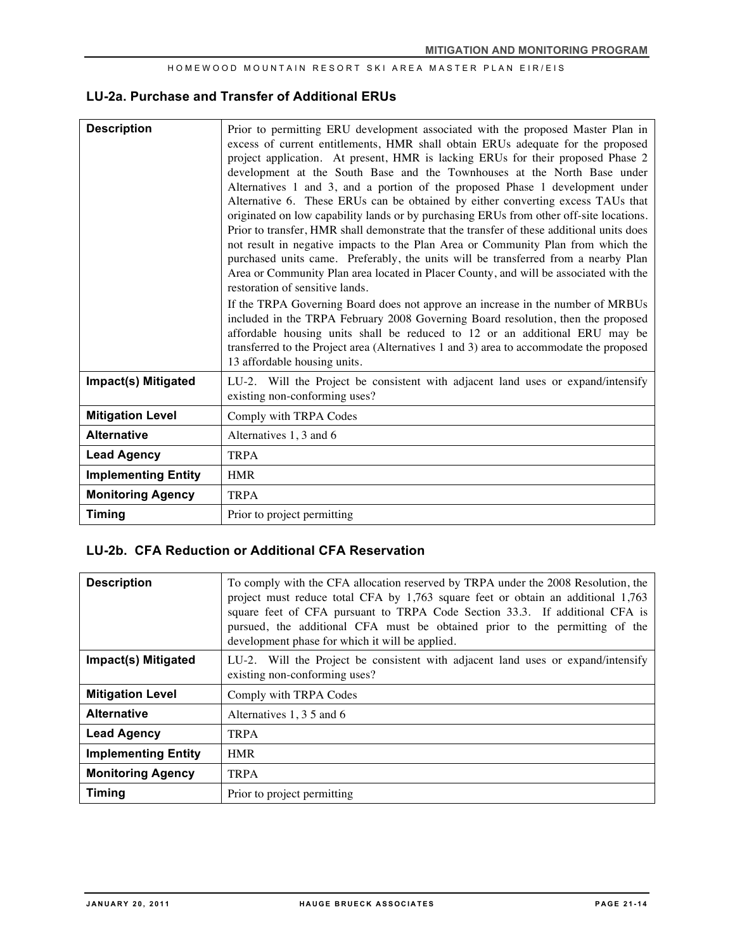### **LU-2a. Purchase and Transfer of Additional ERUs**

| <b>Description</b>         | Prior to permitting ERU development associated with the proposed Master Plan in<br>excess of current entitlements, HMR shall obtain ERUs adequate for the proposed<br>project application. At present, HMR is lacking ERUs for their proposed Phase 2<br>development at the South Base and the Townhouses at the North Base under<br>Alternatives 1 and 3, and a portion of the proposed Phase 1 development under<br>Alternative 6. These ERUs can be obtained by either converting excess TAUs that<br>originated on low capability lands or by purchasing ERUs from other off-site locations.<br>Prior to transfer, HMR shall demonstrate that the transfer of these additional units does<br>not result in negative impacts to the Plan Area or Community Plan from which the<br>purchased units came. Preferably, the units will be transferred from a nearby Plan<br>Area or Community Plan area located in Placer County, and will be associated with the<br>restoration of sensitive lands.<br>If the TRPA Governing Board does not approve an increase in the number of MRBUs<br>included in the TRPA February 2008 Governing Board resolution, then the proposed<br>affordable housing units shall be reduced to 12 or an additional ERU may be<br>transferred to the Project area (Alternatives 1 and 3) area to accommodate the proposed<br>13 affordable housing units. |
|----------------------------|--------------------------------------------------------------------------------------------------------------------------------------------------------------------------------------------------------------------------------------------------------------------------------------------------------------------------------------------------------------------------------------------------------------------------------------------------------------------------------------------------------------------------------------------------------------------------------------------------------------------------------------------------------------------------------------------------------------------------------------------------------------------------------------------------------------------------------------------------------------------------------------------------------------------------------------------------------------------------------------------------------------------------------------------------------------------------------------------------------------------------------------------------------------------------------------------------------------------------------------------------------------------------------------------------------------------------------------------------------------------------------------|
| Impact(s) Mitigated        | LU-2. Will the Project be consistent with adjacent land uses or expand/intensify<br>existing non-conforming uses?                                                                                                                                                                                                                                                                                                                                                                                                                                                                                                                                                                                                                                                                                                                                                                                                                                                                                                                                                                                                                                                                                                                                                                                                                                                                    |
| <b>Mitigation Level</b>    | Comply with TRPA Codes                                                                                                                                                                                                                                                                                                                                                                                                                                                                                                                                                                                                                                                                                                                                                                                                                                                                                                                                                                                                                                                                                                                                                                                                                                                                                                                                                               |
| <b>Alternative</b>         | Alternatives 1, 3 and 6                                                                                                                                                                                                                                                                                                                                                                                                                                                                                                                                                                                                                                                                                                                                                                                                                                                                                                                                                                                                                                                                                                                                                                                                                                                                                                                                                              |
| <b>Lead Agency</b>         | <b>TRPA</b>                                                                                                                                                                                                                                                                                                                                                                                                                                                                                                                                                                                                                                                                                                                                                                                                                                                                                                                                                                                                                                                                                                                                                                                                                                                                                                                                                                          |
| <b>Implementing Entity</b> | <b>HMR</b>                                                                                                                                                                                                                                                                                                                                                                                                                                                                                                                                                                                                                                                                                                                                                                                                                                                                                                                                                                                                                                                                                                                                                                                                                                                                                                                                                                           |
| <b>Monitoring Agency</b>   | <b>TRPA</b>                                                                                                                                                                                                                                                                                                                                                                                                                                                                                                                                                                                                                                                                                                                                                                                                                                                                                                                                                                                                                                                                                                                                                                                                                                                                                                                                                                          |
| <b>Timing</b>              | Prior to project permitting                                                                                                                                                                                                                                                                                                                                                                                                                                                                                                                                                                                                                                                                                                                                                                                                                                                                                                                                                                                                                                                                                                                                                                                                                                                                                                                                                          |

### **LU-2b. CFA Reduction or Additional CFA Reservation**

| <b>Description</b>         | To comply with the CFA allocation reserved by TRPA under the 2008 Resolution, the<br>project must reduce total CFA by 1,763 square feet or obtain an additional 1,763<br>square feet of CFA pursuant to TRPA Code Section 33.3. If additional CFA is<br>pursued, the additional CFA must be obtained prior to the permitting of the<br>development phase for which it will be applied. |
|----------------------------|----------------------------------------------------------------------------------------------------------------------------------------------------------------------------------------------------------------------------------------------------------------------------------------------------------------------------------------------------------------------------------------|
| Impact(s) Mitigated        | LU-2. Will the Project be consistent with adjacent land uses or expand/intensify<br>existing non-conforming uses?                                                                                                                                                                                                                                                                      |
| <b>Mitigation Level</b>    | Comply with TRPA Codes                                                                                                                                                                                                                                                                                                                                                                 |
| <b>Alternative</b>         | Alternatives 1, 3 5 and 6                                                                                                                                                                                                                                                                                                                                                              |
| <b>Lead Agency</b>         | <b>TRPA</b>                                                                                                                                                                                                                                                                                                                                                                            |
| <b>Implementing Entity</b> | <b>HMR</b>                                                                                                                                                                                                                                                                                                                                                                             |
| <b>Monitoring Agency</b>   | <b>TRPA</b>                                                                                                                                                                                                                                                                                                                                                                            |
| <b>Timing</b>              | Prior to project permitting                                                                                                                                                                                                                                                                                                                                                            |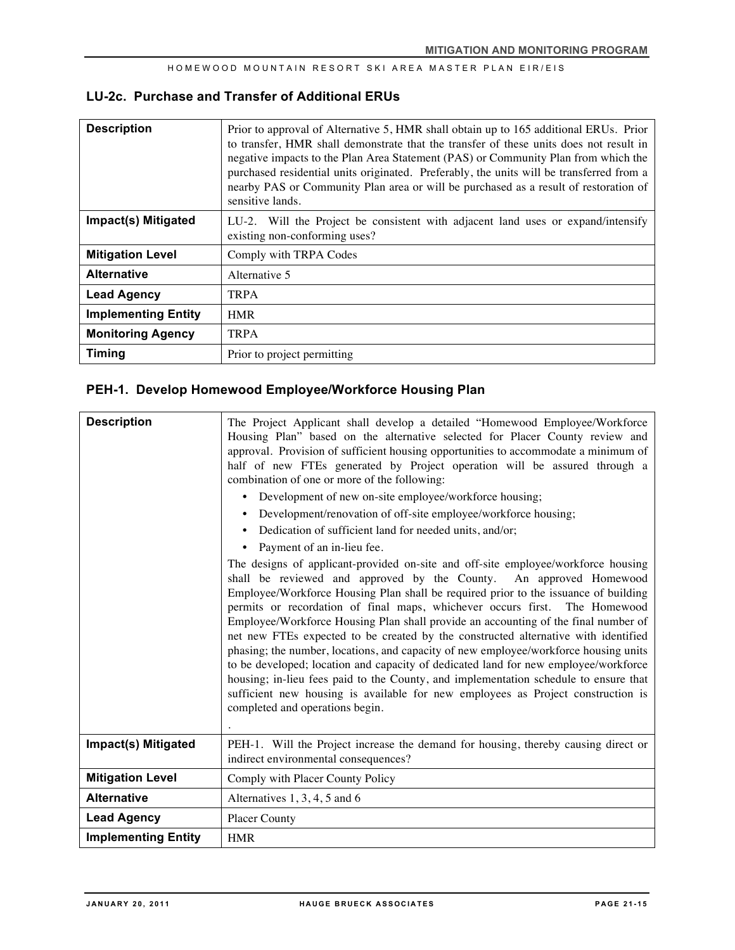### **LU-2c. Purchase and Transfer of Additional ERUs**

| <b>Description</b>         | Prior to approval of Alternative 5, HMR shall obtain up to 165 additional ERUs. Prior<br>to transfer. HMR shall demonstrate that the transfer of these units does not result in<br>negative impacts to the Plan Area Statement (PAS) or Community Plan from which the<br>purchased residential units originated. Preferably, the units will be transferred from a<br>nearby PAS or Community Plan area or will be purchased as a result of restoration of<br>sensitive lands. |
|----------------------------|-------------------------------------------------------------------------------------------------------------------------------------------------------------------------------------------------------------------------------------------------------------------------------------------------------------------------------------------------------------------------------------------------------------------------------------------------------------------------------|
| Impact(s) Mitigated        | LU-2. Will the Project be consistent with adjacent land uses or expand/intensify<br>existing non-conforming uses?                                                                                                                                                                                                                                                                                                                                                             |
| <b>Mitigation Level</b>    | Comply with TRPA Codes                                                                                                                                                                                                                                                                                                                                                                                                                                                        |
| <b>Alternative</b>         | Alternative 5                                                                                                                                                                                                                                                                                                                                                                                                                                                                 |
| <b>Lead Agency</b>         | TRPA                                                                                                                                                                                                                                                                                                                                                                                                                                                                          |
| <b>Implementing Entity</b> | <b>HMR</b>                                                                                                                                                                                                                                                                                                                                                                                                                                                                    |
| <b>Monitoring Agency</b>   | <b>TRPA</b>                                                                                                                                                                                                                                                                                                                                                                                                                                                                   |
| <b>Timing</b>              | Prior to project permitting                                                                                                                                                                                                                                                                                                                                                                                                                                                   |

### **PEH-1. Develop Homewood Employee/Workforce Housing Plan**

| <b>Description</b>         | The Project Applicant shall develop a detailed "Homewood Employee/Workforce"<br>Housing Plan" based on the alternative selected for Placer County review and<br>approval. Provision of sufficient housing opportunities to accommodate a minimum of<br>half of new FTEs generated by Project operation will be assured through a<br>combination of one or more of the following:<br>Development of new on-site employee/workforce housing;<br>$\bullet$<br>Development/renovation of off-site employee/workforce housing;<br>$\bullet$<br>Dedication of sufficient land for needed units, and/or;<br>Payment of an in-lieu fee.<br>$\bullet$<br>The designs of applicant-provided on-site and off-site employee/workforce housing<br>shall be reviewed and approved by the County. An approved Homewood<br>Employee/Workforce Housing Plan shall be required prior to the issuance of building<br>permits or recordation of final maps, whichever occurs first. The Homewood<br>Employee/Workforce Housing Plan shall provide an accounting of the final number of<br>net new FTEs expected to be created by the constructed alternative with identified<br>phasing; the number, locations, and capacity of new employee/workforce housing units<br>to be developed; location and capacity of dedicated land for new employee/workforce<br>housing; in-lieu fees paid to the County, and implementation schedule to ensure that<br>sufficient new housing is available for new employees as Project construction is<br>completed and operations begin. |
|----------------------------|--------------------------------------------------------------------------------------------------------------------------------------------------------------------------------------------------------------------------------------------------------------------------------------------------------------------------------------------------------------------------------------------------------------------------------------------------------------------------------------------------------------------------------------------------------------------------------------------------------------------------------------------------------------------------------------------------------------------------------------------------------------------------------------------------------------------------------------------------------------------------------------------------------------------------------------------------------------------------------------------------------------------------------------------------------------------------------------------------------------------------------------------------------------------------------------------------------------------------------------------------------------------------------------------------------------------------------------------------------------------------------------------------------------------------------------------------------------------------------------------------------------------------------------------------------|
| Impact(s) Mitigated        | PEH-1. Will the Project increase the demand for housing, thereby causing direct or<br>indirect environmental consequences?                                                                                                                                                                                                                                                                                                                                                                                                                                                                                                                                                                                                                                                                                                                                                                                                                                                                                                                                                                                                                                                                                                                                                                                                                                                                                                                                                                                                                             |
| <b>Mitigation Level</b>    | Comply with Placer County Policy                                                                                                                                                                                                                                                                                                                                                                                                                                                                                                                                                                                                                                                                                                                                                                                                                                                                                                                                                                                                                                                                                                                                                                                                                                                                                                                                                                                                                                                                                                                       |
| <b>Alternative</b>         | Alternatives $1, 3, 4, 5$ and 6                                                                                                                                                                                                                                                                                                                                                                                                                                                                                                                                                                                                                                                                                                                                                                                                                                                                                                                                                                                                                                                                                                                                                                                                                                                                                                                                                                                                                                                                                                                        |
| <b>Lead Agency</b>         | <b>Placer County</b>                                                                                                                                                                                                                                                                                                                                                                                                                                                                                                                                                                                                                                                                                                                                                                                                                                                                                                                                                                                                                                                                                                                                                                                                                                                                                                                                                                                                                                                                                                                                   |
| <b>Implementing Entity</b> | <b>HMR</b>                                                                                                                                                                                                                                                                                                                                                                                                                                                                                                                                                                                                                                                                                                                                                                                                                                                                                                                                                                                                                                                                                                                                                                                                                                                                                                                                                                                                                                                                                                                                             |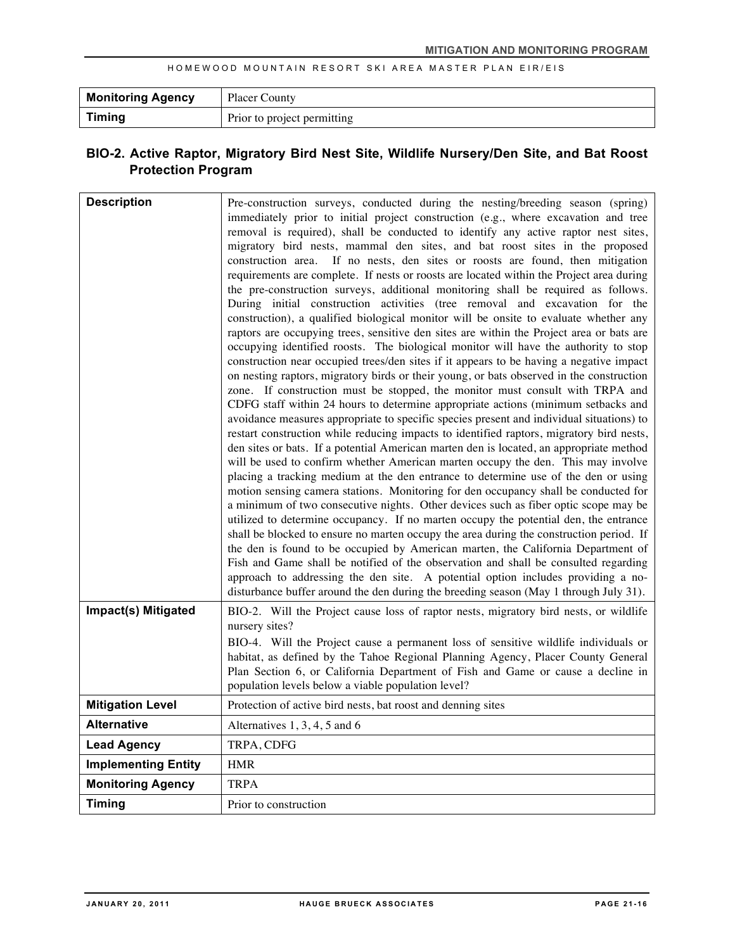| <b>Monitoring Agency</b> | <b>Placer County</b>        |
|--------------------------|-----------------------------|
| <b>Timing</b>            | Prior to project permitting |

## **BIO-2. Active Raptor, Migratory Bird Nest Site, Wildlife Nursery/Den Site, and Bat Roost Protection Program**

| <b>Description</b>         | Pre-construction surveys, conducted during the nesting/breeding season (spring)<br>immediately prior to initial project construction (e.g., where excavation and tree<br>removal is required), shall be conducted to identify any active raptor nest sites,<br>migratory bird nests, mammal den sites, and bat roost sites in the proposed<br>If no nests, den sites or roosts are found, then mitigation<br>construction area.<br>requirements are complete. If nests or roosts are located within the Project area during<br>the pre-construction surveys, additional monitoring shall be required as follows.<br>During initial construction activities (tree removal and excavation for the<br>construction), a qualified biological monitor will be onsite to evaluate whether any<br>raptors are occupying trees, sensitive den sites are within the Project area or bats are<br>occupying identified roosts. The biological monitor will have the authority to stop<br>construction near occupied trees/den sites if it appears to be having a negative impact<br>on nesting raptors, migratory birds or their young, or bats observed in the construction<br>zone. If construction must be stopped, the monitor must consult with TRPA and<br>CDFG staff within 24 hours to determine appropriate actions (minimum setbacks and<br>avoidance measures appropriate to specific species present and individual situations) to<br>restart construction while reducing impacts to identified raptors, migratory bird nests,<br>den sites or bats. If a potential American marten den is located, an appropriate method<br>will be used to confirm whether American marten occupy the den. This may involve<br>placing a tracking medium at the den entrance to determine use of the den or using<br>motion sensing camera stations. Monitoring for den occupancy shall be conducted for<br>a minimum of two consecutive nights. Other devices such as fiber optic scope may be<br>utilized to determine occupancy. If no marten occupy the potential den, the entrance<br>shall be blocked to ensure no marten occupy the area during the construction period. If<br>the den is found to be occupied by American marten, the California Department of<br>Fish and Game shall be notified of the observation and shall be consulted regarding<br>approach to addressing the den site. A potential option includes providing a no-<br>disturbance buffer around the den during the breeding season (May 1 through July 31). |
|----------------------------|-------------------------------------------------------------------------------------------------------------------------------------------------------------------------------------------------------------------------------------------------------------------------------------------------------------------------------------------------------------------------------------------------------------------------------------------------------------------------------------------------------------------------------------------------------------------------------------------------------------------------------------------------------------------------------------------------------------------------------------------------------------------------------------------------------------------------------------------------------------------------------------------------------------------------------------------------------------------------------------------------------------------------------------------------------------------------------------------------------------------------------------------------------------------------------------------------------------------------------------------------------------------------------------------------------------------------------------------------------------------------------------------------------------------------------------------------------------------------------------------------------------------------------------------------------------------------------------------------------------------------------------------------------------------------------------------------------------------------------------------------------------------------------------------------------------------------------------------------------------------------------------------------------------------------------------------------------------------------------------------------------------------------------------------------------------------------------------------------------------------------------------------------------------------------------------------------------------------------------------------------------------------------------------------------------------------------------------------------------------------------------------------------------------------------------------------------------------------------------------------------------------------------------|
| <b>Impact(s) Mitigated</b> | BIO-2. Will the Project cause loss of raptor nests, migratory bird nests, or wildlife<br>nursery sites?<br>BIO-4. Will the Project cause a permanent loss of sensitive wildlife individuals or<br>habitat, as defined by the Tahoe Regional Planning Agency, Placer County General<br>Plan Section 6, or California Department of Fish and Game or cause a decline in<br>population levels below a viable population level?                                                                                                                                                                                                                                                                                                                                                                                                                                                                                                                                                                                                                                                                                                                                                                                                                                                                                                                                                                                                                                                                                                                                                                                                                                                                                                                                                                                                                                                                                                                                                                                                                                                                                                                                                                                                                                                                                                                                                                                                                                                                                                   |
| <b>Mitigation Level</b>    | Protection of active bird nests, bat roost and denning sites                                                                                                                                                                                                                                                                                                                                                                                                                                                                                                                                                                                                                                                                                                                                                                                                                                                                                                                                                                                                                                                                                                                                                                                                                                                                                                                                                                                                                                                                                                                                                                                                                                                                                                                                                                                                                                                                                                                                                                                                                                                                                                                                                                                                                                                                                                                                                                                                                                                                  |
| <b>Alternative</b>         | Alternatives 1, 3, 4, 5 and 6                                                                                                                                                                                                                                                                                                                                                                                                                                                                                                                                                                                                                                                                                                                                                                                                                                                                                                                                                                                                                                                                                                                                                                                                                                                                                                                                                                                                                                                                                                                                                                                                                                                                                                                                                                                                                                                                                                                                                                                                                                                                                                                                                                                                                                                                                                                                                                                                                                                                                                 |
| <b>Lead Agency</b>         | TRPA, CDFG                                                                                                                                                                                                                                                                                                                                                                                                                                                                                                                                                                                                                                                                                                                                                                                                                                                                                                                                                                                                                                                                                                                                                                                                                                                                                                                                                                                                                                                                                                                                                                                                                                                                                                                                                                                                                                                                                                                                                                                                                                                                                                                                                                                                                                                                                                                                                                                                                                                                                                                    |
| <b>Implementing Entity</b> | <b>HMR</b>                                                                                                                                                                                                                                                                                                                                                                                                                                                                                                                                                                                                                                                                                                                                                                                                                                                                                                                                                                                                                                                                                                                                                                                                                                                                                                                                                                                                                                                                                                                                                                                                                                                                                                                                                                                                                                                                                                                                                                                                                                                                                                                                                                                                                                                                                                                                                                                                                                                                                                                    |
| <b>Monitoring Agency</b>   | <b>TRPA</b>                                                                                                                                                                                                                                                                                                                                                                                                                                                                                                                                                                                                                                                                                                                                                                                                                                                                                                                                                                                                                                                                                                                                                                                                                                                                                                                                                                                                                                                                                                                                                                                                                                                                                                                                                                                                                                                                                                                                                                                                                                                                                                                                                                                                                                                                                                                                                                                                                                                                                                                   |
| <b>Timing</b>              | Prior to construction                                                                                                                                                                                                                                                                                                                                                                                                                                                                                                                                                                                                                                                                                                                                                                                                                                                                                                                                                                                                                                                                                                                                                                                                                                                                                                                                                                                                                                                                                                                                                                                                                                                                                                                                                                                                                                                                                                                                                                                                                                                                                                                                                                                                                                                                                                                                                                                                                                                                                                         |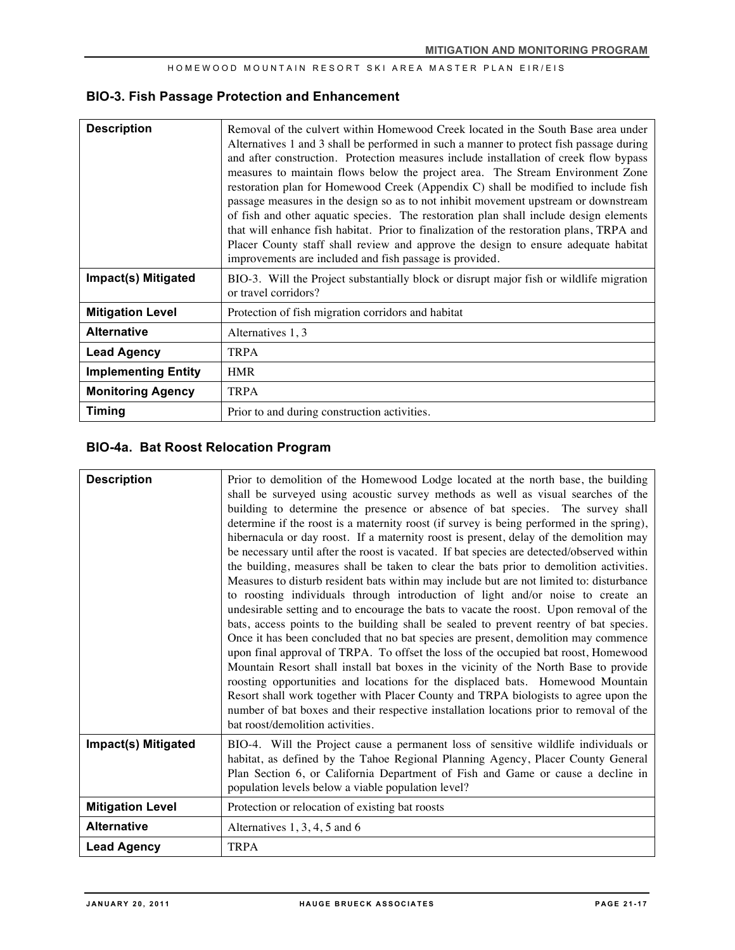## **BIO-3. Fish Passage Protection and Enhancement**

| <b>Description</b>         | Removal of the culvert within Homewood Creek located in the South Base area under<br>Alternatives 1 and 3 shall be performed in such a manner to protect fish passage during<br>and after construction. Protection measures include installation of creek flow bypass<br>measures to maintain flows below the project area. The Stream Environment Zone<br>restoration plan for Homewood Creek (Appendix C) shall be modified to include fish<br>passage measures in the design so as to not inhibit movement upstream or downstream<br>of fish and other aquatic species. The restoration plan shall include design elements<br>that will enhance fish habitat. Prior to finalization of the restoration plans, TRPA and<br>Placer County staff shall review and approve the design to ensure adequate habitat<br>improvements are included and fish passage is provided. |
|----------------------------|----------------------------------------------------------------------------------------------------------------------------------------------------------------------------------------------------------------------------------------------------------------------------------------------------------------------------------------------------------------------------------------------------------------------------------------------------------------------------------------------------------------------------------------------------------------------------------------------------------------------------------------------------------------------------------------------------------------------------------------------------------------------------------------------------------------------------------------------------------------------------|
| Impact(s) Mitigated        | BIO-3. Will the Project substantially block or disrupt major fish or wildlife migration<br>or travel corridors?                                                                                                                                                                                                                                                                                                                                                                                                                                                                                                                                                                                                                                                                                                                                                            |
| <b>Mitigation Level</b>    | Protection of fish migration corridors and habitat                                                                                                                                                                                                                                                                                                                                                                                                                                                                                                                                                                                                                                                                                                                                                                                                                         |
| <b>Alternative</b>         | Alternatives 1, 3                                                                                                                                                                                                                                                                                                                                                                                                                                                                                                                                                                                                                                                                                                                                                                                                                                                          |
| <b>Lead Agency</b>         | <b>TRPA</b>                                                                                                                                                                                                                                                                                                                                                                                                                                                                                                                                                                                                                                                                                                                                                                                                                                                                |
| <b>Implementing Entity</b> | <b>HMR</b>                                                                                                                                                                                                                                                                                                                                                                                                                                                                                                                                                                                                                                                                                                                                                                                                                                                                 |
| <b>Monitoring Agency</b>   | <b>TRPA</b>                                                                                                                                                                                                                                                                                                                                                                                                                                                                                                                                                                                                                                                                                                                                                                                                                                                                |
| Timing                     | Prior to and during construction activities.                                                                                                                                                                                                                                                                                                                                                                                                                                                                                                                                                                                                                                                                                                                                                                                                                               |

### **BIO-4a. Bat Roost Relocation Program**

| <b>Description</b>      | Prior to demolition of the Homewood Lodge located at the north base, the building<br>shall be surveyed using acoustic survey methods as well as visual searches of the<br>building to determine the presence or absence of bat species. The survey shall<br>determine if the roost is a maternity roost (if survey is being performed in the spring),<br>hibernacula or day roost. If a maternity roost is present, delay of the demolition may<br>be necessary until after the roost is vacated. If bat species are detected/observed within<br>the building, measures shall be taken to clear the bats prior to demolition activities.<br>Measures to disturb resident bats within may include but are not limited to: disturbance<br>to roosting individuals through introduction of light and/or noise to create an<br>undesirable setting and to encourage the bats to vacate the roost. Upon removal of the<br>bats, access points to the building shall be sealed to prevent reentry of bat species.<br>Once it has been concluded that no bat species are present, demolition may commence<br>upon final approval of TRPA. To offset the loss of the occupied bat roost, Homewood<br>Mountain Resort shall install bat boxes in the vicinity of the North Base to provide<br>roosting opportunities and locations for the displaced bats. Homewood Mountain<br>Resort shall work together with Placer County and TRPA biologists to agree upon the<br>number of bat boxes and their respective installation locations prior to removal of the<br>bat roost/demolition activities. |
|-------------------------|-------------------------------------------------------------------------------------------------------------------------------------------------------------------------------------------------------------------------------------------------------------------------------------------------------------------------------------------------------------------------------------------------------------------------------------------------------------------------------------------------------------------------------------------------------------------------------------------------------------------------------------------------------------------------------------------------------------------------------------------------------------------------------------------------------------------------------------------------------------------------------------------------------------------------------------------------------------------------------------------------------------------------------------------------------------------------------------------------------------------------------------------------------------------------------------------------------------------------------------------------------------------------------------------------------------------------------------------------------------------------------------------------------------------------------------------------------------------------------------------------------------------------------------------------------------------------------------------|
| Impact(s) Mitigated     | BIO-4. Will the Project cause a permanent loss of sensitive wildlife individuals or<br>habitat, as defined by the Tahoe Regional Planning Agency, Placer County General<br>Plan Section 6, or California Department of Fish and Game or cause a decline in<br>population levels below a viable population level?                                                                                                                                                                                                                                                                                                                                                                                                                                                                                                                                                                                                                                                                                                                                                                                                                                                                                                                                                                                                                                                                                                                                                                                                                                                                          |
| <b>Mitigation Level</b> | Protection or relocation of existing bat roosts                                                                                                                                                                                                                                                                                                                                                                                                                                                                                                                                                                                                                                                                                                                                                                                                                                                                                                                                                                                                                                                                                                                                                                                                                                                                                                                                                                                                                                                                                                                                           |
| <b>Alternative</b>      | Alternatives $1, 3, 4, 5$ and 6                                                                                                                                                                                                                                                                                                                                                                                                                                                                                                                                                                                                                                                                                                                                                                                                                                                                                                                                                                                                                                                                                                                                                                                                                                                                                                                                                                                                                                                                                                                                                           |
| <b>Lead Agency</b>      | <b>TRPA</b>                                                                                                                                                                                                                                                                                                                                                                                                                                                                                                                                                                                                                                                                                                                                                                                                                                                                                                                                                                                                                                                                                                                                                                                                                                                                                                                                                                                                                                                                                                                                                                               |
|                         |                                                                                                                                                                                                                                                                                                                                                                                                                                                                                                                                                                                                                                                                                                                                                                                                                                                                                                                                                                                                                                                                                                                                                                                                                                                                                                                                                                                                                                                                                                                                                                                           |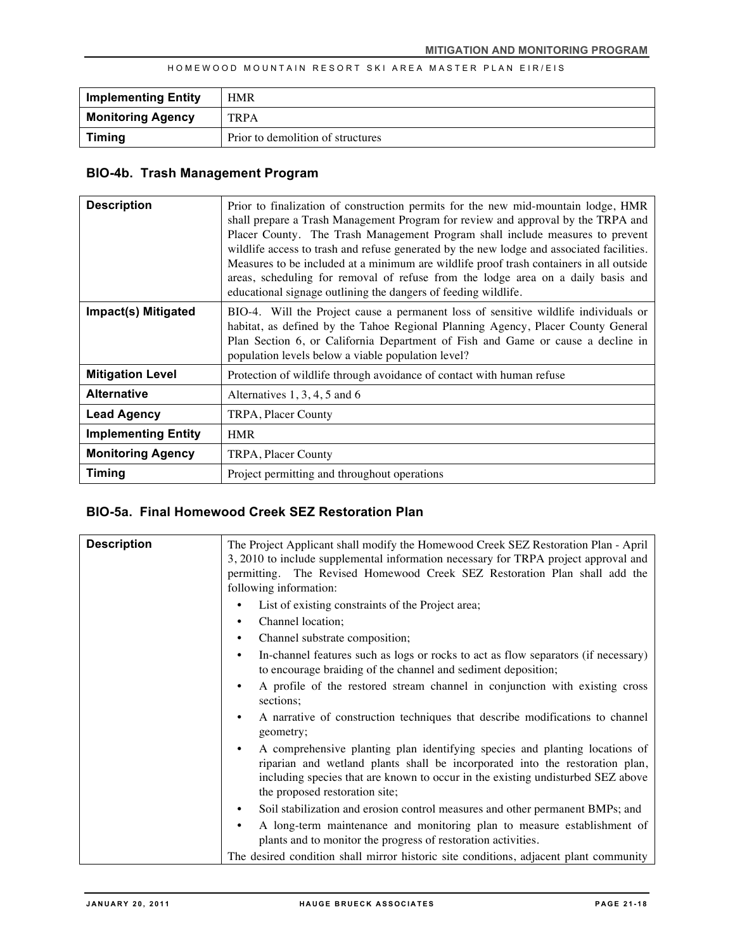| <b>Implementing Entity</b> | <b>HMR</b>                        |
|----------------------------|-----------------------------------|
| <b>Monitoring Agency</b>   | TRPA                              |
| <b>Timing</b>              | Prior to demolition of structures |

### **BIO-4b. Trash Management Program**

| <b>Description</b>         | Prior to finalization of construction permits for the new mid-mountain lodge, HMR<br>shall prepare a Trash Management Program for review and approval by the TRPA and<br>Placer County. The Trash Management Program shall include measures to prevent<br>wildlife access to trash and refuse generated by the new lodge and associated facilities.<br>Measures to be included at a minimum are wildlife proof trash containers in all outside<br>areas, scheduling for removal of refuse from the lodge area on a daily basis and<br>educational signage outlining the dangers of feeding wildlife. |
|----------------------------|------------------------------------------------------------------------------------------------------------------------------------------------------------------------------------------------------------------------------------------------------------------------------------------------------------------------------------------------------------------------------------------------------------------------------------------------------------------------------------------------------------------------------------------------------------------------------------------------------|
| Impact(s) Mitigated        | BIO-4. Will the Project cause a permanent loss of sensitive wildlife individuals or<br>habitat, as defined by the Tahoe Regional Planning Agency, Placer County General<br>Plan Section 6, or California Department of Fish and Game or cause a decline in<br>population levels below a viable population level?                                                                                                                                                                                                                                                                                     |
| <b>Mitigation Level</b>    | Protection of wildlife through avoidance of contact with human refuse                                                                                                                                                                                                                                                                                                                                                                                                                                                                                                                                |
| <b>Alternative</b>         | Alternatives $1, 3, 4, 5$ and 6                                                                                                                                                                                                                                                                                                                                                                                                                                                                                                                                                                      |
| <b>Lead Agency</b>         | TRPA, Placer County                                                                                                                                                                                                                                                                                                                                                                                                                                                                                                                                                                                  |
| <b>Implementing Entity</b> | <b>HMR</b>                                                                                                                                                                                                                                                                                                                                                                                                                                                                                                                                                                                           |
| <b>Monitoring Agency</b>   | TRPA, Placer County                                                                                                                                                                                                                                                                                                                                                                                                                                                                                                                                                                                  |
| Timing                     | Project permitting and throughout operations                                                                                                                                                                                                                                                                                                                                                                                                                                                                                                                                                         |

### **BIO-5a. Final Homewood Creek SEZ Restoration Plan**

| <b>Description</b> | The Project Applicant shall modify the Homewood Creek SEZ Restoration Plan - April<br>3, 2010 to include supplemental information necessary for TRPA project approval and<br>permitting. The Revised Homewood Creek SEZ Restoration Plan shall add the<br>following information: |
|--------------------|----------------------------------------------------------------------------------------------------------------------------------------------------------------------------------------------------------------------------------------------------------------------------------|
|                    | List of existing constraints of the Project area;                                                                                                                                                                                                                                |
|                    | Channel location;<br>٠                                                                                                                                                                                                                                                           |
|                    | Channel substrate composition;<br>٠                                                                                                                                                                                                                                              |
|                    | In-channel features such as logs or rocks to act as flow separators (if necessary)<br>to encourage braiding of the channel and sediment deposition;                                                                                                                              |
|                    | A profile of the restored stream channel in conjunction with existing cross<br>$\bullet$<br>sections:                                                                                                                                                                            |
|                    | A narrative of construction techniques that describe modifications to channel<br>$\bullet$<br>geometry;                                                                                                                                                                          |
|                    | A comprehensive planting plan identifying species and planting locations of<br>riparian and wetland plants shall be incorporated into the restoration plan,<br>including species that are known to occur in the existing undisturbed SEZ above<br>the proposed restoration site; |
|                    | Soil stabilization and erosion control measures and other permanent BMPs; and<br>$\bullet$                                                                                                                                                                                       |
|                    | A long-term maintenance and monitoring plan to measure establishment of<br>plants and to monitor the progress of restoration activities.                                                                                                                                         |
|                    | The desired condition shall mirror historic site conditions, adjacent plant community                                                                                                                                                                                            |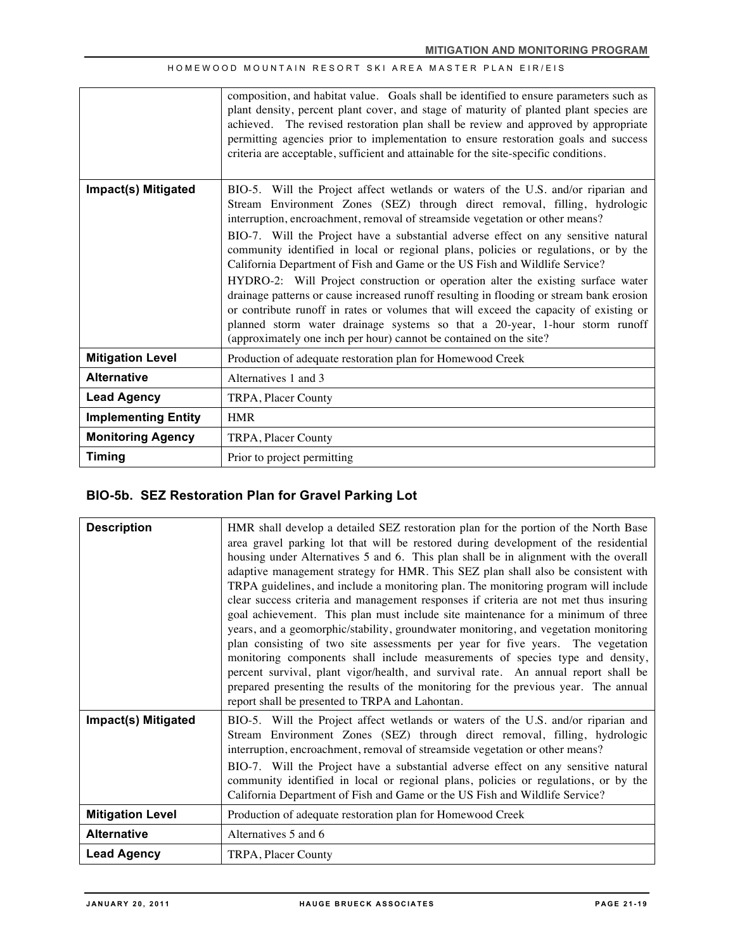|                            | composition, and habitat value. Goals shall be identified to ensure parameters such as<br>plant density, percent plant cover, and stage of maturity of planted plant species are<br>achieved. The revised restoration plan shall be review and approved by appropriate<br>permitting agencies prior to implementation to ensure restoration goals and success<br>criteria are acceptable, sufficient and attainable for the site-specific conditions.                                                                                                                                                                                                                                                                                                                                                                                                                                                                                     |
|----------------------------|-------------------------------------------------------------------------------------------------------------------------------------------------------------------------------------------------------------------------------------------------------------------------------------------------------------------------------------------------------------------------------------------------------------------------------------------------------------------------------------------------------------------------------------------------------------------------------------------------------------------------------------------------------------------------------------------------------------------------------------------------------------------------------------------------------------------------------------------------------------------------------------------------------------------------------------------|
| Impact(s) Mitigated        | BIO-5. Will the Project affect wetlands or waters of the U.S. and/or riparian and<br>Stream Environment Zones (SEZ) through direct removal, filling, hydrologic<br>interruption, encroachment, removal of streamside vegetation or other means?<br>BIO-7. Will the Project have a substantial adverse effect on any sensitive natural<br>community identified in local or regional plans, policies or regulations, or by the<br>California Department of Fish and Game or the US Fish and Wildlife Service?<br>HYDRO-2: Will Project construction or operation alter the existing surface water<br>drainage patterns or cause increased runoff resulting in flooding or stream bank erosion<br>or contribute runoff in rates or volumes that will exceed the capacity of existing or<br>planned storm water drainage systems so that a 20-year, 1-hour storm runoff<br>(approximately one inch per hour) cannot be contained on the site? |
| <b>Mitigation Level</b>    | Production of adequate restoration plan for Homewood Creek                                                                                                                                                                                                                                                                                                                                                                                                                                                                                                                                                                                                                                                                                                                                                                                                                                                                                |
| <b>Alternative</b>         | Alternatives 1 and 3                                                                                                                                                                                                                                                                                                                                                                                                                                                                                                                                                                                                                                                                                                                                                                                                                                                                                                                      |
| <b>Lead Agency</b>         | TRPA, Placer County                                                                                                                                                                                                                                                                                                                                                                                                                                                                                                                                                                                                                                                                                                                                                                                                                                                                                                                       |
| <b>Implementing Entity</b> | <b>HMR</b>                                                                                                                                                                                                                                                                                                                                                                                                                                                                                                                                                                                                                                                                                                                                                                                                                                                                                                                                |
| <b>Monitoring Agency</b>   | TRPA, Placer County                                                                                                                                                                                                                                                                                                                                                                                                                                                                                                                                                                                                                                                                                                                                                                                                                                                                                                                       |
| <b>Timing</b>              | Prior to project permitting                                                                                                                                                                                                                                                                                                                                                                                                                                                                                                                                                                                                                                                                                                                                                                                                                                                                                                               |

# **BIO-5b. SEZ Restoration Plan for Gravel Parking Lot**

| <b>Description</b>      | HMR shall develop a detailed SEZ restoration plan for the portion of the North Base<br>area gravel parking lot that will be restored during development of the residential<br>housing under Alternatives 5 and 6. This plan shall be in alignment with the overall<br>adaptive management strategy for HMR. This SEZ plan shall also be consistent with<br>TRPA guidelines, and include a monitoring plan. The monitoring program will include<br>clear success criteria and management responses if criteria are not met thus insuring<br>goal achievement. This plan must include site maintenance for a minimum of three<br>years, and a geomorphic/stability, groundwater monitoring, and vegetation monitoring<br>plan consisting of two site assessments per year for five years. The vegetation<br>monitoring components shall include measurements of species type and density,<br>percent survival, plant vigor/health, and survival rate. An annual report shall be<br>prepared presenting the results of the monitoring for the previous year. The annual<br>report shall be presented to TRPA and Lahontan. |
|-------------------------|-------------------------------------------------------------------------------------------------------------------------------------------------------------------------------------------------------------------------------------------------------------------------------------------------------------------------------------------------------------------------------------------------------------------------------------------------------------------------------------------------------------------------------------------------------------------------------------------------------------------------------------------------------------------------------------------------------------------------------------------------------------------------------------------------------------------------------------------------------------------------------------------------------------------------------------------------------------------------------------------------------------------------------------------------------------------------------------------------------------------------|
| Impact(s) Mitigated     | BIO-5. Will the Project affect wetlands or waters of the U.S. and/or riparian and<br>Stream Environment Zones (SEZ) through direct removal, filling, hydrologic<br>interruption, encroachment, removal of streamside vegetation or other means?<br>BIO-7. Will the Project have a substantial adverse effect on any sensitive natural<br>community identified in local or regional plans, policies or regulations, or by the<br>California Department of Fish and Game or the US Fish and Wildlife Service?                                                                                                                                                                                                                                                                                                                                                                                                                                                                                                                                                                                                             |
| <b>Mitigation Level</b> | Production of adequate restoration plan for Homewood Creek                                                                                                                                                                                                                                                                                                                                                                                                                                                                                                                                                                                                                                                                                                                                                                                                                                                                                                                                                                                                                                                              |
| <b>Alternative</b>      | Alternatives 5 and 6                                                                                                                                                                                                                                                                                                                                                                                                                                                                                                                                                                                                                                                                                                                                                                                                                                                                                                                                                                                                                                                                                                    |
| <b>Lead Agency</b>      | TRPA, Placer County                                                                                                                                                                                                                                                                                                                                                                                                                                                                                                                                                                                                                                                                                                                                                                                                                                                                                                                                                                                                                                                                                                     |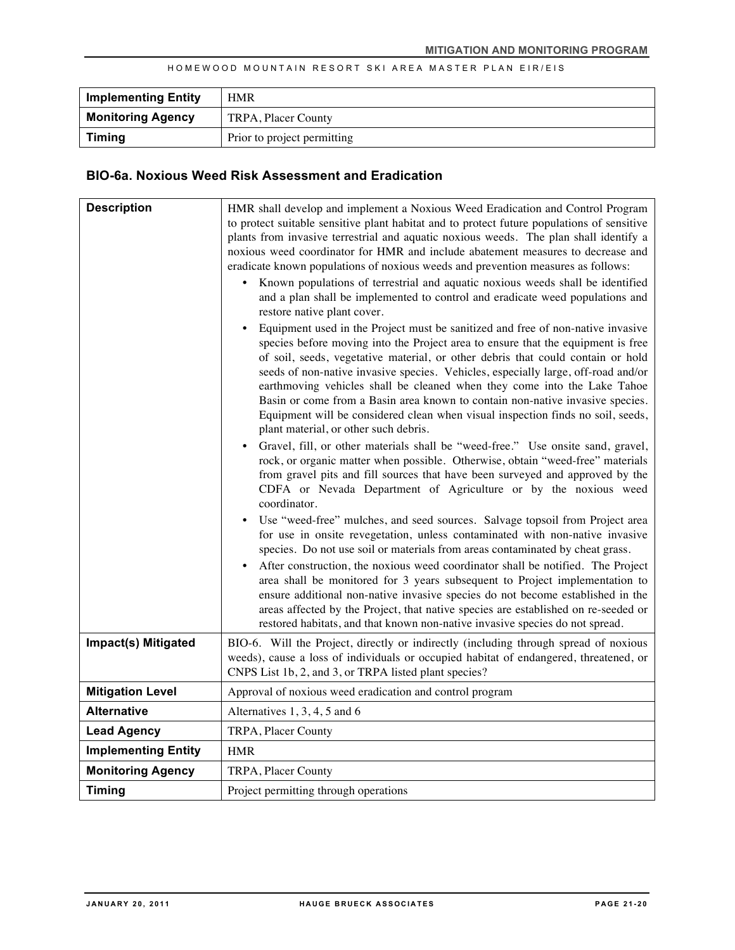| <b>Implementing Entity</b> | <b>HMR</b>                  |
|----------------------------|-----------------------------|
| <b>Monitoring Agency</b>   | TRPA, Placer County         |
| <b>Timing</b>              | Prior to project permitting |

### **BIO-6a. Noxious Weed Risk Assessment and Eradication**

| <b>Description</b>         | HMR shall develop and implement a Noxious Weed Eradication and Control Program<br>to protect suitable sensitive plant habitat and to protect future populations of sensitive<br>plants from invasive terrestrial and aquatic noxious weeds. The plan shall identify a<br>noxious weed coordinator for HMR and include abatement measures to decrease and<br>eradicate known populations of noxious weeds and prevention measures as follows:<br>Known populations of terrestrial and aquatic noxious weeds shall be identified<br>$\bullet$<br>and a plan shall be implemented to control and eradicate weed populations and<br>restore native plant cover.<br>Equipment used in the Project must be sanitized and free of non-native invasive<br>$\bullet$<br>species before moving into the Project area to ensure that the equipment is free<br>of soil, seeds, vegetative material, or other debris that could contain or hold<br>seeds of non-native invasive species. Vehicles, especially large, off-road and/or<br>earthmoving vehicles shall be cleaned when they come into the Lake Tahoe<br>Basin or come from a Basin area known to contain non-native invasive species.<br>Equipment will be considered clean when visual inspection finds no soil, seeds,<br>plant material, or other such debris.<br>Gravel, fill, or other materials shall be "weed-free." Use onsite sand, gravel,<br>rock, or organic matter when possible. Otherwise, obtain "weed-free" materials<br>from gravel pits and fill sources that have been surveyed and approved by the<br>CDFA or Nevada Department of Agriculture or by the noxious weed<br>coordinator.<br>Use "weed-free" mulches, and seed sources. Salvage topsoil from Project area<br>for use in onsite revegetation, unless contaminated with non-native invasive<br>species. Do not use soil or materials from areas contaminated by cheat grass.<br>After construction, the noxious weed coordinator shall be notified. The Project<br>area shall be monitored for 3 years subsequent to Project implementation to<br>ensure additional non-native invasive species do not become established in the<br>areas affected by the Project, that native species are established on re-seeded or<br>restored habitats, and that known non-native invasive species do not spread. |
|----------------------------|--------------------------------------------------------------------------------------------------------------------------------------------------------------------------------------------------------------------------------------------------------------------------------------------------------------------------------------------------------------------------------------------------------------------------------------------------------------------------------------------------------------------------------------------------------------------------------------------------------------------------------------------------------------------------------------------------------------------------------------------------------------------------------------------------------------------------------------------------------------------------------------------------------------------------------------------------------------------------------------------------------------------------------------------------------------------------------------------------------------------------------------------------------------------------------------------------------------------------------------------------------------------------------------------------------------------------------------------------------------------------------------------------------------------------------------------------------------------------------------------------------------------------------------------------------------------------------------------------------------------------------------------------------------------------------------------------------------------------------------------------------------------------------------------------------------------------------------------------------------------------------------------------------------------------------------------------------------------------------------------------------------------------------------------------------------------------------------------------------------------------------------------------------------------------------------------------------------------------------------------------------------------------------------------------------------------------------------|
| Impact(s) Mitigated        | BIO-6. Will the Project, directly or indirectly (including through spread of noxious<br>weeds), cause a loss of individuals or occupied habitat of endangered, threatened, or<br>CNPS List 1b, 2, and 3, or TRPA listed plant species?                                                                                                                                                                                                                                                                                                                                                                                                                                                                                                                                                                                                                                                                                                                                                                                                                                                                                                                                                                                                                                                                                                                                                                                                                                                                                                                                                                                                                                                                                                                                                                                                                                                                                                                                                                                                                                                                                                                                                                                                                                                                                               |
| <b>Mitigation Level</b>    | Approval of noxious weed eradication and control program                                                                                                                                                                                                                                                                                                                                                                                                                                                                                                                                                                                                                                                                                                                                                                                                                                                                                                                                                                                                                                                                                                                                                                                                                                                                                                                                                                                                                                                                                                                                                                                                                                                                                                                                                                                                                                                                                                                                                                                                                                                                                                                                                                                                                                                                             |
| <b>Alternative</b>         | Alternatives 1, 3, 4, 5 and 6                                                                                                                                                                                                                                                                                                                                                                                                                                                                                                                                                                                                                                                                                                                                                                                                                                                                                                                                                                                                                                                                                                                                                                                                                                                                                                                                                                                                                                                                                                                                                                                                                                                                                                                                                                                                                                                                                                                                                                                                                                                                                                                                                                                                                                                                                                        |
| <b>Lead Agency</b>         | TRPA, Placer County                                                                                                                                                                                                                                                                                                                                                                                                                                                                                                                                                                                                                                                                                                                                                                                                                                                                                                                                                                                                                                                                                                                                                                                                                                                                                                                                                                                                                                                                                                                                                                                                                                                                                                                                                                                                                                                                                                                                                                                                                                                                                                                                                                                                                                                                                                                  |
| <b>Implementing Entity</b> | <b>HMR</b>                                                                                                                                                                                                                                                                                                                                                                                                                                                                                                                                                                                                                                                                                                                                                                                                                                                                                                                                                                                                                                                                                                                                                                                                                                                                                                                                                                                                                                                                                                                                                                                                                                                                                                                                                                                                                                                                                                                                                                                                                                                                                                                                                                                                                                                                                                                           |
| <b>Monitoring Agency</b>   | TRPA, Placer County                                                                                                                                                                                                                                                                                                                                                                                                                                                                                                                                                                                                                                                                                                                                                                                                                                                                                                                                                                                                                                                                                                                                                                                                                                                                                                                                                                                                                                                                                                                                                                                                                                                                                                                                                                                                                                                                                                                                                                                                                                                                                                                                                                                                                                                                                                                  |
| <b>Timing</b>              | Project permitting through operations                                                                                                                                                                                                                                                                                                                                                                                                                                                                                                                                                                                                                                                                                                                                                                                                                                                                                                                                                                                                                                                                                                                                                                                                                                                                                                                                                                                                                                                                                                                                                                                                                                                                                                                                                                                                                                                                                                                                                                                                                                                                                                                                                                                                                                                                                                |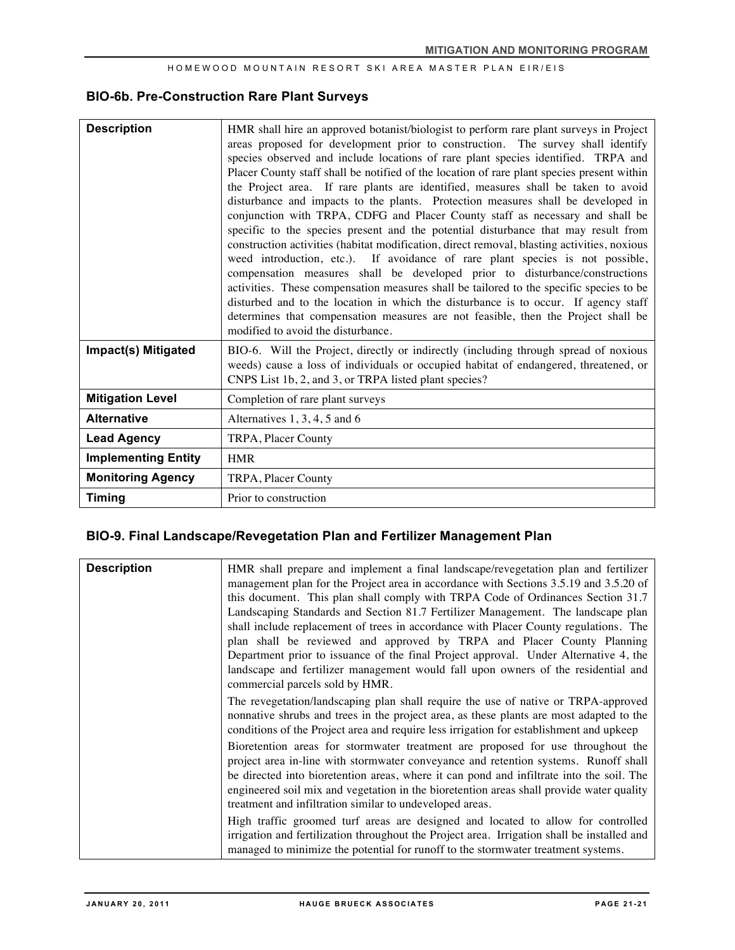## **BIO-6b. Pre-Construction Rare Plant Surveys**

| <b>Description</b>         | HMR shall hire an approved botanist/biologist to perform rare plant surveys in Project<br>areas proposed for development prior to construction. The survey shall identify<br>species observed and include locations of rare plant species identified. TRPA and<br>Placer County staff shall be notified of the location of rare plant species present within<br>the Project area. If rare plants are identified, measures shall be taken to avoid<br>disturbance and impacts to the plants. Protection measures shall be developed in<br>conjunction with TRPA, CDFG and Placer County staff as necessary and shall be<br>specific to the species present and the potential disturbance that may result from<br>construction activities (habitat modification, direct removal, blasting activities, noxious<br>weed introduction, etc.). If avoidance of rare plant species is not possible,<br>compensation measures shall be developed prior to disturbance/constructions<br>activities. These compensation measures shall be tailored to the specific species to be<br>disturbed and to the location in which the disturbance is to occur. If agency staff<br>determines that compensation measures are not feasible, then the Project shall be<br>modified to avoid the disturbance. |
|----------------------------|------------------------------------------------------------------------------------------------------------------------------------------------------------------------------------------------------------------------------------------------------------------------------------------------------------------------------------------------------------------------------------------------------------------------------------------------------------------------------------------------------------------------------------------------------------------------------------------------------------------------------------------------------------------------------------------------------------------------------------------------------------------------------------------------------------------------------------------------------------------------------------------------------------------------------------------------------------------------------------------------------------------------------------------------------------------------------------------------------------------------------------------------------------------------------------------------------------------------------------------------------------------------------------------|
| Impact(s) Mitigated        | BIO-6. Will the Project, directly or indirectly (including through spread of noxious<br>weeds) cause a loss of individuals or occupied habitat of endangered, threatened, or<br>CNPS List 1b, 2, and 3, or TRPA listed plant species?                                                                                                                                                                                                                                                                                                                                                                                                                                                                                                                                                                                                                                                                                                                                                                                                                                                                                                                                                                                                                                                    |
| <b>Mitigation Level</b>    | Completion of rare plant surveys                                                                                                                                                                                                                                                                                                                                                                                                                                                                                                                                                                                                                                                                                                                                                                                                                                                                                                                                                                                                                                                                                                                                                                                                                                                         |
| <b>Alternative</b>         | Alternatives $1, 3, 4, 5$ and 6                                                                                                                                                                                                                                                                                                                                                                                                                                                                                                                                                                                                                                                                                                                                                                                                                                                                                                                                                                                                                                                                                                                                                                                                                                                          |
| <b>Lead Agency</b>         | TRPA, Placer County                                                                                                                                                                                                                                                                                                                                                                                                                                                                                                                                                                                                                                                                                                                                                                                                                                                                                                                                                                                                                                                                                                                                                                                                                                                                      |
| <b>Implementing Entity</b> | <b>HMR</b>                                                                                                                                                                                                                                                                                                                                                                                                                                                                                                                                                                                                                                                                                                                                                                                                                                                                                                                                                                                                                                                                                                                                                                                                                                                                               |
| <b>Monitoring Agency</b>   | TRPA, Placer County                                                                                                                                                                                                                                                                                                                                                                                                                                                                                                                                                                                                                                                                                                                                                                                                                                                                                                                                                                                                                                                                                                                                                                                                                                                                      |
| <b>Timing</b>              | Prior to construction                                                                                                                                                                                                                                                                                                                                                                                                                                                                                                                                                                                                                                                                                                                                                                                                                                                                                                                                                                                                                                                                                                                                                                                                                                                                    |

## **BIO-9. Final Landscape/Revegetation Plan and Fertilizer Management Plan**

| <b>Description</b> | HMR shall prepare and implement a final landscape/revegetation plan and fertilizer<br>management plan for the Project area in accordance with Sections 3.5.19 and 3.5.20 of<br>this document. This plan shall comply with TRPA Code of Ordinances Section 31.7<br>Landscaping Standards and Section 81.7 Fertilizer Management. The landscape plan<br>shall include replacement of trees in accordance with Placer County regulations. The<br>plan shall be reviewed and approved by TRPA and Placer County Planning<br>Department prior to issuance of the final Project approval. Under Alternative 4, the<br>landscape and fertilizer management would fall upon owners of the residential and<br>commercial parcels sold by HMR. |
|--------------------|--------------------------------------------------------------------------------------------------------------------------------------------------------------------------------------------------------------------------------------------------------------------------------------------------------------------------------------------------------------------------------------------------------------------------------------------------------------------------------------------------------------------------------------------------------------------------------------------------------------------------------------------------------------------------------------------------------------------------------------|
|                    | The revegetation/landscaping plan shall require the use of native or TRPA-approved<br>nonnative shrubs and trees in the project area, as these plants are most adapted to the<br>conditions of the Project area and require less irrigation for establishment and upkeep                                                                                                                                                                                                                                                                                                                                                                                                                                                             |
|                    | Bioretention areas for stormwater treatment are proposed for use throughout the<br>project area in-line with stormwater conveyance and retention systems. Runoff shall<br>be directed into bioretention areas, where it can pond and infiltrate into the soil. The<br>engineered soil mix and vegetation in the bioretention areas shall provide water quality<br>treatment and infiltration similar to undeveloped areas.                                                                                                                                                                                                                                                                                                           |
|                    | High traffic groomed turf areas are designed and located to allow for controlled<br>irrigation and fertilization throughout the Project area. Irrigation shall be installed and<br>managed to minimize the potential for runoff to the stormwater treatment systems.                                                                                                                                                                                                                                                                                                                                                                                                                                                                 |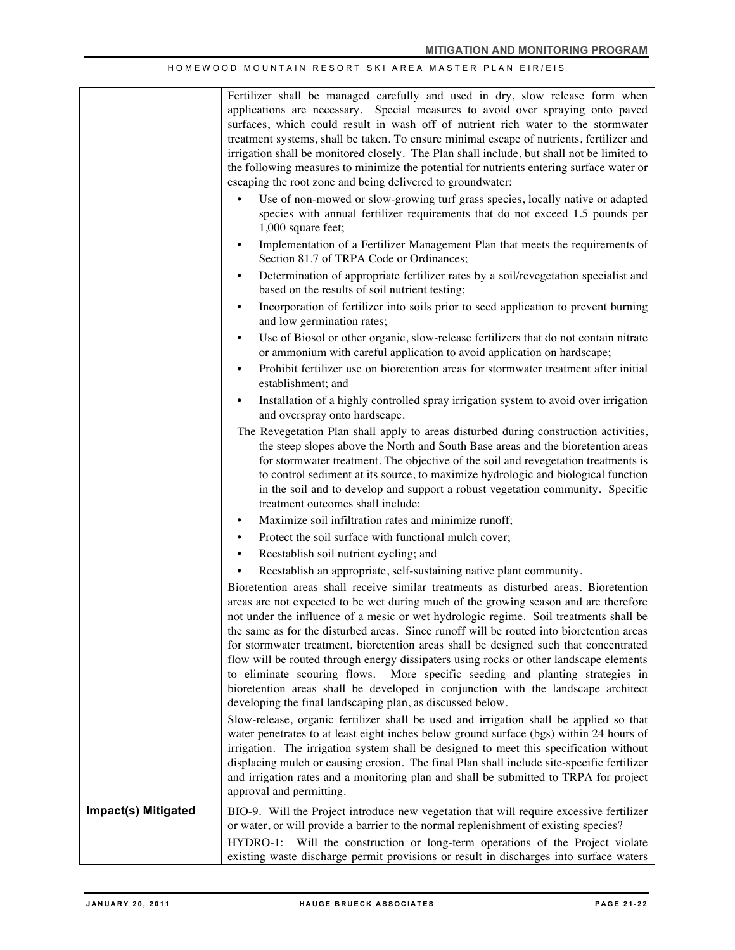|                            | Fertilizer shall be managed carefully and used in dry, slow release form when<br>applications are necessary. Special measures to avoid over spraying onto paved<br>surfaces, which could result in wash off of nutrient rich water to the stormwater<br>treatment systems, shall be taken. To ensure minimal escape of nutrients, fertilizer and<br>irrigation shall be monitored closely. The Plan shall include, but shall not be limited to<br>the following measures to minimize the potential for nutrients entering surface water or<br>escaping the root zone and being delivered to groundwater:                                                                                                                                                                                 |
|----------------------------|------------------------------------------------------------------------------------------------------------------------------------------------------------------------------------------------------------------------------------------------------------------------------------------------------------------------------------------------------------------------------------------------------------------------------------------------------------------------------------------------------------------------------------------------------------------------------------------------------------------------------------------------------------------------------------------------------------------------------------------------------------------------------------------|
|                            | Use of non-mowed or slow-growing turf grass species, locally native or adapted<br>species with annual fertilizer requirements that do not exceed 1.5 pounds per<br>1,000 square feet;                                                                                                                                                                                                                                                                                                                                                                                                                                                                                                                                                                                                    |
|                            | Implementation of a Fertilizer Management Plan that meets the requirements of<br>$\bullet$<br>Section 81.7 of TRPA Code or Ordinances;                                                                                                                                                                                                                                                                                                                                                                                                                                                                                                                                                                                                                                                   |
|                            | Determination of appropriate fertilizer rates by a soil/revegetation specialist and<br>$\bullet$<br>based on the results of soil nutrient testing;                                                                                                                                                                                                                                                                                                                                                                                                                                                                                                                                                                                                                                       |
|                            | Incorporation of fertilizer into soils prior to seed application to prevent burning<br>$\bullet$<br>and low germination rates;                                                                                                                                                                                                                                                                                                                                                                                                                                                                                                                                                                                                                                                           |
|                            | Use of Biosol or other organic, slow-release fertilizers that do not contain nitrate<br>$\bullet$<br>or ammonium with careful application to avoid application on hardscape;                                                                                                                                                                                                                                                                                                                                                                                                                                                                                                                                                                                                             |
|                            | Prohibit fertilizer use on bioretention areas for stormwater treatment after initial<br>$\bullet$<br>establishment; and                                                                                                                                                                                                                                                                                                                                                                                                                                                                                                                                                                                                                                                                  |
|                            | Installation of a highly controlled spray irrigation system to avoid over irrigation<br>and overspray onto hardscape.                                                                                                                                                                                                                                                                                                                                                                                                                                                                                                                                                                                                                                                                    |
|                            | The Revegetation Plan shall apply to areas disturbed during construction activities,<br>the steep slopes above the North and South Base areas and the bioretention areas<br>for stormwater treatment. The objective of the soil and revegetation treatments is<br>to control sediment at its source, to maximize hydrologic and biological function<br>in the soil and to develop and support a robust vegetation community. Specific<br>treatment outcomes shall include:                                                                                                                                                                                                                                                                                                               |
|                            | Maximize soil infiltration rates and minimize runoff;<br>$\bullet$                                                                                                                                                                                                                                                                                                                                                                                                                                                                                                                                                                                                                                                                                                                       |
|                            | Protect the soil surface with functional mulch cover;                                                                                                                                                                                                                                                                                                                                                                                                                                                                                                                                                                                                                                                                                                                                    |
|                            | Reestablish soil nutrient cycling; and<br>٠                                                                                                                                                                                                                                                                                                                                                                                                                                                                                                                                                                                                                                                                                                                                              |
|                            | Reestablish an appropriate, self-sustaining native plant community.<br>$\bullet$                                                                                                                                                                                                                                                                                                                                                                                                                                                                                                                                                                                                                                                                                                         |
|                            | Bioretention areas shall receive similar treatments as disturbed areas. Bioretention<br>areas are not expected to be wet during much of the growing season and are therefore<br>not under the influence of a mesic or wet hydrologic regime. Soil treatments shall be<br>the same as for the disturbed areas. Since runoff will be routed into bioretention areas<br>for stormwater treatment, bioretention areas shall be designed such that concentrated<br>flow will be routed through energy dissipaters using rocks or other landscape elements<br>to eliminate scouring flows. More specific seeding and planting strategies in<br>bioretention areas shall be developed in conjunction with the landscape architect<br>developing the final landscaping plan, as discussed below. |
|                            | Slow-release, organic fertilizer shall be used and irrigation shall be applied so that<br>water penetrates to at least eight inches below ground surface (bgs) within 24 hours of<br>irrigation. The irrigation system shall be designed to meet this specification without<br>displacing mulch or causing erosion. The final Plan shall include site-specific fertilizer<br>and irrigation rates and a monitoring plan and shall be submitted to TRPA for project<br>approval and permitting.                                                                                                                                                                                                                                                                                           |
| <b>Impact(s) Mitigated</b> | BIO-9. Will the Project introduce new vegetation that will require excessive fertilizer                                                                                                                                                                                                                                                                                                                                                                                                                                                                                                                                                                                                                                                                                                  |
|                            | or water, or will provide a barrier to the normal replenishment of existing species?                                                                                                                                                                                                                                                                                                                                                                                                                                                                                                                                                                                                                                                                                                     |
|                            | HYDRO-1: Will the construction or long-term operations of the Project violate                                                                                                                                                                                                                                                                                                                                                                                                                                                                                                                                                                                                                                                                                                            |
|                            | existing waste discharge permit provisions or result in discharges into surface waters                                                                                                                                                                                                                                                                                                                                                                                                                                                                                                                                                                                                                                                                                                   |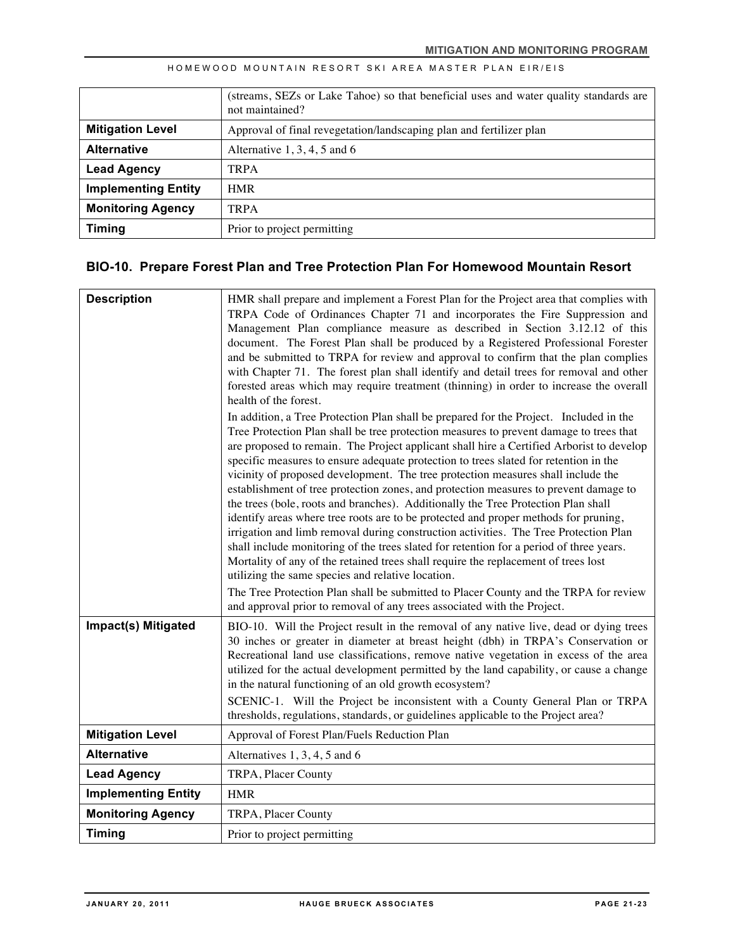|                            | (streams, SEZs or Lake Tahoe) so that beneficial uses and water quality standards are<br>not maintained? |
|----------------------------|----------------------------------------------------------------------------------------------------------|
| <b>Mitigation Level</b>    | Approval of final revegetation/landscaping plan and fertilizer plan                                      |
| <b>Alternative</b>         | Alternative $1, 3, 4, 5$ and 6                                                                           |
| <b>Lead Agency</b>         | <b>TRPA</b>                                                                                              |
| <b>Implementing Entity</b> | <b>HMR</b>                                                                                               |
| <b>Monitoring Agency</b>   | <b>TRPA</b>                                                                                              |
| <b>Timing</b>              | Prior to project permitting                                                                              |

## **BIO-10. Prepare Forest Plan and Tree Protection Plan For Homewood Mountain Resort**

| <b>Description</b>         | HMR shall prepare and implement a Forest Plan for the Project area that complies with<br>TRPA Code of Ordinances Chapter 71 and incorporates the Fire Suppression and<br>Management Plan compliance measure as described in Section 3.12.12 of this<br>document. The Forest Plan shall be produced by a Registered Professional Forester<br>and be submitted to TRPA for review and approval to confirm that the plan complies<br>with Chapter 71. The forest plan shall identify and detail trees for removal and other<br>forested areas which may require treatment (thinning) in order to increase the overall<br>health of the forest.                                                                                                                                                                                                                                                                                                                                                                                                                |
|----------------------------|------------------------------------------------------------------------------------------------------------------------------------------------------------------------------------------------------------------------------------------------------------------------------------------------------------------------------------------------------------------------------------------------------------------------------------------------------------------------------------------------------------------------------------------------------------------------------------------------------------------------------------------------------------------------------------------------------------------------------------------------------------------------------------------------------------------------------------------------------------------------------------------------------------------------------------------------------------------------------------------------------------------------------------------------------------|
|                            | In addition, a Tree Protection Plan shall be prepared for the Project. Included in the<br>Tree Protection Plan shall be tree protection measures to prevent damage to trees that<br>are proposed to remain. The Project applicant shall hire a Certified Arborist to develop<br>specific measures to ensure adequate protection to trees slated for retention in the<br>vicinity of proposed development. The tree protection measures shall include the<br>establishment of tree protection zones, and protection measures to prevent damage to<br>the trees (bole, roots and branches). Additionally the Tree Protection Plan shall<br>identify areas where tree roots are to be protected and proper methods for pruning,<br>irrigation and limb removal during construction activities. The Tree Protection Plan<br>shall include monitoring of the trees slated for retention for a period of three years.<br>Mortality of any of the retained trees shall require the replacement of trees lost<br>utilizing the same species and relative location. |
|                            | The Tree Protection Plan shall be submitted to Placer County and the TRPA for review<br>and approval prior to removal of any trees associated with the Project.                                                                                                                                                                                                                                                                                                                                                                                                                                                                                                                                                                                                                                                                                                                                                                                                                                                                                            |
| Impact(s) Mitigated        | BIO-10. Will the Project result in the removal of any native live, dead or dying trees<br>30 inches or greater in diameter at breast height (dbh) in TRPA's Conservation or<br>Recreational land use classifications, remove native vegetation in excess of the area<br>utilized for the actual development permitted by the land capability, or cause a change<br>in the natural functioning of an old growth ecosystem?<br>SCENIC-1. Will the Project be inconsistent with a County General Plan or TRPA<br>thresholds, regulations, standards, or guidelines applicable to the Project area?                                                                                                                                                                                                                                                                                                                                                                                                                                                            |
| <b>Mitigation Level</b>    | Approval of Forest Plan/Fuels Reduction Plan                                                                                                                                                                                                                                                                                                                                                                                                                                                                                                                                                                                                                                                                                                                                                                                                                                                                                                                                                                                                               |
| <b>Alternative</b>         | Alternatives 1, 3, 4, 5 and 6                                                                                                                                                                                                                                                                                                                                                                                                                                                                                                                                                                                                                                                                                                                                                                                                                                                                                                                                                                                                                              |
| <b>Lead Agency</b>         | TRPA, Placer County                                                                                                                                                                                                                                                                                                                                                                                                                                                                                                                                                                                                                                                                                                                                                                                                                                                                                                                                                                                                                                        |
| <b>Implementing Entity</b> | <b>HMR</b>                                                                                                                                                                                                                                                                                                                                                                                                                                                                                                                                                                                                                                                                                                                                                                                                                                                                                                                                                                                                                                                 |
| <b>Monitoring Agency</b>   | TRPA, Placer County                                                                                                                                                                                                                                                                                                                                                                                                                                                                                                                                                                                                                                                                                                                                                                                                                                                                                                                                                                                                                                        |
| <b>Timing</b>              | Prior to project permitting                                                                                                                                                                                                                                                                                                                                                                                                                                                                                                                                                                                                                                                                                                                                                                                                                                                                                                                                                                                                                                |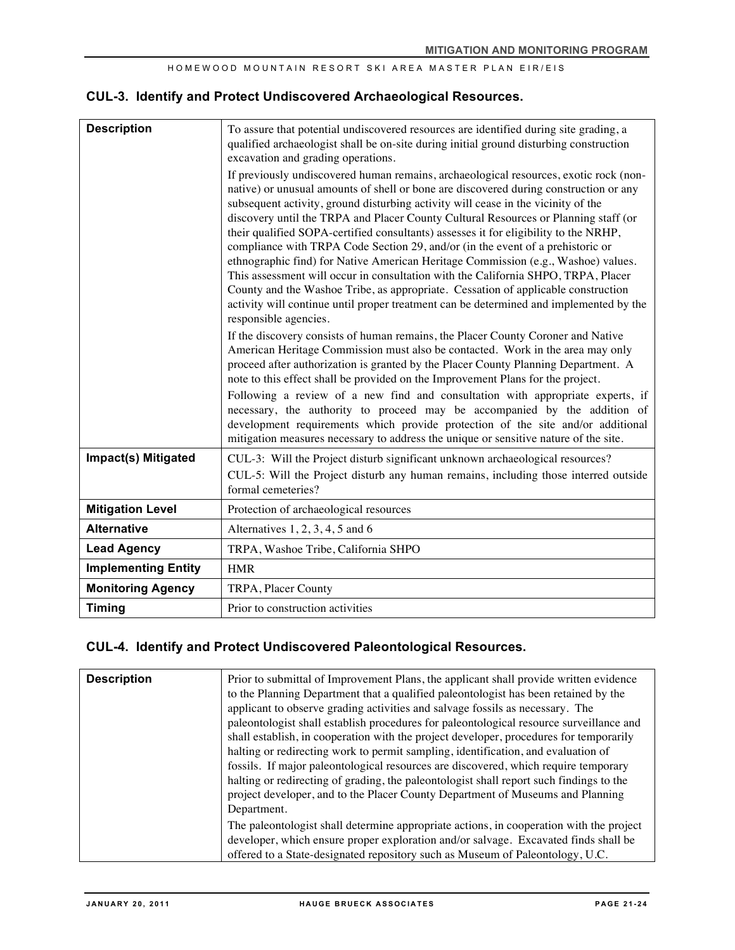## **CUL-3. Identify and Protect Undiscovered Archaeological Resources.**

| <b>Description</b>         | To assure that potential undiscovered resources are identified during site grading, a<br>qualified archaeologist shall be on-site during initial ground disturbing construction<br>excavation and grading operations.<br>If previously undiscovered human remains, archaeological resources, exotic rock (non-<br>native) or unusual amounts of shell or bone are discovered during construction or any<br>subsequent activity, ground disturbing activity will cease in the vicinity of the<br>discovery until the TRPA and Placer County Cultural Resources or Planning staff (or<br>their qualified SOPA-certified consultants) assesses it for eligibility to the NRHP,<br>compliance with TRPA Code Section 29, and/or (in the event of a prehistoric or<br>ethnographic find) for Native American Heritage Commission (e.g., Washoe) values.<br>This assessment will occur in consultation with the California SHPO, TRPA, Placer<br>County and the Washoe Tribe, as appropriate. Cessation of applicable construction<br>activity will continue until proper treatment can be determined and implemented by the<br>responsible agencies.<br>If the discovery consists of human remains, the Placer County Coroner and Native<br>American Heritage Commission must also be contacted. Work in the area may only<br>proceed after authorization is granted by the Placer County Planning Department. A<br>note to this effect shall be provided on the Improvement Plans for the project.<br>Following a review of a new find and consultation with appropriate experts, if<br>necessary, the authority to proceed may be accompanied by the addition of<br>development requirements which provide protection of the site and/or additional<br>mitigation measures necessary to address the unique or sensitive nature of the site. |
|----------------------------|------------------------------------------------------------------------------------------------------------------------------------------------------------------------------------------------------------------------------------------------------------------------------------------------------------------------------------------------------------------------------------------------------------------------------------------------------------------------------------------------------------------------------------------------------------------------------------------------------------------------------------------------------------------------------------------------------------------------------------------------------------------------------------------------------------------------------------------------------------------------------------------------------------------------------------------------------------------------------------------------------------------------------------------------------------------------------------------------------------------------------------------------------------------------------------------------------------------------------------------------------------------------------------------------------------------------------------------------------------------------------------------------------------------------------------------------------------------------------------------------------------------------------------------------------------------------------------------------------------------------------------------------------------------------------------------------------------------------------------------------------------------------------------------------------------------------------------------|
| Impact(s) Mitigated        | CUL-3: Will the Project disturb significant unknown archaeological resources?<br>CUL-5: Will the Project disturb any human remains, including those interred outside<br>formal cemeteries?                                                                                                                                                                                                                                                                                                                                                                                                                                                                                                                                                                                                                                                                                                                                                                                                                                                                                                                                                                                                                                                                                                                                                                                                                                                                                                                                                                                                                                                                                                                                                                                                                                               |
| <b>Mitigation Level</b>    | Protection of archaeological resources                                                                                                                                                                                                                                                                                                                                                                                                                                                                                                                                                                                                                                                                                                                                                                                                                                                                                                                                                                                                                                                                                                                                                                                                                                                                                                                                                                                                                                                                                                                                                                                                                                                                                                                                                                                                   |
| <b>Alternative</b>         | Alternatives $1, 2, 3, 4, 5$ and 6                                                                                                                                                                                                                                                                                                                                                                                                                                                                                                                                                                                                                                                                                                                                                                                                                                                                                                                                                                                                                                                                                                                                                                                                                                                                                                                                                                                                                                                                                                                                                                                                                                                                                                                                                                                                       |
| <b>Lead Agency</b>         | TRPA, Washoe Tribe, California SHPO                                                                                                                                                                                                                                                                                                                                                                                                                                                                                                                                                                                                                                                                                                                                                                                                                                                                                                                                                                                                                                                                                                                                                                                                                                                                                                                                                                                                                                                                                                                                                                                                                                                                                                                                                                                                      |
| <b>Implementing Entity</b> | <b>HMR</b>                                                                                                                                                                                                                                                                                                                                                                                                                                                                                                                                                                                                                                                                                                                                                                                                                                                                                                                                                                                                                                                                                                                                                                                                                                                                                                                                                                                                                                                                                                                                                                                                                                                                                                                                                                                                                               |
| <b>Monitoring Agency</b>   | TRPA, Placer County                                                                                                                                                                                                                                                                                                                                                                                                                                                                                                                                                                                                                                                                                                                                                                                                                                                                                                                                                                                                                                                                                                                                                                                                                                                                                                                                                                                                                                                                                                                                                                                                                                                                                                                                                                                                                      |
| <b>Timing</b>              | Prior to construction activities                                                                                                                                                                                                                                                                                                                                                                                                                                                                                                                                                                                                                                                                                                                                                                                                                                                                                                                                                                                                                                                                                                                                                                                                                                                                                                                                                                                                                                                                                                                                                                                                                                                                                                                                                                                                         |

## **CUL-4. Identify and Protect Undiscovered Paleontological Resources.**

| <b>Description</b> | Prior to submittal of Improvement Plans, the applicant shall provide written evidence<br>to the Planning Department that a qualified paleontologist has been retained by the<br>applicant to observe grading activities and salvage fossils as necessary. The<br>paleontologist shall establish procedures for paleontological resource surveillance and<br>shall establish, in cooperation with the project developer, procedures for temporarily<br>halting or redirecting work to permit sampling, identification, and evaluation of<br>fossils. If major paleontological resources are discovered, which require temporary<br>halting or redirecting of grading, the paleontologist shall report such findings to the<br>project developer, and to the Placer County Department of Museums and Planning |
|--------------------|-------------------------------------------------------------------------------------------------------------------------------------------------------------------------------------------------------------------------------------------------------------------------------------------------------------------------------------------------------------------------------------------------------------------------------------------------------------------------------------------------------------------------------------------------------------------------------------------------------------------------------------------------------------------------------------------------------------------------------------------------------------------------------------------------------------|
|                    | Department.<br>The paleontologist shall determine appropriate actions, in cooperation with the project<br>developer, which ensure proper exploration and/or salvage. Excavated finds shall be<br>offered to a State-designated repository such as Museum of Paleontology, U.C.                                                                                                                                                                                                                                                                                                                                                                                                                                                                                                                              |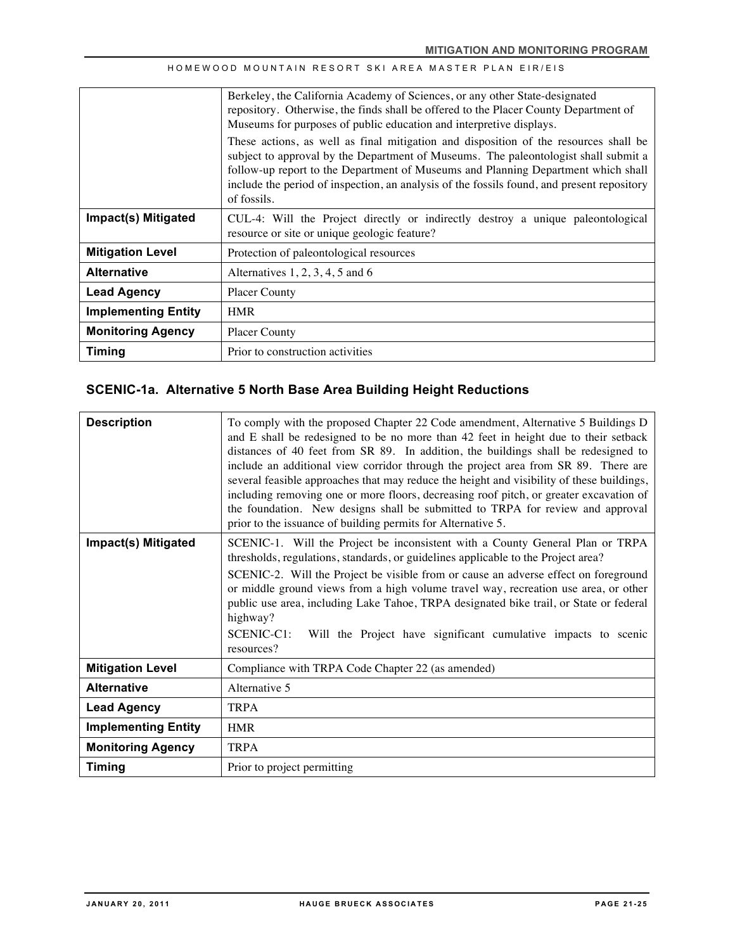|                            | Berkeley, the California Academy of Sciences, or any other State-designated<br>repository. Otherwise, the finds shall be offered to the Placer County Department of<br>Museums for purposes of public education and interpretive displays.<br>These actions, as well as final mitigation and disposition of the resources shall be<br>subject to approval by the Department of Museums. The paleontologist shall submit a<br>follow-up report to the Department of Museums and Planning Department which shall<br>include the period of inspection, an analysis of the fossils found, and present repository<br>of fossils. |
|----------------------------|-----------------------------------------------------------------------------------------------------------------------------------------------------------------------------------------------------------------------------------------------------------------------------------------------------------------------------------------------------------------------------------------------------------------------------------------------------------------------------------------------------------------------------------------------------------------------------------------------------------------------------|
| Impact(s) Mitigated        | CUL-4: Will the Project directly or indirectly destroy a unique paleontological<br>resource or site or unique geologic feature?                                                                                                                                                                                                                                                                                                                                                                                                                                                                                             |
| <b>Mitigation Level</b>    | Protection of paleontological resources                                                                                                                                                                                                                                                                                                                                                                                                                                                                                                                                                                                     |
| <b>Alternative</b>         | Alternatives $1, 2, 3, 4, 5$ and 6                                                                                                                                                                                                                                                                                                                                                                                                                                                                                                                                                                                          |
| <b>Lead Agency</b>         | <b>Placer County</b>                                                                                                                                                                                                                                                                                                                                                                                                                                                                                                                                                                                                        |
| <b>Implementing Entity</b> | <b>HMR</b>                                                                                                                                                                                                                                                                                                                                                                                                                                                                                                                                                                                                                  |
| <b>Monitoring Agency</b>   | <b>Placer County</b>                                                                                                                                                                                                                                                                                                                                                                                                                                                                                                                                                                                                        |
| Timing                     | Prior to construction activities                                                                                                                                                                                                                                                                                                                                                                                                                                                                                                                                                                                            |

## **SCENIC-1a. Alternative 5 North Base Area Building Height Reductions**

| <b>Description</b>         | To comply with the proposed Chapter 22 Code amendment, Alternative 5 Buildings D<br>and E shall be redesigned to be no more than 42 feet in height due to their setback<br>distances of 40 feet from SR 89. In addition, the buildings shall be redesigned to<br>include an additional view corridor through the project area from SR 89. There are<br>several feasible approaches that may reduce the height and visibility of these buildings,<br>including removing one or more floors, decreasing roof pitch, or greater excavation of<br>the foundation. New designs shall be submitted to TRPA for review and approval<br>prior to the issuance of building permits for Alternative 5. |
|----------------------------|----------------------------------------------------------------------------------------------------------------------------------------------------------------------------------------------------------------------------------------------------------------------------------------------------------------------------------------------------------------------------------------------------------------------------------------------------------------------------------------------------------------------------------------------------------------------------------------------------------------------------------------------------------------------------------------------|
| Impact(s) Mitigated        | SCENIC-1. Will the Project be inconsistent with a County General Plan or TRPA<br>thresholds, regulations, standards, or guidelines applicable to the Project area?<br>SCENIC-2. Will the Project be visible from or cause an adverse effect on foreground<br>or middle ground views from a high volume travel way, recreation use area, or other<br>public use area, including Lake Tahoe, TRPA designated bike trail, or State or federal<br>highway?<br>SCENIC-C1:<br>Will the Project have significant cumulative impacts to scenic<br>resources?                                                                                                                                         |
| <b>Mitigation Level</b>    | Compliance with TRPA Code Chapter 22 (as amended)                                                                                                                                                                                                                                                                                                                                                                                                                                                                                                                                                                                                                                            |
| <b>Alternative</b>         | Alternative 5                                                                                                                                                                                                                                                                                                                                                                                                                                                                                                                                                                                                                                                                                |
| <b>Lead Agency</b>         | <b>TRPA</b>                                                                                                                                                                                                                                                                                                                                                                                                                                                                                                                                                                                                                                                                                  |
| <b>Implementing Entity</b> | <b>HMR</b>                                                                                                                                                                                                                                                                                                                                                                                                                                                                                                                                                                                                                                                                                   |
| <b>Monitoring Agency</b>   | <b>TRPA</b>                                                                                                                                                                                                                                                                                                                                                                                                                                                                                                                                                                                                                                                                                  |
| <b>Timing</b>              | Prior to project permitting                                                                                                                                                                                                                                                                                                                                                                                                                                                                                                                                                                                                                                                                  |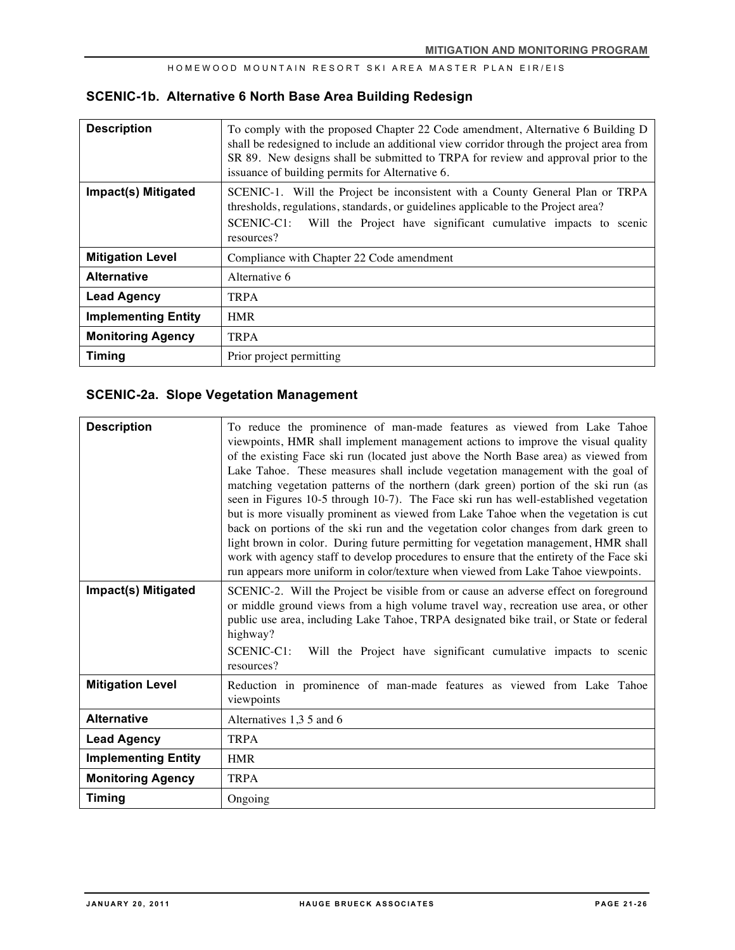### **SCENIC-1b. Alternative 6 North Base Area Building Redesign**

| <b>Description</b>         | To comply with the proposed Chapter 22 Code amendment, Alternative 6 Building D<br>shall be redesigned to include an additional view corridor through the project area from<br>SR 89. New designs shall be submitted to TRPA for review and approval prior to the<br>issuance of building permits for Alternative 6. |
|----------------------------|----------------------------------------------------------------------------------------------------------------------------------------------------------------------------------------------------------------------------------------------------------------------------------------------------------------------|
| Impact(s) Mitigated        | SCENIC-1. Will the Project be inconsistent with a County General Plan or TRPA<br>thresholds, regulations, standards, or guidelines applicable to the Project area?<br>SCENIC-C1: Will the Project have significant cumulative impacts to scenic<br>resources?                                                        |
| <b>Mitigation Level</b>    | Compliance with Chapter 22 Code amendment                                                                                                                                                                                                                                                                            |
| <b>Alternative</b>         | Alternative 6                                                                                                                                                                                                                                                                                                        |
| <b>Lead Agency</b>         | <b>TRPA</b>                                                                                                                                                                                                                                                                                                          |
| <b>Implementing Entity</b> | <b>HMR</b>                                                                                                                                                                                                                                                                                                           |
| <b>Monitoring Agency</b>   | <b>TRPA</b>                                                                                                                                                                                                                                                                                                          |
| <b>Timing</b>              | Prior project permitting                                                                                                                                                                                                                                                                                             |

## **SCENIC-2a. Slope Vegetation Management**

| <b>Description</b>         | To reduce the prominence of man-made features as viewed from Lake Tahoe<br>viewpoints, HMR shall implement management actions to improve the visual quality<br>of the existing Face ski run (located just above the North Base area) as viewed from<br>Lake Tahoe. These measures shall include vegetation management with the goal of<br>matching vegetation patterns of the northern (dark green) portion of the ski run (as<br>seen in Figures 10-5 through 10-7). The Face ski run has well-established vegetation<br>but is more visually prominent as viewed from Lake Tahoe when the vegetation is cut<br>back on portions of the ski run and the vegetation color changes from dark green to<br>light brown in color. During future permitting for vegetation management, HMR shall<br>work with agency staff to develop procedures to ensure that the entirety of the Face ski<br>run appears more uniform in color/texture when viewed from Lake Tahoe viewpoints. |
|----------------------------|------------------------------------------------------------------------------------------------------------------------------------------------------------------------------------------------------------------------------------------------------------------------------------------------------------------------------------------------------------------------------------------------------------------------------------------------------------------------------------------------------------------------------------------------------------------------------------------------------------------------------------------------------------------------------------------------------------------------------------------------------------------------------------------------------------------------------------------------------------------------------------------------------------------------------------------------------------------------------|
| Impact(s) Mitigated        | SCENIC-2. Will the Project be visible from or cause an adverse effect on foreground<br>or middle ground views from a high volume travel way, recreation use area, or other<br>public use area, including Lake Tahoe, TRPA designated bike trail, or State or federal<br>highway?<br>SCENIC-C1: Will the Project have significant cumulative impacts to scenic<br>resources?                                                                                                                                                                                                                                                                                                                                                                                                                                                                                                                                                                                                  |
| <b>Mitigation Level</b>    | Reduction in prominence of man-made features as viewed from Lake Tahoe<br>viewpoints                                                                                                                                                                                                                                                                                                                                                                                                                                                                                                                                                                                                                                                                                                                                                                                                                                                                                         |
| <b>Alternative</b>         | Alternatives 1,3 5 and 6                                                                                                                                                                                                                                                                                                                                                                                                                                                                                                                                                                                                                                                                                                                                                                                                                                                                                                                                                     |
| <b>Lead Agency</b>         | <b>TRPA</b>                                                                                                                                                                                                                                                                                                                                                                                                                                                                                                                                                                                                                                                                                                                                                                                                                                                                                                                                                                  |
| <b>Implementing Entity</b> | <b>HMR</b>                                                                                                                                                                                                                                                                                                                                                                                                                                                                                                                                                                                                                                                                                                                                                                                                                                                                                                                                                                   |
| <b>Monitoring Agency</b>   | <b>TRPA</b>                                                                                                                                                                                                                                                                                                                                                                                                                                                                                                                                                                                                                                                                                                                                                                                                                                                                                                                                                                  |
| <b>Timing</b>              | Ongoing                                                                                                                                                                                                                                                                                                                                                                                                                                                                                                                                                                                                                                                                                                                                                                                                                                                                                                                                                                      |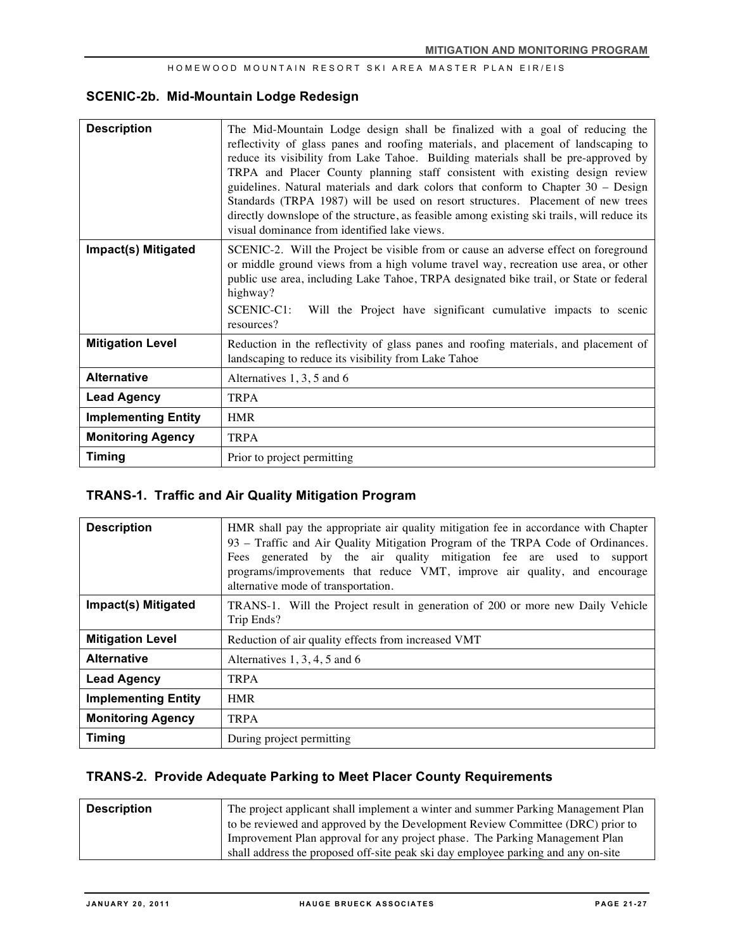## **SCENIC-2b. Mid-Mountain Lodge Redesign**

| <b>Description</b>         | The Mid-Mountain Lodge design shall be finalized with a goal of reducing the<br>reflectivity of glass panes and roofing materials, and placement of landscaping to<br>reduce its visibility from Lake Tahoe. Building materials shall be pre-approved by<br>TRPA and Placer County planning staff consistent with existing design review<br>guidelines. Natural materials and dark colors that conform to Chapter 30 - Design<br>Standards (TRPA 1987) will be used on resort structures. Placement of new trees<br>directly downslope of the structure, as feasible among existing ski trails, will reduce its<br>visual dominance from identified lake views. |
|----------------------------|-----------------------------------------------------------------------------------------------------------------------------------------------------------------------------------------------------------------------------------------------------------------------------------------------------------------------------------------------------------------------------------------------------------------------------------------------------------------------------------------------------------------------------------------------------------------------------------------------------------------------------------------------------------------|
| Impact(s) Mitigated        | SCENIC-2. Will the Project be visible from or cause an adverse effect on foreground<br>or middle ground views from a high volume travel way, recreation use area, or other<br>public use area, including Lake Tahoe, TRPA designated bike trail, or State or federal<br>highway?<br>SCENIC-C1:<br>Will the Project have significant cumulative impacts to scenic<br>resources?                                                                                                                                                                                                                                                                                  |
| <b>Mitigation Level</b>    | Reduction in the reflectivity of glass panes and roofing materials, and placement of<br>landscaping to reduce its visibility from Lake Tahoe                                                                                                                                                                                                                                                                                                                                                                                                                                                                                                                    |
| <b>Alternative</b>         | Alternatives $1, 3, 5$ and 6                                                                                                                                                                                                                                                                                                                                                                                                                                                                                                                                                                                                                                    |
| <b>Lead Agency</b>         | <b>TRPA</b>                                                                                                                                                                                                                                                                                                                                                                                                                                                                                                                                                                                                                                                     |
| <b>Implementing Entity</b> | <b>HMR</b>                                                                                                                                                                                                                                                                                                                                                                                                                                                                                                                                                                                                                                                      |
| <b>Monitoring Agency</b>   | <b>TRPA</b>                                                                                                                                                                                                                                                                                                                                                                                                                                                                                                                                                                                                                                                     |
| <b>Timing</b>              | Prior to project permitting                                                                                                                                                                                                                                                                                                                                                                                                                                                                                                                                                                                                                                     |

### **TRANS-1. Traffic and Air Quality Mitigation Program**

| <b>Description</b>         | HMR shall pay the appropriate air quality mitigation fee in accordance with Chapter<br>93 – Traffic and Air Quality Mitigation Program of the TRPA Code of Ordinances.<br>generated by the air quality mitigation fee are used to support<br>Fees<br>programs/improvements that reduce VMT, improve air quality, and encourage<br>alternative mode of transportation. |
|----------------------------|-----------------------------------------------------------------------------------------------------------------------------------------------------------------------------------------------------------------------------------------------------------------------------------------------------------------------------------------------------------------------|
| Impact(s) Mitigated        | TRANS-1. Will the Project result in generation of 200 or more new Daily Vehicle<br>Trip Ends?                                                                                                                                                                                                                                                                         |
| <b>Mitigation Level</b>    | Reduction of air quality effects from increased VMT                                                                                                                                                                                                                                                                                                                   |
| <b>Alternative</b>         | Alternatives $1, 3, 4, 5$ and 6                                                                                                                                                                                                                                                                                                                                       |
| <b>Lead Agency</b>         | <b>TRPA</b>                                                                                                                                                                                                                                                                                                                                                           |
| <b>Implementing Entity</b> | <b>HMR</b>                                                                                                                                                                                                                                                                                                                                                            |
| <b>Monitoring Agency</b>   | <b>TRPA</b>                                                                                                                                                                                                                                                                                                                                                           |
| <b>Timing</b>              | During project permitting                                                                                                                                                                                                                                                                                                                                             |

## **TRANS-2. Provide Adequate Parking to Meet Placer County Requirements**

| <b>Description</b> | The project applicant shall implement a winter and summer Parking Management Plan |
|--------------------|-----------------------------------------------------------------------------------|
|                    | to be reviewed and approved by the Development Review Committee (DRC) prior to    |
|                    | Improvement Plan approval for any project phase. The Parking Management Plan      |
|                    | shall address the proposed off-site peak ski day employee parking and any on-site |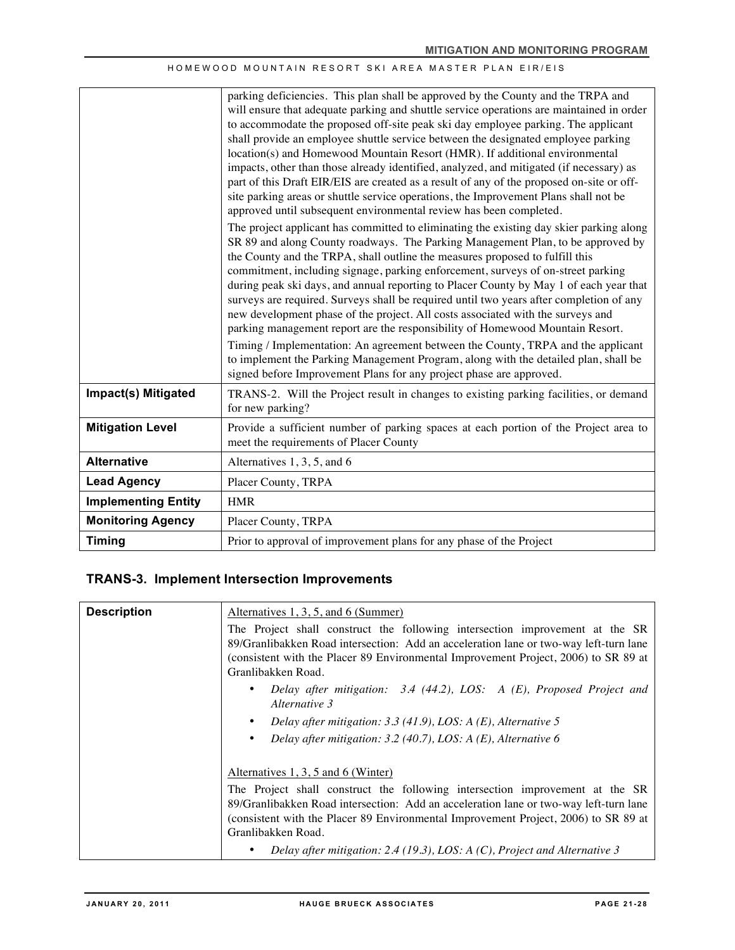|                            | parking deficiencies. This plan shall be approved by the County and the TRPA and<br>will ensure that adequate parking and shuttle service operations are maintained in order<br>to accommodate the proposed off-site peak ski day employee parking. The applicant<br>shall provide an employee shuttle service between the designated employee parking<br>location(s) and Homewood Mountain Resort (HMR). If additional environmental<br>impacts, other than those already identified, analyzed, and mitigated (if necessary) as<br>part of this Draft EIR/EIS are created as a result of any of the proposed on-site or off-<br>site parking areas or shuttle service operations, the Improvement Plans shall not be<br>approved until subsequent environmental review has been completed.<br>The project applicant has committed to eliminating the existing day skier parking along<br>SR 89 and along County roadways. The Parking Management Plan, to be approved by<br>the County and the TRPA, shall outline the measures proposed to fulfill this<br>commitment, including signage, parking enforcement, surveys of on-street parking<br>during peak ski days, and annual reporting to Placer County by May 1 of each year that<br>surveys are required. Surveys shall be required until two years after completion of any<br>new development phase of the project. All costs associated with the surveys and<br>parking management report are the responsibility of Homewood Mountain Resort.<br>Timing / Implementation: An agreement between the County, TRPA and the applicant<br>to implement the Parking Management Program, along with the detailed plan, shall be |
|----------------------------|-----------------------------------------------------------------------------------------------------------------------------------------------------------------------------------------------------------------------------------------------------------------------------------------------------------------------------------------------------------------------------------------------------------------------------------------------------------------------------------------------------------------------------------------------------------------------------------------------------------------------------------------------------------------------------------------------------------------------------------------------------------------------------------------------------------------------------------------------------------------------------------------------------------------------------------------------------------------------------------------------------------------------------------------------------------------------------------------------------------------------------------------------------------------------------------------------------------------------------------------------------------------------------------------------------------------------------------------------------------------------------------------------------------------------------------------------------------------------------------------------------------------------------------------------------------------------------------------------------------------------------------------------------------------------------------|
|                            | signed before Improvement Plans for any project phase are approved.                                                                                                                                                                                                                                                                                                                                                                                                                                                                                                                                                                                                                                                                                                                                                                                                                                                                                                                                                                                                                                                                                                                                                                                                                                                                                                                                                                                                                                                                                                                                                                                                               |
| Impact(s) Mitigated        | TRANS-2. Will the Project result in changes to existing parking facilities, or demand<br>for new parking?                                                                                                                                                                                                                                                                                                                                                                                                                                                                                                                                                                                                                                                                                                                                                                                                                                                                                                                                                                                                                                                                                                                                                                                                                                                                                                                                                                                                                                                                                                                                                                         |
| <b>Mitigation Level</b>    | Provide a sufficient number of parking spaces at each portion of the Project area to<br>meet the requirements of Placer County                                                                                                                                                                                                                                                                                                                                                                                                                                                                                                                                                                                                                                                                                                                                                                                                                                                                                                                                                                                                                                                                                                                                                                                                                                                                                                                                                                                                                                                                                                                                                    |
| <b>Alternative</b>         | Alternatives 1, 3, 5, and 6                                                                                                                                                                                                                                                                                                                                                                                                                                                                                                                                                                                                                                                                                                                                                                                                                                                                                                                                                                                                                                                                                                                                                                                                                                                                                                                                                                                                                                                                                                                                                                                                                                                       |
| <b>Lead Agency</b>         | Placer County, TRPA                                                                                                                                                                                                                                                                                                                                                                                                                                                                                                                                                                                                                                                                                                                                                                                                                                                                                                                                                                                                                                                                                                                                                                                                                                                                                                                                                                                                                                                                                                                                                                                                                                                               |
| <b>Implementing Entity</b> | <b>HMR</b>                                                                                                                                                                                                                                                                                                                                                                                                                                                                                                                                                                                                                                                                                                                                                                                                                                                                                                                                                                                                                                                                                                                                                                                                                                                                                                                                                                                                                                                                                                                                                                                                                                                                        |
| <b>Monitoring Agency</b>   | Placer County, TRPA                                                                                                                                                                                                                                                                                                                                                                                                                                                                                                                                                                                                                                                                                                                                                                                                                                                                                                                                                                                                                                                                                                                                                                                                                                                                                                                                                                                                                                                                                                                                                                                                                                                               |
| <b>Timing</b>              | Prior to approval of improvement plans for any phase of the Project                                                                                                                                                                                                                                                                                                                                                                                                                                                                                                                                                                                                                                                                                                                                                                                                                                                                                                                                                                                                                                                                                                                                                                                                                                                                                                                                                                                                                                                                                                                                                                                                               |

### **TRANS-3. Implement Intersection Improvements**

| <b>Description</b> | Alternatives 1, 3, 5, and 6 (Summer)                                                                                                                                                                                                                                               |
|--------------------|------------------------------------------------------------------------------------------------------------------------------------------------------------------------------------------------------------------------------------------------------------------------------------|
|                    | The Project shall construct the following intersection improvement at the SR<br>89/Granlibakken Road intersection: Add an acceleration lane or two-way left-turn lane<br>(consistent with the Placer 89 Environmental Improvement Project, 2006) to SR 89 at<br>Granlibakken Road. |
|                    | Delay after mitigation: $3.4$ (44.2), LOS: A (E), Proposed Project and<br>Alternative 3                                                                                                                                                                                            |
|                    | Delay after mitigation: $3.3$ (41.9), LOS: A (E), Alternative 5<br>٠                                                                                                                                                                                                               |
|                    | Delay after mitigation: $3.2$ (40.7), LOS: A (E), Alternative 6<br>٠                                                                                                                                                                                                               |
|                    | Alternatives $1, 3, 5$ and 6 (Winter)                                                                                                                                                                                                                                              |
|                    | The Project shall construct the following intersection improvement at the SR<br>89/Granlibakken Road intersection: Add an acceleration lane or two-way left-turn lane<br>(consistent with the Placer 89 Environmental Improvement Project, 2006) to SR 89 at<br>Granlibakken Road. |
|                    | Delay after mitigation: 2.4 (19.3), LOS: A (C), Project and Alternative 3<br>٠                                                                                                                                                                                                     |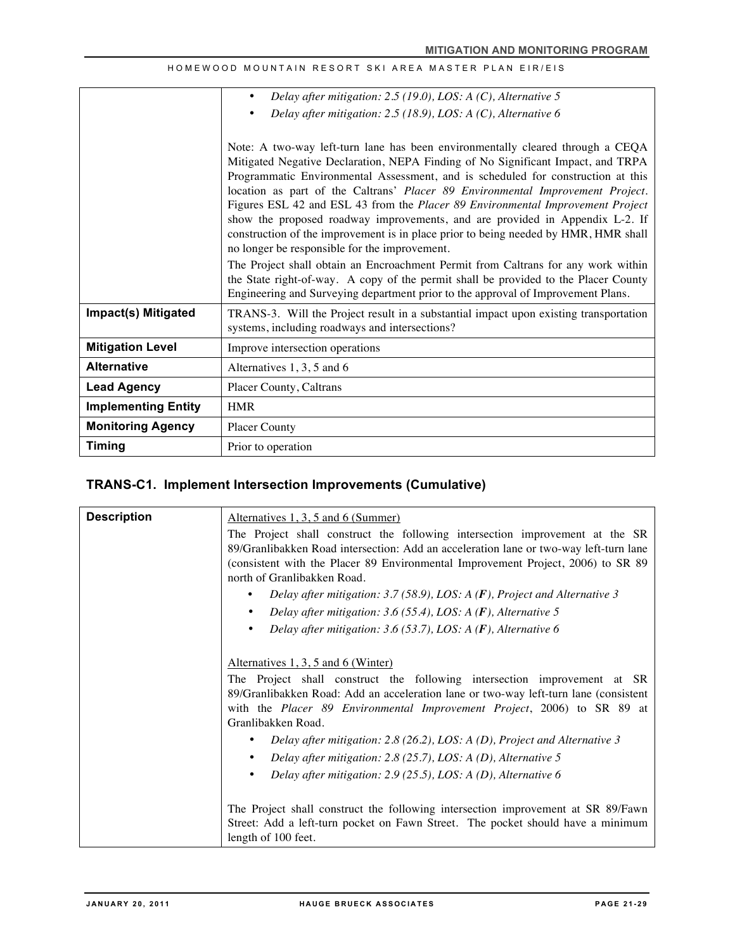|                            | Delay after mitigation: $2.5$ (19.0), LOS: A (C), Alternative 5<br>٠                                                                                                |
|----------------------------|---------------------------------------------------------------------------------------------------------------------------------------------------------------------|
|                            | Delay after mitigation: $2.5$ (18.9), LOS: A (C), Alternative 6                                                                                                     |
|                            |                                                                                                                                                                     |
|                            | Note: A two-way left-turn lane has been environmentally cleared through a CEQA                                                                                      |
|                            | Mitigated Negative Declaration, NEPA Finding of No Significant Impact, and TRPA<br>Programmatic Environmental Assessment, and is scheduled for construction at this |
|                            | location as part of the Caltrans' Placer 89 Environmental Improvement Project.                                                                                      |
|                            | Figures ESL 42 and ESL 43 from the Placer 89 Environmental Improvement Project                                                                                      |
|                            | show the proposed roadway improvements, and are provided in Appendix L-2. If                                                                                        |
|                            | construction of the improvement is in place prior to being needed by HMR, HMR shall<br>no longer be responsible for the improvement.                                |
|                            | The Project shall obtain an Encroachment Permit from Caltrans for any work within                                                                                   |
|                            | the State right-of-way. A copy of the permit shall be provided to the Placer County                                                                                 |
|                            | Engineering and Surveying department prior to the approval of Improvement Plans.                                                                                    |
| Impact(s) Mitigated        | TRANS-3. Will the Project result in a substantial impact upon existing transportation                                                                               |
|                            | systems, including roadways and intersections?                                                                                                                      |
| <b>Mitigation Level</b>    | Improve intersection operations                                                                                                                                     |
| <b>Alternative</b>         | Alternatives 1, 3, 5 and 6                                                                                                                                          |
| <b>Lead Agency</b>         | Placer County, Caltrans                                                                                                                                             |
| <b>Implementing Entity</b> | <b>HMR</b>                                                                                                                                                          |
| <b>Monitoring Agency</b>   | <b>Placer County</b>                                                                                                                                                |
| <b>Timing</b>              | Prior to operation                                                                                                                                                  |

## **TRANS-C1. Implement Intersection Improvements (Cumulative)**

| <b>Description</b> | Alternatives 1, 3, 5 and 6 (Summer)                                                                                                                                                                                                                                                                      |
|--------------------|----------------------------------------------------------------------------------------------------------------------------------------------------------------------------------------------------------------------------------------------------------------------------------------------------------|
|                    | The Project shall construct the following intersection improvement at the SR<br>89/Granlibakken Road intersection: Add an acceleration lane or two-way left-turn lane<br>(consistent with the Placer 89 Environmental Improvement Project, 2006) to SR 89<br>north of Granlibakken Road.                 |
|                    | Delay after mitigation: 3.7 (58.9), LOS: $A(F)$ , Project and Alternative 3<br>٠                                                                                                                                                                                                                         |
|                    | Delay after mitigation: 3.6 (55.4), LOS: $A$ ( $F$ ), Alternative 5<br>٠                                                                                                                                                                                                                                 |
|                    | Delay after mitigation: 3.6 (53.7), LOS: A $(F)$ , Alternative 6<br>٠                                                                                                                                                                                                                                    |
|                    | Alternatives 1, 3, 5 and 6 (Winter)<br>The Project shall construct the following intersection improvement at SR<br>89/Granlibakken Road: Add an acceleration lane or two-way left-turn lane (consistent<br>with the Placer 89 Environmental Improvement Project, 2006) to SR 89 at<br>Granlibakken Road. |
|                    | Delay after mitigation: $2.8$ (26.2), LOS: A (D), Project and Alternative 3<br>$\bullet$                                                                                                                                                                                                                 |
|                    | Delay after mitigation: 2.8 (25.7), LOS: A (D), Alternative 5<br>٠                                                                                                                                                                                                                                       |
|                    | Delay after mitigation: $2.9$ (25.5), LOS: A (D), Alternative 6<br>$\bullet$                                                                                                                                                                                                                             |
|                    | The Project shall construct the following intersection improvement at SR 89/Fawn<br>Street: Add a left-turn pocket on Fawn Street. The pocket should have a minimum<br>length of 100 feet.                                                                                                               |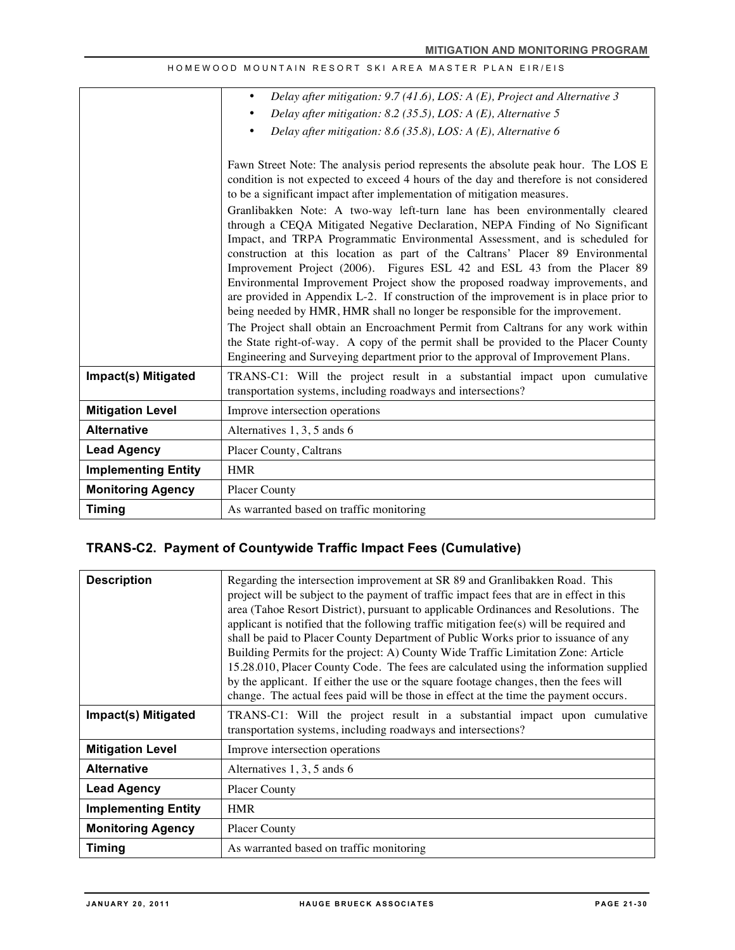|                            | Delay after mitigation: $9.7$ (41.6), LOS: A (E), Project and Alternative 3<br>٠                                                                                                                                                                                                                                                                                                                                                                                                                                                                                                                                                                                                                                                                           |
|----------------------------|------------------------------------------------------------------------------------------------------------------------------------------------------------------------------------------------------------------------------------------------------------------------------------------------------------------------------------------------------------------------------------------------------------------------------------------------------------------------------------------------------------------------------------------------------------------------------------------------------------------------------------------------------------------------------------------------------------------------------------------------------------|
|                            | Delay after mitigation: 8.2 (35.5), LOS: A (E), Alternative 5                                                                                                                                                                                                                                                                                                                                                                                                                                                                                                                                                                                                                                                                                              |
|                            | Delay after mitigation: 8.6 (35.8), LOS: A (E), Alternative 6                                                                                                                                                                                                                                                                                                                                                                                                                                                                                                                                                                                                                                                                                              |
|                            |                                                                                                                                                                                                                                                                                                                                                                                                                                                                                                                                                                                                                                                                                                                                                            |
|                            | Fawn Street Note: The analysis period represents the absolute peak hour. The LOS E                                                                                                                                                                                                                                                                                                                                                                                                                                                                                                                                                                                                                                                                         |
|                            | condition is not expected to exceed 4 hours of the day and therefore is not considered<br>to be a significant impact after implementation of mitigation measures.                                                                                                                                                                                                                                                                                                                                                                                                                                                                                                                                                                                          |
|                            | Granlibakken Note: A two-way left-turn lane has been environmentally cleared<br>through a CEQA Mitigated Negative Declaration, NEPA Finding of No Significant<br>Impact, and TRPA Programmatic Environmental Assessment, and is scheduled for<br>construction at this location as part of the Caltrans' Placer 89 Environmental<br>Improvement Project (2006). Figures ESL 42 and ESL 43 from the Placer 89<br>Environmental Improvement Project show the proposed roadway improvements, and<br>are provided in Appendix L-2. If construction of the improvement is in place prior to<br>being needed by HMR, HMR shall no longer be responsible for the improvement.<br>The Project shall obtain an Encroachment Permit from Caltrans for any work within |
|                            | the State right-of-way. A copy of the permit shall be provided to the Placer County<br>Engineering and Surveying department prior to the approval of Improvement Plans.                                                                                                                                                                                                                                                                                                                                                                                                                                                                                                                                                                                    |
| Impact(s) Mitigated        | TRANS-C1: Will the project result in a substantial impact upon cumulative<br>transportation systems, including roadways and intersections?                                                                                                                                                                                                                                                                                                                                                                                                                                                                                                                                                                                                                 |
| <b>Mitigation Level</b>    | Improve intersection operations                                                                                                                                                                                                                                                                                                                                                                                                                                                                                                                                                                                                                                                                                                                            |
| <b>Alternative</b>         | Alternatives 1, 3, 5 ands 6                                                                                                                                                                                                                                                                                                                                                                                                                                                                                                                                                                                                                                                                                                                                |
| <b>Lead Agency</b>         | Placer County, Caltrans                                                                                                                                                                                                                                                                                                                                                                                                                                                                                                                                                                                                                                                                                                                                    |
| <b>Implementing Entity</b> | <b>HMR</b>                                                                                                                                                                                                                                                                                                                                                                                                                                                                                                                                                                                                                                                                                                                                                 |
| <b>Monitoring Agency</b>   | <b>Placer County</b>                                                                                                                                                                                                                                                                                                                                                                                                                                                                                                                                                                                                                                                                                                                                       |
| <b>Timing</b>              | As warranted based on traffic monitoring                                                                                                                                                                                                                                                                                                                                                                                                                                                                                                                                                                                                                                                                                                                   |

## **TRANS-C2. Payment of Countywide Traffic Impact Fees (Cumulative)**

| <b>Description</b>         | Regarding the intersection improvement at SR 89 and Granlibakken Road. This<br>project will be subject to the payment of traffic impact fees that are in effect in this<br>area (Tahoe Resort District), pursuant to applicable Ordinances and Resolutions. The<br>applicant is notified that the following traffic mitigation fee(s) will be required and<br>shall be paid to Placer County Department of Public Works prior to issuance of any<br>Building Permits for the project: A) County Wide Traffic Limitation Zone: Article<br>15.28.010, Placer County Code. The fees are calculated using the information supplied<br>by the applicant. If either the use or the square footage changes, then the fees will<br>change. The actual fees paid will be those in effect at the time the payment occurs. |
|----------------------------|-----------------------------------------------------------------------------------------------------------------------------------------------------------------------------------------------------------------------------------------------------------------------------------------------------------------------------------------------------------------------------------------------------------------------------------------------------------------------------------------------------------------------------------------------------------------------------------------------------------------------------------------------------------------------------------------------------------------------------------------------------------------------------------------------------------------|
| Impact(s) Mitigated        | TRANS-C1: Will the project result in a substantial impact upon cumulative<br>transportation systems, including roadways and intersections?                                                                                                                                                                                                                                                                                                                                                                                                                                                                                                                                                                                                                                                                      |
| <b>Mitigation Level</b>    | Improve intersection operations                                                                                                                                                                                                                                                                                                                                                                                                                                                                                                                                                                                                                                                                                                                                                                                 |
| <b>Alternative</b>         | Alternatives 1, 3, 5 ands 6                                                                                                                                                                                                                                                                                                                                                                                                                                                                                                                                                                                                                                                                                                                                                                                     |
| <b>Lead Agency</b>         | <b>Placer County</b>                                                                                                                                                                                                                                                                                                                                                                                                                                                                                                                                                                                                                                                                                                                                                                                            |
| <b>Implementing Entity</b> | <b>HMR</b>                                                                                                                                                                                                                                                                                                                                                                                                                                                                                                                                                                                                                                                                                                                                                                                                      |
| <b>Monitoring Agency</b>   | <b>Placer County</b>                                                                                                                                                                                                                                                                                                                                                                                                                                                                                                                                                                                                                                                                                                                                                                                            |
| Timing                     | As warranted based on traffic monitoring                                                                                                                                                                                                                                                                                                                                                                                                                                                                                                                                                                                                                                                                                                                                                                        |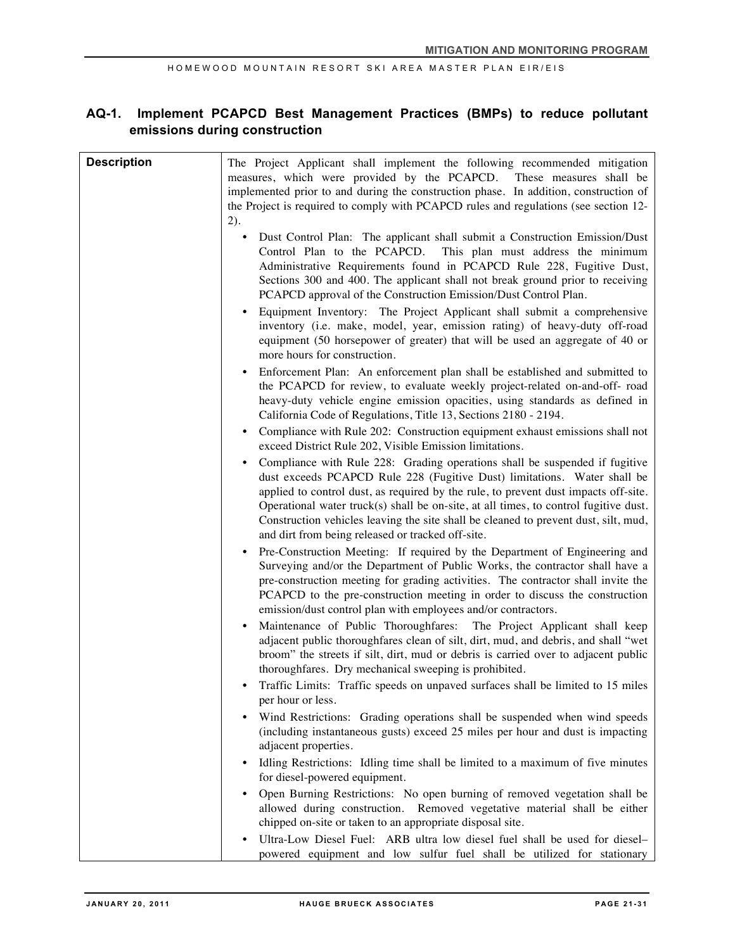## **AQ-1. Implement PCAPCD Best Management Practices (BMPs) to reduce pollutant emissions during construction**

| <b>Description</b> | The Project Applicant shall implement the following recommended mitigation<br>measures, which were provided by the PCAPCD. These measures shall be<br>implemented prior to and during the construction phase. In addition, construction of                                                                                                                                                                                                                                                                                                                                                                                                                                  |
|--------------------|-----------------------------------------------------------------------------------------------------------------------------------------------------------------------------------------------------------------------------------------------------------------------------------------------------------------------------------------------------------------------------------------------------------------------------------------------------------------------------------------------------------------------------------------------------------------------------------------------------------------------------------------------------------------------------|
|                    | the Project is required to comply with PCAPCD rules and regulations (see section 12-<br>2).                                                                                                                                                                                                                                                                                                                                                                                                                                                                                                                                                                                 |
|                    | Dust Control Plan: The applicant shall submit a Construction Emission/Dust<br>$\bullet$<br>Control Plan to the PCAPCD. This plan must address the minimum<br>Administrative Requirements found in PCAPCD Rule 228, Fugitive Dust,<br>Sections 300 and 400. The applicant shall not break ground prior to receiving<br>PCAPCD approval of the Construction Emission/Dust Control Plan.<br>Equipment Inventory: The Project Applicant shall submit a comprehensive<br>$\bullet$<br>inventory (i.e. make, model, year, emission rating) of heavy-duty off-road<br>equipment (50 horsepower of greater) that will be used an aggregate of 40 or<br>more hours for construction. |
|                    | Enforcement Plan: An enforcement plan shall be established and submitted to<br>$\bullet$<br>the PCAPCD for review, to evaluate weekly project-related on-and-off- road<br>heavy-duty vehicle engine emission opacities, using standards as defined in<br>California Code of Regulations, Title 13, Sections 2180 - 2194.                                                                                                                                                                                                                                                                                                                                                    |
|                    | Compliance with Rule 202: Construction equipment exhaust emissions shall not<br>$\bullet$<br>exceed District Rule 202, Visible Emission limitations.                                                                                                                                                                                                                                                                                                                                                                                                                                                                                                                        |
|                    | Compliance with Rule 228: Grading operations shall be suspended if fugitive<br>$\bullet$<br>dust exceeds PCAPCD Rule 228 (Fugitive Dust) limitations. Water shall be<br>applied to control dust, as required by the rule, to prevent dust impacts off-site.<br>Operational water truck(s) shall be on-site, at all times, to control fugitive dust.<br>Construction vehicles leaving the site shall be cleaned to prevent dust, silt, mud,<br>and dirt from being released or tracked off-site.                                                                                                                                                                             |
|                    | Pre-Construction Meeting: If required by the Department of Engineering and<br>$\bullet$<br>Surveying and/or the Department of Public Works, the contractor shall have a<br>pre-construction meeting for grading activities. The contractor shall invite the<br>PCAPCD to the pre-construction meeting in order to discuss the construction<br>emission/dust control plan with employees and/or contractors.                                                                                                                                                                                                                                                                 |
|                    | Maintenance of Public Thoroughfares: The Project Applicant shall keep<br>adjacent public thoroughfares clean of silt, dirt, mud, and debris, and shall "wet<br>broom" the streets if silt, dirt, mud or debris is carried over to adjacent public<br>thoroughfares. Dry mechanical sweeping is prohibited.                                                                                                                                                                                                                                                                                                                                                                  |
|                    | Traffic Limits: Traffic speeds on unpaved surfaces shall be limited to 15 miles<br>per hour or less.                                                                                                                                                                                                                                                                                                                                                                                                                                                                                                                                                                        |
|                    | Wind Restrictions: Grading operations shall be suspended when wind speeds<br>(including instantaneous gusts) exceed 25 miles per hour and dust is impacting<br>adjacent properties.                                                                                                                                                                                                                                                                                                                                                                                                                                                                                         |
|                    | Idling Restrictions: Idling time shall be limited to a maximum of five minutes<br>for diesel-powered equipment.                                                                                                                                                                                                                                                                                                                                                                                                                                                                                                                                                             |
|                    | Open Burning Restrictions: No open burning of removed vegetation shall be<br>allowed during construction. Removed vegetative material shall be either<br>chipped on-site or taken to an appropriate disposal site.                                                                                                                                                                                                                                                                                                                                                                                                                                                          |
|                    | Ultra-Low Diesel Fuel: ARB ultra low diesel fuel shall be used for diesel-<br>$\bullet$<br>powered equipment and low sulfur fuel shall be utilized for stationary                                                                                                                                                                                                                                                                                                                                                                                                                                                                                                           |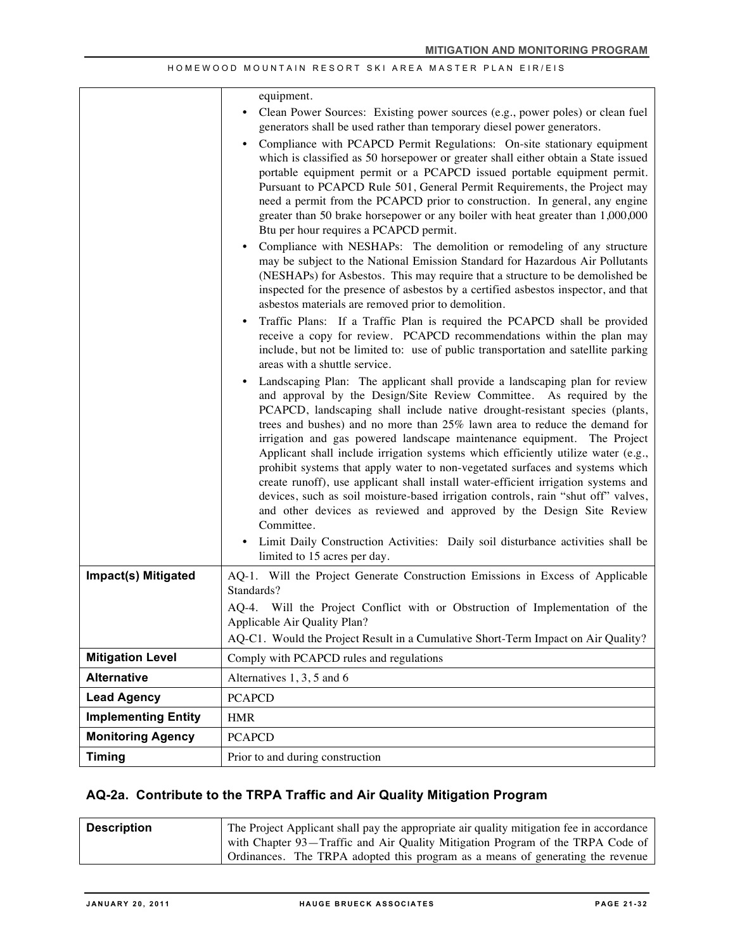|                            | equipment.                                                                                                                                                                                                                                                                                                                                                                                                                                                                                                                                                                                                                                                                                                                                                                                                                                                                                                                                                                     |
|----------------------------|--------------------------------------------------------------------------------------------------------------------------------------------------------------------------------------------------------------------------------------------------------------------------------------------------------------------------------------------------------------------------------------------------------------------------------------------------------------------------------------------------------------------------------------------------------------------------------------------------------------------------------------------------------------------------------------------------------------------------------------------------------------------------------------------------------------------------------------------------------------------------------------------------------------------------------------------------------------------------------|
|                            | Clean Power Sources: Existing power sources (e.g., power poles) or clean fuel<br>$\bullet$<br>generators shall be used rather than temporary diesel power generators.                                                                                                                                                                                                                                                                                                                                                                                                                                                                                                                                                                                                                                                                                                                                                                                                          |
|                            | Compliance with PCAPCD Permit Regulations: On-site stationary equipment<br>which is classified as 50 horsepower or greater shall either obtain a State issued<br>portable equipment permit or a PCAPCD issued portable equipment permit.<br>Pursuant to PCAPCD Rule 501, General Permit Requirements, the Project may<br>need a permit from the PCAPCD prior to construction. In general, any engine<br>greater than 50 brake horsepower or any boiler with heat greater than 1,000,000<br>Btu per hour requires a PCAPCD permit.                                                                                                                                                                                                                                                                                                                                                                                                                                              |
|                            | Compliance with NESHAPs: The demolition or remodeling of any structure<br>$\bullet$<br>may be subject to the National Emission Standard for Hazardous Air Pollutants<br>(NESHAPs) for Asbestos. This may require that a structure to be demolished be<br>inspected for the presence of asbestos by a certified asbestos inspector, and that<br>asbestos materials are removed prior to demolition.                                                                                                                                                                                                                                                                                                                                                                                                                                                                                                                                                                             |
|                            | Traffic Plans: If a Traffic Plan is required the PCAPCD shall be provided<br>$\bullet$<br>receive a copy for review. PCAPCD recommendations within the plan may<br>include, but not be limited to: use of public transportation and satellite parking<br>areas with a shuttle service.                                                                                                                                                                                                                                                                                                                                                                                                                                                                                                                                                                                                                                                                                         |
|                            | Landscaping Plan: The applicant shall provide a landscaping plan for review<br>$\bullet$<br>and approval by the Design/Site Review Committee. As required by the<br>PCAPCD, landscaping shall include native drought-resistant species (plants,<br>trees and bushes) and no more than 25% lawn area to reduce the demand for<br>irrigation and gas powered landscape maintenance equipment. The Project<br>Applicant shall include irrigation systems which efficiently utilize water (e.g.,<br>prohibit systems that apply water to non-vegetated surfaces and systems which<br>create runoff), use applicant shall install water-efficient irrigation systems and<br>devices, such as soil moisture-based irrigation controls, rain "shut off" valves,<br>and other devices as reviewed and approved by the Design Site Review<br>Committee.<br>Limit Daily Construction Activities: Daily soil disturbance activities shall be<br>$\bullet$<br>limited to 15 acres per day. |
| Impact(s) Mitigated        | AQ-1. Will the Project Generate Construction Emissions in Excess of Applicable<br>Standards?                                                                                                                                                                                                                                                                                                                                                                                                                                                                                                                                                                                                                                                                                                                                                                                                                                                                                   |
|                            | AQ-4. Will the Project Conflict with or Obstruction of Implementation of the<br>Applicable Air Quality Plan?<br>AQ-C1. Would the Project Result in a Cumulative Short-Term Impact on Air Quality?                                                                                                                                                                                                                                                                                                                                                                                                                                                                                                                                                                                                                                                                                                                                                                              |
| <b>Mitigation Level</b>    | Comply with PCAPCD rules and regulations                                                                                                                                                                                                                                                                                                                                                                                                                                                                                                                                                                                                                                                                                                                                                                                                                                                                                                                                       |
| <b>Alternative</b>         | Alternatives 1, 3, 5 and 6                                                                                                                                                                                                                                                                                                                                                                                                                                                                                                                                                                                                                                                                                                                                                                                                                                                                                                                                                     |
| <b>Lead Agency</b>         | <b>PCAPCD</b>                                                                                                                                                                                                                                                                                                                                                                                                                                                                                                                                                                                                                                                                                                                                                                                                                                                                                                                                                                  |
| <b>Implementing Entity</b> | <b>HMR</b>                                                                                                                                                                                                                                                                                                                                                                                                                                                                                                                                                                                                                                                                                                                                                                                                                                                                                                                                                                     |
| <b>Monitoring Agency</b>   | <b>PCAPCD</b>                                                                                                                                                                                                                                                                                                                                                                                                                                                                                                                                                                                                                                                                                                                                                                                                                                                                                                                                                                  |
| <b>Timing</b>              | Prior to and during construction                                                                                                                                                                                                                                                                                                                                                                                                                                                                                                                                                                                                                                                                                                                                                                                                                                                                                                                                               |

# **AQ-2a. Contribute to the TRPA Traffic and Air Quality Mitigation Program**

| <b>Description</b> | The Project Applicant shall pay the appropriate air quality mitigation fee in accordance |
|--------------------|------------------------------------------------------------------------------------------|
|                    | with Chapter 93—Traffic and Air Quality Mitigation Program of the TRPA Code of           |
|                    | Ordinances. The TRPA adopted this program as a means of generating the revenue           |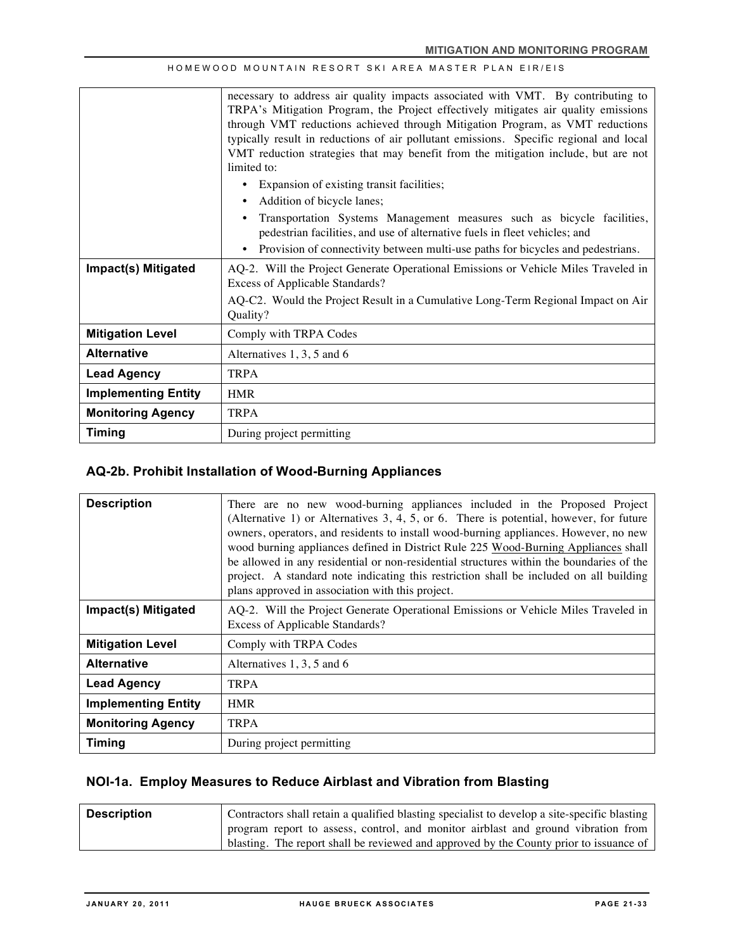|                            | necessary to address air quality impacts associated with VMT. By contributing to             |
|----------------------------|----------------------------------------------------------------------------------------------|
|                            | TRPA's Mitigation Program, the Project effectively mitigates air quality emissions           |
|                            | through VMT reductions achieved through Mitigation Program, as VMT reductions                |
|                            | typically result in reductions of air pollutant emissions. Specific regional and local       |
|                            | VMT reduction strategies that may benefit from the mitigation include, but are not           |
|                            | limited to:                                                                                  |
|                            | Expansion of existing transit facilities;<br>$\bullet$                                       |
|                            | Addition of bicycle lanes;<br>$\bullet$                                                      |
|                            | Transportation Systems Management measures such as bicycle facilities,                       |
|                            | pedestrian facilities, and use of alternative fuels in fleet vehicles; and                   |
|                            | Provision of connectivity between multi-use paths for bicycles and pedestrians.<br>$\bullet$ |
| <b>Impact(s) Mitigated</b> | AQ-2. Will the Project Generate Operational Emissions or Vehicle Miles Traveled in           |
|                            | <b>Excess of Applicable Standards?</b>                                                       |
|                            | AQ-C2. Would the Project Result in a Cumulative Long-Term Regional Impact on Air             |
|                            | Quality?                                                                                     |
| <b>Mitigation Level</b>    | Comply with TRPA Codes                                                                       |
| <b>Alternative</b>         | Alternatives 1, 3, 5 and 6                                                                   |
| <b>Lead Agency</b>         | <b>TRPA</b>                                                                                  |
| <b>Implementing Entity</b> | <b>HMR</b>                                                                                   |
| <b>Monitoring Agency</b>   | <b>TRPA</b>                                                                                  |
| <b>Timing</b>              | During project permitting                                                                    |

## **AQ-2b. Prohibit Installation of Wood-Burning Appliances**

| <b>Description</b>         | There are no new wood-burning appliances included in the Proposed Project<br>(Alternative 1) or Alternatives $3, 4, 5$ , or 6. There is potential, however, for future<br>owners, operators, and residents to install wood-burning appliances. However, no new<br>wood burning appliances defined in District Rule 225 Wood-Burning Appliances shall<br>be allowed in any residential or non-residential structures within the boundaries of the<br>project. A standard note indicating this restriction shall be included on all building<br>plans approved in association with this project. |
|----------------------------|------------------------------------------------------------------------------------------------------------------------------------------------------------------------------------------------------------------------------------------------------------------------------------------------------------------------------------------------------------------------------------------------------------------------------------------------------------------------------------------------------------------------------------------------------------------------------------------------|
| Impact(s) Mitigated        | AQ-2. Will the Project Generate Operational Emissions or Vehicle Miles Traveled in<br><b>Excess of Applicable Standards?</b>                                                                                                                                                                                                                                                                                                                                                                                                                                                                   |
| <b>Mitigation Level</b>    | Comply with TRPA Codes                                                                                                                                                                                                                                                                                                                                                                                                                                                                                                                                                                         |
| <b>Alternative</b>         | Alternatives 1, 3, 5 and 6                                                                                                                                                                                                                                                                                                                                                                                                                                                                                                                                                                     |
| <b>Lead Agency</b>         | <b>TRPA</b>                                                                                                                                                                                                                                                                                                                                                                                                                                                                                                                                                                                    |
| <b>Implementing Entity</b> | <b>HMR</b>                                                                                                                                                                                                                                                                                                                                                                                                                                                                                                                                                                                     |
| <b>Monitoring Agency</b>   | <b>TRPA</b>                                                                                                                                                                                                                                                                                                                                                                                                                                                                                                                                                                                    |
| <b>Timing</b>              | During project permitting                                                                                                                                                                                                                                                                                                                                                                                                                                                                                                                                                                      |

## **NOI-1a. Employ Measures to Reduce Airblast and Vibration from Blasting**

| <b>Description</b> | Contractors shall retain a qualified blasting specialist to develop a site-specific blasting |
|--------------------|----------------------------------------------------------------------------------------------|
|                    | program report to assess, control, and monitor airblast and ground vibration from            |
|                    | blasting. The report shall be reviewed and approved by the County prior to issuance of       |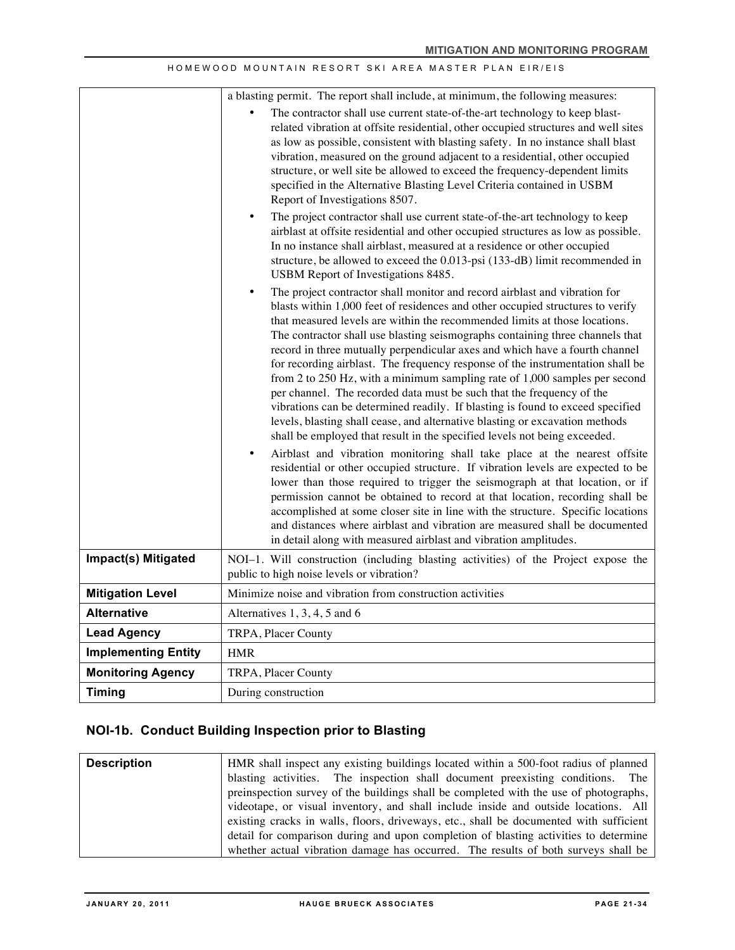|                            | a blasting permit. The report shall include, at minimum, the following measures:                                                                                                                                                                                                                                                                                                                                                                                                                                                                                                                                                                                                                                                                                                                                                                                                                                                                                                                                                                                                                                                                                                                                                                                                                                                                                                                                                                                                                   |
|----------------------------|----------------------------------------------------------------------------------------------------------------------------------------------------------------------------------------------------------------------------------------------------------------------------------------------------------------------------------------------------------------------------------------------------------------------------------------------------------------------------------------------------------------------------------------------------------------------------------------------------------------------------------------------------------------------------------------------------------------------------------------------------------------------------------------------------------------------------------------------------------------------------------------------------------------------------------------------------------------------------------------------------------------------------------------------------------------------------------------------------------------------------------------------------------------------------------------------------------------------------------------------------------------------------------------------------------------------------------------------------------------------------------------------------------------------------------------------------------------------------------------------------|
|                            | The contractor shall use current state-of-the-art technology to keep blast-<br>related vibration at offsite residential, other occupied structures and well sites<br>as low as possible, consistent with blasting safety. In no instance shall blast<br>vibration, measured on the ground adjacent to a residential, other occupied<br>structure, or well site be allowed to exceed the frequency-dependent limits<br>specified in the Alternative Blasting Level Criteria contained in USBM<br>Report of Investigations 8507.                                                                                                                                                                                                                                                                                                                                                                                                                                                                                                                                                                                                                                                                                                                                                                                                                                                                                                                                                                     |
|                            | The project contractor shall use current state-of-the-art technology to keep<br>airblast at offsite residential and other occupied structures as low as possible.<br>In no instance shall airblast, measured at a residence or other occupied<br>structure, be allowed to exceed the 0.013-psi (133-dB) limit recommended in<br>USBM Report of Investigations 8485.                                                                                                                                                                                                                                                                                                                                                                                                                                                                                                                                                                                                                                                                                                                                                                                                                                                                                                                                                                                                                                                                                                                                |
|                            | The project contractor shall monitor and record airblast and vibration for<br>$\bullet$<br>blasts within 1,000 feet of residences and other occupied structures to verify<br>that measured levels are within the recommended limits at those locations.<br>The contractor shall use blasting seismographs containing three channels that<br>record in three mutually perpendicular axes and which have a fourth channel<br>for recording airblast. The frequency response of the instrumentation shall be<br>from 2 to 250 Hz, with a minimum sampling rate of 1,000 samples per second<br>per channel. The recorded data must be such that the frequency of the<br>vibrations can be determined readily. If blasting is found to exceed specified<br>levels, blasting shall cease, and alternative blasting or excavation methods<br>shall be employed that result in the specified levels not being exceeded.<br>Airblast and vibration monitoring shall take place at the nearest offsite<br>$\bullet$<br>residential or other occupied structure. If vibration levels are expected to be<br>lower than those required to trigger the seismograph at that location, or if<br>permission cannot be obtained to record at that location, recording shall be<br>accomplished at some closer site in line with the structure. Specific locations<br>and distances where airblast and vibration are measured shall be documented<br>in detail along with measured airblast and vibration amplitudes. |
| Impact(s) Mitigated        | NOI-1. Will construction (including blasting activities) of the Project expose the<br>public to high noise levels or vibration?                                                                                                                                                                                                                                                                                                                                                                                                                                                                                                                                                                                                                                                                                                                                                                                                                                                                                                                                                                                                                                                                                                                                                                                                                                                                                                                                                                    |
| <b>Mitigation Level</b>    | Minimize noise and vibration from construction activities                                                                                                                                                                                                                                                                                                                                                                                                                                                                                                                                                                                                                                                                                                                                                                                                                                                                                                                                                                                                                                                                                                                                                                                                                                                                                                                                                                                                                                          |
| <b>Alternative</b>         | Alternatives $1, 3, 4, 5$ and 6                                                                                                                                                                                                                                                                                                                                                                                                                                                                                                                                                                                                                                                                                                                                                                                                                                                                                                                                                                                                                                                                                                                                                                                                                                                                                                                                                                                                                                                                    |
| <b>Lead Agency</b>         | TRPA, Placer County                                                                                                                                                                                                                                                                                                                                                                                                                                                                                                                                                                                                                                                                                                                                                                                                                                                                                                                                                                                                                                                                                                                                                                                                                                                                                                                                                                                                                                                                                |
| <b>Implementing Entity</b> | <b>HMR</b>                                                                                                                                                                                                                                                                                                                                                                                                                                                                                                                                                                                                                                                                                                                                                                                                                                                                                                                                                                                                                                                                                                                                                                                                                                                                                                                                                                                                                                                                                         |
| <b>Monitoring Agency</b>   | TRPA, Placer County                                                                                                                                                                                                                                                                                                                                                                                                                                                                                                                                                                                                                                                                                                                                                                                                                                                                                                                                                                                                                                                                                                                                                                                                                                                                                                                                                                                                                                                                                |
| Timing                     | During construction                                                                                                                                                                                                                                                                                                                                                                                                                                                                                                                                                                                                                                                                                                                                                                                                                                                                                                                                                                                                                                                                                                                                                                                                                                                                                                                                                                                                                                                                                |

## **NOI-1b. Conduct Building Inspection prior to Blasting**

| <b>Description</b> | HMR shall inspect any existing buildings located within a 500-foot radius of planned<br>blasting activities. The inspection shall document preexisting conditions. The |
|--------------------|------------------------------------------------------------------------------------------------------------------------------------------------------------------------|
|                    | preinspection survey of the buildings shall be completed with the use of photographs,                                                                                  |
|                    | videotape, or visual inventory, and shall include inside and outside locations. All                                                                                    |
|                    | existing cracks in walls, floors, driveways, etc., shall be documented with sufficient                                                                                 |
|                    | detail for comparison during and upon completion of blasting activities to determine                                                                                   |
|                    | whether actual vibration damage has occurred. The results of both surveys shall be                                                                                     |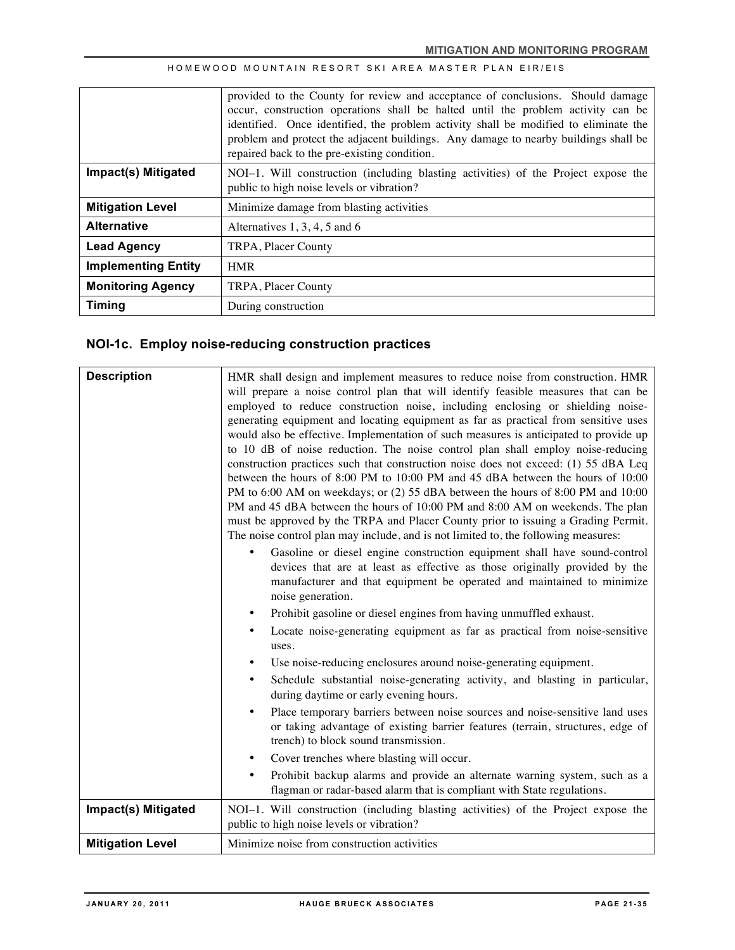|                            | provided to the County for review and acceptance of conclusions. Should damage<br>occur, construction operations shall be halted until the problem activity can be<br>identified. Once identified, the problem activity shall be modified to eliminate the<br>problem and protect the adjacent buildings. Any damage to nearby buildings shall be<br>repaired back to the pre-existing condition. |
|----------------------------|---------------------------------------------------------------------------------------------------------------------------------------------------------------------------------------------------------------------------------------------------------------------------------------------------------------------------------------------------------------------------------------------------|
| Impact(s) Mitigated        | NOI-1. Will construction (including blasting activities) of the Project expose the<br>public to high noise levels or vibration?                                                                                                                                                                                                                                                                   |
| <b>Mitigation Level</b>    | Minimize damage from blasting activities                                                                                                                                                                                                                                                                                                                                                          |
| <b>Alternative</b>         | Alternatives $1, 3, 4, 5$ and 6                                                                                                                                                                                                                                                                                                                                                                   |
| <b>Lead Agency</b>         | TRPA, Placer County                                                                                                                                                                                                                                                                                                                                                                               |
| <b>Implementing Entity</b> | <b>HMR</b>                                                                                                                                                                                                                                                                                                                                                                                        |
| <b>Monitoring Agency</b>   | TRPA, Placer County                                                                                                                                                                                                                                                                                                                                                                               |
| <b>Timing</b>              | During construction                                                                                                                                                                                                                                                                                                                                                                               |

## **NOI-1c. Employ noise-reducing construction practices**

| <b>Description</b>      | HMR shall design and implement measures to reduce noise from construction. HMR<br>will prepare a noise control plan that will identify feasible measures that can be<br>employed to reduce construction noise, including enclosing or shielding noise-<br>generating equipment and locating equipment as far as practical from sensitive uses<br>would also be effective. Implementation of such measures is anticipated to provide up<br>to 10 dB of noise reduction. The noise control plan shall employ noise-reducing<br>construction practices such that construction noise does not exceed: (1) 55 dBA Leq<br>between the hours of 8:00 PM to 10:00 PM and 45 dBA between the hours of 10:00<br>PM to 6:00 AM on weekdays; or (2) 55 dBA between the hours of 8:00 PM and 10:00<br>PM and 45 dBA between the hours of 10:00 PM and 8:00 AM on weekends. The plan<br>must be approved by the TRPA and Placer County prior to issuing a Grading Permit.<br>The noise control plan may include, and is not limited to, the following measures:<br>Gasoline or diesel engine construction equipment shall have sound-control<br>$\bullet$<br>devices that are at least as effective as those originally provided by the<br>manufacturer and that equipment be operated and maintained to minimize<br>noise generation.<br>Prohibit gasoline or diesel engines from having unmuffled exhaust.<br>$\bullet$<br>Locate noise-generating equipment as far as practical from noise-sensitive<br>٠<br>uses.<br>Use noise-reducing enclosures around noise-generating equipment.<br>$\bullet$<br>Schedule substantial noise-generating activity, and blasting in particular,<br>$\bullet$<br>during daytime or early evening hours.<br>Place temporary barriers between noise sources and noise-sensitive land uses<br>$\bullet$<br>or taking advantage of existing barrier features (terrain, structures, edge of<br>trench) to block sound transmission.<br>Cover trenches where blasting will occur.<br>$\bullet$<br>Prohibit backup alarms and provide an alternate warning system, such as a<br>٠ |
|-------------------------|---------------------------------------------------------------------------------------------------------------------------------------------------------------------------------------------------------------------------------------------------------------------------------------------------------------------------------------------------------------------------------------------------------------------------------------------------------------------------------------------------------------------------------------------------------------------------------------------------------------------------------------------------------------------------------------------------------------------------------------------------------------------------------------------------------------------------------------------------------------------------------------------------------------------------------------------------------------------------------------------------------------------------------------------------------------------------------------------------------------------------------------------------------------------------------------------------------------------------------------------------------------------------------------------------------------------------------------------------------------------------------------------------------------------------------------------------------------------------------------------------------------------------------------------------------------------------------------------------------------------------------------------------------------------------------------------------------------------------------------------------------------------------------------------------------------------------------------------------------------------------------------------------------------------------------------------------------------------------------------------------------------------------------------------------------------------------------------------------|
|                         | flagman or radar-based alarm that is compliant with State regulations.                                                                                                                                                                                                                                                                                                                                                                                                                                                                                                                                                                                                                                                                                                                                                                                                                                                                                                                                                                                                                                                                                                                                                                                                                                                                                                                                                                                                                                                                                                                                                                                                                                                                                                                                                                                                                                                                                                                                                                                                                            |
| Impact(s) Mitigated     | NOI-1. Will construction (including blasting activities) of the Project expose the<br>public to high noise levels or vibration?                                                                                                                                                                                                                                                                                                                                                                                                                                                                                                                                                                                                                                                                                                                                                                                                                                                                                                                                                                                                                                                                                                                                                                                                                                                                                                                                                                                                                                                                                                                                                                                                                                                                                                                                                                                                                                                                                                                                                                   |
| <b>Mitigation Level</b> | Minimize noise from construction activities                                                                                                                                                                                                                                                                                                                                                                                                                                                                                                                                                                                                                                                                                                                                                                                                                                                                                                                                                                                                                                                                                                                                                                                                                                                                                                                                                                                                                                                                                                                                                                                                                                                                                                                                                                                                                                                                                                                                                                                                                                                       |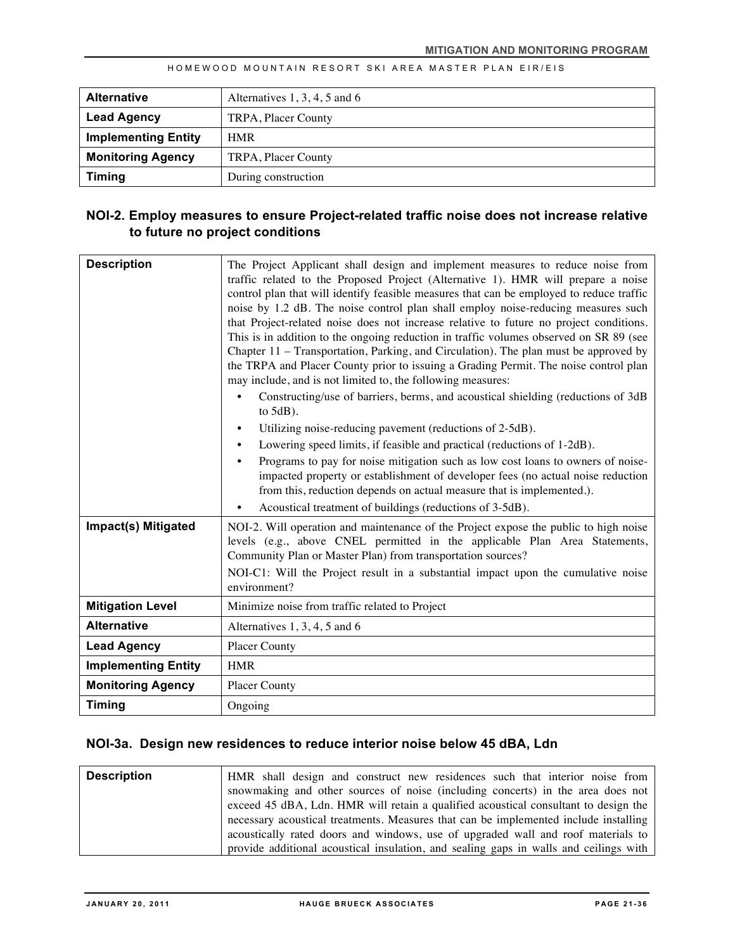| <b>Alternative</b>         | Alternatives $1, 3, 4, 5$ and 6 |
|----------------------------|---------------------------------|
| <b>Lead Agency</b>         | TRPA, Placer County             |
| <b>Implementing Entity</b> | <b>HMR</b>                      |
| <b>Monitoring Agency</b>   | TRPA, Placer County             |
| <b>Timing</b>              | During construction             |

## **NOI-2. Employ measures to ensure Project-related traffic noise does not increase relative to future no project conditions**

| <b>Description</b>         | The Project Applicant shall design and implement measures to reduce noise from<br>traffic related to the Proposed Project (Alternative 1). HMR will prepare a noise<br>control plan that will identify feasible measures that can be employed to reduce traffic<br>noise by 1.2 dB. The noise control plan shall employ noise-reducing measures such<br>that Project-related noise does not increase relative to future no project conditions.<br>This is in addition to the ongoing reduction in traffic volumes observed on SR 89 (see<br>Chapter 11 – Transportation, Parking, and Circulation). The plan must be approved by<br>the TRPA and Placer County prior to issuing a Grading Permit. The noise control plan<br>may include, and is not limited to, the following measures:<br>Constructing/use of barriers, berms, and acoustical shielding (reductions of 3dB<br>to $5dB$ ).<br>Utilizing noise-reducing pavement (reductions of 2-5dB).<br>Lowering speed limits, if feasible and practical (reductions of 1-2dB).<br>Programs to pay for noise mitigation such as low cost loans to owners of noise-<br>impacted property or establishment of developer fees (no actual noise reduction<br>from this, reduction depends on actual measure that is implemented.).<br>Acoustical treatment of buildings (reductions of 3-5dB). |
|----------------------------|----------------------------------------------------------------------------------------------------------------------------------------------------------------------------------------------------------------------------------------------------------------------------------------------------------------------------------------------------------------------------------------------------------------------------------------------------------------------------------------------------------------------------------------------------------------------------------------------------------------------------------------------------------------------------------------------------------------------------------------------------------------------------------------------------------------------------------------------------------------------------------------------------------------------------------------------------------------------------------------------------------------------------------------------------------------------------------------------------------------------------------------------------------------------------------------------------------------------------------------------------------------------------------------------------------------------------------------------|
| Impact(s) Mitigated        | NOI-2. Will operation and maintenance of the Project expose the public to high noise<br>levels (e.g., above CNEL permitted in the applicable Plan Area Statements,<br>Community Plan or Master Plan) from transportation sources?<br>NOI-C1: Will the Project result in a substantial impact upon the cumulative noise<br>environment?                                                                                                                                                                                                                                                                                                                                                                                                                                                                                                                                                                                                                                                                                                                                                                                                                                                                                                                                                                                                       |
| <b>Mitigation Level</b>    | Minimize noise from traffic related to Project                                                                                                                                                                                                                                                                                                                                                                                                                                                                                                                                                                                                                                                                                                                                                                                                                                                                                                                                                                                                                                                                                                                                                                                                                                                                                               |
| <b>Alternative</b>         | Alternatives $1, 3, 4, 5$ and 6                                                                                                                                                                                                                                                                                                                                                                                                                                                                                                                                                                                                                                                                                                                                                                                                                                                                                                                                                                                                                                                                                                                                                                                                                                                                                                              |
| <b>Lead Agency</b>         | <b>Placer County</b>                                                                                                                                                                                                                                                                                                                                                                                                                                                                                                                                                                                                                                                                                                                                                                                                                                                                                                                                                                                                                                                                                                                                                                                                                                                                                                                         |
| <b>Implementing Entity</b> | <b>HMR</b>                                                                                                                                                                                                                                                                                                                                                                                                                                                                                                                                                                                                                                                                                                                                                                                                                                                                                                                                                                                                                                                                                                                                                                                                                                                                                                                                   |
| <b>Monitoring Agency</b>   | <b>Placer County</b>                                                                                                                                                                                                                                                                                                                                                                                                                                                                                                                                                                                                                                                                                                                                                                                                                                                                                                                                                                                                                                                                                                                                                                                                                                                                                                                         |
| <b>Timing</b>              | Ongoing                                                                                                                                                                                                                                                                                                                                                                                                                                                                                                                                                                                                                                                                                                                                                                                                                                                                                                                                                                                                                                                                                                                                                                                                                                                                                                                                      |

### **NOI-3a. Design new residences to reduce interior noise below 45 dBA, Ldn**

| <b>Description</b> | HMR shall design and construct new residences such that interior noise from           |
|--------------------|---------------------------------------------------------------------------------------|
|                    | snowmaking and other sources of noise (including concerts) in the area does not       |
|                    | exceed 45 dBA, Ldn. HMR will retain a qualified acoustical consultant to design the   |
|                    | necessary acoustical treatments. Measures that can be implemented include installing  |
|                    | acoustically rated doors and windows, use of upgraded wall and roof materials to      |
|                    | provide additional acoustical insulation, and sealing gaps in walls and ceilings with |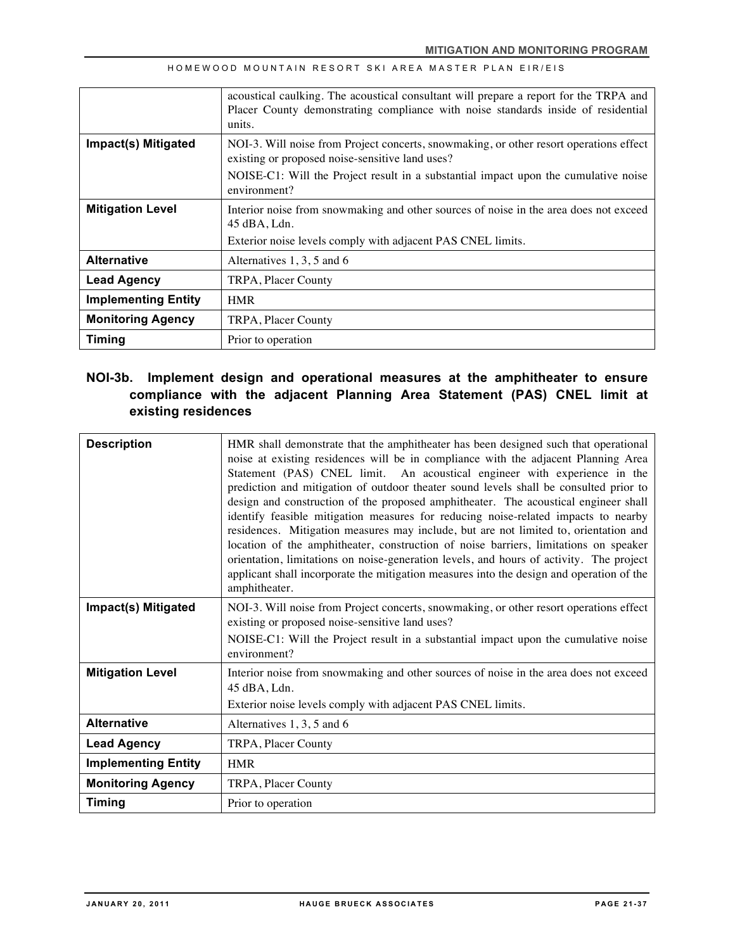|                            | acoustical caulking. The acoustical consultant will prepare a report for the TRPA and<br>Placer County demonstrating compliance with noise standards inside of residential<br>units. |
|----------------------------|--------------------------------------------------------------------------------------------------------------------------------------------------------------------------------------|
| Impact(s) Mitigated        | NOI-3. Will noise from Project concerts, snowmaking, or other resort operations effect<br>existing or proposed noise-sensitive land uses?                                            |
|                            | NOISE-C1: Will the Project result in a substantial impact upon the cumulative noise<br>environment?                                                                                  |
| <b>Mitigation Level</b>    | Interior noise from snowmaking and other sources of noise in the area does not exceed<br>$45$ dBA, Ldn.                                                                              |
|                            | Exterior noise levels comply with adjacent PAS CNEL limits.                                                                                                                          |
| <b>Alternative</b>         | Alternatives $1, 3, 5$ and 6                                                                                                                                                         |
| <b>Lead Agency</b>         | TRPA, Placer County                                                                                                                                                                  |
| <b>Implementing Entity</b> | <b>HMR</b>                                                                                                                                                                           |
| <b>Monitoring Agency</b>   | TRPA, Placer County                                                                                                                                                                  |
| <b>Timing</b>              | Prior to operation                                                                                                                                                                   |

## **NOI-3b. Implement design and operational measures at the amphitheater to ensure compliance with the adjacent Planning Area Statement (PAS) CNEL limit at existing residences**

| <b>Description</b>         | HMR shall demonstrate that the amphitheater has been designed such that operational<br>noise at existing residences will be in compliance with the adjacent Planning Area<br>Statement (PAS) CNEL limit. An acoustical engineer with experience in the<br>prediction and mitigation of outdoor theater sound levels shall be consulted prior to<br>design and construction of the proposed amphitheater. The acoustical engineer shall<br>identify feasible mitigation measures for reducing noise-related impacts to nearby<br>residences. Mitigation measures may include, but are not limited to, orientation and<br>location of the amphitheater, construction of noise barriers, limitations on speaker<br>orientation, limitations on noise-generation levels, and hours of activity. The project<br>applicant shall incorporate the mitigation measures into the design and operation of the<br>amphitheater. |
|----------------------------|----------------------------------------------------------------------------------------------------------------------------------------------------------------------------------------------------------------------------------------------------------------------------------------------------------------------------------------------------------------------------------------------------------------------------------------------------------------------------------------------------------------------------------------------------------------------------------------------------------------------------------------------------------------------------------------------------------------------------------------------------------------------------------------------------------------------------------------------------------------------------------------------------------------------|
| Impact(s) Mitigated        | NOI-3. Will noise from Project concerts, snowmaking, or other resort operations effect<br>existing or proposed noise-sensitive land uses?<br>NOISE-C1: Will the Project result in a substantial impact upon the cumulative noise<br>environment?                                                                                                                                                                                                                                                                                                                                                                                                                                                                                                                                                                                                                                                                     |
| <b>Mitigation Level</b>    | Interior noise from snowmaking and other sources of noise in the area does not exceed<br>45 dBA, Ldn.<br>Exterior noise levels comply with adjacent PAS CNEL limits.                                                                                                                                                                                                                                                                                                                                                                                                                                                                                                                                                                                                                                                                                                                                                 |
| <b>Alternative</b>         | Alternatives 1, 3, 5 and 6                                                                                                                                                                                                                                                                                                                                                                                                                                                                                                                                                                                                                                                                                                                                                                                                                                                                                           |
| <b>Lead Agency</b>         | TRPA, Placer County                                                                                                                                                                                                                                                                                                                                                                                                                                                                                                                                                                                                                                                                                                                                                                                                                                                                                                  |
| <b>Implementing Entity</b> | <b>HMR</b>                                                                                                                                                                                                                                                                                                                                                                                                                                                                                                                                                                                                                                                                                                                                                                                                                                                                                                           |
| <b>Monitoring Agency</b>   | TRPA, Placer County                                                                                                                                                                                                                                                                                                                                                                                                                                                                                                                                                                                                                                                                                                                                                                                                                                                                                                  |
| <b>Timing</b>              | Prior to operation                                                                                                                                                                                                                                                                                                                                                                                                                                                                                                                                                                                                                                                                                                                                                                                                                                                                                                   |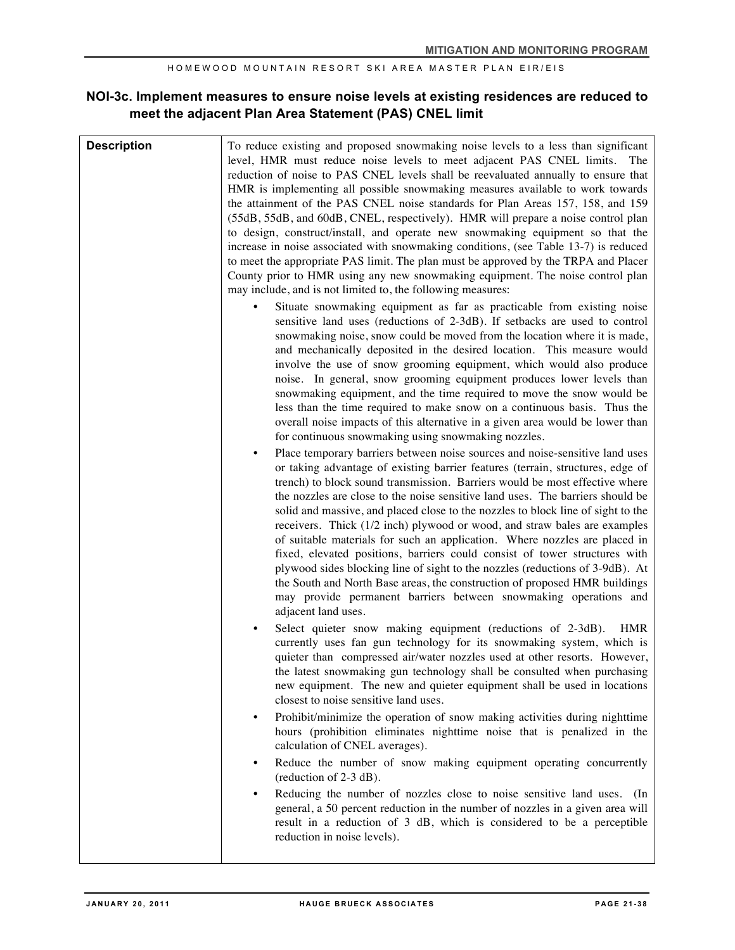### **NOI-3c. Implement measures to ensure noise levels at existing residences are reduced to meet the adjacent Plan Area Statement (PAS) CNEL limit**

| <b>Description</b> | To reduce existing and proposed snowmaking noise levels to a less than significant<br>level, HMR must reduce noise levels to meet adjacent PAS CNEL limits.<br>The<br>reduction of noise to PAS CNEL levels shall be reevaluated annually to ensure that<br>HMR is implementing all possible snowmaking measures available to work towards<br>the attainment of the PAS CNEL noise standards for Plan Areas 157, 158, and 159<br>(55dB, 55dB, and 60dB, CNEL, respectively). HMR will prepare a noise control plan<br>to design, construct/install, and operate new snowmaking equipment so that the<br>increase in noise associated with snowmaking conditions, (see Table 13-7) is reduced<br>to meet the appropriate PAS limit. The plan must be approved by the TRPA and Placer<br>County prior to HMR using any new snowmaking equipment. The noise control plan<br>may include, and is not limited to, the following measures:<br>Situate snowmaking equipment as far as practicable from existing noise<br>sensitive land uses (reductions of 2-3dB). If setbacks are used to control<br>snowmaking noise, snow could be moved from the location where it is made, |
|--------------------|---------------------------------------------------------------------------------------------------------------------------------------------------------------------------------------------------------------------------------------------------------------------------------------------------------------------------------------------------------------------------------------------------------------------------------------------------------------------------------------------------------------------------------------------------------------------------------------------------------------------------------------------------------------------------------------------------------------------------------------------------------------------------------------------------------------------------------------------------------------------------------------------------------------------------------------------------------------------------------------------------------------------------------------------------------------------------------------------------------------------------------------------------------------------------|
|                    | and mechanically deposited in the desired location. This measure would<br>involve the use of snow grooming equipment, which would also produce<br>noise. In general, snow grooming equipment produces lower levels than<br>snowmaking equipment, and the time required to move the snow would be<br>less than the time required to make snow on a continuous basis. Thus the<br>overall noise impacts of this alternative in a given area would be lower than<br>for continuous snowmaking using snowmaking nozzles.                                                                                                                                                                                                                                                                                                                                                                                                                                                                                                                                                                                                                                                      |
|                    | Place temporary barriers between noise sources and noise-sensitive land uses<br>or taking advantage of existing barrier features (terrain, structures, edge of<br>trench) to block sound transmission. Barriers would be most effective where<br>the nozzles are close to the noise sensitive land uses. The barriers should be<br>solid and massive, and placed close to the nozzles to block line of sight to the<br>receivers. Thick (1/2 inch) plywood or wood, and straw bales are examples<br>of suitable materials for such an application. Where nozzles are placed in<br>fixed, elevated positions, barriers could consist of tower structures with<br>plywood sides blocking line of sight to the nozzles (reductions of 3-9dB). At<br>the South and North Base areas, the construction of proposed HMR buildings<br>may provide permanent barriers between snowmaking operations and<br>adjacent land uses.                                                                                                                                                                                                                                                    |
|                    | Select quieter snow making equipment (reductions of 2-3dB).<br>HMR<br>currently uses fan gun technology for its snowmaking system, which is<br>quieter than compressed air/water nozzles used at other resorts. However,<br>the latest snowmaking gun technology shall be consulted when purchasing<br>new equipment. The new and quieter equipment shall be used in locations<br>closest to noise sensitive land uses.                                                                                                                                                                                                                                                                                                                                                                                                                                                                                                                                                                                                                                                                                                                                                   |
|                    | Prohibit/minimize the operation of snow making activities during nighttime<br>$\bullet$<br>hours (prohibition eliminates nighttime noise that is penalized in the<br>calculation of CNEL averages).<br>Reduce the number of snow making equipment operating concurrently<br>$\bullet$                                                                                                                                                                                                                                                                                                                                                                                                                                                                                                                                                                                                                                                                                                                                                                                                                                                                                     |
|                    | (reduction of 2-3 dB).<br>Reducing the number of nozzles close to noise sensitive land uses. (In<br>$\bullet$<br>general, a 50 percent reduction in the number of nozzles in a given area will<br>result in a reduction of 3 dB, which is considered to be a perceptible<br>reduction in noise levels).                                                                                                                                                                                                                                                                                                                                                                                                                                                                                                                                                                                                                                                                                                                                                                                                                                                                   |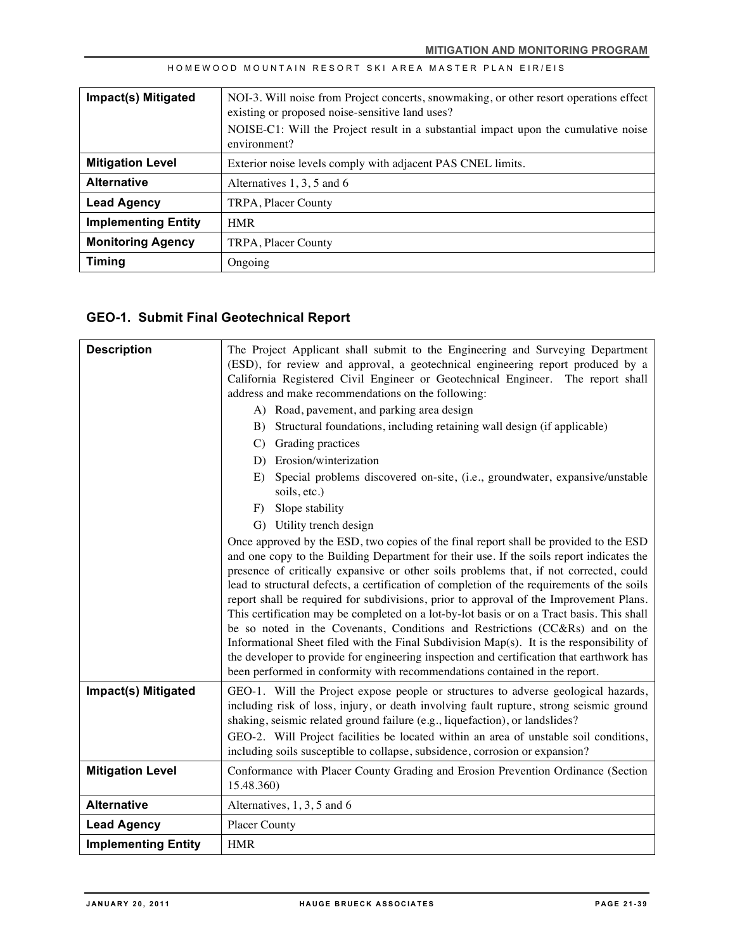| Impact(s) Mitigated        | NOI-3. Will noise from Project concerts, snowmaking, or other resort operations effect<br>existing or proposed noise-sensitive land uses?<br>NOISE-C1: Will the Project result in a substantial impact upon the cumulative noise<br>environment? |
|----------------------------|--------------------------------------------------------------------------------------------------------------------------------------------------------------------------------------------------------------------------------------------------|
| <b>Mitigation Level</b>    | Exterior noise levels comply with adjacent PAS CNEL limits.                                                                                                                                                                                      |
| <b>Alternative</b>         | Alternatives $1, 3, 5$ and 6                                                                                                                                                                                                                     |
| <b>Lead Agency</b>         | TRPA, Placer County                                                                                                                                                                                                                              |
| <b>Implementing Entity</b> | <b>HMR</b>                                                                                                                                                                                                                                       |
| <b>Monitoring Agency</b>   | TRPA, Placer County                                                                                                                                                                                                                              |
| Timing                     | Ongoing                                                                                                                                                                                                                                          |

## **GEO-1. Submit Final Geotechnical Report**

| <b>Description</b>         | The Project Applicant shall submit to the Engineering and Surveying Department<br>(ESD), for review and approval, a geotechnical engineering report produced by a<br>California Registered Civil Engineer or Geotechnical Engineer. The report shall<br>address and make recommendations on the following:<br>A) Road, pavement, and parking area design<br>B) Structural foundations, including retaining wall design (if applicable)<br>C) Grading practices<br>D) Erosion/winterization<br>$E$ )<br>Special problems discovered on-site, (i.e., groundwater, expansive/unstable<br>soils, etc.)<br>F) Slope stability<br>G) Utility trench design<br>Once approved by the ESD, two copies of the final report shall be provided to the ESD<br>and one copy to the Building Department for their use. If the soils report indicates the<br>presence of critically expansive or other soils problems that, if not corrected, could<br>lead to structural defects, a certification of completion of the requirements of the soils<br>report shall be required for subdivisions, prior to approval of the Improvement Plans.<br>This certification may be completed on a lot-by-lot basis or on a Tract basis. This shall<br>be so noted in the Covenants, Conditions and Restrictions (CC&Rs) and on the<br>Informational Sheet filed with the Final Subdivision Map(s). It is the responsibility of<br>the developer to provide for engineering inspection and certification that earthwork has<br>been performed in conformity with recommendations contained in the report. |
|----------------------------|--------------------------------------------------------------------------------------------------------------------------------------------------------------------------------------------------------------------------------------------------------------------------------------------------------------------------------------------------------------------------------------------------------------------------------------------------------------------------------------------------------------------------------------------------------------------------------------------------------------------------------------------------------------------------------------------------------------------------------------------------------------------------------------------------------------------------------------------------------------------------------------------------------------------------------------------------------------------------------------------------------------------------------------------------------------------------------------------------------------------------------------------------------------------------------------------------------------------------------------------------------------------------------------------------------------------------------------------------------------------------------------------------------------------------------------------------------------------------------------------------------------------------------------------------------------------------------|
| Impact(s) Mitigated        | GEO-1. Will the Project expose people or structures to adverse geological hazards,<br>including risk of loss, injury, or death involving fault rupture, strong seismic ground<br>shaking, seismic related ground failure (e.g., liquefaction), or landslides?<br>GEO-2. Will Project facilities be located within an area of unstable soil conditions,<br>including soils susceptible to collapse, subsidence, corrosion or expansion?                                                                                                                                                                                                                                                                                                                                                                                                                                                                                                                                                                                                                                                                                                                                                                                                                                                                                                                                                                                                                                                                                                                                         |
| <b>Mitigation Level</b>    | Conformance with Placer County Grading and Erosion Prevention Ordinance (Section<br>15.48.360)                                                                                                                                                                                                                                                                                                                                                                                                                                                                                                                                                                                                                                                                                                                                                                                                                                                                                                                                                                                                                                                                                                                                                                                                                                                                                                                                                                                                                                                                                 |
| <b>Alternative</b>         | Alternatives, 1, 3, 5 and 6                                                                                                                                                                                                                                                                                                                                                                                                                                                                                                                                                                                                                                                                                                                                                                                                                                                                                                                                                                                                                                                                                                                                                                                                                                                                                                                                                                                                                                                                                                                                                    |
| <b>Lead Agency</b>         | <b>Placer County</b>                                                                                                                                                                                                                                                                                                                                                                                                                                                                                                                                                                                                                                                                                                                                                                                                                                                                                                                                                                                                                                                                                                                                                                                                                                                                                                                                                                                                                                                                                                                                                           |
| <b>Implementing Entity</b> | <b>HMR</b>                                                                                                                                                                                                                                                                                                                                                                                                                                                                                                                                                                                                                                                                                                                                                                                                                                                                                                                                                                                                                                                                                                                                                                                                                                                                                                                                                                                                                                                                                                                                                                     |
|                            |                                                                                                                                                                                                                                                                                                                                                                                                                                                                                                                                                                                                                                                                                                                                                                                                                                                                                                                                                                                                                                                                                                                                                                                                                                                                                                                                                                                                                                                                                                                                                                                |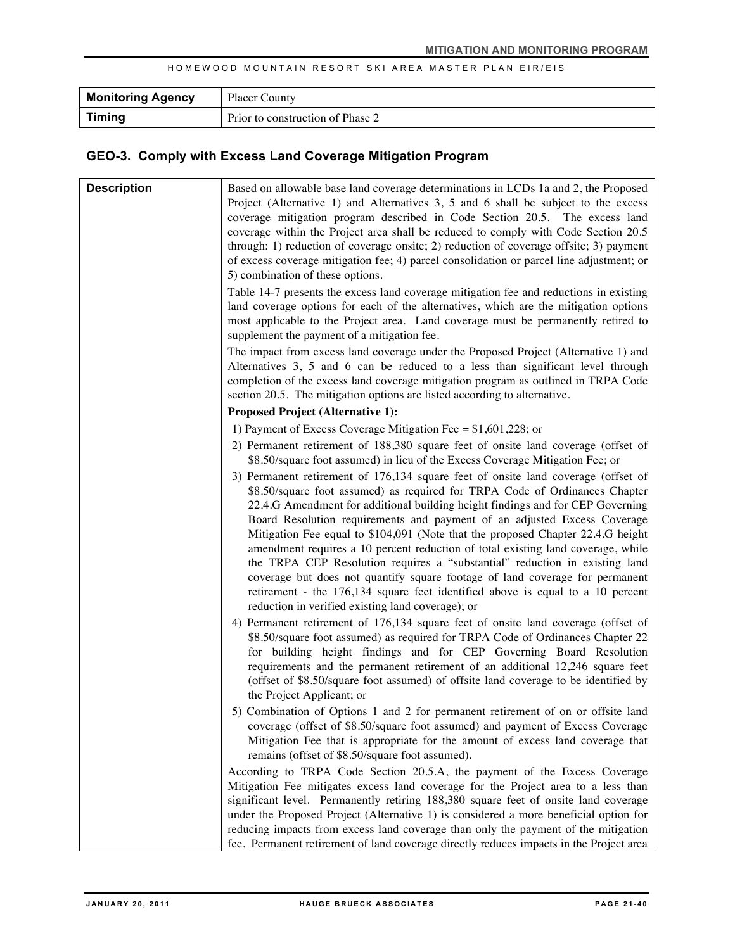| <b>Monitoring Agency</b> | <b>Placer County</b>             |
|--------------------------|----------------------------------|
| <b>Timing</b>            | Prior to construction of Phase 2 |

## **GEO-3. Comply with Excess Land Coverage Mitigation Program**

| <b>Description</b> | Based on allowable base land coverage determinations in LCDs 1a and 2, the Proposed<br>Project (Alternative 1) and Alternatives 3, 5 and 6 shall be subject to the excess<br>coverage mitigation program described in Code Section 20.5. The excess land<br>coverage within the Project area shall be reduced to comply with Code Section 20.5<br>through: 1) reduction of coverage onsite; 2) reduction of coverage offsite; 3) payment<br>of excess coverage mitigation fee; 4) parcel consolidation or parcel line adjustment; or<br>5) combination of these options.<br>Table 14-7 presents the excess land coverage mitigation fee and reductions in existing<br>land coverage options for each of the alternatives, which are the mitigation options<br>most applicable to the Project area. Land coverage must be permanently retired to<br>supplement the payment of a mitigation fee.<br>The impact from excess land coverage under the Proposed Project (Alternative 1) and |
|--------------------|---------------------------------------------------------------------------------------------------------------------------------------------------------------------------------------------------------------------------------------------------------------------------------------------------------------------------------------------------------------------------------------------------------------------------------------------------------------------------------------------------------------------------------------------------------------------------------------------------------------------------------------------------------------------------------------------------------------------------------------------------------------------------------------------------------------------------------------------------------------------------------------------------------------------------------------------------------------------------------------|
|                    | Alternatives 3, 5 and 6 can be reduced to a less than significant level through<br>completion of the excess land coverage mitigation program as outlined in TRPA Code<br>section 20.5. The mitigation options are listed according to alternative.                                                                                                                                                                                                                                                                                                                                                                                                                                                                                                                                                                                                                                                                                                                                    |
|                    | <b>Proposed Project (Alternative 1):</b>                                                                                                                                                                                                                                                                                                                                                                                                                                                                                                                                                                                                                                                                                                                                                                                                                                                                                                                                              |
|                    | 1) Payment of Excess Coverage Mitigation Fee = $$1,601,228$ ; or                                                                                                                                                                                                                                                                                                                                                                                                                                                                                                                                                                                                                                                                                                                                                                                                                                                                                                                      |
|                    | 2) Permanent retirement of 188,380 square feet of onsite land coverage (offset of<br>\$8.50/square foot assumed) in lieu of the Excess Coverage Mitigation Fee; or                                                                                                                                                                                                                                                                                                                                                                                                                                                                                                                                                                                                                                                                                                                                                                                                                    |
|                    | 3) Permanent retirement of 176,134 square feet of onsite land coverage (offset of<br>\$8.50/square foot assumed) as required for TRPA Code of Ordinances Chapter<br>22.4.G Amendment for additional building height findings and for CEP Governing<br>Board Resolution requirements and payment of an adjusted Excess Coverage<br>Mitigation Fee equal to \$104,091 (Note that the proposed Chapter 22.4.G height<br>amendment requires a 10 percent reduction of total existing land coverage, while<br>the TRPA CEP Resolution requires a "substantial" reduction in existing land<br>coverage but does not quantify square footage of land coverage for permanent<br>retirement - the 176,134 square feet identified above is equal to a 10 percent<br>reduction in verified existing land coverage); or                                                                                                                                                                           |
|                    | 4) Permanent retirement of 176,134 square feet of onsite land coverage (offset of<br>\$8.50/square foot assumed) as required for TRPA Code of Ordinances Chapter 22<br>for building height findings and for CEP Governing Board Resolution<br>requirements and the permanent retirement of an additional 12,246 square feet<br>(offset of \$8.50/square foot assumed) of offsite land coverage to be identified by<br>the Project Applicant; or                                                                                                                                                                                                                                                                                                                                                                                                                                                                                                                                       |
|                    | 5) Combination of Options 1 and 2 for permanent retirement of on or offsite land<br>coverage (offset of \$8.50/square foot assumed) and payment of Excess Coverage<br>Mitigation Fee that is appropriate for the amount of excess land coverage that<br>remains (offset of \$8.50/square foot assumed).                                                                                                                                                                                                                                                                                                                                                                                                                                                                                                                                                                                                                                                                               |
|                    | According to TRPA Code Section 20.5.A, the payment of the Excess Coverage<br>Mitigation Fee mitigates excess land coverage for the Project area to a less than<br>significant level. Permanently retiring 188,380 square feet of onsite land coverage<br>under the Proposed Project (Alternative 1) is considered a more beneficial option for<br>reducing impacts from excess land coverage than only the payment of the mitigation<br>fee. Permanent retirement of land coverage directly reduces impacts in the Project area                                                                                                                                                                                                                                                                                                                                                                                                                                                       |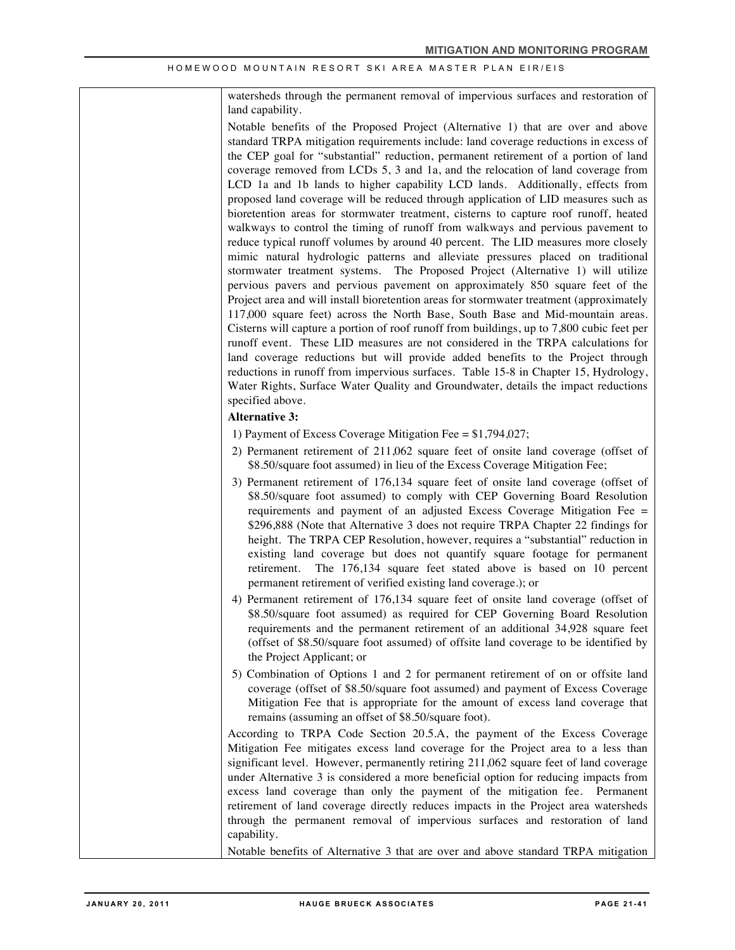watersheds through the permanent removal of impervious surfaces and restoration of land capability.

Notable benefits of the Proposed Project (Alternative 1) that are over and above standard TRPA mitigation requirements include: land coverage reductions in excess of the CEP goal for "substantial" reduction, permanent retirement of a portion of land coverage removed from LCDs 5, 3 and 1a, and the relocation of land coverage from LCD 1a and 1b lands to higher capability LCD lands. Additionally, effects from proposed land coverage will be reduced through application of LID measures such as bioretention areas for stormwater treatment, cisterns to capture roof runoff, heated walkways to control the timing of runoff from walkways and pervious pavement to reduce typical runoff volumes by around 40 percent. The LID measures more closely mimic natural hydrologic patterns and alleviate pressures placed on traditional stormwater treatment systems. The Proposed Project (Alternative 1) will utilize pervious pavers and pervious pavement on approximately 850 square feet of the Project area and will install bioretention areas for stormwater treatment (approximately 117,000 square feet) across the North Base, South Base and Mid-mountain areas. Cisterns will capture a portion of roof runoff from buildings, up to 7,800 cubic feet per runoff event. These LID measures are not considered in the TRPA calculations for land coverage reductions but will provide added benefits to the Project through reductions in runoff from impervious surfaces. Table 15-8 in Chapter 15, Hydrology, Water Rights, Surface Water Quality and Groundwater, details the impact reductions specified above.

#### **Alternative 3:**

- 1) Payment of Excess Coverage Mitigation Fee = \$1,794,027;
- 2) Permanent retirement of 211,062 square feet of onsite land coverage (offset of \$8.50/square foot assumed) in lieu of the Excess Coverage Mitigation Fee;
- 3) Permanent retirement of 176,134 square feet of onsite land coverage (offset of \$8.50/square foot assumed) to comply with CEP Governing Board Resolution requirements and payment of an adjusted Excess Coverage Mitigation Fee = \$296,888 (Note that Alternative 3 does not require TRPA Chapter 22 findings for height. The TRPA CEP Resolution, however, requires a "substantial" reduction in existing land coverage but does not quantify square footage for permanent retirement. The 176,134 square feet stated above is based on 10 percent permanent retirement of verified existing land coverage.); or
- 4) Permanent retirement of 176,134 square feet of onsite land coverage (offset of \$8.50/square foot assumed) as required for CEP Governing Board Resolution requirements and the permanent retirement of an additional 34,928 square feet (offset of \$8.50/square foot assumed) of offsite land coverage to be identified by the Project Applicant; or
- 5) Combination of Options 1 and 2 for permanent retirement of on or offsite land coverage (offset of \$8.50/square foot assumed) and payment of Excess Coverage Mitigation Fee that is appropriate for the amount of excess land coverage that remains (assuming an offset of \$8.50/square foot).

According to TRPA Code Section 20.5.A, the payment of the Excess Coverage Mitigation Fee mitigates excess land coverage for the Project area to a less than significant level. However, permanently retiring 211,062 square feet of land coverage under Alternative 3 is considered a more beneficial option for reducing impacts from excess land coverage than only the payment of the mitigation fee. Permanent retirement of land coverage directly reduces impacts in the Project area watersheds through the permanent removal of impervious surfaces and restoration of land capability.

Notable benefits of Alternative 3 that are over and above standard TRPA mitigation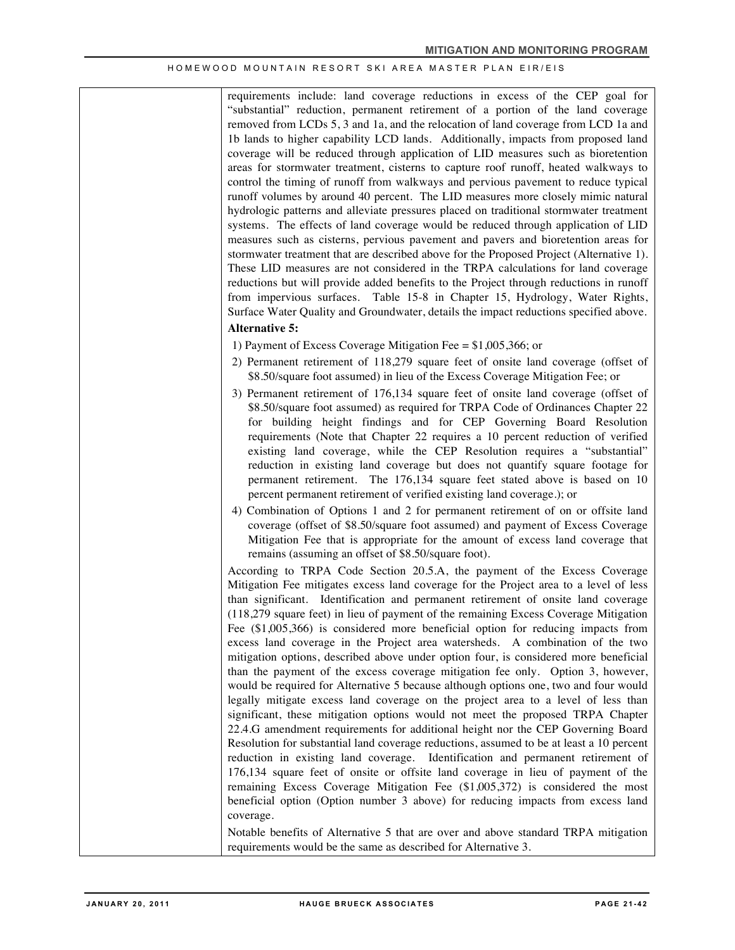requirements include: land coverage reductions in excess of the CEP goal for "substantial" reduction, permanent retirement of a portion of the land coverage removed from LCDs 5, 3 and 1a, and the relocation of land coverage from LCD 1a and 1b lands to higher capability LCD lands. Additionally, impacts from proposed land coverage will be reduced through application of LID measures such as bioretention areas for stormwater treatment, cisterns to capture roof runoff, heated walkways to control the timing of runoff from walkways and pervious pavement to reduce typical runoff volumes by around 40 percent. The LID measures more closely mimic natural hydrologic patterns and alleviate pressures placed on traditional stormwater treatment systems. The effects of land coverage would be reduced through application of LID measures such as cisterns, pervious pavement and pavers and bioretention areas for stormwater treatment that are described above for the Proposed Project (Alternative 1). These LID measures are not considered in the TRPA calculations for land coverage reductions but will provide added benefits to the Project through reductions in runoff from impervious surfaces. Table 15-8 in Chapter 15, Hydrology, Water Rights, Surface Water Quality and Groundwater, details the impact reductions specified above. **Alternative 5:** 

- 1) Payment of Excess Coverage Mitigation Fee = \$1,005,366; or
- 2) Permanent retirement of 118,279 square feet of onsite land coverage (offset of \$8.50/square foot assumed) in lieu of the Excess Coverage Mitigation Fee; or
- 3) Permanent retirement of 176,134 square feet of onsite land coverage (offset of \$8.50/square foot assumed) as required for TRPA Code of Ordinances Chapter 22 for building height findings and for CEP Governing Board Resolution requirements (Note that Chapter 22 requires a 10 percent reduction of verified existing land coverage, while the CEP Resolution requires a "substantial" reduction in existing land coverage but does not quantify square footage for permanent retirement. The 176,134 square feet stated above is based on 10 percent permanent retirement of verified existing land coverage.); or
- 4) Combination of Options 1 and 2 for permanent retirement of on or offsite land coverage (offset of \$8.50/square foot assumed) and payment of Excess Coverage Mitigation Fee that is appropriate for the amount of excess land coverage that remains (assuming an offset of \$8.50/square foot).

According to TRPA Code Section 20.5.A, the payment of the Excess Coverage Mitigation Fee mitigates excess land coverage for the Project area to a level of less than significant. Identification and permanent retirement of onsite land coverage (118,279 square feet) in lieu of payment of the remaining Excess Coverage Mitigation Fee (\$1,005,366) is considered more beneficial option for reducing impacts from excess land coverage in the Project area watersheds. A combination of the two mitigation options, described above under option four, is considered more beneficial than the payment of the excess coverage mitigation fee only. Option 3, however, would be required for Alternative 5 because although options one, two and four would legally mitigate excess land coverage on the project area to a level of less than significant, these mitigation options would not meet the proposed TRPA Chapter 22.4.G amendment requirements for additional height nor the CEP Governing Board Resolution for substantial land coverage reductions, assumed to be at least a 10 percent reduction in existing land coverage. Identification and permanent retirement of 176,134 square feet of onsite or offsite land coverage in lieu of payment of the remaining Excess Coverage Mitigation Fee (\$1,005,372) is considered the most beneficial option (Option number 3 above) for reducing impacts from excess land coverage.

Notable benefits of Alternative 5 that are over and above standard TRPA mitigation requirements would be the same as described for Alternative 3.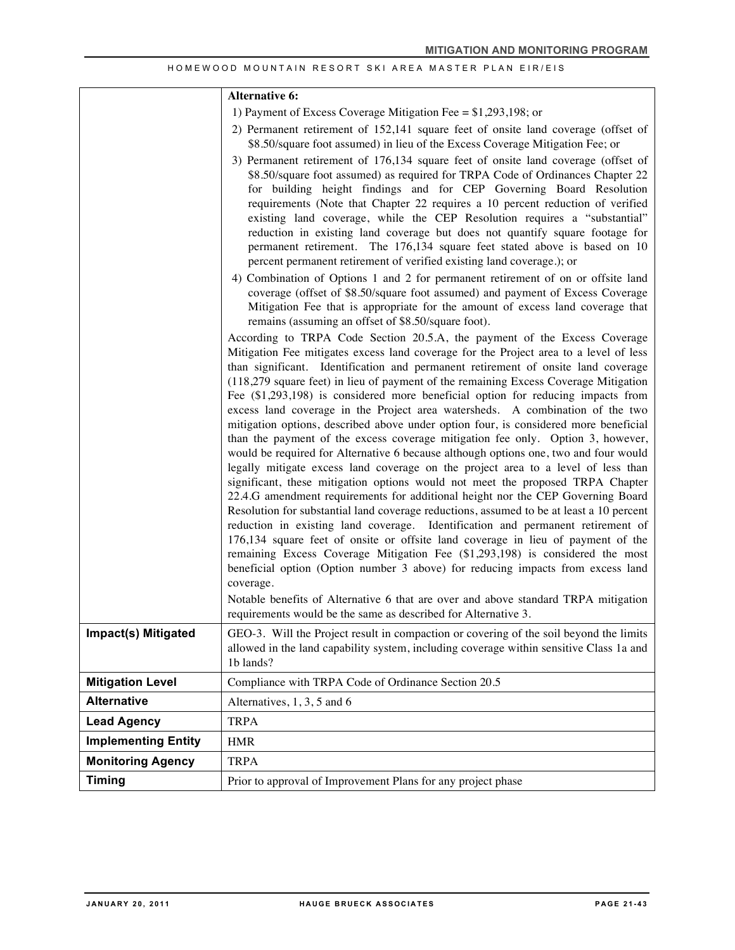|                                                  | <b>Alternative 6:</b>                                                                                                                                                                                                                                                                                                                                                                                                                                                                                                                                                                                                                                                                                                                                                                                                                                                                                                                                                                                                                                                                                                                                                                                                                                                                                                                                                                                                                                                                                                                                                                                                                                         |
|--------------------------------------------------|---------------------------------------------------------------------------------------------------------------------------------------------------------------------------------------------------------------------------------------------------------------------------------------------------------------------------------------------------------------------------------------------------------------------------------------------------------------------------------------------------------------------------------------------------------------------------------------------------------------------------------------------------------------------------------------------------------------------------------------------------------------------------------------------------------------------------------------------------------------------------------------------------------------------------------------------------------------------------------------------------------------------------------------------------------------------------------------------------------------------------------------------------------------------------------------------------------------------------------------------------------------------------------------------------------------------------------------------------------------------------------------------------------------------------------------------------------------------------------------------------------------------------------------------------------------------------------------------------------------------------------------------------------------|
|                                                  | 1) Payment of Excess Coverage Mitigation Fee = $$1,293,198$ ; or                                                                                                                                                                                                                                                                                                                                                                                                                                                                                                                                                                                                                                                                                                                                                                                                                                                                                                                                                                                                                                                                                                                                                                                                                                                                                                                                                                                                                                                                                                                                                                                              |
|                                                  | 2) Permanent retirement of 152,141 square feet of onsite land coverage (offset of<br>\$8.50/square foot assumed) in lieu of the Excess Coverage Mitigation Fee; or                                                                                                                                                                                                                                                                                                                                                                                                                                                                                                                                                                                                                                                                                                                                                                                                                                                                                                                                                                                                                                                                                                                                                                                                                                                                                                                                                                                                                                                                                            |
|                                                  | 3) Permanent retirement of 176,134 square feet of onsite land coverage (offset of<br>\$8.50/square foot assumed) as required for TRPA Code of Ordinances Chapter 22<br>for building height findings and for CEP Governing Board Resolution<br>requirements (Note that Chapter 22 requires a 10 percent reduction of verified<br>existing land coverage, while the CEP Resolution requires a "substantial"<br>reduction in existing land coverage but does not quantify square footage for<br>permanent retirement. The 176,134 square feet stated above is based on 10<br>percent permanent retirement of verified existing land coverage.); or<br>4) Combination of Options 1 and 2 for permanent retirement of on or offsite land<br>coverage (offset of \$8.50/square foot assumed) and payment of Excess Coverage                                                                                                                                                                                                                                                                                                                                                                                                                                                                                                                                                                                                                                                                                                                                                                                                                                         |
|                                                  | Mitigation Fee that is appropriate for the amount of excess land coverage that<br>remains (assuming an offset of \$8.50/square foot).                                                                                                                                                                                                                                                                                                                                                                                                                                                                                                                                                                                                                                                                                                                                                                                                                                                                                                                                                                                                                                                                                                                                                                                                                                                                                                                                                                                                                                                                                                                         |
|                                                  | According to TRPA Code Section 20.5.A, the payment of the Excess Coverage<br>Mitigation Fee mitigates excess land coverage for the Project area to a level of less<br>than significant. Identification and permanent retirement of onsite land coverage<br>(118,279 square feet) in lieu of payment of the remaining Excess Coverage Mitigation<br>Fee (\$1,293,198) is considered more beneficial option for reducing impacts from<br>excess land coverage in the Project area watersheds. A combination of the two<br>mitigation options, described above under option four, is considered more beneficial<br>than the payment of the excess coverage mitigation fee only. Option 3, however,<br>would be required for Alternative 6 because although options one, two and four would<br>legally mitigate excess land coverage on the project area to a level of less than<br>significant, these mitigation options would not meet the proposed TRPA Chapter<br>22.4.G amendment requirements for additional height nor the CEP Governing Board<br>Resolution for substantial land coverage reductions, assumed to be at least a 10 percent<br>reduction in existing land coverage. Identification and permanent retirement of<br>176,134 square feet of onsite or offsite land coverage in lieu of payment of the<br>remaining Excess Coverage Mitigation Fee (\$1,293,198) is considered the most<br>beneficial option (Option number 3 above) for reducing impacts from excess land<br>coverage.<br>Notable benefits of Alternative 6 that are over and above standard TRPA mitigation<br>requirements would be the same as described for Alternative 3. |
| Impact(s) Mitigated                              | GEO-3. Will the Project result in compaction or covering of the soil beyond the limits<br>allowed in the land capability system, including coverage within sensitive Class 1a and<br>1b lands?                                                                                                                                                                                                                                                                                                                                                                                                                                                                                                                                                                                                                                                                                                                                                                                                                                                                                                                                                                                                                                                                                                                                                                                                                                                                                                                                                                                                                                                                |
|                                                  |                                                                                                                                                                                                                                                                                                                                                                                                                                                                                                                                                                                                                                                                                                                                                                                                                                                                                                                                                                                                                                                                                                                                                                                                                                                                                                                                                                                                                                                                                                                                                                                                                                                               |
| <b>Mitigation Level</b><br><b>Alternative</b>    | Compliance with TRPA Code of Ordinance Section 20.5                                                                                                                                                                                                                                                                                                                                                                                                                                                                                                                                                                                                                                                                                                                                                                                                                                                                                                                                                                                                                                                                                                                                                                                                                                                                                                                                                                                                                                                                                                                                                                                                           |
|                                                  | Alternatives, 1, 3, 5 and 6                                                                                                                                                                                                                                                                                                                                                                                                                                                                                                                                                                                                                                                                                                                                                                                                                                                                                                                                                                                                                                                                                                                                                                                                                                                                                                                                                                                                                                                                                                                                                                                                                                   |
| <b>Lead Agency</b><br><b>Implementing Entity</b> | <b>TRPA</b><br><b>HMR</b>                                                                                                                                                                                                                                                                                                                                                                                                                                                                                                                                                                                                                                                                                                                                                                                                                                                                                                                                                                                                                                                                                                                                                                                                                                                                                                                                                                                                                                                                                                                                                                                                                                     |
| <b>Monitoring Agency</b>                         | <b>TRPA</b>                                                                                                                                                                                                                                                                                                                                                                                                                                                                                                                                                                                                                                                                                                                                                                                                                                                                                                                                                                                                                                                                                                                                                                                                                                                                                                                                                                                                                                                                                                                                                                                                                                                   |
| <b>Timing</b>                                    | Prior to approval of Improvement Plans for any project phase                                                                                                                                                                                                                                                                                                                                                                                                                                                                                                                                                                                                                                                                                                                                                                                                                                                                                                                                                                                                                                                                                                                                                                                                                                                                                                                                                                                                                                                                                                                                                                                                  |
|                                                  |                                                                                                                                                                                                                                                                                                                                                                                                                                                                                                                                                                                                                                                                                                                                                                                                                                                                                                                                                                                                                                                                                                                                                                                                                                                                                                                                                                                                                                                                                                                                                                                                                                                               |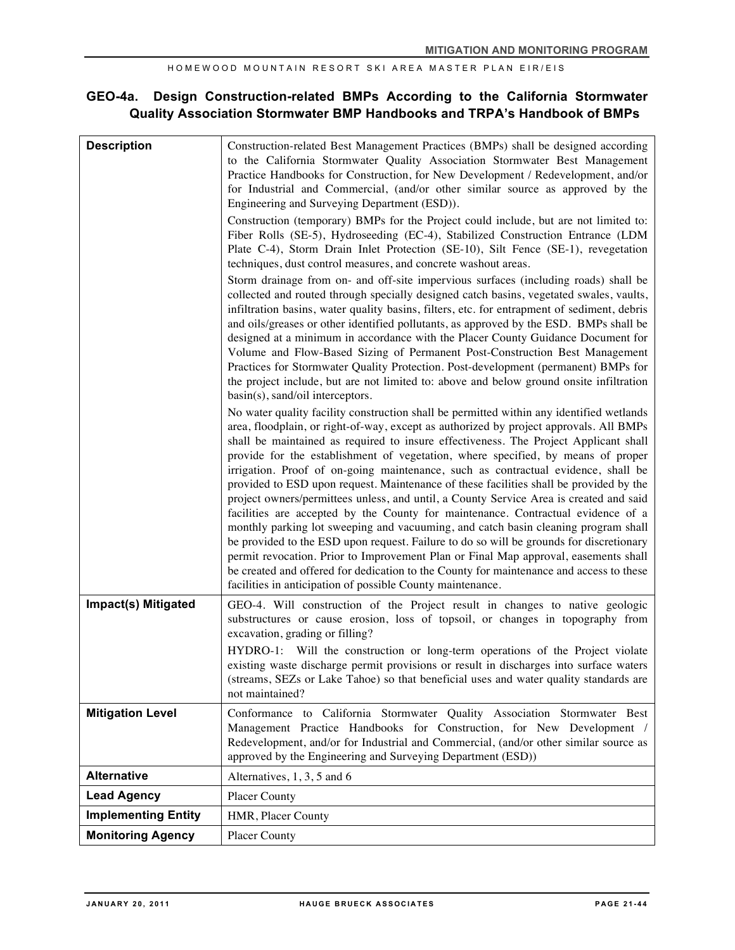### **GEO-4a. Design Construction-related BMPs According to the California Stormwater Quality Association Stormwater BMP Handbooks and TRPA's Handbook of BMPs**

| <b>Description</b>         | Construction-related Best Management Practices (BMPs) shall be designed according<br>to the California Stormwater Quality Association Stormwater Best Management<br>Practice Handbooks for Construction, for New Development / Redevelopment, and/or<br>for Industrial and Commercial, (and/or other similar source as approved by the<br>Engineering and Surveying Department (ESD)).<br>Construction (temporary) BMPs for the Project could include, but are not limited to:<br>Fiber Rolls (SE-5), Hydroseeding (EC-4), Stabilized Construction Entrance (LDM<br>Plate C-4), Storm Drain Inlet Protection (SE-10), Silt Fence (SE-1), revegetation<br>techniques, dust control measures, and concrete washout areas.<br>Storm drainage from on- and off-site impervious surfaces (including roads) shall be<br>collected and routed through specially designed catch basins, vegetated swales, vaults,<br>infiltration basins, water quality basins, filters, etc. for entrapment of sediment, debris<br>and oils/greases or other identified pollutants, as approved by the ESD. BMPs shall be<br>designed at a minimum in accordance with the Placer County Guidance Document for<br>Volume and Flow-Based Sizing of Permanent Post-Construction Best Management<br>Practices for Stormwater Quality Protection. Post-development (permanent) BMPs for<br>the project include, but are not limited to: above and below ground onsite infiltration<br>basin(s), sand/oil interceptors.<br>No water quality facility construction shall be permitted within any identified wetlands<br>area, floodplain, or right-of-way, except as authorized by project approvals. All BMPs<br>shall be maintained as required to insure effectiveness. The Project Applicant shall<br>provide for the establishment of vegetation, where specified, by means of proper<br>irrigation. Proof of on-going maintenance, such as contractual evidence, shall be<br>provided to ESD upon request. Maintenance of these facilities shall be provided by the<br>project owners/permittees unless, and until, a County Service Area is created and said<br>facilities are accepted by the County for maintenance. Contractual evidence of a<br>monthly parking lot sweeping and vacuuming, and catch basin cleaning program shall<br>be provided to the ESD upon request. Failure to do so will be grounds for discretionary<br>permit revocation. Prior to Improvement Plan or Final Map approval, easements shall<br>be created and offered for dedication to the County for maintenance and access to these<br>facilities in anticipation of possible County maintenance. |
|----------------------------|------------------------------------------------------------------------------------------------------------------------------------------------------------------------------------------------------------------------------------------------------------------------------------------------------------------------------------------------------------------------------------------------------------------------------------------------------------------------------------------------------------------------------------------------------------------------------------------------------------------------------------------------------------------------------------------------------------------------------------------------------------------------------------------------------------------------------------------------------------------------------------------------------------------------------------------------------------------------------------------------------------------------------------------------------------------------------------------------------------------------------------------------------------------------------------------------------------------------------------------------------------------------------------------------------------------------------------------------------------------------------------------------------------------------------------------------------------------------------------------------------------------------------------------------------------------------------------------------------------------------------------------------------------------------------------------------------------------------------------------------------------------------------------------------------------------------------------------------------------------------------------------------------------------------------------------------------------------------------------------------------------------------------------------------------------------------------------------------------------------------------------------------------------------------------------------------------------------------------------------------------------------------------------------------------------------------------------------------------------------------------------------------------------------------------------------------------------------------------------------------------------------------------------------------------------------------------------------------------------------------------------------------------------|
| Impact(s) Mitigated        | GEO-4. Will construction of the Project result in changes to native geologic<br>substructures or cause erosion, loss of topsoil, or changes in topography from<br>excavation, grading or filling?                                                                                                                                                                                                                                                                                                                                                                                                                                                                                                                                                                                                                                                                                                                                                                                                                                                                                                                                                                                                                                                                                                                                                                                                                                                                                                                                                                                                                                                                                                                                                                                                                                                                                                                                                                                                                                                                                                                                                                                                                                                                                                                                                                                                                                                                                                                                                                                                                                                          |
|                            | HYDRO-1: Will the construction or long-term operations of the Project violate<br>existing waste discharge permit provisions or result in discharges into surface waters<br>(streams, SEZs or Lake Tahoe) so that beneficial uses and water quality standards are<br>not maintained?                                                                                                                                                                                                                                                                                                                                                                                                                                                                                                                                                                                                                                                                                                                                                                                                                                                                                                                                                                                                                                                                                                                                                                                                                                                                                                                                                                                                                                                                                                                                                                                                                                                                                                                                                                                                                                                                                                                                                                                                                                                                                                                                                                                                                                                                                                                                                                        |
| <b>Mitigation Level</b>    | Conformance to California Stormwater Quality Association Stormwater Best<br>Management Practice Handbooks for Construction, for New Development /<br>Redevelopment, and/or for Industrial and Commercial, (and/or other similar source as<br>approved by the Engineering and Surveying Department (ESD))                                                                                                                                                                                                                                                                                                                                                                                                                                                                                                                                                                                                                                                                                                                                                                                                                                                                                                                                                                                                                                                                                                                                                                                                                                                                                                                                                                                                                                                                                                                                                                                                                                                                                                                                                                                                                                                                                                                                                                                                                                                                                                                                                                                                                                                                                                                                                   |
| <b>Alternative</b>         | Alternatives, 1, 3, 5 and 6                                                                                                                                                                                                                                                                                                                                                                                                                                                                                                                                                                                                                                                                                                                                                                                                                                                                                                                                                                                                                                                                                                                                                                                                                                                                                                                                                                                                                                                                                                                                                                                                                                                                                                                                                                                                                                                                                                                                                                                                                                                                                                                                                                                                                                                                                                                                                                                                                                                                                                                                                                                                                                |
| <b>Lead Agency</b>         | <b>Placer County</b>                                                                                                                                                                                                                                                                                                                                                                                                                                                                                                                                                                                                                                                                                                                                                                                                                                                                                                                                                                                                                                                                                                                                                                                                                                                                                                                                                                                                                                                                                                                                                                                                                                                                                                                                                                                                                                                                                                                                                                                                                                                                                                                                                                                                                                                                                                                                                                                                                                                                                                                                                                                                                                       |
| <b>Implementing Entity</b> | HMR, Placer County                                                                                                                                                                                                                                                                                                                                                                                                                                                                                                                                                                                                                                                                                                                                                                                                                                                                                                                                                                                                                                                                                                                                                                                                                                                                                                                                                                                                                                                                                                                                                                                                                                                                                                                                                                                                                                                                                                                                                                                                                                                                                                                                                                                                                                                                                                                                                                                                                                                                                                                                                                                                                                         |
| <b>Monitoring Agency</b>   | Placer County                                                                                                                                                                                                                                                                                                                                                                                                                                                                                                                                                                                                                                                                                                                                                                                                                                                                                                                                                                                                                                                                                                                                                                                                                                                                                                                                                                                                                                                                                                                                                                                                                                                                                                                                                                                                                                                                                                                                                                                                                                                                                                                                                                                                                                                                                                                                                                                                                                                                                                                                                                                                                                              |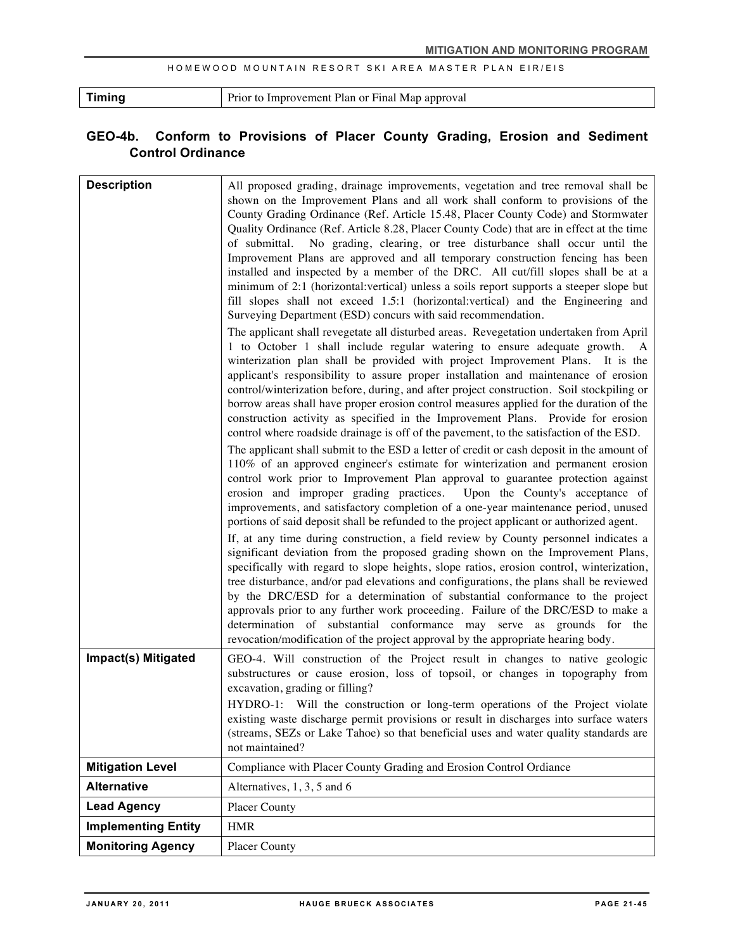| <b>Timing</b> | Prior to Improvement Plan or Final Map approval |
|---------------|-------------------------------------------------|
|---------------|-------------------------------------------------|

## **GEO-4b. Conform to Provisions of Placer County Grading, Erosion and Sediment Control Ordinance**

| <b>Description</b>         | All proposed grading, drainage improvements, vegetation and tree removal shall be<br>shown on the Improvement Plans and all work shall conform to provisions of the<br>County Grading Ordinance (Ref. Article 15.48, Placer County Code) and Stormwater<br>Quality Ordinance (Ref. Article 8.28, Placer County Code) that are in effect at the time<br>of submittal. No grading, clearing, or tree disturbance shall occur until the<br>Improvement Plans are approved and all temporary construction fencing has been<br>installed and inspected by a member of the DRC. All cut/fill slopes shall be at a<br>minimum of 2:1 (horizontal:vertical) unless a soils report supports a steeper slope but<br>fill slopes shall not exceed 1.5:1 (horizontal:vertical) and the Engineering and<br>Surveying Department (ESD) concurs with said recommendation.<br>The applicant shall revegetate all disturbed areas. Revegetation undertaken from April<br>1 to October 1 shall include regular watering to ensure adequate growth. A<br>winterization plan shall be provided with project Improvement Plans. It is the<br>applicant's responsibility to assure proper installation and maintenance of erosion<br>control/winterization before, during, and after project construction. Soil stockpiling or<br>borrow areas shall have proper erosion control measures applied for the duration of the<br>construction activity as specified in the Improvement Plans. Provide for erosion<br>control where roadside drainage is off of the pavement, to the satisfaction of the ESD.<br>The applicant shall submit to the ESD a letter of credit or cash deposit in the amount of<br>110% of an approved engineer's estimate for winterization and permanent erosion<br>control work prior to Improvement Plan approval to guarantee protection against<br>erosion and improper grading practices. Upon the County's acceptance of<br>improvements, and satisfactory completion of a one-year maintenance period, unused<br>portions of said deposit shall be refunded to the project applicant or authorized agent.<br>If, at any time during construction, a field review by County personnel indicates a<br>significant deviation from the proposed grading shown on the Improvement Plans,<br>specifically with regard to slope heights, slope ratios, erosion control, winterization,<br>tree disturbance, and/or pad elevations and configurations, the plans shall be reviewed<br>by the DRC/ESD for a determination of substantial conformance to the project<br>approvals prior to any further work proceeding. Failure of the DRC/ESD to make a<br>determination of substantial conformance may serve as grounds for the<br>revocation/modification of the project approval by the appropriate hearing body. |
|----------------------------|----------------------------------------------------------------------------------------------------------------------------------------------------------------------------------------------------------------------------------------------------------------------------------------------------------------------------------------------------------------------------------------------------------------------------------------------------------------------------------------------------------------------------------------------------------------------------------------------------------------------------------------------------------------------------------------------------------------------------------------------------------------------------------------------------------------------------------------------------------------------------------------------------------------------------------------------------------------------------------------------------------------------------------------------------------------------------------------------------------------------------------------------------------------------------------------------------------------------------------------------------------------------------------------------------------------------------------------------------------------------------------------------------------------------------------------------------------------------------------------------------------------------------------------------------------------------------------------------------------------------------------------------------------------------------------------------------------------------------------------------------------------------------------------------------------------------------------------------------------------------------------------------------------------------------------------------------------------------------------------------------------------------------------------------------------------------------------------------------------------------------------------------------------------------------------------------------------------------------------------------------------------------------------------------------------------------------------------------------------------------------------------------------------------------------------------------------------------------------------------------------------------------------------------------------------------------------------------------------------------------------------------------------------------------------------------------------------------------------------------------------------------------------------------------------------------------|
| Impact(s) Mitigated        | GEO-4. Will construction of the Project result in changes to native geologic<br>substructures or cause erosion, loss of topsoil, or changes in topography from<br>excavation, grading or filling?                                                                                                                                                                                                                                                                                                                                                                                                                                                                                                                                                                                                                                                                                                                                                                                                                                                                                                                                                                                                                                                                                                                                                                                                                                                                                                                                                                                                                                                                                                                                                                                                                                                                                                                                                                                                                                                                                                                                                                                                                                                                                                                                                                                                                                                                                                                                                                                                                                                                                                                                                                                                                    |
|                            | HYDRO-1: Will the construction or long-term operations of the Project violate<br>existing waste discharge permit provisions or result in discharges into surface waters<br>(streams, SEZs or Lake Tahoe) so that beneficial uses and water quality standards are<br>not maintained?                                                                                                                                                                                                                                                                                                                                                                                                                                                                                                                                                                                                                                                                                                                                                                                                                                                                                                                                                                                                                                                                                                                                                                                                                                                                                                                                                                                                                                                                                                                                                                                                                                                                                                                                                                                                                                                                                                                                                                                                                                                                                                                                                                                                                                                                                                                                                                                                                                                                                                                                  |
| <b>Mitigation Level</b>    | Compliance with Placer County Grading and Erosion Control Ordiance                                                                                                                                                                                                                                                                                                                                                                                                                                                                                                                                                                                                                                                                                                                                                                                                                                                                                                                                                                                                                                                                                                                                                                                                                                                                                                                                                                                                                                                                                                                                                                                                                                                                                                                                                                                                                                                                                                                                                                                                                                                                                                                                                                                                                                                                                                                                                                                                                                                                                                                                                                                                                                                                                                                                                   |
| <b>Alternative</b>         | Alternatives, 1, 3, 5 and 6                                                                                                                                                                                                                                                                                                                                                                                                                                                                                                                                                                                                                                                                                                                                                                                                                                                                                                                                                                                                                                                                                                                                                                                                                                                                                                                                                                                                                                                                                                                                                                                                                                                                                                                                                                                                                                                                                                                                                                                                                                                                                                                                                                                                                                                                                                                                                                                                                                                                                                                                                                                                                                                                                                                                                                                          |
| <b>Lead Agency</b>         | <b>Placer County</b>                                                                                                                                                                                                                                                                                                                                                                                                                                                                                                                                                                                                                                                                                                                                                                                                                                                                                                                                                                                                                                                                                                                                                                                                                                                                                                                                                                                                                                                                                                                                                                                                                                                                                                                                                                                                                                                                                                                                                                                                                                                                                                                                                                                                                                                                                                                                                                                                                                                                                                                                                                                                                                                                                                                                                                                                 |
| <b>Implementing Entity</b> | <b>HMR</b>                                                                                                                                                                                                                                                                                                                                                                                                                                                                                                                                                                                                                                                                                                                                                                                                                                                                                                                                                                                                                                                                                                                                                                                                                                                                                                                                                                                                                                                                                                                                                                                                                                                                                                                                                                                                                                                                                                                                                                                                                                                                                                                                                                                                                                                                                                                                                                                                                                                                                                                                                                                                                                                                                                                                                                                                           |
| <b>Monitoring Agency</b>   | Placer County                                                                                                                                                                                                                                                                                                                                                                                                                                                                                                                                                                                                                                                                                                                                                                                                                                                                                                                                                                                                                                                                                                                                                                                                                                                                                                                                                                                                                                                                                                                                                                                                                                                                                                                                                                                                                                                                                                                                                                                                                                                                                                                                                                                                                                                                                                                                                                                                                                                                                                                                                                                                                                                                                                                                                                                                        |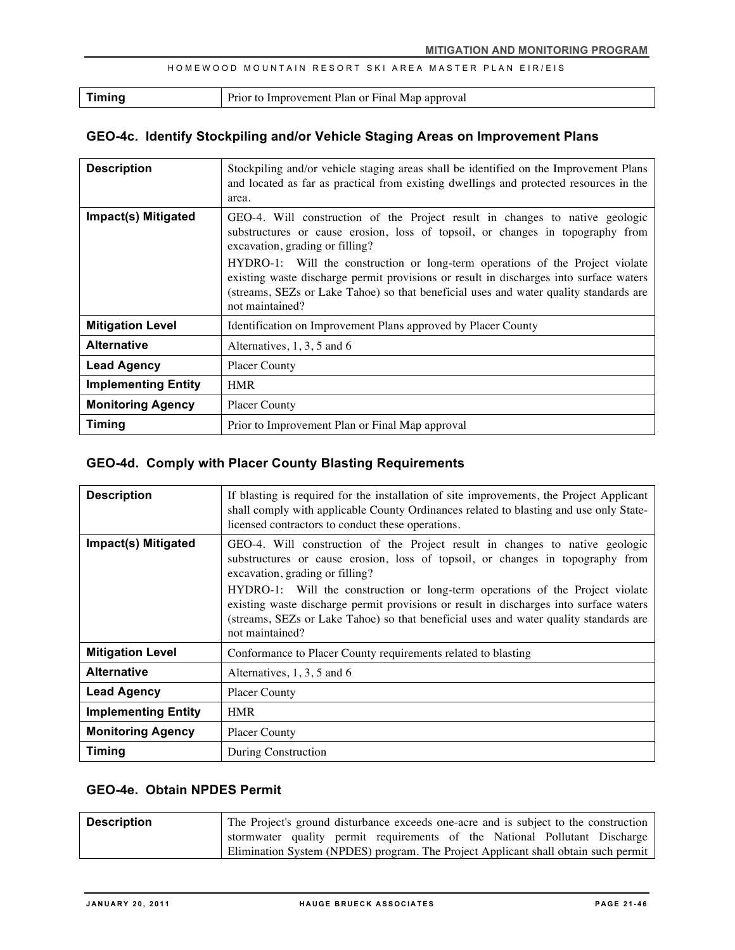| <b>Timing</b> | Prior to Improvement Plan or Final Map approval |
|---------------|-------------------------------------------------|
|---------------|-------------------------------------------------|

## **GEO-4c. Identify Stockpiling and/or Vehicle Staging Areas on Improvement Plans**

| <b>Description</b>         | Stockpiling and/or vehicle staging areas shall be identified on the Improvement Plans<br>and located as far as practical from existing dwellings and protected resources in the<br>area.                                                                                                                                                                                                                                                                                                 |
|----------------------------|------------------------------------------------------------------------------------------------------------------------------------------------------------------------------------------------------------------------------------------------------------------------------------------------------------------------------------------------------------------------------------------------------------------------------------------------------------------------------------------|
| Impact(s) Mitigated        | GEO-4. Will construction of the Project result in changes to native geologic<br>substructures or cause erosion, loss of topsoil, or changes in topography from<br>excavation, grading or filling?<br>HYDRO-1: Will the construction or long-term operations of the Project violate<br>existing waste discharge permit provisions or result in discharges into surface waters<br>(streams, SEZs or Lake Tahoe) so that beneficial uses and water quality standards are<br>not maintained? |
| <b>Mitigation Level</b>    | Identification on Improvement Plans approved by Placer County                                                                                                                                                                                                                                                                                                                                                                                                                            |
| <b>Alternative</b>         | Alternatives, $1, 3, 5$ and 6                                                                                                                                                                                                                                                                                                                                                                                                                                                            |
| <b>Lead Agency</b>         | <b>Placer County</b>                                                                                                                                                                                                                                                                                                                                                                                                                                                                     |
| <b>Implementing Entity</b> | <b>HMR</b>                                                                                                                                                                                                                                                                                                                                                                                                                                                                               |
| <b>Monitoring Agency</b>   | <b>Placer County</b>                                                                                                                                                                                                                                                                                                                                                                                                                                                                     |
| <b>Timing</b>              | Prior to Improvement Plan or Final Map approval                                                                                                                                                                                                                                                                                                                                                                                                                                          |

### **GEO-4d. Comply with Placer County Blasting Requirements**

| <b>Description</b>         | If blasting is required for the installation of site improvements, the Project Applicant<br>shall comply with applicable County Ordinances related to blasting and use only State-<br>licensed contractors to conduct these operations.                                                                                                                                                                                                                                                  |
|----------------------------|------------------------------------------------------------------------------------------------------------------------------------------------------------------------------------------------------------------------------------------------------------------------------------------------------------------------------------------------------------------------------------------------------------------------------------------------------------------------------------------|
| Impact(s) Mitigated        | GEO-4. Will construction of the Project result in changes to native geologic<br>substructures or cause erosion, loss of topsoil, or changes in topography from<br>excavation, grading or filling?<br>HYDRO-1: Will the construction or long-term operations of the Project violate<br>existing waste discharge permit provisions or result in discharges into surface waters<br>(streams, SEZs or Lake Tahoe) so that beneficial uses and water quality standards are<br>not maintained? |
| <b>Mitigation Level</b>    | Conformance to Placer County requirements related to blasting                                                                                                                                                                                                                                                                                                                                                                                                                            |
| <b>Alternative</b>         | Alternatives, 1, 3, 5 and 6                                                                                                                                                                                                                                                                                                                                                                                                                                                              |
| <b>Lead Agency</b>         | <b>Placer County</b>                                                                                                                                                                                                                                                                                                                                                                                                                                                                     |
| <b>Implementing Entity</b> | <b>HMR</b>                                                                                                                                                                                                                                                                                                                                                                                                                                                                               |
| <b>Monitoring Agency</b>   | <b>Placer County</b>                                                                                                                                                                                                                                                                                                                                                                                                                                                                     |
| <b>Timing</b>              | During Construction                                                                                                                                                                                                                                                                                                                                                                                                                                                                      |

## **GEO-4e. Obtain NPDES Permit**

| <b>Description</b> | The Project's ground disturbance exceeds one-acre and is subject to the construction |
|--------------------|--------------------------------------------------------------------------------------|
|                    | stormwater quality permit requirements of the National Pollutant Discharge           |
|                    | Elimination System (NPDES) program. The Project Applicant shall obtain such permit   |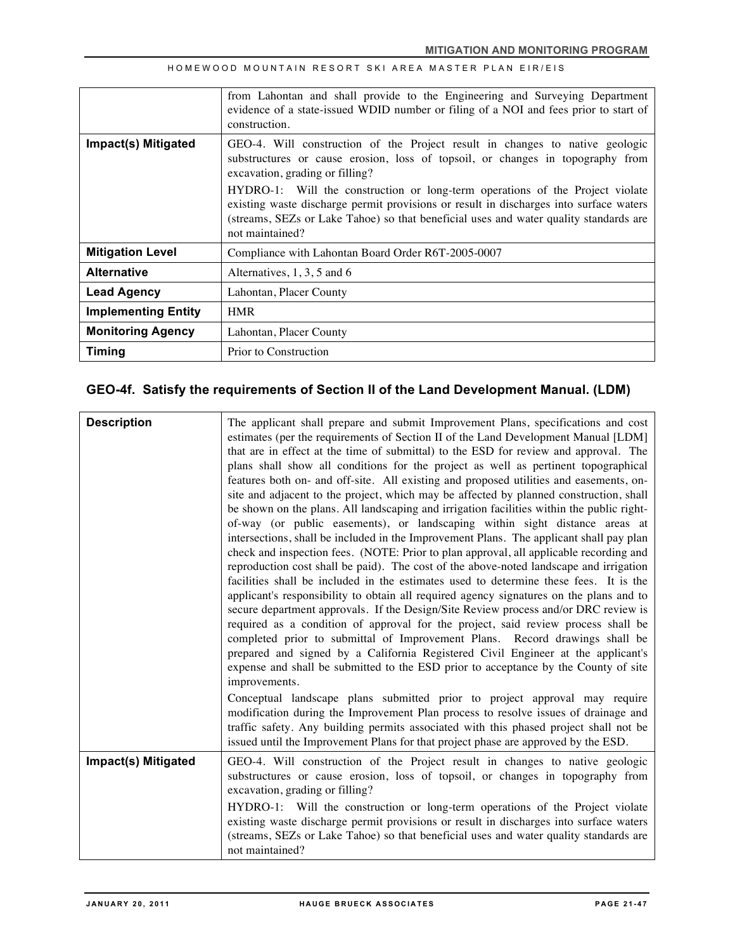|                            | from Lahontan and shall provide to the Engineering and Surveying Department<br>evidence of a state-issued WDID number or filing of a NOI and fees prior to start of<br>construction.                                                                                                                                                                                                                                                                                                     |
|----------------------------|------------------------------------------------------------------------------------------------------------------------------------------------------------------------------------------------------------------------------------------------------------------------------------------------------------------------------------------------------------------------------------------------------------------------------------------------------------------------------------------|
| Impact(s) Mitigated        | GEO-4. Will construction of the Project result in changes to native geologic<br>substructures or cause erosion, loss of topsoil, or changes in topography from<br>excavation, grading or filling?<br>HYDRO-1: Will the construction or long-term operations of the Project violate<br>existing waste discharge permit provisions or result in discharges into surface waters<br>(streams, SEZs or Lake Tahoe) so that beneficial uses and water quality standards are<br>not maintained? |
| <b>Mitigation Level</b>    | Compliance with Lahontan Board Order R6T-2005-0007                                                                                                                                                                                                                                                                                                                                                                                                                                       |
| <b>Alternative</b>         | Alternatives, $1, 3, 5$ and 6                                                                                                                                                                                                                                                                                                                                                                                                                                                            |
| <b>Lead Agency</b>         | Lahontan, Placer County                                                                                                                                                                                                                                                                                                                                                                                                                                                                  |
| <b>Implementing Entity</b> | <b>HMR</b>                                                                                                                                                                                                                                                                                                                                                                                                                                                                               |
| <b>Monitoring Agency</b>   | Lahontan, Placer County                                                                                                                                                                                                                                                                                                                                                                                                                                                                  |
| Timing                     | Prior to Construction                                                                                                                                                                                                                                                                                                                                                                                                                                                                    |

## **GEO-4f. Satisfy the requirements of Section II of the Land Development Manual. (LDM)**

| <b>Description</b>  | The applicant shall prepare and submit Improvement Plans, specifications and cost<br>estimates (per the requirements of Section II of the Land Development Manual [LDM]<br>that are in effect at the time of submittal) to the ESD for review and approval. The<br>plans shall show all conditions for the project as well as pertinent topographical<br>features both on- and off-site. All existing and proposed utilities and easements, on-<br>site and adjacent to the project, which may be affected by planned construction, shall<br>be shown on the plans. All landscaping and irrigation facilities within the public right-<br>of-way (or public easements), or landscaping within sight distance areas at<br>intersections, shall be included in the Improvement Plans. The applicant shall pay plan<br>check and inspection fees. (NOTE: Prior to plan approval, all applicable recording and<br>reproduction cost shall be paid). The cost of the above-noted landscape and irrigation<br>facilities shall be included in the estimates used to determine these fees. It is the<br>applicant's responsibility to obtain all required agency signatures on the plans and to<br>secure department approvals. If the Design/Site Review process and/or DRC review is<br>required as a condition of approval for the project, said review process shall be<br>completed prior to submittal of Improvement Plans. Record drawings shall be<br>prepared and signed by a California Registered Civil Engineer at the applicant's<br>expense and shall be submitted to the ESD prior to acceptance by the County of site<br>improvements. |
|---------------------|-------------------------------------------------------------------------------------------------------------------------------------------------------------------------------------------------------------------------------------------------------------------------------------------------------------------------------------------------------------------------------------------------------------------------------------------------------------------------------------------------------------------------------------------------------------------------------------------------------------------------------------------------------------------------------------------------------------------------------------------------------------------------------------------------------------------------------------------------------------------------------------------------------------------------------------------------------------------------------------------------------------------------------------------------------------------------------------------------------------------------------------------------------------------------------------------------------------------------------------------------------------------------------------------------------------------------------------------------------------------------------------------------------------------------------------------------------------------------------------------------------------------------------------------------------------------------------------------------------------------------------------------------|
|                     | Conceptual landscape plans submitted prior to project approval may require<br>modification during the Improvement Plan process to resolve issues of drainage and<br>traffic safety. Any building permits associated with this phased project shall not be<br>issued until the Improvement Plans for that project phase are approved by the ESD.                                                                                                                                                                                                                                                                                                                                                                                                                                                                                                                                                                                                                                                                                                                                                                                                                                                                                                                                                                                                                                                                                                                                                                                                                                                                                                 |
| Impact(s) Mitigated | GEO-4. Will construction of the Project result in changes to native geologic<br>substructures or cause erosion, loss of topsoil, or changes in topography from<br>excavation, grading or filling?<br>HYDRO-1: Will the construction or long-term operations of the Project violate<br>existing waste discharge permit provisions or result in discharges into surface waters<br>(streams, SEZs or Lake Tahoe) so that beneficial uses and water quality standards are<br>not maintained?                                                                                                                                                                                                                                                                                                                                                                                                                                                                                                                                                                                                                                                                                                                                                                                                                                                                                                                                                                                                                                                                                                                                                        |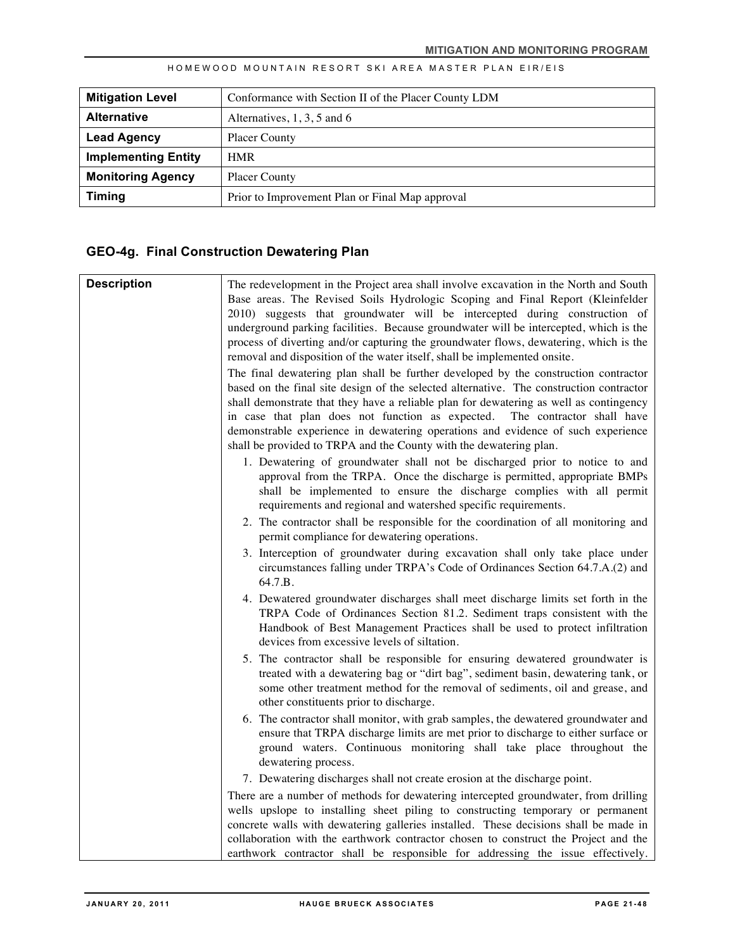| <b>Mitigation Level</b>    | Conformance with Section II of the Placer County LDM |
|----------------------------|------------------------------------------------------|
| <b>Alternative</b>         | Alternatives, $1, 3, 5$ and 6                        |
| <b>Lead Agency</b>         | <b>Placer County</b>                                 |
| <b>Implementing Entity</b> | <b>HMR</b>                                           |
| <b>Monitoring Agency</b>   | <b>Placer County</b>                                 |
| <b>Timing</b>              | Prior to Improvement Plan or Final Map approval      |

## **GEO-4g. Final Construction Dewatering Plan**

| <b>Description</b> | The redevelopment in the Project area shall involve excavation in the North and South<br>Base areas. The Revised Soils Hydrologic Scoping and Final Report (Kleinfelder<br>2010) suggests that groundwater will be intercepted during construction of<br>underground parking facilities. Because groundwater will be intercepted, which is the<br>process of diverting and/or capturing the groundwater flows, dewatering, which is the<br>removal and disposition of the water itself, shall be implemented onsite.<br>The final dewatering plan shall be further developed by the construction contractor<br>based on the final site design of the selected alternative. The construction contractor<br>shall demonstrate that they have a reliable plan for dewatering as well as contingency<br>in case that plan does not function as expected. The contractor shall have<br>demonstrable experience in dewatering operations and evidence of such experience<br>shall be provided to TRPA and the County with the dewatering plan. |
|--------------------|------------------------------------------------------------------------------------------------------------------------------------------------------------------------------------------------------------------------------------------------------------------------------------------------------------------------------------------------------------------------------------------------------------------------------------------------------------------------------------------------------------------------------------------------------------------------------------------------------------------------------------------------------------------------------------------------------------------------------------------------------------------------------------------------------------------------------------------------------------------------------------------------------------------------------------------------------------------------------------------------------------------------------------------|
|                    | 1. Dewatering of groundwater shall not be discharged prior to notice to and<br>approval from the TRPA. Once the discharge is permitted, appropriate BMPs<br>shall be implemented to ensure the discharge complies with all permit<br>requirements and regional and watershed specific requirements.                                                                                                                                                                                                                                                                                                                                                                                                                                                                                                                                                                                                                                                                                                                                      |
|                    | 2. The contractor shall be responsible for the coordination of all monitoring and<br>permit compliance for dewatering operations.                                                                                                                                                                                                                                                                                                                                                                                                                                                                                                                                                                                                                                                                                                                                                                                                                                                                                                        |
|                    | 3. Interception of groundwater during excavation shall only take place under<br>circumstances falling under TRPA's Code of Ordinances Section 64.7.A.(2) and<br>64.7.B.                                                                                                                                                                                                                                                                                                                                                                                                                                                                                                                                                                                                                                                                                                                                                                                                                                                                  |
|                    | 4. Dewatered groundwater discharges shall meet discharge limits set forth in the<br>TRPA Code of Ordinances Section 81.2. Sediment traps consistent with the<br>Handbook of Best Management Practices shall be used to protect infiltration<br>devices from excessive levels of siltation.                                                                                                                                                                                                                                                                                                                                                                                                                                                                                                                                                                                                                                                                                                                                               |
|                    | 5. The contractor shall be responsible for ensuring dewatered groundwater is<br>treated with a dewatering bag or "dirt bag", sediment basin, dewatering tank, or<br>some other treatment method for the removal of sediments, oil and grease, and<br>other constituents prior to discharge.                                                                                                                                                                                                                                                                                                                                                                                                                                                                                                                                                                                                                                                                                                                                              |
|                    | 6. The contractor shall monitor, with grab samples, the dewatered groundwater and<br>ensure that TRPA discharge limits are met prior to discharge to either surface or<br>ground waters. Continuous monitoring shall take place throughout the<br>dewatering process.                                                                                                                                                                                                                                                                                                                                                                                                                                                                                                                                                                                                                                                                                                                                                                    |
|                    | 7. Dewatering discharges shall not create erosion at the discharge point.                                                                                                                                                                                                                                                                                                                                                                                                                                                                                                                                                                                                                                                                                                                                                                                                                                                                                                                                                                |
|                    | There are a number of methods for dewatering intercepted groundwater, from drilling<br>wells upslope to installing sheet piling to constructing temporary or permanent<br>concrete walls with dewatering galleries installed. These decisions shall be made in                                                                                                                                                                                                                                                                                                                                                                                                                                                                                                                                                                                                                                                                                                                                                                           |
|                    | collaboration with the earthwork contractor chosen to construct the Project and the<br>earthwork contractor shall be responsible for addressing the issue effectively.                                                                                                                                                                                                                                                                                                                                                                                                                                                                                                                                                                                                                                                                                                                                                                                                                                                                   |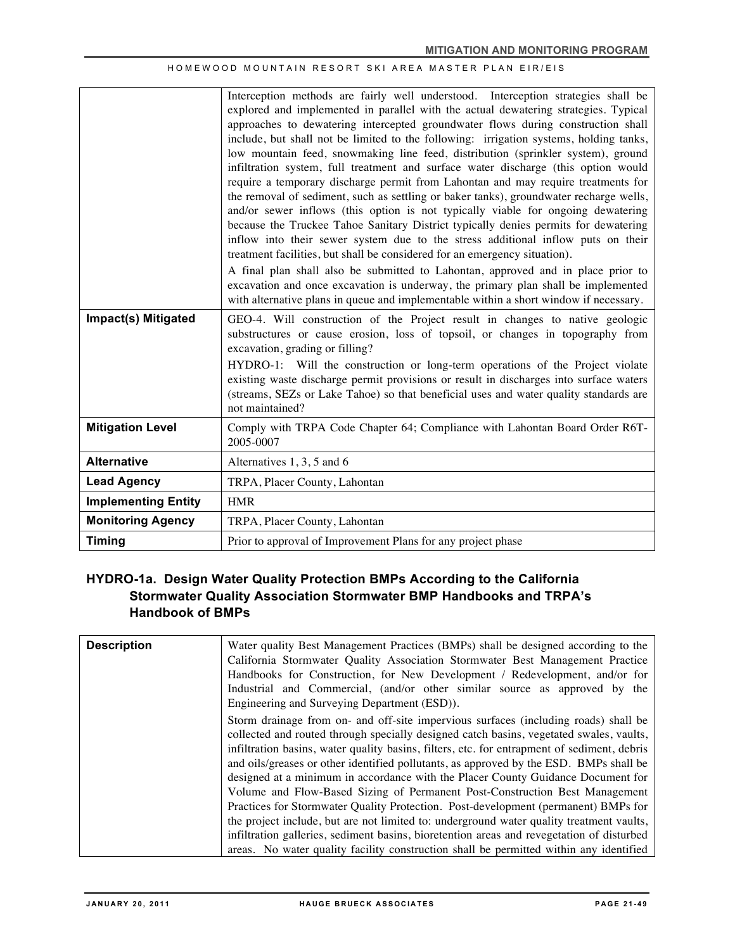|                            | Interception methods are fairly well understood. Interception strategies shall be<br>explored and implemented in parallel with the actual dewatering strategies. Typical<br>approaches to dewatering intercepted groundwater flows during construction shall<br>include, but shall not be limited to the following: irrigation systems, holding tanks,<br>low mountain feed, snowmaking line feed, distribution (sprinkler system), ground<br>infiltration system, full treatment and surface water discharge (this option would<br>require a temporary discharge permit from Lahontan and may require treatments for<br>the removal of sediment, such as settling or baker tanks), groundwater recharge wells,<br>and/or sewer inflows (this option is not typically viable for ongoing dewatering<br>because the Truckee Tahoe Sanitary District typically denies permits for dewatering<br>inflow into their sewer system due to the stress additional inflow puts on their<br>treatment facilities, but shall be considered for an emergency situation).<br>A final plan shall also be submitted to Lahontan, approved and in place prior to<br>excavation and once excavation is underway, the primary plan shall be implemented<br>with alternative plans in queue and implementable within a short window if necessary. |
|----------------------------|--------------------------------------------------------------------------------------------------------------------------------------------------------------------------------------------------------------------------------------------------------------------------------------------------------------------------------------------------------------------------------------------------------------------------------------------------------------------------------------------------------------------------------------------------------------------------------------------------------------------------------------------------------------------------------------------------------------------------------------------------------------------------------------------------------------------------------------------------------------------------------------------------------------------------------------------------------------------------------------------------------------------------------------------------------------------------------------------------------------------------------------------------------------------------------------------------------------------------------------------------------------------------------------------------------------------------------|
| Impact(s) Mitigated        | GEO-4. Will construction of the Project result in changes to native geologic<br>substructures or cause erosion, loss of topsoil, or changes in topography from<br>excavation, grading or filling?<br>HYDRO-1: Will the construction or long-term operations of the Project violate<br>existing waste discharge permit provisions or result in discharges into surface waters<br>(streams, SEZs or Lake Tahoe) so that beneficial uses and water quality standards are<br>not maintained?                                                                                                                                                                                                                                                                                                                                                                                                                                                                                                                                                                                                                                                                                                                                                                                                                                       |
| <b>Mitigation Level</b>    | Comply with TRPA Code Chapter 64; Compliance with Lahontan Board Order R6T-<br>2005-0007                                                                                                                                                                                                                                                                                                                                                                                                                                                                                                                                                                                                                                                                                                                                                                                                                                                                                                                                                                                                                                                                                                                                                                                                                                       |
| <b>Alternative</b>         | Alternatives 1, 3, 5 and 6                                                                                                                                                                                                                                                                                                                                                                                                                                                                                                                                                                                                                                                                                                                                                                                                                                                                                                                                                                                                                                                                                                                                                                                                                                                                                                     |
| <b>Lead Agency</b>         | TRPA, Placer County, Lahontan                                                                                                                                                                                                                                                                                                                                                                                                                                                                                                                                                                                                                                                                                                                                                                                                                                                                                                                                                                                                                                                                                                                                                                                                                                                                                                  |
| <b>Implementing Entity</b> | <b>HMR</b>                                                                                                                                                                                                                                                                                                                                                                                                                                                                                                                                                                                                                                                                                                                                                                                                                                                                                                                                                                                                                                                                                                                                                                                                                                                                                                                     |
| <b>Monitoring Agency</b>   | TRPA, Placer County, Lahontan                                                                                                                                                                                                                                                                                                                                                                                                                                                                                                                                                                                                                                                                                                                                                                                                                                                                                                                                                                                                                                                                                                                                                                                                                                                                                                  |
| <b>Timing</b>              | Prior to approval of Improvement Plans for any project phase                                                                                                                                                                                                                                                                                                                                                                                                                                                                                                                                                                                                                                                                                                                                                                                                                                                                                                                                                                                                                                                                                                                                                                                                                                                                   |

## **HYDRO-1a. Design Water Quality Protection BMPs According to the California Stormwater Quality Association Stormwater BMP Handbooks and TRPA's Handbook of BMPs**

| <b>Description</b> | Water quality Best Management Practices (BMPs) shall be designed according to the<br>California Stormwater Quality Association Stormwater Best Management Practice<br>Handbooks for Construction, for New Development / Redevelopment, and/or for<br>Industrial and Commercial, (and/or other similar source as approved by the<br>Engineering and Surveying Department (ESD)).                                                                                                                                                                                                                                                                                                                                              |
|--------------------|------------------------------------------------------------------------------------------------------------------------------------------------------------------------------------------------------------------------------------------------------------------------------------------------------------------------------------------------------------------------------------------------------------------------------------------------------------------------------------------------------------------------------------------------------------------------------------------------------------------------------------------------------------------------------------------------------------------------------|
|                    | Storm drainage from on- and off-site impervious surfaces (including roads) shall be<br>collected and routed through specially designed catch basins, vegetated swales, vaults,<br>infiltration basins, water quality basins, filters, etc. for entrapment of sediment, debris<br>and oils/greases or other identified pollutants, as approved by the ESD. BMPs shall be<br>designed at a minimum in accordance with the Placer County Guidance Document for<br>Volume and Flow-Based Sizing of Permanent Post-Construction Best Management<br>Practices for Stormwater Quality Protection. Post-development (permanent) BMPs for<br>the project include, but are not limited to: underground water quality treatment vaults, |
|                    | infiltration galleries, sediment basins, bioretention areas and revegetation of disturbed<br>areas. No water quality facility construction shall be permitted within any identified                                                                                                                                                                                                                                                                                                                                                                                                                                                                                                                                          |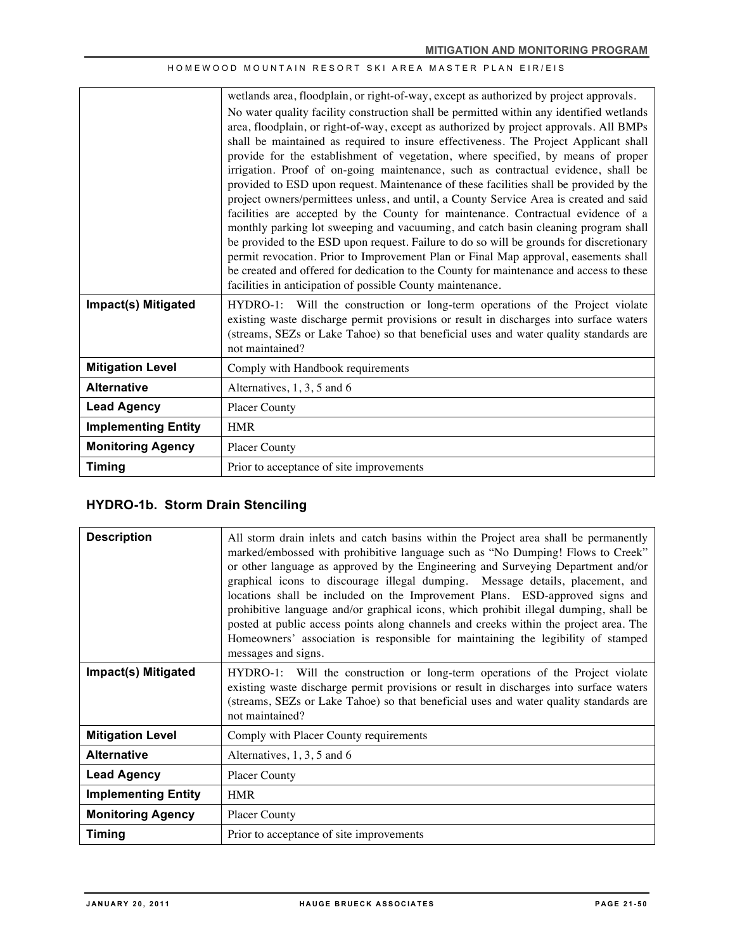|                            | wetlands area, floodplain, or right-of-way, except as authorized by project approvals.                                                                                                                                                                                                                                                                                                                                                                                                                                                                                                                                                                                                                                                                                                                                                                                                                                                                                                                                                                                                                                                                       |
|----------------------------|--------------------------------------------------------------------------------------------------------------------------------------------------------------------------------------------------------------------------------------------------------------------------------------------------------------------------------------------------------------------------------------------------------------------------------------------------------------------------------------------------------------------------------------------------------------------------------------------------------------------------------------------------------------------------------------------------------------------------------------------------------------------------------------------------------------------------------------------------------------------------------------------------------------------------------------------------------------------------------------------------------------------------------------------------------------------------------------------------------------------------------------------------------------|
|                            | No water quality facility construction shall be permitted within any identified wetlands<br>area, floodplain, or right-of-way, except as authorized by project approvals. All BMPs<br>shall be maintained as required to insure effectiveness. The Project Applicant shall<br>provide for the establishment of vegetation, where specified, by means of proper<br>irrigation. Proof of on-going maintenance, such as contractual evidence, shall be<br>provided to ESD upon request. Maintenance of these facilities shall be provided by the<br>project owners/permittees unless, and until, a County Service Area is created and said<br>facilities are accepted by the County for maintenance. Contractual evidence of a<br>monthly parking lot sweeping and vacuuming, and catch basin cleaning program shall<br>be provided to the ESD upon request. Failure to do so will be grounds for discretionary<br>permit revocation. Prior to Improvement Plan or Final Map approval, easements shall<br>be created and offered for dedication to the County for maintenance and access to these<br>facilities in anticipation of possible County maintenance. |
| Impact(s) Mitigated        | HYDRO-1: Will the construction or long-term operations of the Project violate<br>existing waste discharge permit provisions or result in discharges into surface waters<br>(streams, SEZs or Lake Tahoe) so that beneficial uses and water quality standards are<br>not maintained?                                                                                                                                                                                                                                                                                                                                                                                                                                                                                                                                                                                                                                                                                                                                                                                                                                                                          |
| <b>Mitigation Level</b>    | Comply with Handbook requirements                                                                                                                                                                                                                                                                                                                                                                                                                                                                                                                                                                                                                                                                                                                                                                                                                                                                                                                                                                                                                                                                                                                            |
| <b>Alternative</b>         | Alternatives, 1, 3, 5 and 6                                                                                                                                                                                                                                                                                                                                                                                                                                                                                                                                                                                                                                                                                                                                                                                                                                                                                                                                                                                                                                                                                                                                  |
| <b>Lead Agency</b>         | <b>Placer County</b>                                                                                                                                                                                                                                                                                                                                                                                                                                                                                                                                                                                                                                                                                                                                                                                                                                                                                                                                                                                                                                                                                                                                         |
| <b>Implementing Entity</b> | <b>HMR</b>                                                                                                                                                                                                                                                                                                                                                                                                                                                                                                                                                                                                                                                                                                                                                                                                                                                                                                                                                                                                                                                                                                                                                   |
| <b>Monitoring Agency</b>   | <b>Placer County</b>                                                                                                                                                                                                                                                                                                                                                                                                                                                                                                                                                                                                                                                                                                                                                                                                                                                                                                                                                                                                                                                                                                                                         |
| <b>Timing</b>              | Prior to acceptance of site improvements                                                                                                                                                                                                                                                                                                                                                                                                                                                                                                                                                                                                                                                                                                                                                                                                                                                                                                                                                                                                                                                                                                                     |

## **HYDRO-1b. Storm Drain Stenciling**

| <b>Description</b>         | All storm drain inlets and catch basins within the Project area shall be permanently<br>marked/embossed with prohibitive language such as "No Dumping! Flows to Creek"<br>or other language as approved by the Engineering and Surveying Department and/or<br>graphical icons to discourage illegal dumping. Message details, placement, and<br>locations shall be included on the Improvement Plans. ESD-approved signs and<br>prohibitive language and/or graphical icons, which prohibit illegal dumping, shall be<br>posted at public access points along channels and creeks within the project area. The<br>Homeowners' association is responsible for maintaining the legibility of stamped<br>messages and signs. |
|----------------------------|---------------------------------------------------------------------------------------------------------------------------------------------------------------------------------------------------------------------------------------------------------------------------------------------------------------------------------------------------------------------------------------------------------------------------------------------------------------------------------------------------------------------------------------------------------------------------------------------------------------------------------------------------------------------------------------------------------------------------|
| Impact(s) Mitigated        | HYDRO-1: Will the construction or long-term operations of the Project violate<br>existing waste discharge permit provisions or result in discharges into surface waters<br>(streams, SEZs or Lake Tahoe) so that beneficial uses and water quality standards are<br>not maintained?                                                                                                                                                                                                                                                                                                                                                                                                                                       |
| <b>Mitigation Level</b>    | Comply with Placer County requirements                                                                                                                                                                                                                                                                                                                                                                                                                                                                                                                                                                                                                                                                                    |
| <b>Alternative</b>         | Alternatives, 1, 3, 5 and 6                                                                                                                                                                                                                                                                                                                                                                                                                                                                                                                                                                                                                                                                                               |
| <b>Lead Agency</b>         | <b>Placer County</b>                                                                                                                                                                                                                                                                                                                                                                                                                                                                                                                                                                                                                                                                                                      |
| <b>Implementing Entity</b> | <b>HMR</b>                                                                                                                                                                                                                                                                                                                                                                                                                                                                                                                                                                                                                                                                                                                |
| <b>Monitoring Agency</b>   | <b>Placer County</b>                                                                                                                                                                                                                                                                                                                                                                                                                                                                                                                                                                                                                                                                                                      |
| Timing                     | Prior to acceptance of site improvements                                                                                                                                                                                                                                                                                                                                                                                                                                                                                                                                                                                                                                                                                  |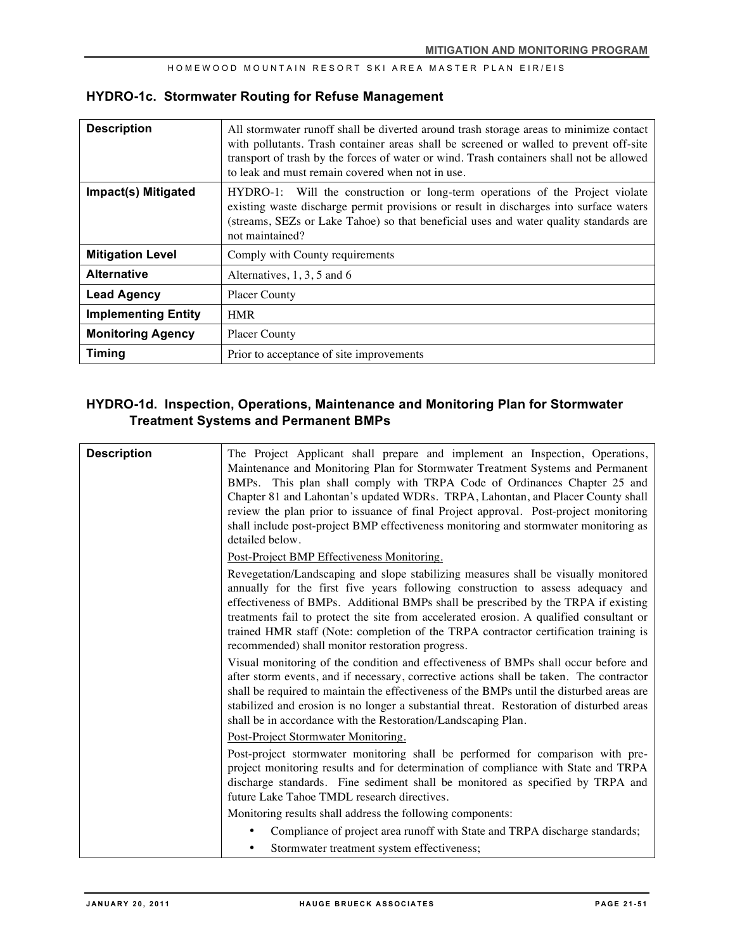| <b>HYDRO-1c. Stormwater Routing for Refuse Management</b> |  |  |  |  |  |
|-----------------------------------------------------------|--|--|--|--|--|
|-----------------------------------------------------------|--|--|--|--|--|

| <b>Description</b>         | All stormwater runoff shall be diverted around trash storage areas to minimize contact<br>with pollutants. Trash container areas shall be screened or walled to prevent off-site<br>transport of trash by the forces of water or wind. Trash containers shall not be allowed<br>to leak and must remain covered when not in use. |
|----------------------------|----------------------------------------------------------------------------------------------------------------------------------------------------------------------------------------------------------------------------------------------------------------------------------------------------------------------------------|
| Impact(s) Mitigated        | HYDRO-1: Will the construction or long-term operations of the Project violate<br>existing waste discharge permit provisions or result in discharges into surface waters<br>(streams, SEZs or Lake Tahoe) so that beneficial uses and water quality standards are<br>not maintained?                                              |
| <b>Mitigation Level</b>    | Comply with County requirements                                                                                                                                                                                                                                                                                                  |
| <b>Alternative</b>         | Alternatives, $1, 3, 5$ and 6                                                                                                                                                                                                                                                                                                    |
| <b>Lead Agency</b>         | <b>Placer County</b>                                                                                                                                                                                                                                                                                                             |
| <b>Implementing Entity</b> | <b>HMR</b>                                                                                                                                                                                                                                                                                                                       |
| <b>Monitoring Agency</b>   | <b>Placer County</b>                                                                                                                                                                                                                                                                                                             |
| <b>Timing</b>              | Prior to acceptance of site improvements                                                                                                                                                                                                                                                                                         |

## **HYDRO-1d. Inspection, Operations, Maintenance and Monitoring Plan for Stormwater Treatment Systems and Permanent BMPs**

| <b>Description</b> | The Project Applicant shall prepare and implement an Inspection, Operations,<br>Maintenance and Monitoring Plan for Stormwater Treatment Systems and Permanent<br>BMPs. This plan shall comply with TRPA Code of Ordinances Chapter 25 and<br>Chapter 81 and Lahontan's updated WDRs. TRPA, Lahontan, and Placer County shall<br>review the plan prior to issuance of final Project approval. Post-project monitoring<br>shall include post-project BMP effectiveness monitoring and stormwater monitoring as<br>detailed below.                                                           |
|--------------------|--------------------------------------------------------------------------------------------------------------------------------------------------------------------------------------------------------------------------------------------------------------------------------------------------------------------------------------------------------------------------------------------------------------------------------------------------------------------------------------------------------------------------------------------------------------------------------------------|
|                    | Post-Project BMP Effectiveness Monitoring.                                                                                                                                                                                                                                                                                                                                                                                                                                                                                                                                                 |
|                    | Revegetation/Landscaping and slope stabilizing measures shall be visually monitored<br>annually for the first five years following construction to assess adequacy and<br>effectiveness of BMPs. Additional BMPs shall be prescribed by the TRPA if existing<br>treatments fail to protect the site from accelerated erosion. A qualified consultant or<br>trained HMR staff (Note: completion of the TRPA contractor certification training is<br>recommended) shall monitor restoration progress.<br>Visual monitoring of the condition and effectiveness of BMPs shall occur before and |
|                    | after storm events, and if necessary, corrective actions shall be taken. The contractor<br>shall be required to maintain the effectiveness of the BMPs until the disturbed areas are<br>stabilized and erosion is no longer a substantial threat. Restoration of disturbed areas                                                                                                                                                                                                                                                                                                           |
|                    | shall be in accordance with the Restoration/Landscaping Plan.<br>Post-Project Stormwater Monitoring.                                                                                                                                                                                                                                                                                                                                                                                                                                                                                       |
|                    | Post-project stormwater monitoring shall be performed for comparison with pre-<br>project monitoring results and for determination of compliance with State and TRPA<br>discharge standards. Fine sediment shall be monitored as specified by TRPA and<br>future Lake Tahoe TMDL research directives.                                                                                                                                                                                                                                                                                      |
|                    | Monitoring results shall address the following components:                                                                                                                                                                                                                                                                                                                                                                                                                                                                                                                                 |
|                    | Compliance of project area runoff with State and TRPA discharge standards;<br>٠                                                                                                                                                                                                                                                                                                                                                                                                                                                                                                            |
|                    | Stormwater treatment system effectiveness;                                                                                                                                                                                                                                                                                                                                                                                                                                                                                                                                                 |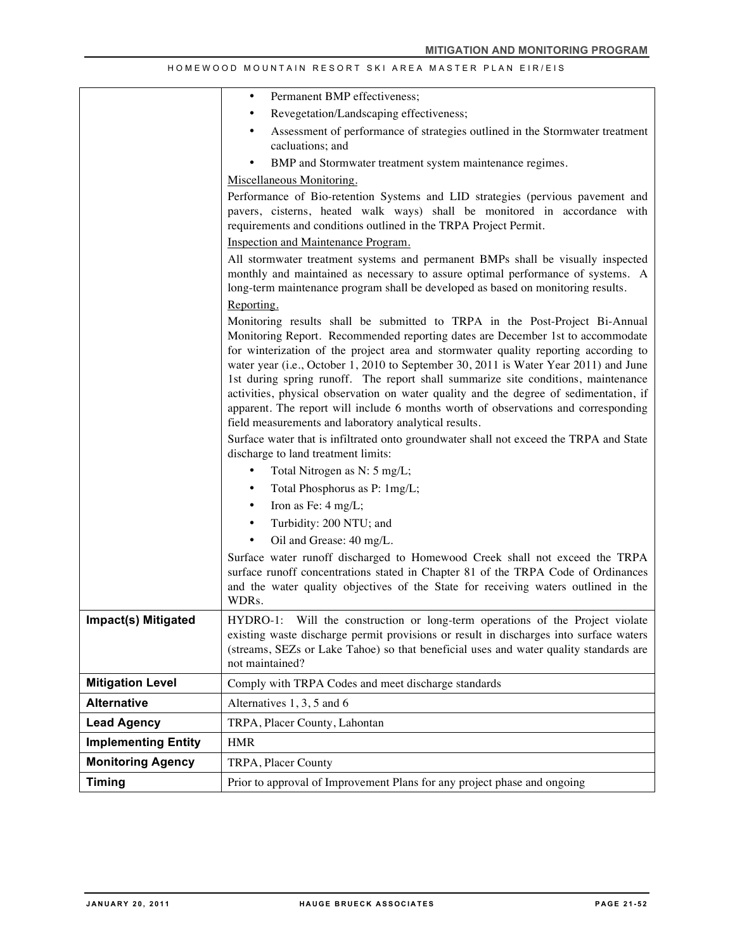|                            | Permanent BMP effectiveness;<br>$\bullet$                                                                                                                                                                                                                                                                                                                                                                                                                                                                                                                                                                                                                                 |  |  |
|----------------------------|---------------------------------------------------------------------------------------------------------------------------------------------------------------------------------------------------------------------------------------------------------------------------------------------------------------------------------------------------------------------------------------------------------------------------------------------------------------------------------------------------------------------------------------------------------------------------------------------------------------------------------------------------------------------------|--|--|
|                            | Revegetation/Landscaping effectiveness;<br>٠                                                                                                                                                                                                                                                                                                                                                                                                                                                                                                                                                                                                                              |  |  |
|                            | Assessment of performance of strategies outlined in the Stormwater treatment<br>cacluations; and                                                                                                                                                                                                                                                                                                                                                                                                                                                                                                                                                                          |  |  |
|                            | BMP and Stormwater treatment system maintenance regimes.                                                                                                                                                                                                                                                                                                                                                                                                                                                                                                                                                                                                                  |  |  |
|                            | Miscellaneous Monitoring.                                                                                                                                                                                                                                                                                                                                                                                                                                                                                                                                                                                                                                                 |  |  |
|                            | Performance of Bio-retention Systems and LID strategies (pervious pavement and                                                                                                                                                                                                                                                                                                                                                                                                                                                                                                                                                                                            |  |  |
|                            | pavers, cisterns, heated walk ways) shall be monitored in accordance with<br>requirements and conditions outlined in the TRPA Project Permit.                                                                                                                                                                                                                                                                                                                                                                                                                                                                                                                             |  |  |
|                            | Inspection and Maintenance Program.                                                                                                                                                                                                                                                                                                                                                                                                                                                                                                                                                                                                                                       |  |  |
|                            | All stormwater treatment systems and permanent BMPs shall be visually inspected<br>monthly and maintained as necessary to assure optimal performance of systems. A<br>long-term maintenance program shall be developed as based on monitoring results.                                                                                                                                                                                                                                                                                                                                                                                                                    |  |  |
|                            | Reporting.                                                                                                                                                                                                                                                                                                                                                                                                                                                                                                                                                                                                                                                                |  |  |
|                            | Monitoring results shall be submitted to TRPA in the Post-Project Bi-Annual<br>Monitoring Report. Recommended reporting dates are December 1st to accommodate<br>for winterization of the project area and stormwater quality reporting according to<br>water year (i.e., October 1, 2010 to September 30, 2011 is Water Year 2011) and June<br>1st during spring runoff. The report shall summarize site conditions, maintenance<br>activities, physical observation on water quality and the degree of sedimentation, if<br>apparent. The report will include 6 months worth of observations and corresponding<br>field measurements and laboratory analytical results. |  |  |
|                            | Surface water that is infiltrated onto groundwater shall not exceed the TRPA and State<br>discharge to land treatment limits:                                                                                                                                                                                                                                                                                                                                                                                                                                                                                                                                             |  |  |
|                            | Total Nitrogen as N: 5 mg/L;<br>٠                                                                                                                                                                                                                                                                                                                                                                                                                                                                                                                                                                                                                                         |  |  |
|                            | Total Phosphorus as P: 1mg/L;<br>٠                                                                                                                                                                                                                                                                                                                                                                                                                                                                                                                                                                                                                                        |  |  |
|                            | Iron as Fe: 4 mg/L;<br>٠                                                                                                                                                                                                                                                                                                                                                                                                                                                                                                                                                                                                                                                  |  |  |
|                            | Turbidity: 200 NTU; and<br>$\bullet$                                                                                                                                                                                                                                                                                                                                                                                                                                                                                                                                                                                                                                      |  |  |
|                            | Oil and Grease: 40 mg/L.<br>$\bullet$                                                                                                                                                                                                                                                                                                                                                                                                                                                                                                                                                                                                                                     |  |  |
|                            | Surface water runoff discharged to Homewood Creek shall not exceed the TRPA<br>surface runoff concentrations stated in Chapter 81 of the TRPA Code of Ordinances<br>and the water quality objectives of the State for receiving waters outlined in the<br>WDRs.                                                                                                                                                                                                                                                                                                                                                                                                           |  |  |
| <b>Impact(s) Mitigated</b> | HYDRO-1: Will the construction or long-term operations of the Project violate<br>existing waste discharge permit provisions or result in discharges into surface waters<br>(streams, SEZs or Lake Tahoe) so that beneficial uses and water quality standards are<br>not maintained?                                                                                                                                                                                                                                                                                                                                                                                       |  |  |
| <b>Mitigation Level</b>    | Comply with TRPA Codes and meet discharge standards                                                                                                                                                                                                                                                                                                                                                                                                                                                                                                                                                                                                                       |  |  |
| <b>Alternative</b>         | Alternatives 1, 3, 5 and 6                                                                                                                                                                                                                                                                                                                                                                                                                                                                                                                                                                                                                                                |  |  |
| <b>Lead Agency</b>         | TRPA, Placer County, Lahontan                                                                                                                                                                                                                                                                                                                                                                                                                                                                                                                                                                                                                                             |  |  |
| <b>Implementing Entity</b> | <b>HMR</b>                                                                                                                                                                                                                                                                                                                                                                                                                                                                                                                                                                                                                                                                |  |  |
| <b>Monitoring Agency</b>   | TRPA, Placer County                                                                                                                                                                                                                                                                                                                                                                                                                                                                                                                                                                                                                                                       |  |  |
| <b>Timing</b>              | Prior to approval of Improvement Plans for any project phase and ongoing                                                                                                                                                                                                                                                                                                                                                                                                                                                                                                                                                                                                  |  |  |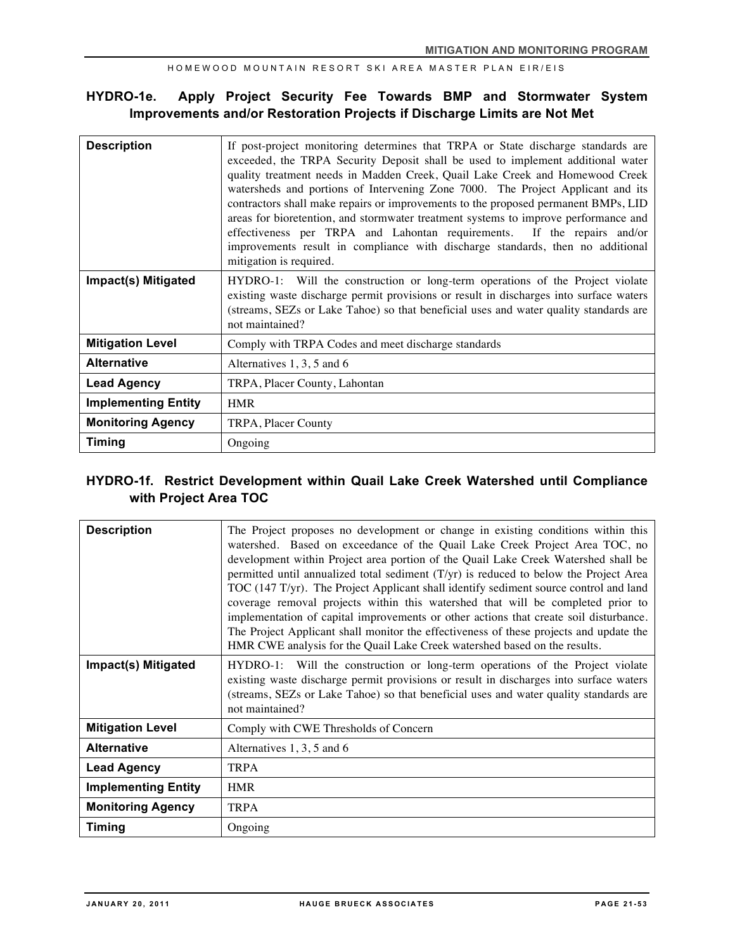### **HYDRO-1e. Apply Project Security Fee Towards BMP and Stormwater System Improvements and/or Restoration Projects if Discharge Limits are Not Met**

| <b>Description</b>         | If post-project monitoring determines that TRPA or State discharge standards are<br>exceeded, the TRPA Security Deposit shall be used to implement additional water<br>quality treatment needs in Madden Creek, Quail Lake Creek and Homewood Creek<br>watersheds and portions of Intervening Zone 7000. The Project Applicant and its<br>contractors shall make repairs or improvements to the proposed permanent BMPs, LID<br>areas for bioretention, and stormwater treatment systems to improve performance and<br>effectiveness per TRPA and Lahontan requirements. If the repairs and/or<br>improvements result in compliance with discharge standards, then no additional<br>mitigation is required. |  |  |
|----------------------------|-------------------------------------------------------------------------------------------------------------------------------------------------------------------------------------------------------------------------------------------------------------------------------------------------------------------------------------------------------------------------------------------------------------------------------------------------------------------------------------------------------------------------------------------------------------------------------------------------------------------------------------------------------------------------------------------------------------|--|--|
| Impact(s) Mitigated        | HYDRO-1: Will the construction or long-term operations of the Project violate<br>existing waste discharge permit provisions or result in discharges into surface waters<br>(streams, SEZs or Lake Tahoe) so that beneficial uses and water quality standards are<br>not maintained?                                                                                                                                                                                                                                                                                                                                                                                                                         |  |  |
| <b>Mitigation Level</b>    | Comply with TRPA Codes and meet discharge standards                                                                                                                                                                                                                                                                                                                                                                                                                                                                                                                                                                                                                                                         |  |  |
| <b>Alternative</b>         | Alternatives 1, 3, 5 and 6                                                                                                                                                                                                                                                                                                                                                                                                                                                                                                                                                                                                                                                                                  |  |  |
| <b>Lead Agency</b>         | TRPA, Placer County, Lahontan                                                                                                                                                                                                                                                                                                                                                                                                                                                                                                                                                                                                                                                                               |  |  |
| <b>Implementing Entity</b> | <b>HMR</b>                                                                                                                                                                                                                                                                                                                                                                                                                                                                                                                                                                                                                                                                                                  |  |  |
| <b>Monitoring Agency</b>   | TRPA, Placer County                                                                                                                                                                                                                                                                                                                                                                                                                                                                                                                                                                                                                                                                                         |  |  |
| Timing                     | Ongoing                                                                                                                                                                                                                                                                                                                                                                                                                                                                                                                                                                                                                                                                                                     |  |  |

### **HYDRO-1f. Restrict Development within Quail Lake Creek Watershed until Compliance with Project Area TOC**

| <b>Description</b>         | The Project proposes no development or change in existing conditions within this<br>watershed. Based on exceedance of the Quail Lake Creek Project Area TOC, no<br>development within Project area portion of the Quail Lake Creek Watershed shall be<br>permitted until annualized total sediment (T/yr) is reduced to below the Project Area<br>TOC (147 T/yr). The Project Applicant shall identify sediment source control and land<br>coverage removal projects within this watershed that will be completed prior to<br>implementation of capital improvements or other actions that create soil disturbance.<br>The Project Applicant shall monitor the effectiveness of these projects and update the<br>HMR CWE analysis for the Quail Lake Creek watershed based on the results. |
|----------------------------|--------------------------------------------------------------------------------------------------------------------------------------------------------------------------------------------------------------------------------------------------------------------------------------------------------------------------------------------------------------------------------------------------------------------------------------------------------------------------------------------------------------------------------------------------------------------------------------------------------------------------------------------------------------------------------------------------------------------------------------------------------------------------------------------|
| Impact(s) Mitigated        | HYDRO-1: Will the construction or long-term operations of the Project violate<br>existing waste discharge permit provisions or result in discharges into surface waters<br>(streams, SEZs or Lake Tahoe) so that beneficial uses and water quality standards are<br>not maintained?                                                                                                                                                                                                                                                                                                                                                                                                                                                                                                        |
| <b>Mitigation Level</b>    | Comply with CWE Thresholds of Concern                                                                                                                                                                                                                                                                                                                                                                                                                                                                                                                                                                                                                                                                                                                                                      |
| <b>Alternative</b>         | Alternatives $1, 3, 5$ and 6                                                                                                                                                                                                                                                                                                                                                                                                                                                                                                                                                                                                                                                                                                                                                               |
| <b>Lead Agency</b>         | <b>TRPA</b>                                                                                                                                                                                                                                                                                                                                                                                                                                                                                                                                                                                                                                                                                                                                                                                |
| <b>Implementing Entity</b> | <b>HMR</b>                                                                                                                                                                                                                                                                                                                                                                                                                                                                                                                                                                                                                                                                                                                                                                                 |
| <b>Monitoring Agency</b>   | <b>TRPA</b>                                                                                                                                                                                                                                                                                                                                                                                                                                                                                                                                                                                                                                                                                                                                                                                |
| Timing                     | Ongoing                                                                                                                                                                                                                                                                                                                                                                                                                                                                                                                                                                                                                                                                                                                                                                                    |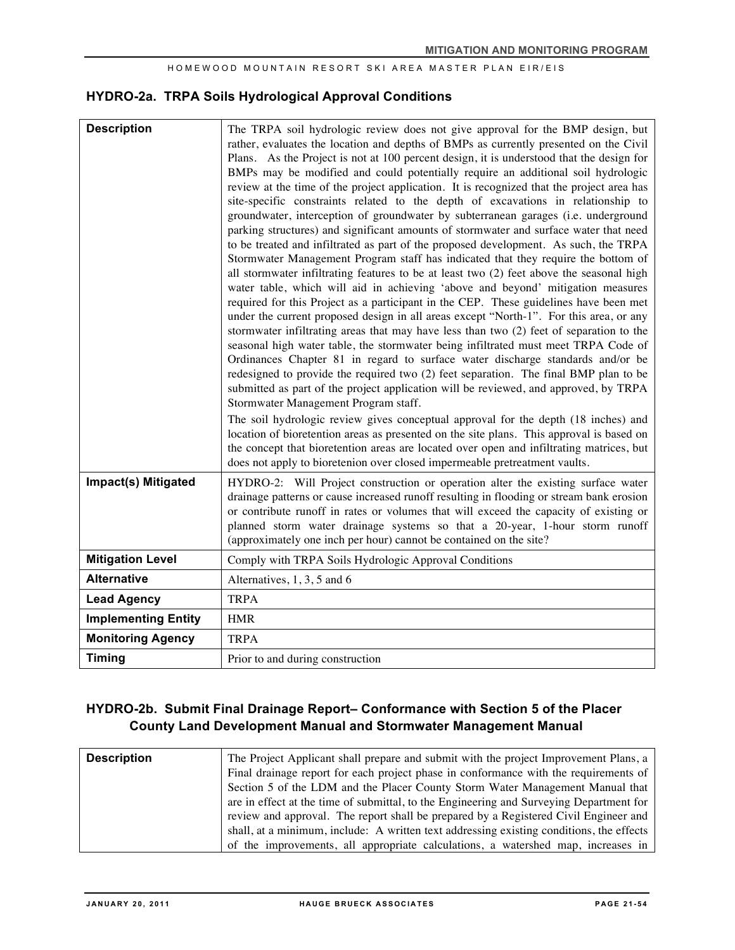### **HYDRO-2a. TRPA Soils Hydrological Approval Conditions**

| <b>Description</b>         | The TRPA soil hydrologic review does not give approval for the BMP design, but<br>rather, evaluates the location and depths of BMPs as currently presented on the Civil<br>Plans. As the Project is not at 100 percent design, it is understood that the design for<br>BMPs may be modified and could potentially require an additional soil hydrologic<br>review at the time of the project application. It is recognized that the project area has<br>site-specific constraints related to the depth of excavations in relationship to<br>groundwater, interception of groundwater by subterranean garages (i.e. underground<br>parking structures) and significant amounts of stormwater and surface water that need<br>to be treated and infiltrated as part of the proposed development. As such, the TRPA<br>Stormwater Management Program staff has indicated that they require the bottom of<br>all stormwater infiltrating features to be at least two (2) feet above the seasonal high<br>water table, which will aid in achieving 'above and beyond' mitigation measures<br>required for this Project as a participant in the CEP. These guidelines have been met<br>under the current proposed design in all areas except "North-1". For this area, or any<br>stormwater infiltrating areas that may have less than two (2) feet of separation to the<br>seasonal high water table, the stormwater being infiltrated must meet TRPA Code of<br>Ordinances Chapter 81 in regard to surface water discharge standards and/or be<br>redesigned to provide the required two (2) feet separation. The final BMP plan to be<br>submitted as part of the project application will be reviewed, and approved, by TRPA<br>Stormwater Management Program staff.<br>The soil hydrologic review gives conceptual approval for the depth (18 inches) and<br>location of bioretention areas as presented on the site plans. This approval is based on<br>the concept that bioretention areas are located over open and infiltrating matrices, but<br>does not apply to bioretenion over closed impermeable pretreatment vaults. |
|----------------------------|-------------------------------------------------------------------------------------------------------------------------------------------------------------------------------------------------------------------------------------------------------------------------------------------------------------------------------------------------------------------------------------------------------------------------------------------------------------------------------------------------------------------------------------------------------------------------------------------------------------------------------------------------------------------------------------------------------------------------------------------------------------------------------------------------------------------------------------------------------------------------------------------------------------------------------------------------------------------------------------------------------------------------------------------------------------------------------------------------------------------------------------------------------------------------------------------------------------------------------------------------------------------------------------------------------------------------------------------------------------------------------------------------------------------------------------------------------------------------------------------------------------------------------------------------------------------------------------------------------------------------------------------------------------------------------------------------------------------------------------------------------------------------------------------------------------------------------------------------------------------------------------------------------------------------------------------------------------------------------------------------------------------------------------------------------------------------------------------------------------------------------|
| <b>Impact(s) Mitigated</b> | HYDRO-2: Will Project construction or operation alter the existing surface water<br>drainage patterns or cause increased runoff resulting in flooding or stream bank erosion<br>or contribute runoff in rates or volumes that will exceed the capacity of existing or<br>planned storm water drainage systems so that a 20-year, 1-hour storm runoff<br>(approximately one inch per hour) cannot be contained on the site?                                                                                                                                                                                                                                                                                                                                                                                                                                                                                                                                                                                                                                                                                                                                                                                                                                                                                                                                                                                                                                                                                                                                                                                                                                                                                                                                                                                                                                                                                                                                                                                                                                                                                                    |
| <b>Mitigation Level</b>    | Comply with TRPA Soils Hydrologic Approval Conditions                                                                                                                                                                                                                                                                                                                                                                                                                                                                                                                                                                                                                                                                                                                                                                                                                                                                                                                                                                                                                                                                                                                                                                                                                                                                                                                                                                                                                                                                                                                                                                                                                                                                                                                                                                                                                                                                                                                                                                                                                                                                         |
| <b>Alternative</b>         | Alternatives, 1, 3, 5 and 6                                                                                                                                                                                                                                                                                                                                                                                                                                                                                                                                                                                                                                                                                                                                                                                                                                                                                                                                                                                                                                                                                                                                                                                                                                                                                                                                                                                                                                                                                                                                                                                                                                                                                                                                                                                                                                                                                                                                                                                                                                                                                                   |
| <b>Lead Agency</b>         | <b>TRPA</b>                                                                                                                                                                                                                                                                                                                                                                                                                                                                                                                                                                                                                                                                                                                                                                                                                                                                                                                                                                                                                                                                                                                                                                                                                                                                                                                                                                                                                                                                                                                                                                                                                                                                                                                                                                                                                                                                                                                                                                                                                                                                                                                   |
| <b>Implementing Entity</b> | <b>HMR</b>                                                                                                                                                                                                                                                                                                                                                                                                                                                                                                                                                                                                                                                                                                                                                                                                                                                                                                                                                                                                                                                                                                                                                                                                                                                                                                                                                                                                                                                                                                                                                                                                                                                                                                                                                                                                                                                                                                                                                                                                                                                                                                                    |
| <b>Monitoring Agency</b>   | <b>TRPA</b>                                                                                                                                                                                                                                                                                                                                                                                                                                                                                                                                                                                                                                                                                                                                                                                                                                                                                                                                                                                                                                                                                                                                                                                                                                                                                                                                                                                                                                                                                                                                                                                                                                                                                                                                                                                                                                                                                                                                                                                                                                                                                                                   |
| <b>Timing</b>              | Prior to and during construction                                                                                                                                                                                                                                                                                                                                                                                                                                                                                                                                                                                                                                                                                                                                                                                                                                                                                                                                                                                                                                                                                                                                                                                                                                                                                                                                                                                                                                                                                                                                                                                                                                                                                                                                                                                                                                                                                                                                                                                                                                                                                              |

## **HYDRO-2b. Submit Final Drainage Report– Conformance with Section 5 of the Placer County Land Development Manual and Stormwater Management Manual**

| <b>Description</b> | The Project Applicant shall prepare and submit with the project Improvement Plans, a     |
|--------------------|------------------------------------------------------------------------------------------|
|                    | Final drainage report for each project phase in conformance with the requirements of     |
|                    | Section 5 of the LDM and the Placer County Storm Water Management Manual that            |
|                    | are in effect at the time of submittal, to the Engineering and Surveying Department for  |
|                    | review and approval. The report shall be prepared by a Registered Civil Engineer and     |
|                    | shall, at a minimum, include: A written text addressing existing conditions, the effects |
|                    | of the improvements, all appropriate calculations, a watershed map, increases in         |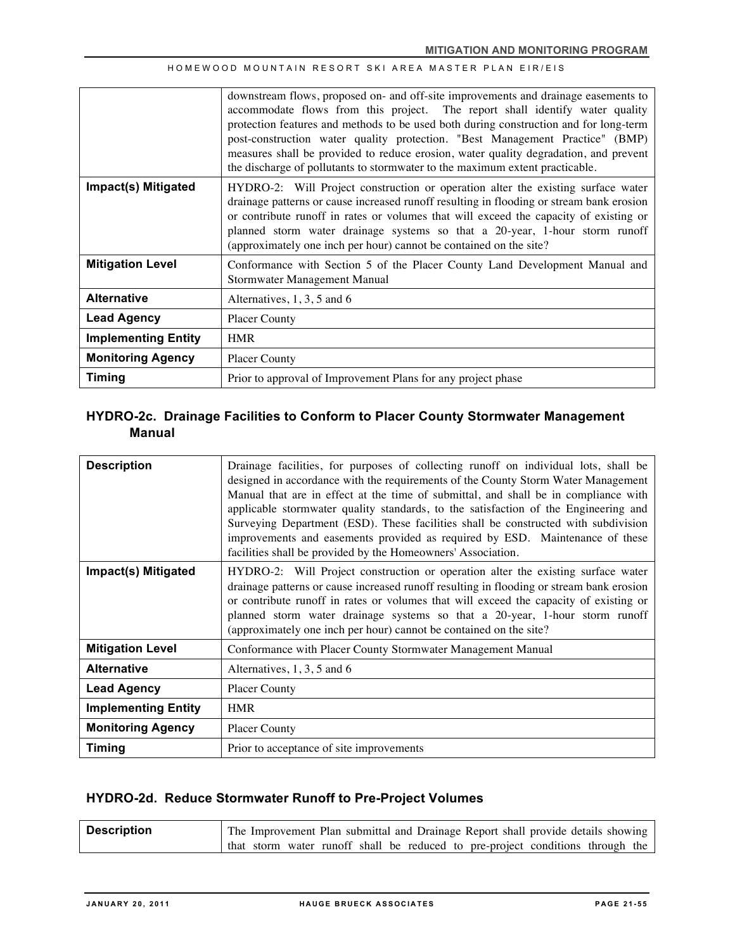|                            | downstream flows, proposed on- and off-site improvements and drainage easements to<br>accommodate flows from this project. The report shall identify water quality<br>protection features and methods to be used both during construction and for long-term<br>post-construction water quality protection. "Best Management Practice" (BMP)<br>measures shall be provided to reduce erosion, water quality degradation, and prevent<br>the discharge of pollutants to stormwater to the maximum extent practicable. |
|----------------------------|---------------------------------------------------------------------------------------------------------------------------------------------------------------------------------------------------------------------------------------------------------------------------------------------------------------------------------------------------------------------------------------------------------------------------------------------------------------------------------------------------------------------|
| Impact(s) Mitigated        | HYDRO-2: Will Project construction or operation alter the existing surface water<br>drainage patterns or cause increased runoff resulting in flooding or stream bank erosion<br>or contribute runoff in rates or volumes that will exceed the capacity of existing or<br>planned storm water drainage systems so that a 20-year, 1-hour storm runoff<br>(approximately one inch per hour) cannot be contained on the site?                                                                                          |
| <b>Mitigation Level</b>    | Conformance with Section 5 of the Placer County Land Development Manual and<br>Stormwater Management Manual                                                                                                                                                                                                                                                                                                                                                                                                         |
| <b>Alternative</b>         | Alternatives, 1, 3, 5 and 6                                                                                                                                                                                                                                                                                                                                                                                                                                                                                         |
| <b>Lead Agency</b>         | <b>Placer County</b>                                                                                                                                                                                                                                                                                                                                                                                                                                                                                                |
| <b>Implementing Entity</b> | <b>HMR</b>                                                                                                                                                                                                                                                                                                                                                                                                                                                                                                          |
| <b>Monitoring Agency</b>   | <b>Placer County</b>                                                                                                                                                                                                                                                                                                                                                                                                                                                                                                |
| Timing                     | Prior to approval of Improvement Plans for any project phase                                                                                                                                                                                                                                                                                                                                                                                                                                                        |

### **HYDRO-2c. Drainage Facilities to Conform to Placer County Stormwater Management Manual**

| <b>Description</b>         | Drainage facilities, for purposes of collecting runoff on individual lots, shall be<br>designed in accordance with the requirements of the County Storm Water Management<br>Manual that are in effect at the time of submittal, and shall be in compliance with<br>applicable stormwater quality standards, to the satisfaction of the Engineering and<br>Surveying Department (ESD). These facilities shall be constructed with subdivision<br>improvements and easements provided as required by ESD. Maintenance of these<br>facilities shall be provided by the Homeowners' Association. |
|----------------------------|----------------------------------------------------------------------------------------------------------------------------------------------------------------------------------------------------------------------------------------------------------------------------------------------------------------------------------------------------------------------------------------------------------------------------------------------------------------------------------------------------------------------------------------------------------------------------------------------|
| Impact(s) Mitigated        | HYDRO-2: Will Project construction or operation alter the existing surface water<br>drainage patterns or cause increased runoff resulting in flooding or stream bank erosion<br>or contribute runoff in rates or volumes that will exceed the capacity of existing or<br>planned storm water drainage systems so that a 20-year, 1-hour storm runoff<br>(approximately one inch per hour) cannot be contained on the site?                                                                                                                                                                   |
| <b>Mitigation Level</b>    | Conformance with Placer County Stormwater Management Manual                                                                                                                                                                                                                                                                                                                                                                                                                                                                                                                                  |
| <b>Alternative</b>         | Alternatives, $1, 3, 5$ and 6                                                                                                                                                                                                                                                                                                                                                                                                                                                                                                                                                                |
| <b>Lead Agency</b>         | <b>Placer County</b>                                                                                                                                                                                                                                                                                                                                                                                                                                                                                                                                                                         |
| <b>Implementing Entity</b> | <b>HMR</b>                                                                                                                                                                                                                                                                                                                                                                                                                                                                                                                                                                                   |
| <b>Monitoring Agency</b>   | <b>Placer County</b>                                                                                                                                                                                                                                                                                                                                                                                                                                                                                                                                                                         |
| Timing                     | Prior to acceptance of site improvements                                                                                                                                                                                                                                                                                                                                                                                                                                                                                                                                                     |

## **HYDRO-2d. Reduce Stormwater Runoff to Pre-Project Volumes**

| <b>Description</b> | The Improvement Plan submittal and Drainage Report shall provide details showing |
|--------------------|----------------------------------------------------------------------------------|
|                    | that storm water runoff shall be reduced to pre-project conditions through the   |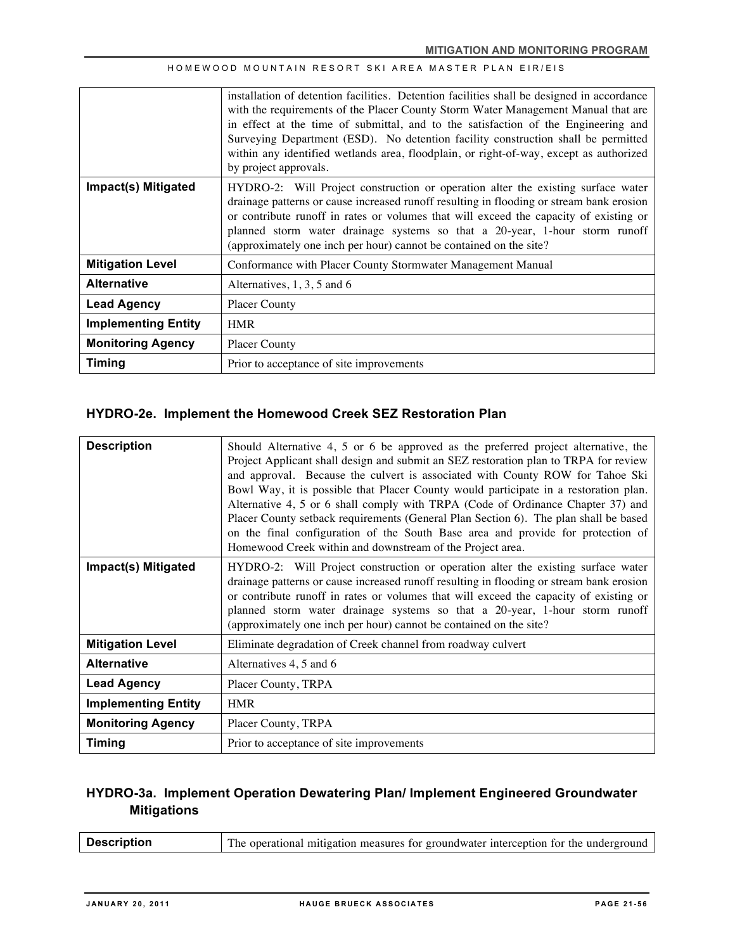|  | HOMEWOOD MOUNTAIN RESORT SKI AREA MASTER PLAN EIR/EIS |  |  |  |  |  |  |  |
|--|-------------------------------------------------------|--|--|--|--|--|--|--|
|--|-------------------------------------------------------|--|--|--|--|--|--|--|

|                            | installation of detention facilities. Detention facilities shall be designed in accordance<br>with the requirements of the Placer County Storm Water Management Manual that are<br>in effect at the time of submittal, and to the satisfaction of the Engineering and<br>Surveying Department (ESD). No detention facility construction shall be permitted<br>within any identified wetlands area, floodplain, or right-of-way, except as authorized<br>by project approvals. |
|----------------------------|-------------------------------------------------------------------------------------------------------------------------------------------------------------------------------------------------------------------------------------------------------------------------------------------------------------------------------------------------------------------------------------------------------------------------------------------------------------------------------|
| <b>Impact(s) Mitigated</b> | HYDRO-2: Will Project construction or operation alter the existing surface water<br>drainage patterns or cause increased runoff resulting in flooding or stream bank erosion<br>or contribute runoff in rates or volumes that will exceed the capacity of existing or<br>planned storm water drainage systems so that a 20-year, 1-hour storm runoff<br>(approximately one inch per hour) cannot be contained on the site?                                                    |
| <b>Mitigation Level</b>    | Conformance with Placer County Stormwater Management Manual                                                                                                                                                                                                                                                                                                                                                                                                                   |
| <b>Alternative</b>         | Alternatives, $1, 3, 5$ and 6                                                                                                                                                                                                                                                                                                                                                                                                                                                 |
| <b>Lead Agency</b>         | <b>Placer County</b>                                                                                                                                                                                                                                                                                                                                                                                                                                                          |
| <b>Implementing Entity</b> | <b>HMR</b>                                                                                                                                                                                                                                                                                                                                                                                                                                                                    |
| <b>Monitoring Agency</b>   | <b>Placer County</b>                                                                                                                                                                                                                                                                                                                                                                                                                                                          |
| Timing                     | Prior to acceptance of site improvements                                                                                                                                                                                                                                                                                                                                                                                                                                      |

## **HYDRO-2e. Implement the Homewood Creek SEZ Restoration Plan**

| <b>Description</b>         | Should Alternative 4, 5 or 6 be approved as the preferred project alternative, the<br>Project Applicant shall design and submit an SEZ restoration plan to TRPA for review<br>and approval. Because the culvert is associated with County ROW for Tahoe Ski<br>Bowl Way, it is possible that Placer County would participate in a restoration plan.<br>Alternative 4, 5 or 6 shall comply with TRPA (Code of Ordinance Chapter 37) and<br>Placer County setback requirements (General Plan Section 6). The plan shall be based<br>on the final configuration of the South Base area and provide for protection of<br>Homewood Creek within and downstream of the Project area. |
|----------------------------|--------------------------------------------------------------------------------------------------------------------------------------------------------------------------------------------------------------------------------------------------------------------------------------------------------------------------------------------------------------------------------------------------------------------------------------------------------------------------------------------------------------------------------------------------------------------------------------------------------------------------------------------------------------------------------|
| Impact(s) Mitigated        | HYDRO-2: Will Project construction or operation alter the existing surface water<br>drainage patterns or cause increased runoff resulting in flooding or stream bank erosion<br>or contribute runoff in rates or volumes that will exceed the capacity of existing or<br>planned storm water drainage systems so that a 20-year, 1-hour storm runoff<br>(approximately one inch per hour) cannot be contained on the site?                                                                                                                                                                                                                                                     |
| <b>Mitigation Level</b>    | Eliminate degradation of Creek channel from roadway culvert                                                                                                                                                                                                                                                                                                                                                                                                                                                                                                                                                                                                                    |
| <b>Alternative</b>         | Alternatives 4, 5 and 6                                                                                                                                                                                                                                                                                                                                                                                                                                                                                                                                                                                                                                                        |
| <b>Lead Agency</b>         | Placer County, TRPA                                                                                                                                                                                                                                                                                                                                                                                                                                                                                                                                                                                                                                                            |
| <b>Implementing Entity</b> | <b>HMR</b>                                                                                                                                                                                                                                                                                                                                                                                                                                                                                                                                                                                                                                                                     |
| <b>Monitoring Agency</b>   | Placer County, TRPA                                                                                                                                                                                                                                                                                                                                                                                                                                                                                                                                                                                                                                                            |
| Timing                     | Prior to acceptance of site improvements                                                                                                                                                                                                                                                                                                                                                                                                                                                                                                                                                                                                                                       |

## **HYDRO-3a. Implement Operation Dewatering Plan/ Implement Engineered Groundwater Mitigations**

| <b>Description</b> | The operational mitigation measures for groundwater interception for the underground |
|--------------------|--------------------------------------------------------------------------------------|
|                    |                                                                                      |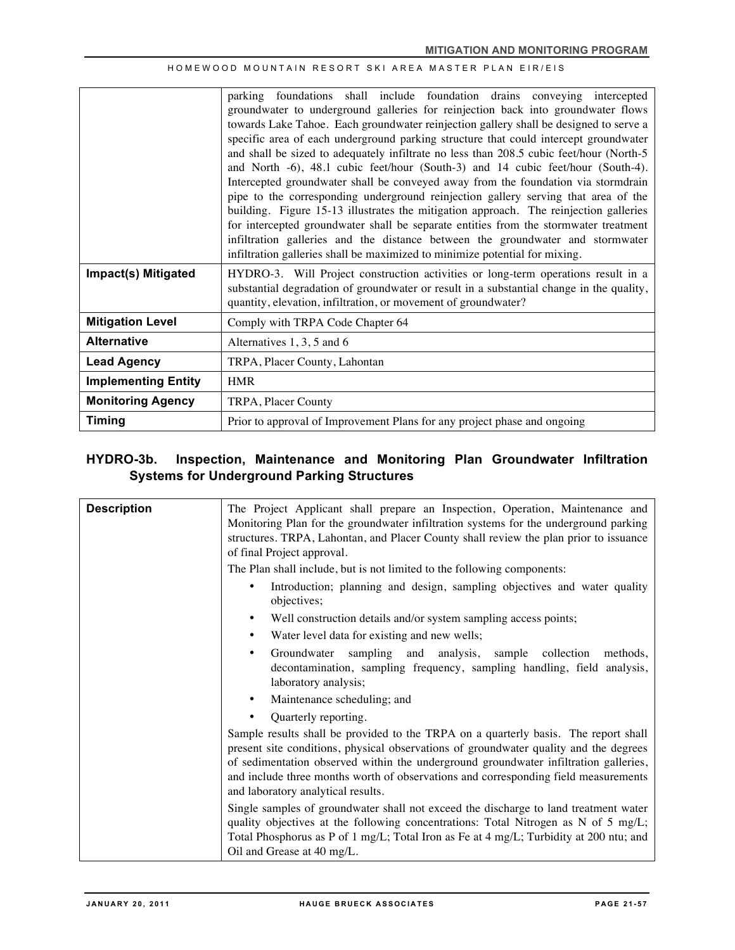|                            | parking foundations shall include foundation drains conveying intercepted<br>groundwater to underground galleries for reinjection back into groundwater flows<br>towards Lake Tahoe. Each groundwater reinjection gallery shall be designed to serve a<br>specific area of each underground parking structure that could intercept groundwater<br>and shall be sized to adequately infiltrate no less than 208.5 cubic feet/hour (North-5)<br>and North -6), 48.1 cubic feet/hour (South-3) and 14 cubic feet/hour (South-4).<br>Intercepted groundwater shall be conveyed away from the foundation via stormdrain<br>pipe to the corresponding underground reinjection gallery serving that area of the<br>building. Figure 15-13 illustrates the mitigation approach. The reinjection galleries<br>for intercepted groundwater shall be separate entities from the stormwater treatment<br>infiltration galleries and the distance between the groundwater and stormwater<br>infiltration galleries shall be maximized to minimize potential for mixing. |
|----------------------------|------------------------------------------------------------------------------------------------------------------------------------------------------------------------------------------------------------------------------------------------------------------------------------------------------------------------------------------------------------------------------------------------------------------------------------------------------------------------------------------------------------------------------------------------------------------------------------------------------------------------------------------------------------------------------------------------------------------------------------------------------------------------------------------------------------------------------------------------------------------------------------------------------------------------------------------------------------------------------------------------------------------------------------------------------------|
| Impact(s) Mitigated        | HYDRO-3. Will Project construction activities or long-term operations result in a<br>substantial degradation of groundwater or result in a substantial change in the quality,<br>quantity, elevation, infiltration, or movement of groundwater?                                                                                                                                                                                                                                                                                                                                                                                                                                                                                                                                                                                                                                                                                                                                                                                                            |
| <b>Mitigation Level</b>    | Comply with TRPA Code Chapter 64                                                                                                                                                                                                                                                                                                                                                                                                                                                                                                                                                                                                                                                                                                                                                                                                                                                                                                                                                                                                                           |
| <b>Alternative</b>         | Alternatives 1, 3, 5 and 6                                                                                                                                                                                                                                                                                                                                                                                                                                                                                                                                                                                                                                                                                                                                                                                                                                                                                                                                                                                                                                 |
| <b>Lead Agency</b>         | TRPA, Placer County, Lahontan                                                                                                                                                                                                                                                                                                                                                                                                                                                                                                                                                                                                                                                                                                                                                                                                                                                                                                                                                                                                                              |
| <b>Implementing Entity</b> | <b>HMR</b>                                                                                                                                                                                                                                                                                                                                                                                                                                                                                                                                                                                                                                                                                                                                                                                                                                                                                                                                                                                                                                                 |
| <b>Monitoring Agency</b>   | TRPA, Placer County                                                                                                                                                                                                                                                                                                                                                                                                                                                                                                                                                                                                                                                                                                                                                                                                                                                                                                                                                                                                                                        |
| <b>Timing</b>              | Prior to approval of Improvement Plans for any project phase and ongoing                                                                                                                                                                                                                                                                                                                                                                                                                                                                                                                                                                                                                                                                                                                                                                                                                                                                                                                                                                                   |

## **HYDRO-3b. Inspection, Maintenance and Monitoring Plan Groundwater Infiltration Systems for Underground Parking Structures**

| <b>Description</b> | The Project Applicant shall prepare an Inspection, Operation, Maintenance and<br>Monitoring Plan for the groundwater infiltration systems for the underground parking<br>structures. TRPA, Lahontan, and Placer County shall review the plan prior to issuance<br>of final Project approval.                                                                                                      |
|--------------------|---------------------------------------------------------------------------------------------------------------------------------------------------------------------------------------------------------------------------------------------------------------------------------------------------------------------------------------------------------------------------------------------------|
|                    | The Plan shall include, but is not limited to the following components:                                                                                                                                                                                                                                                                                                                           |
|                    | Introduction; planning and design, sampling objectives and water quality<br>٠<br>objectives;                                                                                                                                                                                                                                                                                                      |
|                    | Well construction details and/or system sampling access points;<br>$\bullet$                                                                                                                                                                                                                                                                                                                      |
|                    | Water level data for existing and new wells;<br>$\bullet$                                                                                                                                                                                                                                                                                                                                         |
|                    | Groundwater sampling and analysis, sample collection<br>methods,<br>$\bullet$<br>decontamination, sampling frequency, sampling handling, field analysis,<br>laboratory analysis;                                                                                                                                                                                                                  |
|                    | Maintenance scheduling; and<br>$\bullet$                                                                                                                                                                                                                                                                                                                                                          |
|                    | Quarterly reporting.<br>٠                                                                                                                                                                                                                                                                                                                                                                         |
|                    | Sample results shall be provided to the TRPA on a quarterly basis. The report shall<br>present site conditions, physical observations of groundwater quality and the degrees<br>of sedimentation observed within the underground groundwater infiltration galleries,<br>and include three months worth of observations and corresponding field measurements<br>and laboratory analytical results. |
|                    | Single samples of groundwater shall not exceed the discharge to land treatment water<br>quality objectives at the following concentrations: Total Nitrogen as N of 5 mg/L;<br>Total Phosphorus as P of 1 mg/L; Total Iron as Fe at 4 mg/L; Turbidity at 200 ntu; and<br>Oil and Grease at 40 mg/L.                                                                                                |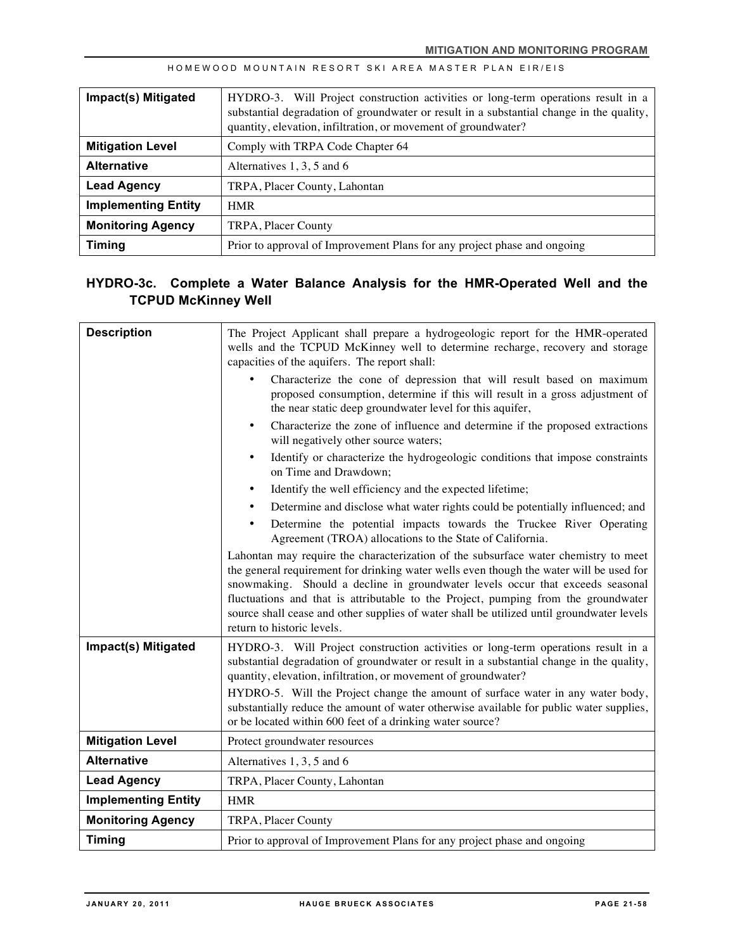| Impact(s) Mitigated        | HYDRO-3. Will Project construction activities or long-term operations result in a<br>substantial degradation of groundwater or result in a substantial change in the quality,<br>quantity, elevation, infiltration, or movement of groundwater? |
|----------------------------|-------------------------------------------------------------------------------------------------------------------------------------------------------------------------------------------------------------------------------------------------|
| <b>Mitigation Level</b>    | Comply with TRPA Code Chapter 64                                                                                                                                                                                                                |
| <b>Alternative</b>         | Alternatives $1, 3, 5$ and 6                                                                                                                                                                                                                    |
| <b>Lead Agency</b>         | TRPA, Placer County, Lahontan                                                                                                                                                                                                                   |
| <b>Implementing Entity</b> | <b>HMR</b>                                                                                                                                                                                                                                      |
| <b>Monitoring Agency</b>   | TRPA, Placer County                                                                                                                                                                                                                             |
| <b>Timing</b>              | Prior to approval of Improvement Plans for any project phase and ongoing                                                                                                                                                                        |

## **HYDRO-3c. Complete a Water Balance Analysis for the HMR-Operated Well and the TCPUD McKinney Well**

| <b>Description</b>         | The Project Applicant shall prepare a hydrogeologic report for the HMR-operated<br>wells and the TCPUD McKinney well to determine recharge, recovery and storage<br>capacities of the aquifers. The report shall:                                                                                                                                                                                                                                                                 |
|----------------------------|-----------------------------------------------------------------------------------------------------------------------------------------------------------------------------------------------------------------------------------------------------------------------------------------------------------------------------------------------------------------------------------------------------------------------------------------------------------------------------------|
|                            | Characterize the cone of depression that will result based on maximum<br>proposed consumption, determine if this will result in a gross adjustment of<br>the near static deep groundwater level for this aquifer,                                                                                                                                                                                                                                                                 |
|                            | Characterize the zone of influence and determine if the proposed extractions<br>$\bullet$<br>will negatively other source waters;                                                                                                                                                                                                                                                                                                                                                 |
|                            | Identify or characterize the hydrogeologic conditions that impose constraints<br>$\bullet$<br>on Time and Drawdown;                                                                                                                                                                                                                                                                                                                                                               |
|                            | Identify the well efficiency and the expected lifetime;<br>$\bullet$                                                                                                                                                                                                                                                                                                                                                                                                              |
|                            | Determine and disclose what water rights could be potentially influenced; and<br>٠                                                                                                                                                                                                                                                                                                                                                                                                |
|                            | Determine the potential impacts towards the Truckee River Operating<br>$\bullet$<br>Agreement (TROA) allocations to the State of California.                                                                                                                                                                                                                                                                                                                                      |
|                            | Lahontan may require the characterization of the subsurface water chemistry to meet<br>the general requirement for drinking water wells even though the water will be used for<br>snowmaking. Should a decline in groundwater levels occur that exceeds seasonal<br>fluctuations and that is attributable to the Project, pumping from the groundwater<br>source shall cease and other supplies of water shall be utilized until groundwater levels<br>return to historic levels. |
| Impact(s) Mitigated        | HYDRO-3. Will Project construction activities or long-term operations result in a<br>substantial degradation of groundwater or result in a substantial change in the quality,<br>quantity, elevation, infiltration, or movement of groundwater?                                                                                                                                                                                                                                   |
|                            | HYDRO-5. Will the Project change the amount of surface water in any water body,<br>substantially reduce the amount of water otherwise available for public water supplies,<br>or be located within 600 feet of a drinking water source?                                                                                                                                                                                                                                           |
| <b>Mitigation Level</b>    | Protect groundwater resources                                                                                                                                                                                                                                                                                                                                                                                                                                                     |
| <b>Alternative</b>         | Alternatives 1, 3, 5 and 6                                                                                                                                                                                                                                                                                                                                                                                                                                                        |
| <b>Lead Agency</b>         | TRPA, Placer County, Lahontan                                                                                                                                                                                                                                                                                                                                                                                                                                                     |
| <b>Implementing Entity</b> | <b>HMR</b>                                                                                                                                                                                                                                                                                                                                                                                                                                                                        |
| <b>Monitoring Agency</b>   | TRPA, Placer County                                                                                                                                                                                                                                                                                                                                                                                                                                                               |
| <b>Timing</b>              | Prior to approval of Improvement Plans for any project phase and ongoing                                                                                                                                                                                                                                                                                                                                                                                                          |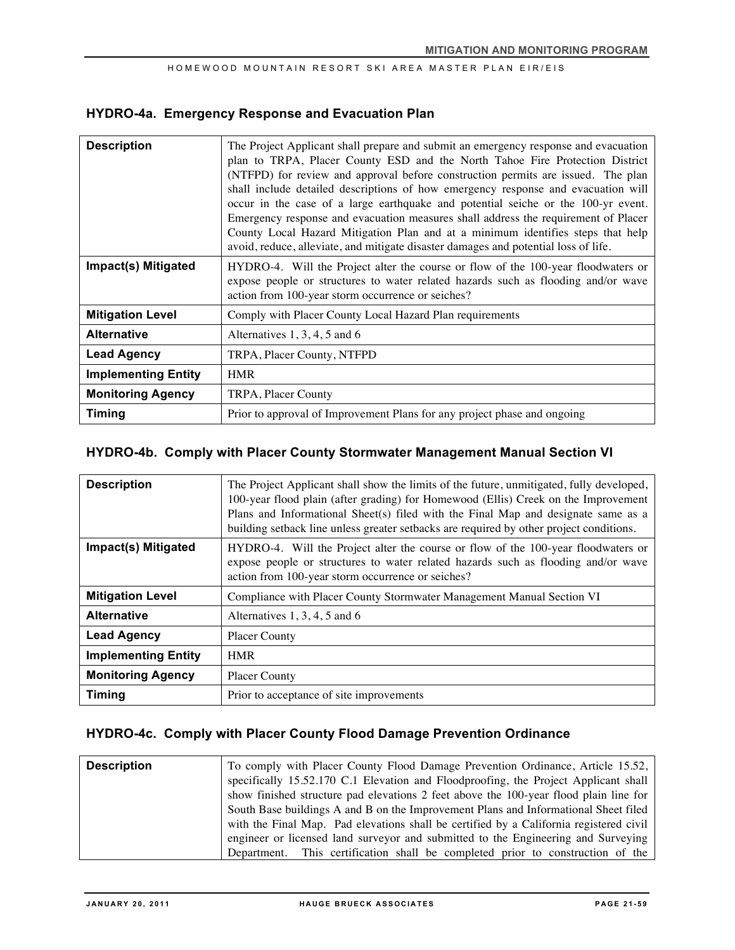### **HYDRO-4a. Emergency Response and Evacuation Plan**

| <b>Description</b>         | The Project Applicant shall prepare and submit an emergency response and evacuation<br>plan to TRPA, Placer County ESD and the North Tahoe Fire Protection District<br>(NTFPD) for review and approval before construction permits are issued. The plan<br>shall include detailed descriptions of how emergency response and evacuation will<br>occur in the case of a large earthquake and potential seiche or the 100-yr event.<br>Emergency response and evacuation measures shall address the requirement of Placer<br>County Local Hazard Mitigation Plan and at a minimum identifies steps that help<br>avoid, reduce, alleviate, and mitigate disaster damages and potential loss of life. |
|----------------------------|---------------------------------------------------------------------------------------------------------------------------------------------------------------------------------------------------------------------------------------------------------------------------------------------------------------------------------------------------------------------------------------------------------------------------------------------------------------------------------------------------------------------------------------------------------------------------------------------------------------------------------------------------------------------------------------------------|
| Impact(s) Mitigated        | HYDRO-4. Will the Project alter the course or flow of the 100-year floodwaters or<br>expose people or structures to water related hazards such as flooding and/or wave<br>action from 100-year storm occurrence or seiches?                                                                                                                                                                                                                                                                                                                                                                                                                                                                       |
| <b>Mitigation Level</b>    | Comply with Placer County Local Hazard Plan requirements                                                                                                                                                                                                                                                                                                                                                                                                                                                                                                                                                                                                                                          |
| <b>Alternative</b>         | Alternatives $1, 3, 4, 5$ and 6                                                                                                                                                                                                                                                                                                                                                                                                                                                                                                                                                                                                                                                                   |
| <b>Lead Agency</b>         | TRPA, Placer County, NTFPD                                                                                                                                                                                                                                                                                                                                                                                                                                                                                                                                                                                                                                                                        |
| <b>Implementing Entity</b> | <b>HMR</b>                                                                                                                                                                                                                                                                                                                                                                                                                                                                                                                                                                                                                                                                                        |
| <b>Monitoring Agency</b>   | TRPA, Placer County                                                                                                                                                                                                                                                                                                                                                                                                                                                                                                                                                                                                                                                                               |
| <b>Timing</b>              | Prior to approval of Improvement Plans for any project phase and ongoing                                                                                                                                                                                                                                                                                                                                                                                                                                                                                                                                                                                                                          |

## **HYDRO-4b. Comply with Placer County Stormwater Management Manual Section VI**

| <b>Description</b>         | The Project Applicant shall show the limits of the future, unmitigated, fully developed,<br>100-year flood plain (after grading) for Homewood (Ellis) Creek on the Improvement<br>Plans and Informational Sheet(s) filed with the Final Map and designate same as a<br>building setback line unless greater setbacks are required by other project conditions. |
|----------------------------|----------------------------------------------------------------------------------------------------------------------------------------------------------------------------------------------------------------------------------------------------------------------------------------------------------------------------------------------------------------|
| Impact(s) Mitigated        | HYDRO-4. Will the Project alter the course or flow of the 100-year floodwaters or<br>expose people or structures to water related hazards such as flooding and/or wave<br>action from 100-year storm occurrence or seiches?                                                                                                                                    |
| <b>Mitigation Level</b>    | Compliance with Placer County Stormwater Management Manual Section VI                                                                                                                                                                                                                                                                                          |
| <b>Alternative</b>         | Alternatives $1, 3, 4, 5$ and 6                                                                                                                                                                                                                                                                                                                                |
| <b>Lead Agency</b>         | <b>Placer County</b>                                                                                                                                                                                                                                                                                                                                           |
| <b>Implementing Entity</b> | <b>HMR</b>                                                                                                                                                                                                                                                                                                                                                     |
| <b>Monitoring Agency</b>   | <b>Placer County</b>                                                                                                                                                                                                                                                                                                                                           |
| <b>Timing</b>              | Prior to acceptance of site improvements                                                                                                                                                                                                                                                                                                                       |

### **HYDRO-4c. Comply with Placer County Flood Damage Prevention Ordinance**

| <b>Description</b> | To comply with Placer County Flood Damage Prevention Ordinance, Article 15.52,         |
|--------------------|----------------------------------------------------------------------------------------|
|                    | specifically 15.52.170 C.1 Elevation and Floodproofing, the Project Applicant shall    |
|                    | show finished structure pad elevations 2 feet above the 100-year flood plain line for  |
|                    | South Base buildings A and B on the Improvement Plans and Informational Sheet filed    |
|                    | with the Final Map. Pad elevations shall be certified by a California registered civil |
|                    | engineer or licensed land surveyor and submitted to the Engineering and Surveying      |
|                    | Department. This certification shall be completed prior to construction of the         |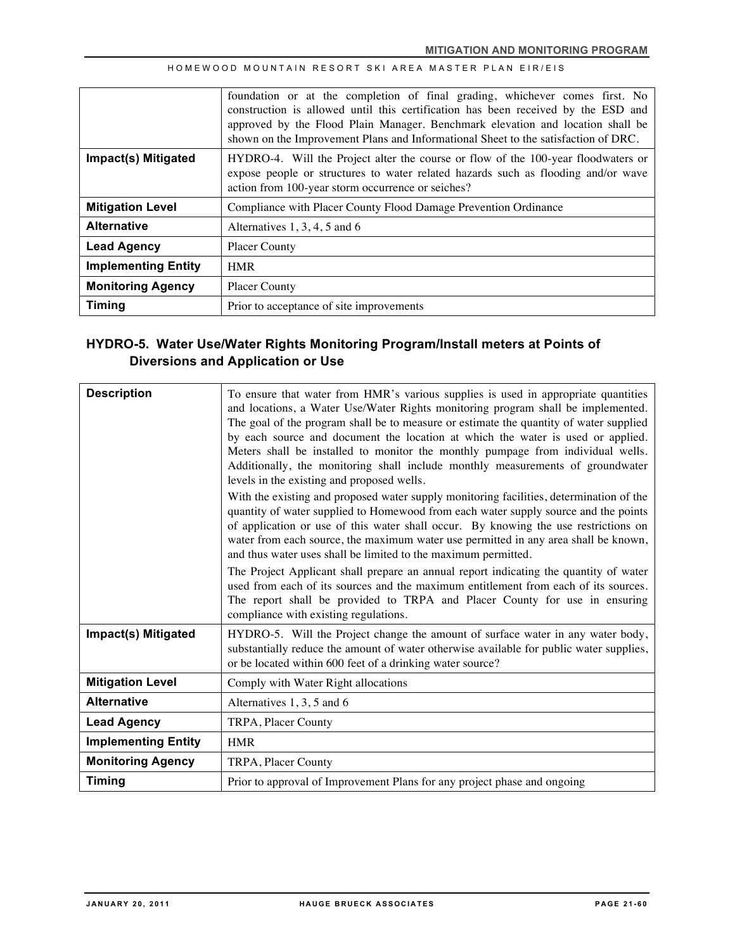|                            | foundation or at the completion of final grading, whichever comes first. No<br>construction is allowed until this certification has been received by the ESD and<br>approved by the Flood Plain Manager. Benchmark elevation and location shall be<br>shown on the Improvement Plans and Informational Sheet to the satisfaction of DRC. |
|----------------------------|------------------------------------------------------------------------------------------------------------------------------------------------------------------------------------------------------------------------------------------------------------------------------------------------------------------------------------------|
| Impact(s) Mitigated        | HYDRO-4. Will the Project alter the course or flow of the 100-year floodwaters or<br>expose people or structures to water related hazards such as flooding and/or wave<br>action from 100-year storm occurrence or seiches?                                                                                                              |
| <b>Mitigation Level</b>    | Compliance with Placer County Flood Damage Prevention Ordinance                                                                                                                                                                                                                                                                          |
| <b>Alternative</b>         | Alternatives $1, 3, 4, 5$ and 6                                                                                                                                                                                                                                                                                                          |
| <b>Lead Agency</b>         | <b>Placer County</b>                                                                                                                                                                                                                                                                                                                     |
| <b>Implementing Entity</b> | <b>HMR</b>                                                                                                                                                                                                                                                                                                                               |
| <b>Monitoring Agency</b>   | <b>Placer County</b>                                                                                                                                                                                                                                                                                                                     |
| <b>Timing</b>              | Prior to acceptance of site improvements                                                                                                                                                                                                                                                                                                 |

## **HYDRO-5. Water Use/Water Rights Monitoring Program/Install meters at Points of Diversions and Application or Use**

| <b>Description</b>         | To ensure that water from HMR's various supplies is used in appropriate quantities<br>and locations, a Water Use/Water Rights monitoring program shall be implemented.<br>The goal of the program shall be to measure or estimate the quantity of water supplied<br>by each source and document the location at which the water is used or applied.<br>Meters shall be installed to monitor the monthly pumpage from individual wells.<br>Additionally, the monitoring shall include monthly measurements of groundwater<br>levels in the existing and proposed wells.<br>With the existing and proposed water supply monitoring facilities, determination of the<br>quantity of water supplied to Homewood from each water supply source and the points<br>of application or use of this water shall occur. By knowing the use restrictions on<br>water from each source, the maximum water use permitted in any area shall be known,<br>and thus water uses shall be limited to the maximum permitted.<br>The Project Applicant shall prepare an annual report indicating the quantity of water |
|----------------------------|---------------------------------------------------------------------------------------------------------------------------------------------------------------------------------------------------------------------------------------------------------------------------------------------------------------------------------------------------------------------------------------------------------------------------------------------------------------------------------------------------------------------------------------------------------------------------------------------------------------------------------------------------------------------------------------------------------------------------------------------------------------------------------------------------------------------------------------------------------------------------------------------------------------------------------------------------------------------------------------------------------------------------------------------------------------------------------------------------|
|                            | used from each of its sources and the maximum entitlement from each of its sources.<br>The report shall be provided to TRPA and Placer County for use in ensuring<br>compliance with existing regulations.                                                                                                                                                                                                                                                                                                                                                                                                                                                                                                                                                                                                                                                                                                                                                                                                                                                                                        |
| Impact(s) Mitigated        | HYDRO-5. Will the Project change the amount of surface water in any water body,<br>substantially reduce the amount of water otherwise available for public water supplies,<br>or be located within 600 feet of a drinking water source?                                                                                                                                                                                                                                                                                                                                                                                                                                                                                                                                                                                                                                                                                                                                                                                                                                                           |
| <b>Mitigation Level</b>    | Comply with Water Right allocations                                                                                                                                                                                                                                                                                                                                                                                                                                                                                                                                                                                                                                                                                                                                                                                                                                                                                                                                                                                                                                                               |
| <b>Alternative</b>         | Alternatives 1, 3, 5 and 6                                                                                                                                                                                                                                                                                                                                                                                                                                                                                                                                                                                                                                                                                                                                                                                                                                                                                                                                                                                                                                                                        |
| <b>Lead Agency</b>         | TRPA, Placer County                                                                                                                                                                                                                                                                                                                                                                                                                                                                                                                                                                                                                                                                                                                                                                                                                                                                                                                                                                                                                                                                               |
| <b>Implementing Entity</b> | <b>HMR</b>                                                                                                                                                                                                                                                                                                                                                                                                                                                                                                                                                                                                                                                                                                                                                                                                                                                                                                                                                                                                                                                                                        |
| <b>Monitoring Agency</b>   | TRPA, Placer County                                                                                                                                                                                                                                                                                                                                                                                                                                                                                                                                                                                                                                                                                                                                                                                                                                                                                                                                                                                                                                                                               |
| <b>Timing</b>              | Prior to approval of Improvement Plans for any project phase and ongoing                                                                                                                                                                                                                                                                                                                                                                                                                                                                                                                                                                                                                                                                                                                                                                                                                                                                                                                                                                                                                          |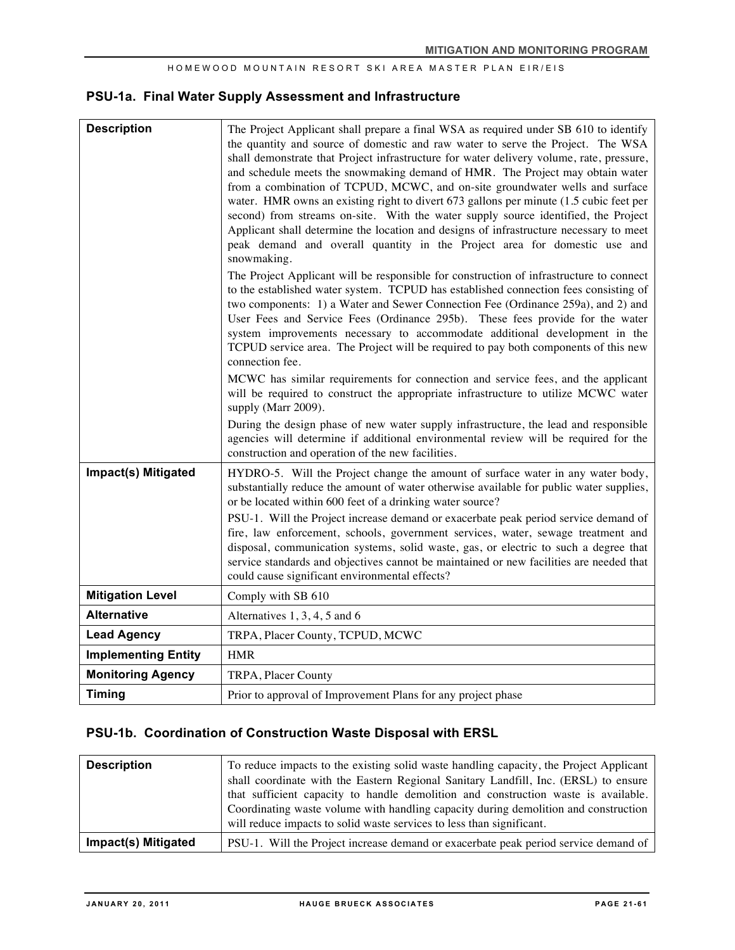## **PSU-1a. Final Water Supply Assessment and Infrastructure**

| <b>Description</b>         | The Project Applicant shall prepare a final WSA as required under SB 610 to identify<br>the quantity and source of domestic and raw water to serve the Project. The WSA<br>shall demonstrate that Project infrastructure for water delivery volume, rate, pressure,<br>and schedule meets the snowmaking demand of HMR. The Project may obtain water<br>from a combination of TCPUD, MCWC, and on-site groundwater wells and surface<br>water. HMR owns an existing right to divert 673 gallons per minute (1.5 cubic feet per<br>second) from streams on-site. With the water supply source identified, the Project<br>Applicant shall determine the location and designs of infrastructure necessary to meet<br>peak demand and overall quantity in the Project area for domestic use and<br>snowmaking.<br>The Project Applicant will be responsible for construction of infrastructure to connect<br>to the established water system. TCPUD has established connection fees consisting of<br>two components: 1) a Water and Sewer Connection Fee (Ordinance 259a), and 2) and<br>User Fees and Service Fees (Ordinance 295b). These fees provide for the water<br>system improvements necessary to accommodate additional development in the<br>TCPUD service area. The Project will be required to pay both components of this new<br>connection fee.<br>MCWC has similar requirements for connection and service fees, and the applicant<br>will be required to construct the appropriate infrastructure to utilize MCWC water<br>supply (Marr 2009). |
|----------------------------|-------------------------------------------------------------------------------------------------------------------------------------------------------------------------------------------------------------------------------------------------------------------------------------------------------------------------------------------------------------------------------------------------------------------------------------------------------------------------------------------------------------------------------------------------------------------------------------------------------------------------------------------------------------------------------------------------------------------------------------------------------------------------------------------------------------------------------------------------------------------------------------------------------------------------------------------------------------------------------------------------------------------------------------------------------------------------------------------------------------------------------------------------------------------------------------------------------------------------------------------------------------------------------------------------------------------------------------------------------------------------------------------------------------------------------------------------------------------------------------------------------------------------------------------------------------|
|                            | During the design phase of new water supply infrastructure, the lead and responsible<br>agencies will determine if additional environmental review will be required for the<br>construction and operation of the new facilities.                                                                                                                                                                                                                                                                                                                                                                                                                                                                                                                                                                                                                                                                                                                                                                                                                                                                                                                                                                                                                                                                                                                                                                                                                                                                                                                            |
| Impact(s) Mitigated        | HYDRO-5. Will the Project change the amount of surface water in any water body,<br>substantially reduce the amount of water otherwise available for public water supplies,<br>or be located within 600 feet of a drinking water source?<br>PSU-1. Will the Project increase demand or exacerbate peak period service demand of<br>fire, law enforcement, schools, government services, water, sewage treatment and<br>disposal, communication systems, solid waste, gas, or electric to such a degree that<br>service standards and objectives cannot be maintained or new facilities are needed that<br>could cause significant environmental effects?                                                                                                                                                                                                                                                                                                                                                                                                                                                                                                                                                                                                                                                                                                                                                                                                                                                                                                     |
| <b>Mitigation Level</b>    | Comply with SB 610                                                                                                                                                                                                                                                                                                                                                                                                                                                                                                                                                                                                                                                                                                                                                                                                                                                                                                                                                                                                                                                                                                                                                                                                                                                                                                                                                                                                                                                                                                                                          |
| <b>Alternative</b>         | Alternatives 1, 3, 4, 5 and 6                                                                                                                                                                                                                                                                                                                                                                                                                                                                                                                                                                                                                                                                                                                                                                                                                                                                                                                                                                                                                                                                                                                                                                                                                                                                                                                                                                                                                                                                                                                               |
| <b>Lead Agency</b>         | TRPA, Placer County, TCPUD, MCWC                                                                                                                                                                                                                                                                                                                                                                                                                                                                                                                                                                                                                                                                                                                                                                                                                                                                                                                                                                                                                                                                                                                                                                                                                                                                                                                                                                                                                                                                                                                            |
| <b>Implementing Entity</b> | <b>HMR</b>                                                                                                                                                                                                                                                                                                                                                                                                                                                                                                                                                                                                                                                                                                                                                                                                                                                                                                                                                                                                                                                                                                                                                                                                                                                                                                                                                                                                                                                                                                                                                  |
| <b>Monitoring Agency</b>   | TRPA, Placer County                                                                                                                                                                                                                                                                                                                                                                                                                                                                                                                                                                                                                                                                                                                                                                                                                                                                                                                                                                                                                                                                                                                                                                                                                                                                                                                                                                                                                                                                                                                                         |
| <b>Timing</b>              | Prior to approval of Improvement Plans for any project phase                                                                                                                                                                                                                                                                                                                                                                                                                                                                                                                                                                                                                                                                                                                                                                                                                                                                                                                                                                                                                                                                                                                                                                                                                                                                                                                                                                                                                                                                                                |

### **PSU-1b. Coordination of Construction Waste Disposal with ERSL**

| <b>Description</b>  | To reduce impacts to the existing solid waste handling capacity, the Project Applicant<br>shall coordinate with the Eastern Regional Sanitary Landfill, Inc. (ERSL) to ensure<br>that sufficient capacity to handle demolition and construction waste is available.<br>Coordinating waste volume with handling capacity during demolition and construction<br>will reduce impacts to solid waste services to less than significant. |
|---------------------|-------------------------------------------------------------------------------------------------------------------------------------------------------------------------------------------------------------------------------------------------------------------------------------------------------------------------------------------------------------------------------------------------------------------------------------|
| Impact(s) Mitigated | PSU-1. Will the Project increase demand or exacerbate peak period service demand of                                                                                                                                                                                                                                                                                                                                                 |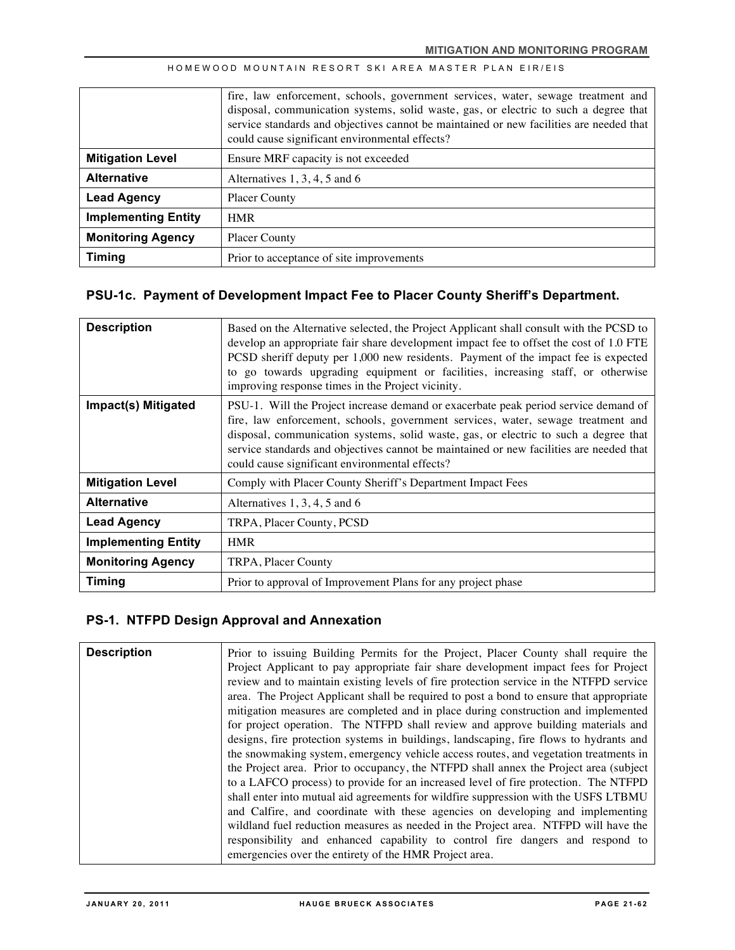|                            | fire, law enforcement, schools, government services, water, sewage treatment and<br>disposal, communication systems, solid waste, gas, or electric to such a degree that<br>service standards and objectives cannot be maintained or new facilities are needed that<br>could cause significant environmental effects? |
|----------------------------|-----------------------------------------------------------------------------------------------------------------------------------------------------------------------------------------------------------------------------------------------------------------------------------------------------------------------|
| <b>Mitigation Level</b>    | Ensure MRF capacity is not exceeded                                                                                                                                                                                                                                                                                   |
| <b>Alternative</b>         | Alternatives $1, 3, 4, 5$ and 6                                                                                                                                                                                                                                                                                       |
| <b>Lead Agency</b>         | <b>Placer County</b>                                                                                                                                                                                                                                                                                                  |
| <b>Implementing Entity</b> | <b>HMR</b>                                                                                                                                                                                                                                                                                                            |
| <b>Monitoring Agency</b>   | <b>Placer County</b>                                                                                                                                                                                                                                                                                                  |
| <b>Timing</b>              | Prior to acceptance of site improvements                                                                                                                                                                                                                                                                              |

## **PSU-1c. Payment of Development Impact Fee to Placer County Sheriff's Department.**

| <b>Description</b>         | Based on the Alternative selected, the Project Applicant shall consult with the PCSD to<br>develop an appropriate fair share development impact fee to offset the cost of 1.0 FTE<br>PCSD sheriff deputy per 1,000 new residents. Payment of the impact fee is expected<br>to go towards upgrading equipment or facilities, increasing staff, or otherwise<br>improving response times in the Project vicinity. |
|----------------------------|-----------------------------------------------------------------------------------------------------------------------------------------------------------------------------------------------------------------------------------------------------------------------------------------------------------------------------------------------------------------------------------------------------------------|
| Impact(s) Mitigated        | PSU-1. Will the Project increase demand or exacerbate peak period service demand of<br>fire, law enforcement, schools, government services, water, sewage treatment and<br>disposal, communication systems, solid waste, gas, or electric to such a degree that<br>service standards and objectives cannot be maintained or new facilities are needed that<br>could cause significant environmental effects?    |
| <b>Mitigation Level</b>    | Comply with Placer County Sheriff's Department Impact Fees                                                                                                                                                                                                                                                                                                                                                      |
| <b>Alternative</b>         | Alternatives $1, 3, 4, 5$ and 6                                                                                                                                                                                                                                                                                                                                                                                 |
| <b>Lead Agency</b>         | TRPA, Placer County, PCSD                                                                                                                                                                                                                                                                                                                                                                                       |
| <b>Implementing Entity</b> | <b>HMR</b>                                                                                                                                                                                                                                                                                                                                                                                                      |
| <b>Monitoring Agency</b>   | TRPA, Placer County                                                                                                                                                                                                                                                                                                                                                                                             |
| Timing                     | Prior to approval of Improvement Plans for any project phase                                                                                                                                                                                                                                                                                                                                                    |

## **PS-1. NTFPD Design Approval and Annexation**

| <b>Description</b> | Prior to issuing Building Permits for the Project, Placer County shall require the<br>Project Applicant to pay appropriate fair share development impact fees for Project<br>review and to maintain existing levels of fire protection service in the NTFPD service<br>area. The Project Applicant shall be required to post a bond to ensure that appropriate<br>mitigation measures are completed and in place during construction and implemented<br>for project operation. The NTFPD shall review and approve building materials and |
|--------------------|------------------------------------------------------------------------------------------------------------------------------------------------------------------------------------------------------------------------------------------------------------------------------------------------------------------------------------------------------------------------------------------------------------------------------------------------------------------------------------------------------------------------------------------|
|                    | designs, fire protection systems in buildings, landscaping, fire flows to hydrants and                                                                                                                                                                                                                                                                                                                                                                                                                                                   |
|                    | the snowmaking system, emergency vehicle access routes, and vegetation treatments in                                                                                                                                                                                                                                                                                                                                                                                                                                                     |
|                    | the Project area. Prior to occupancy, the NTFPD shall annex the Project area (subject                                                                                                                                                                                                                                                                                                                                                                                                                                                    |
|                    | to a LAFCO process) to provide for an increased level of fire protection. The NTFPD                                                                                                                                                                                                                                                                                                                                                                                                                                                      |
|                    | shall enter into mutual aid agreements for wildfire suppression with the USFS LTBMU                                                                                                                                                                                                                                                                                                                                                                                                                                                      |
|                    | and Calfire, and coordinate with these agencies on developing and implementing                                                                                                                                                                                                                                                                                                                                                                                                                                                           |
|                    | wildland fuel reduction measures as needed in the Project area. NTFPD will have the                                                                                                                                                                                                                                                                                                                                                                                                                                                      |
|                    | responsibility and enhanced capability to control fire dangers and respond to                                                                                                                                                                                                                                                                                                                                                                                                                                                            |
|                    | emergencies over the entirety of the HMR Project area.                                                                                                                                                                                                                                                                                                                                                                                                                                                                                   |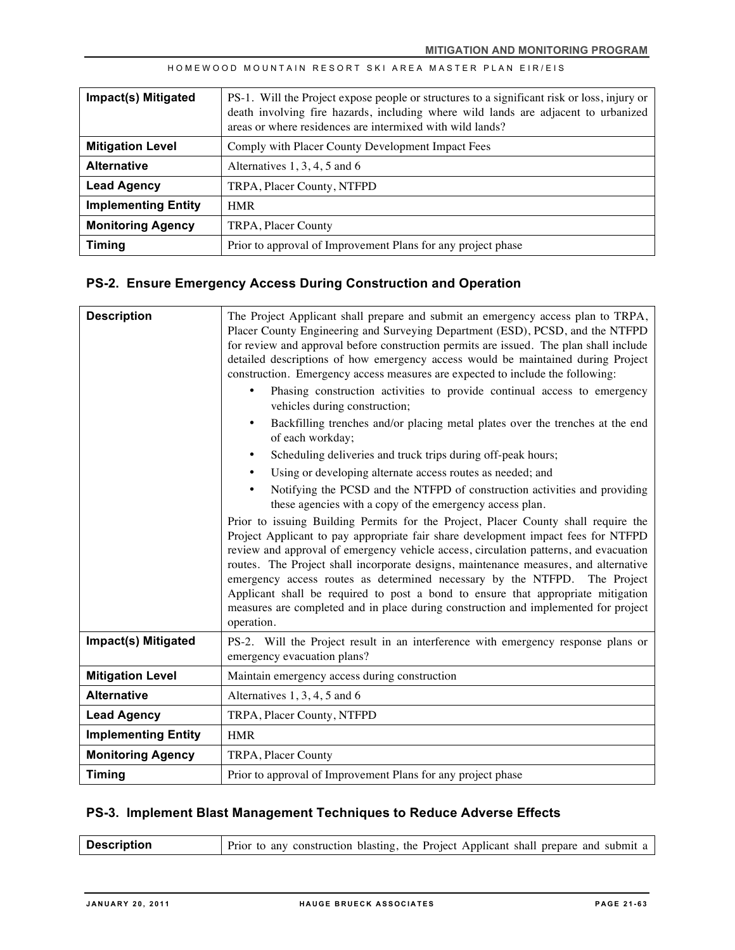| Impact(s) Mitigated        | PS-1. Will the Project expose people or structures to a significant risk or loss, injury or<br>death involving fire hazards, including where wild lands are adjacent to urbanized<br>areas or where residences are intermixed with wild lands? |
|----------------------------|------------------------------------------------------------------------------------------------------------------------------------------------------------------------------------------------------------------------------------------------|
| <b>Mitigation Level</b>    | Comply with Placer County Development Impact Fees                                                                                                                                                                                              |
| <b>Alternative</b>         | Alternatives $1, 3, 4, 5$ and 6                                                                                                                                                                                                                |
| <b>Lead Agency</b>         | TRPA, Placer County, NTFPD                                                                                                                                                                                                                     |
| <b>Implementing Entity</b> | <b>HMR</b>                                                                                                                                                                                                                                     |
| <b>Monitoring Agency</b>   | TRPA, Placer County                                                                                                                                                                                                                            |
| <b>Timing</b>              | Prior to approval of Improvement Plans for any project phase                                                                                                                                                                                   |

## **PS-2. Ensure Emergency Access During Construction and Operation**

| <b>Description</b>         | The Project Applicant shall prepare and submit an emergency access plan to TRPA,<br>Placer County Engineering and Surveying Department (ESD), PCSD, and the NTFPD<br>for review and approval before construction permits are issued. The plan shall include<br>detailed descriptions of how emergency access would be maintained during Project<br>construction. Emergency access measures are expected to include the following:<br>Phasing construction activities to provide continual access to emergency<br>$\bullet$<br>vehicles during construction;<br>Backfilling trenches and/or placing metal plates over the trenches at the end<br>$\bullet$<br>of each workday;<br>Scheduling deliveries and truck trips during off-peak hours;<br>$\bullet$<br>Using or developing alternate access routes as needed; and<br>٠<br>Notifying the PCSD and the NTFPD of construction activities and providing<br>$\bullet$<br>these agencies with a copy of the emergency access plan.<br>Prior to issuing Building Permits for the Project, Placer County shall require the<br>Project Applicant to pay appropriate fair share development impact fees for NTFPD<br>review and approval of emergency vehicle access, circulation patterns, and evacuation<br>routes. The Project shall incorporate designs, maintenance measures, and alternative<br>emergency access routes as determined necessary by the NTFPD.<br>The Project<br>Applicant shall be required to post a bond to ensure that appropriate mitigation<br>measures are completed and in place during construction and implemented for project |
|----------------------------|------------------------------------------------------------------------------------------------------------------------------------------------------------------------------------------------------------------------------------------------------------------------------------------------------------------------------------------------------------------------------------------------------------------------------------------------------------------------------------------------------------------------------------------------------------------------------------------------------------------------------------------------------------------------------------------------------------------------------------------------------------------------------------------------------------------------------------------------------------------------------------------------------------------------------------------------------------------------------------------------------------------------------------------------------------------------------------------------------------------------------------------------------------------------------------------------------------------------------------------------------------------------------------------------------------------------------------------------------------------------------------------------------------------------------------------------------------------------------------------------------------------------------------------------------------------------------------------------------------|
| Impact(s) Mitigated        | operation.<br>PS-2. Will the Project result in an interference with emergency response plans or                                                                                                                                                                                                                                                                                                                                                                                                                                                                                                                                                                                                                                                                                                                                                                                                                                                                                                                                                                                                                                                                                                                                                                                                                                                                                                                                                                                                                                                                                                            |
|                            | emergency evacuation plans?                                                                                                                                                                                                                                                                                                                                                                                                                                                                                                                                                                                                                                                                                                                                                                                                                                                                                                                                                                                                                                                                                                                                                                                                                                                                                                                                                                                                                                                                                                                                                                                |
| <b>Mitigation Level</b>    | Maintain emergency access during construction                                                                                                                                                                                                                                                                                                                                                                                                                                                                                                                                                                                                                                                                                                                                                                                                                                                                                                                                                                                                                                                                                                                                                                                                                                                                                                                                                                                                                                                                                                                                                              |
| <b>Alternative</b>         | Alternatives 1, 3, 4, 5 and 6                                                                                                                                                                                                                                                                                                                                                                                                                                                                                                                                                                                                                                                                                                                                                                                                                                                                                                                                                                                                                                                                                                                                                                                                                                                                                                                                                                                                                                                                                                                                                                              |
| <b>Lead Agency</b>         | TRPA, Placer County, NTFPD                                                                                                                                                                                                                                                                                                                                                                                                                                                                                                                                                                                                                                                                                                                                                                                                                                                                                                                                                                                                                                                                                                                                                                                                                                                                                                                                                                                                                                                                                                                                                                                 |
| <b>Implementing Entity</b> | <b>HMR</b>                                                                                                                                                                                                                                                                                                                                                                                                                                                                                                                                                                                                                                                                                                                                                                                                                                                                                                                                                                                                                                                                                                                                                                                                                                                                                                                                                                                                                                                                                                                                                                                                 |
| <b>Monitoring Agency</b>   | TRPA, Placer County                                                                                                                                                                                                                                                                                                                                                                                                                                                                                                                                                                                                                                                                                                                                                                                                                                                                                                                                                                                                                                                                                                                                                                                                                                                                                                                                                                                                                                                                                                                                                                                        |
| <b>Timing</b>              | Prior to approval of Improvement Plans for any project phase                                                                                                                                                                                                                                                                                                                                                                                                                                                                                                                                                                                                                                                                                                                                                                                                                                                                                                                                                                                                                                                                                                                                                                                                                                                                                                                                                                                                                                                                                                                                               |

## **PS-3. Implement Blast Management Techniques to Reduce Adverse Effects**

|--|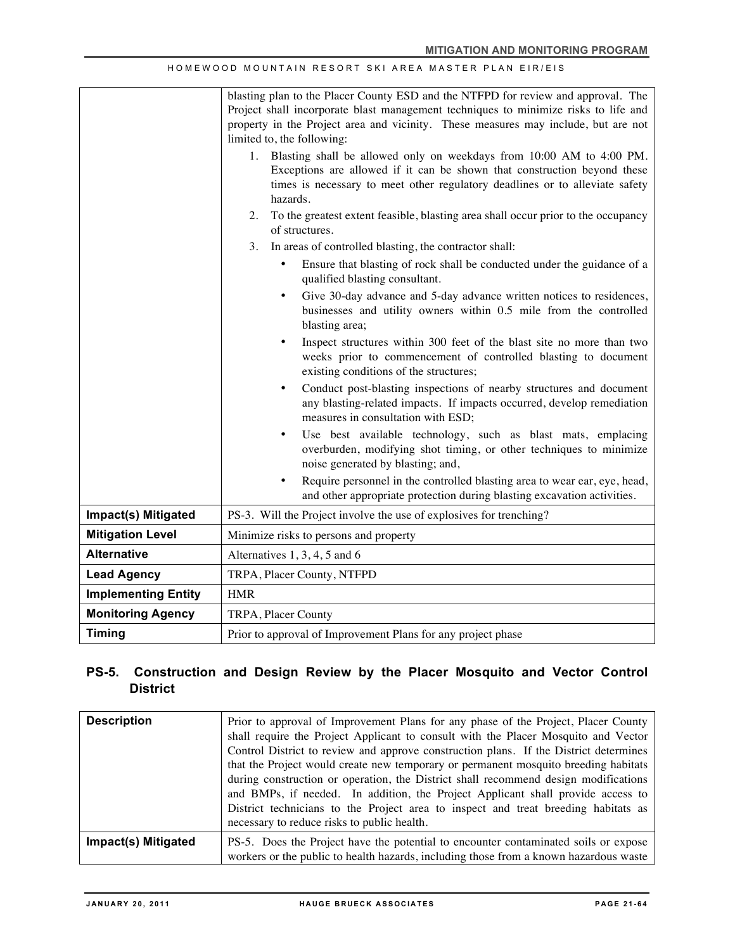| blasting plan to the Placer County ESD and the NTFPD for review and approval. The                                                                                                                                                               |
|-------------------------------------------------------------------------------------------------------------------------------------------------------------------------------------------------------------------------------------------------|
| Project shall incorporate blast management techniques to minimize risks to life and                                                                                                                                                             |
| property in the Project area and vicinity. These measures may include, but are not                                                                                                                                                              |
| limited to, the following:                                                                                                                                                                                                                      |
| 1. Blasting shall be allowed only on weekdays from 10:00 AM to 4:00 PM.<br>Exceptions are allowed if it can be shown that construction beyond these<br>times is necessary to meet other regulatory deadlines or to alleviate safety<br>hazards. |
| To the greatest extent feasible, blasting area shall occur prior to the occupancy<br>2.<br>of structures.                                                                                                                                       |
| In areas of controlled blasting, the contractor shall:<br>3.                                                                                                                                                                                    |
| Ensure that blasting of rock shall be conducted under the guidance of a<br>qualified blasting consultant.                                                                                                                                       |
| Give 30-day advance and 5-day advance written notices to residences,<br>٠<br>businesses and utility owners within 0.5 mile from the controlled<br>blasting area;                                                                                |
| Inspect structures within 300 feet of the blast site no more than two<br>٠<br>weeks prior to commencement of controlled blasting to document<br>existing conditions of the structures;                                                          |
| Conduct post-blasting inspections of nearby structures and document<br>٠<br>any blasting-related impacts. If impacts occurred, develop remediation<br>measures in consultation with ESD;                                                        |
| Use best available technology, such as blast mats, emplacing<br>$\bullet$<br>overburden, modifying shot timing, or other techniques to minimize                                                                                                 |

noise generated by blasting; and,

**Impact(s) Mitigated** PS-3. Will the Project involve the use of explosives for trenching?

**Timing** Prior to approval of Improvement Plans for any project phase

**Mitigation Level** Minimize risks to persons and property

**Alternative** Alternatives 1, 3, 4, 5 and 6 **Lead Agency** TRPA, Placer County, NTFPD

**Monitoring Agency** TRPA, Placer County

**Implementing Entity | HMR** 

• Require personnel in the controlled blasting area to wear ear, eye, head, and other appropriate protection during blasting excavation activities.

HOMEWOOD MOUNTAIN RESORT SKI AREA MASTER PLAN EIR/EIS

# **PS-5. Construction and Design Review by the Placer Mosquito and Vector Control District**

| <b>Description</b>         | Prior to approval of Improvement Plans for any phase of the Project, Placer County<br>shall require the Project Applicant to consult with the Placer Mosquito and Vector<br>Control District to review and approve construction plans. If the District determines<br>that the Project would create new temporary or permanent mosquito breeding habitats<br>during construction or operation, the District shall recommend design modifications<br>and BMPs, if needed. In addition, the Project Applicant shall provide access to<br>District technicians to the Project area to inspect and treat breeding habitats as<br>necessary to reduce risks to public health. |
|----------------------------|-------------------------------------------------------------------------------------------------------------------------------------------------------------------------------------------------------------------------------------------------------------------------------------------------------------------------------------------------------------------------------------------------------------------------------------------------------------------------------------------------------------------------------------------------------------------------------------------------------------------------------------------------------------------------|
| <b>Impact(s) Mitigated</b> | PS-5. Does the Project have the potential to encounter contaminated soils or expose<br>workers or the public to health hazards, including those from a known hazardous waste                                                                                                                                                                                                                                                                                                                                                                                                                                                                                            |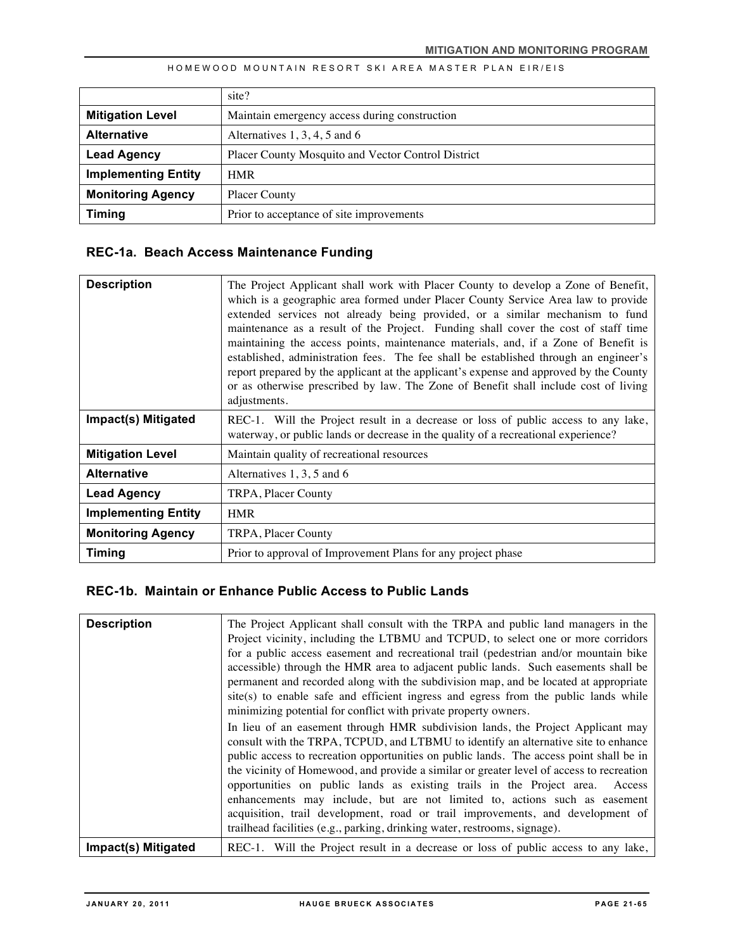|                            | site?                                              |
|----------------------------|----------------------------------------------------|
| <b>Mitigation Level</b>    | Maintain emergency access during construction      |
| <b>Alternative</b>         | Alternatives $1, 3, 4, 5$ and 6                    |
| <b>Lead Agency</b>         | Placer County Mosquito and Vector Control District |
| <b>Implementing Entity</b> | <b>HMR</b>                                         |
| <b>Monitoring Agency</b>   | <b>Placer County</b>                               |
| Timing                     | Prior to acceptance of site improvements           |

## **REC-1a. Beach Access Maintenance Funding**

| <b>Description</b>         | The Project Applicant shall work with Placer County to develop a Zone of Benefit,<br>which is a geographic area formed under Placer County Service Area law to provide<br>extended services not already being provided, or a similar mechanism to fund<br>maintenance as a result of the Project. Funding shall cover the cost of staff time<br>maintaining the access points, maintenance materials, and, if a Zone of Benefit is<br>established, administration fees. The fee shall be established through an engineer's<br>report prepared by the applicant at the applicant's expense and approved by the County<br>or as otherwise prescribed by law. The Zone of Benefit shall include cost of living<br>adjustments. |
|----------------------------|-----------------------------------------------------------------------------------------------------------------------------------------------------------------------------------------------------------------------------------------------------------------------------------------------------------------------------------------------------------------------------------------------------------------------------------------------------------------------------------------------------------------------------------------------------------------------------------------------------------------------------------------------------------------------------------------------------------------------------|
| Impact(s) Mitigated        | REC-1. Will the Project result in a decrease or loss of public access to any lake,<br>waterway, or public lands or decrease in the quality of a recreational experience?                                                                                                                                                                                                                                                                                                                                                                                                                                                                                                                                                    |
| <b>Mitigation Level</b>    | Maintain quality of recreational resources                                                                                                                                                                                                                                                                                                                                                                                                                                                                                                                                                                                                                                                                                  |
| <b>Alternative</b>         | Alternatives $1, 3, 5$ and 6                                                                                                                                                                                                                                                                                                                                                                                                                                                                                                                                                                                                                                                                                                |
| <b>Lead Agency</b>         | TRPA, Placer County                                                                                                                                                                                                                                                                                                                                                                                                                                                                                                                                                                                                                                                                                                         |
| <b>Implementing Entity</b> | <b>HMR</b>                                                                                                                                                                                                                                                                                                                                                                                                                                                                                                                                                                                                                                                                                                                  |
| <b>Monitoring Agency</b>   | TRPA, Placer County                                                                                                                                                                                                                                                                                                                                                                                                                                                                                                                                                                                                                                                                                                         |
| Timing                     | Prior to approval of Improvement Plans for any project phase                                                                                                                                                                                                                                                                                                                                                                                                                                                                                                                                                                                                                                                                |

## **REC-1b. Maintain or Enhance Public Access to Public Lands**

| <b>Description</b>  | The Project Applicant shall consult with the TRPA and public land managers in the<br>Project vicinity, including the LTBMU and TCPUD, to select one or more corridors<br>for a public access easement and recreational trail (pedestrian and/or mountain bike<br>accessible) through the HMR area to adjacent public lands. Such easements shall be<br>permanent and recorded along with the subdivision map, and be located at appropriate<br>site(s) to enable safe and efficient ingress and egress from the public lands while<br>minimizing potential for conflict with private property owners.                                                                                        |
|---------------------|----------------------------------------------------------------------------------------------------------------------------------------------------------------------------------------------------------------------------------------------------------------------------------------------------------------------------------------------------------------------------------------------------------------------------------------------------------------------------------------------------------------------------------------------------------------------------------------------------------------------------------------------------------------------------------------------|
|                     | In lieu of an easement through HMR subdivision lands, the Project Applicant may<br>consult with the TRPA, TCPUD, and LTBMU to identify an alternative site to enhance<br>public access to recreation opportunities on public lands. The access point shall be in<br>the vicinity of Homewood, and provide a similar or greater level of access to recreation<br>opportunities on public lands as existing trails in the Project area.<br>Access<br>enhancements may include, but are not limited to, actions such as easement<br>acquisition, trail development, road or trail improvements, and development of<br>trailhead facilities (e.g., parking, drinking water, restrooms, signage). |
| Impact(s) Mitigated | REC-1. Will the Project result in a decrease or loss of public access to any lake,                                                                                                                                                                                                                                                                                                                                                                                                                                                                                                                                                                                                           |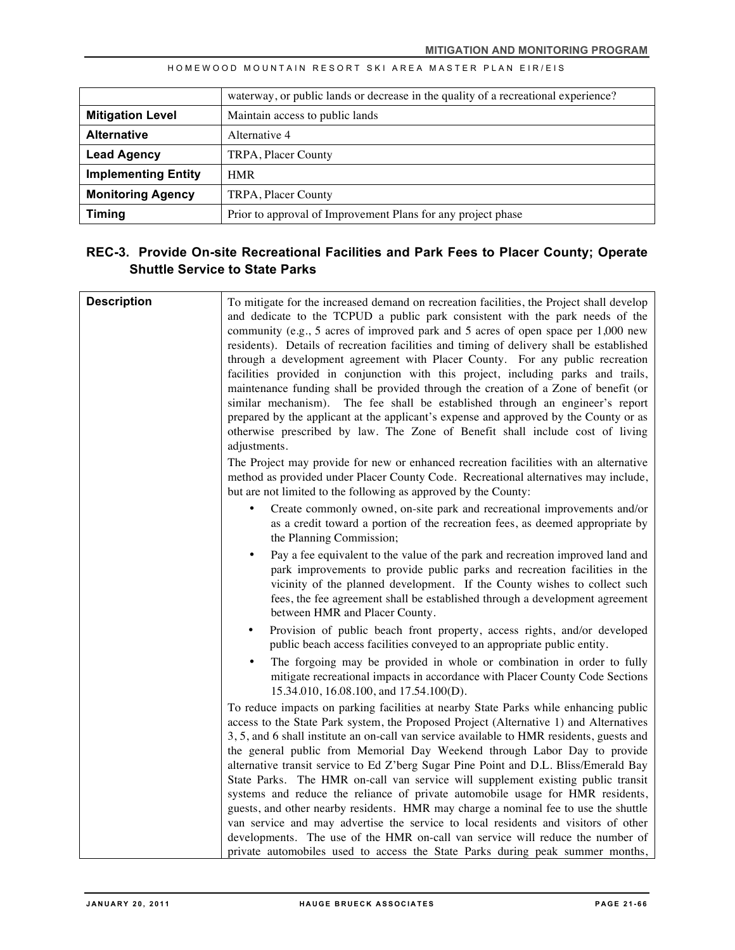|                            | waterway, or public lands or decrease in the quality of a recreational experience? |
|----------------------------|------------------------------------------------------------------------------------|
| <b>Mitigation Level</b>    | Maintain access to public lands                                                    |
| <b>Alternative</b>         | Alternative 4                                                                      |
| <b>Lead Agency</b>         | TRPA, Placer County                                                                |
| <b>Implementing Entity</b> | <b>HMR</b>                                                                         |
| <b>Monitoring Agency</b>   | TRPA, Placer County                                                                |
| <b>Timing</b>              | Prior to approval of Improvement Plans for any project phase                       |

## **REC-3. Provide On-site Recreational Facilities and Park Fees to Placer County; Operate Shuttle Service to State Parks**

| similar mechanism). The fee shall be established through an engineer's report<br>prepared by the applicant at the applicant's expense and approved by the County or as<br>otherwise prescribed by law. The Zone of Benefit shall include cost of living<br>adjustments.                                                                                                                                                                                                                                                                                                                                                                                                                                                                                                                                                                                                                                                                                                |
|------------------------------------------------------------------------------------------------------------------------------------------------------------------------------------------------------------------------------------------------------------------------------------------------------------------------------------------------------------------------------------------------------------------------------------------------------------------------------------------------------------------------------------------------------------------------------------------------------------------------------------------------------------------------------------------------------------------------------------------------------------------------------------------------------------------------------------------------------------------------------------------------------------------------------------------------------------------------|
| The Project may provide for new or enhanced recreation facilities with an alternative<br>method as provided under Placer County Code. Recreational alternatives may include,<br>but are not limited to the following as approved by the County:                                                                                                                                                                                                                                                                                                                                                                                                                                                                                                                                                                                                                                                                                                                        |
| Create commonly owned, on-site park and recreational improvements and/or<br>$\bullet$<br>as a credit toward a portion of the recreation fees, as deemed appropriate by<br>the Planning Commission;                                                                                                                                                                                                                                                                                                                                                                                                                                                                                                                                                                                                                                                                                                                                                                     |
| Pay a fee equivalent to the value of the park and recreation improved land and<br>$\bullet$<br>park improvements to provide public parks and recreation facilities in the<br>vicinity of the planned development. If the County wishes to collect such<br>fees, the fee agreement shall be established through a development agreement<br>between HMR and Placer County.                                                                                                                                                                                                                                                                                                                                                                                                                                                                                                                                                                                               |
| Provision of public beach front property, access rights, and/or developed<br>٠<br>public beach access facilities conveyed to an appropriate public entity.                                                                                                                                                                                                                                                                                                                                                                                                                                                                                                                                                                                                                                                                                                                                                                                                             |
| The forgoing may be provided in whole or combination in order to fully<br>$\bullet$<br>mitigate recreational impacts in accordance with Placer County Code Sections<br>15.34.010, 16.08.100, and 17.54.100(D).                                                                                                                                                                                                                                                                                                                                                                                                                                                                                                                                                                                                                                                                                                                                                         |
| To reduce impacts on parking facilities at nearby State Parks while enhancing public<br>access to the State Park system, the Proposed Project (Alternative 1) and Alternatives<br>3, 5, and 6 shall institute an on-call van service available to HMR residents, guests and<br>the general public from Memorial Day Weekend through Labor Day to provide<br>alternative transit service to Ed Z'berg Sugar Pine Point and D.L. Bliss/Emerald Bay<br>State Parks. The HMR on-call van service will supplement existing public transit<br>systems and reduce the reliance of private automobile usage for HMR residents,<br>guests, and other nearby residents. HMR may charge a nominal fee to use the shuttle<br>van service and may advertise the service to local residents and visitors of other<br>developments. The use of the HMR on-call van service will reduce the number of<br>private automobiles used to access the State Parks during peak summer months, |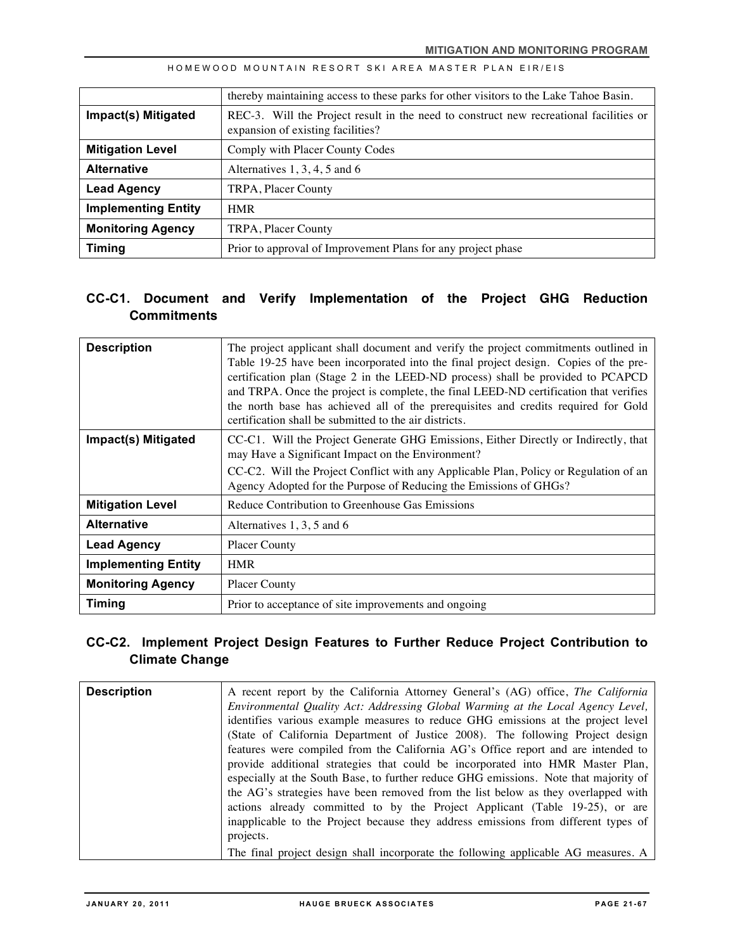|                            | thereby maintaining access to these parks for other visitors to the Lake Tahoe Basin.                                       |
|----------------------------|-----------------------------------------------------------------------------------------------------------------------------|
| Impact(s) Mitigated        | REC-3. Will the Project result in the need to construct new recreational facilities or<br>expansion of existing facilities? |
| <b>Mitigation Level</b>    | Comply with Placer County Codes                                                                                             |
| <b>Alternative</b>         | Alternatives $1, 3, 4, 5$ and 6                                                                                             |
| <b>Lead Agency</b>         | TRPA, Placer County                                                                                                         |
| <b>Implementing Entity</b> | <b>HMR</b>                                                                                                                  |
| <b>Monitoring Agency</b>   | TRPA, Placer County                                                                                                         |
| <b>Timing</b>              | Prior to approval of Improvement Plans for any project phase                                                                |

## **CC-C1. Document and Verify Implementation of the Project GHG Reduction Commitments**

| <b>Description</b>         | The project applicant shall document and verify the project commitments outlined in<br>Table 19-25 have been incorporated into the final project design. Copies of the pre-<br>certification plan (Stage 2 in the LEED-ND process) shall be provided to PCAPCD<br>and TRPA. Once the project is complete, the final LEED-ND certification that verifies<br>the north base has achieved all of the prerequisites and credits required for Gold<br>certification shall be submitted to the air districts. |
|----------------------------|---------------------------------------------------------------------------------------------------------------------------------------------------------------------------------------------------------------------------------------------------------------------------------------------------------------------------------------------------------------------------------------------------------------------------------------------------------------------------------------------------------|
| Impact(s) Mitigated        | CC-C1. Will the Project Generate GHG Emissions, Either Directly or Indirectly, that<br>may Have a Significant Impact on the Environment?<br>CC-C2. Will the Project Conflict with any Applicable Plan, Policy or Regulation of an                                                                                                                                                                                                                                                                       |
|                            | Agency Adopted for the Purpose of Reducing the Emissions of GHGs?                                                                                                                                                                                                                                                                                                                                                                                                                                       |
| <b>Mitigation Level</b>    | Reduce Contribution to Greenhouse Gas Emissions                                                                                                                                                                                                                                                                                                                                                                                                                                                         |
| <b>Alternative</b>         | Alternatives $1, 3, 5$ and 6                                                                                                                                                                                                                                                                                                                                                                                                                                                                            |
| <b>Lead Agency</b>         | <b>Placer County</b>                                                                                                                                                                                                                                                                                                                                                                                                                                                                                    |
| <b>Implementing Entity</b> | <b>HMR</b>                                                                                                                                                                                                                                                                                                                                                                                                                                                                                              |
| <b>Monitoring Agency</b>   | <b>Placer County</b>                                                                                                                                                                                                                                                                                                                                                                                                                                                                                    |
| Timing                     | Prior to acceptance of site improvements and ongoing                                                                                                                                                                                                                                                                                                                                                                                                                                                    |

## **CC-C2. Implement Project Design Features to Further Reduce Project Contribution to Climate Change**

| <b>Description</b> | A recent report by the California Attorney General's (AG) office, The California<br>Environmental Quality Act: Addressing Global Warming at the Local Agency Level,<br>identifies various example measures to reduce GHG emissions at the project level<br>(State of California Department of Justice 2008). The following Project design<br>features were compiled from the California AG's Office report and are intended to<br>provide additional strategies that could be incorporated into HMR Master Plan,<br>especially at the South Base, to further reduce GHG emissions. Note that majority of |
|--------------------|----------------------------------------------------------------------------------------------------------------------------------------------------------------------------------------------------------------------------------------------------------------------------------------------------------------------------------------------------------------------------------------------------------------------------------------------------------------------------------------------------------------------------------------------------------------------------------------------------------|
|                    | the AG's strategies have been removed from the list below as they overlapped with<br>actions already committed to by the Project Applicant (Table 19-25), or are<br>inapplicable to the Project because they address emissions from different types of<br>projects.<br>The final project design shall incorporate the following applicable AG measures. A                                                                                                                                                                                                                                                |